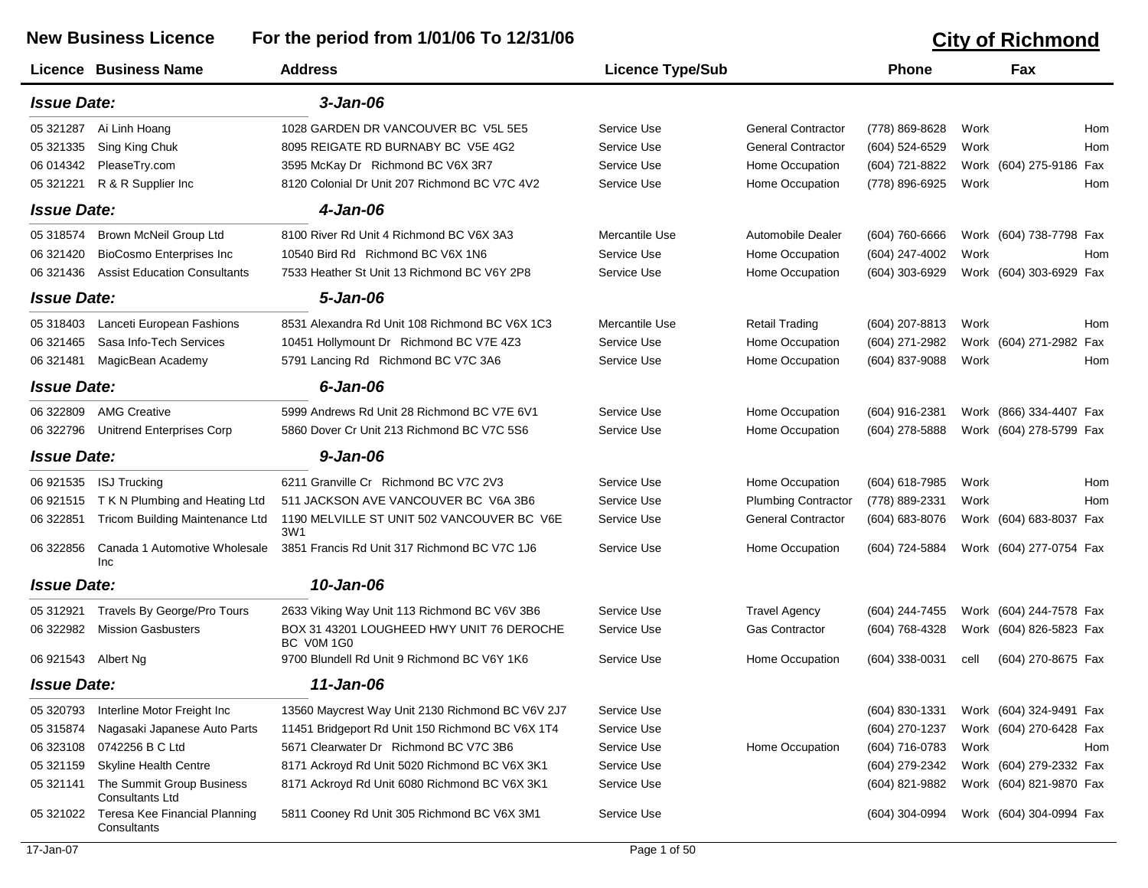## **New Business Licence For the period from 1/01/06 To 12/31/06 City of Richmond**

|                     | Licence Business Name                               | <b>Address</b>                                          | <b>Licence Type/Sub</b> |                            | <b>Phone</b>     |      | Fax                     |     |
|---------------------|-----------------------------------------------------|---------------------------------------------------------|-------------------------|----------------------------|------------------|------|-------------------------|-----|
| <b>Issue Date:</b>  |                                                     | $3 - Jan-06$                                            |                         |                            |                  |      |                         |     |
| 05 321287           | Ai Linh Hoang                                       | 1028 GARDEN DR VANCOUVER BC V5L 5E5                     | Service Use             | <b>General Contractor</b>  | (778) 869-8628   | Work |                         | Hom |
| 05 321335           | Sing King Chuk                                      | 8095 REIGATE RD BURNABY BC V5E 4G2                      | Service Use             | <b>General Contractor</b>  | (604) 524-6529   | Work |                         | Hom |
| 06 014342           | PleaseTry.com                                       | 3595 McKay Dr Richmond BC V6X 3R7                       | Service Use             | Home Occupation            | (604) 721-8822   |      | Work (604) 275-9186     | Fax |
| 05 321221           | R & R Supplier Inc                                  | 8120 Colonial Dr Unit 207 Richmond BC V7C 4V2           | Service Use             | Home Occupation            | (778) 896-6925   | Work |                         | Hom |
| <b>Issue Date:</b>  |                                                     | 4-Jan-06                                                |                         |                            |                  |      |                         |     |
| 05 318574           | Brown McNeil Group Ltd                              | 8100 River Rd Unit 4 Richmond BC V6X 3A3                | Mercantile Use          | Automobile Dealer          | (604) 760-6666   |      | Work (604) 738-7798 Fax |     |
| 06 321420           | <b>BioCosmo Enterprises Inc</b>                     | 10540 Bird Rd Richmond BC V6X 1N6                       | Service Use             | Home Occupation            | (604) 247-4002   | Work |                         | Hom |
| 06 321436           | <b>Assist Education Consultants</b>                 | 7533 Heather St Unit 13 Richmond BC V6Y 2P8             | Service Use             | Home Occupation            | (604) 303-6929   |      | Work (604) 303-6929 Fax |     |
| <b>Issue Date:</b>  |                                                     | 5-Jan-06                                                |                         |                            |                  |      |                         |     |
| 05 318403           | Lanceti European Fashions                           | 8531 Alexandra Rd Unit 108 Richmond BC V6X 1C3          | Mercantile Use          | <b>Retail Trading</b>      | (604) 207-8813   | Work |                         | Hom |
| 06 321465           | Sasa Info-Tech Services                             | 10451 Hollymount Dr Richmond BC V7E 4Z3                 | Service Use             | Home Occupation            | (604) 271-2982   |      | Work (604) 271-2982 Fax |     |
| 06 321481           | MagicBean Academy                                   | 5791 Lancing Rd Richmond BC V7C 3A6                     | Service Use             | Home Occupation            | (604) 837-9088   | Work |                         | Hom |
| <b>Issue Date:</b>  |                                                     | $6$ -Jan-06                                             |                         |                            |                  |      |                         |     |
| 06 322809           | <b>AMG Creative</b>                                 | 5999 Andrews Rd Unit 28 Richmond BC V7E 6V1             | Service Use             | Home Occupation            | (604) 916-2381   |      | Work (866) 334-4407 Fax |     |
| 06 322796           | <b>Unitrend Enterprises Corp</b>                    | 5860 Dover Cr Unit 213 Richmond BC V7C 5S6              | Service Use             | Home Occupation            | (604) 278-5888   |      | Work (604) 278-5799 Fax |     |
| <b>Issue Date:</b>  |                                                     | $9 - Jan-06$                                            |                         |                            |                  |      |                         |     |
| 06 921535           | <b>ISJ Trucking</b>                                 | 6211 Granville Cr Richmond BC V7C 2V3                   | Service Use             | Home Occupation            | (604) 618-7985   | Work |                         | Hom |
| 06 921515           | T K N Plumbing and Heating Ltd                      | 511 JACKSON AVE VANCOUVER BC V6A 3B6                    | Service Use             | <b>Plumbing Contractor</b> | (778) 889-2331   | Work |                         | Hom |
| 06 322851           | Tricom Building Maintenance Ltd                     | 1190 MELVILLE ST UNIT 502 VANCOUVER BC V6E<br>3W1       | Service Use             | <b>General Contractor</b>  | (604) 683-8076   |      | Work (604) 683-8037 Fax |     |
| 06 322856           | Canada 1 Automotive Wholesale<br>Inc                | 3851 Francis Rd Unit 317 Richmond BC V7C 1J6            | Service Use             | Home Occupation            | (604) 724-5884   |      | Work (604) 277-0754 Fax |     |
| <b>Issue Date:</b>  |                                                     | 10-Jan-06                                               |                         |                            |                  |      |                         |     |
| 05 31 29 21         | Travels By George/Pro Tours                         | 2633 Viking Way Unit 113 Richmond BC V6V 3B6            | Service Use             | <b>Travel Agency</b>       | (604) 244-7455   |      | Work (604) 244-7578 Fax |     |
| 06 322982           | <b>Mission Gasbusters</b>                           | BOX 31 43201 LOUGHEED HWY UNIT 76 DEROCHE<br>BC V0M 1G0 | Service Use             | <b>Gas Contractor</b>      | (604) 768-4328   |      | Work (604) 826-5823 Fax |     |
| 06 921543 Albert Ng |                                                     | 9700 Blundell Rd Unit 9 Richmond BC V6Y 1K6             | Service Use             | Home Occupation            | (604) 338-0031   | cell | (604) 270-8675 Fax      |     |
| <b>Issue Date:</b>  |                                                     | 11-Jan-06                                               |                         |                            |                  |      |                         |     |
| 05 320793           | Interline Motor Freight Inc                         | 13560 Maycrest Way Unit 2130 Richmond BC V6V 2J7        | Service Use             |                            | $(604)$ 830-1331 |      | Work (604) 324-9491 Fax |     |
| 05 31 58 74         | Nagasaki Japanese Auto Parts                        | 11451 Bridgeport Rd Unit 150 Richmond BC V6X 1T4        | Service Use             |                            | (604) 270-1237   |      | Work (604) 270-6428 Fax |     |
| 06 323108           | 0742256 B C Ltd                                     | 5671 Clearwater Dr Richmond BC V7C 3B6                  | Service Use             | Home Occupation            | (604) 716-0783   | Work |                         | Hom |
| 05 321159           | <b>Skyline Health Centre</b>                        | 8171 Ackroyd Rd Unit 5020 Richmond BC V6X 3K1           | Service Use             |                            | (604) 279-2342   |      | Work (604) 279-2332 Fax |     |
| 05 321141           | The Summit Group Business<br><b>Consultants Ltd</b> | 8171 Ackroyd Rd Unit 6080 Richmond BC V6X 3K1           | Service Use             |                            | (604) 821-9882   |      | Work (604) 821-9870 Fax |     |
| 05 321022           | Teresa Kee Financial Planning<br>Consultants        | 5811 Cooney Rd Unit 305 Richmond BC V6X 3M1             | Service Use             |                            | $(604)$ 304-0994 |      | Work (604) 304-0994 Fax |     |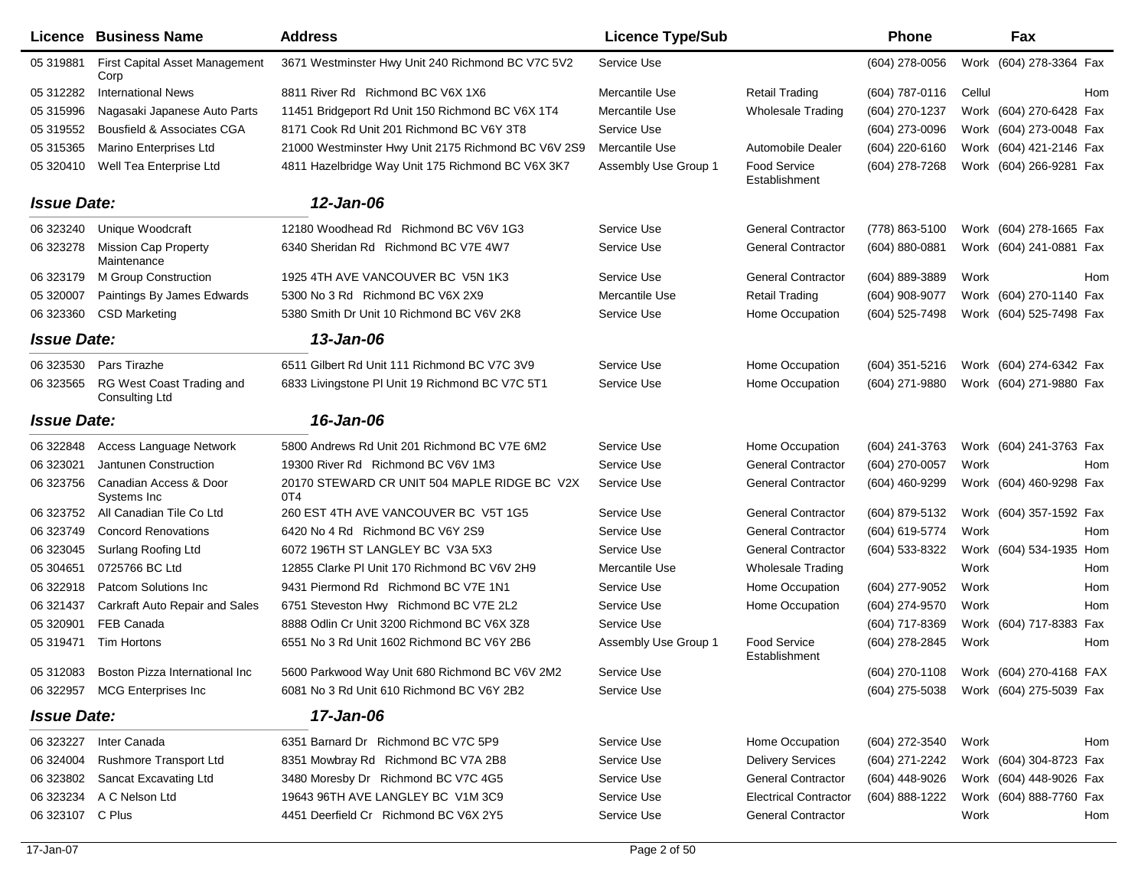|                    | Licence Business Name                         | <b>Address</b>                                      | <b>Licence Type/Sub</b> |                                      | <b>Phone</b>     | Fax                                    |
|--------------------|-----------------------------------------------|-----------------------------------------------------|-------------------------|--------------------------------------|------------------|----------------------------------------|
| 05 31 9881         | <b>First Capital Asset Management</b><br>Corp | 3671 Westminster Hwy Unit 240 Richmond BC V7C 5V2   | Service Use             |                                      | $(604)$ 278-0056 | Work (604) 278-3364 Fax                |
| 05 312282          | <b>International News</b>                     | 8811 River Rd Richmond BC V6X 1X6                   | Mercantile Use          | Retail Trading                       | $(604)$ 787-0116 | Cellul<br>Hom                          |
| 05 31 59 96        | Nagasaki Japanese Auto Parts                  | 11451 Bridgeport Rd Unit 150 Richmond BC V6X 1T4    | Mercantile Use          | <b>Wholesale Trading</b>             | (604) 270-1237   | Work (604) 270-6428 Fax                |
| 05 31 9552         | Bousfield & Associates CGA                    | 8171 Cook Rd Unit 201 Richmond BC V6Y 3T8           | Service Use             |                                      | (604) 273-0096   | Work (604) 273-0048 Fax                |
| 05 31 53 65        | Marino Enterprises Ltd                        | 21000 Westminster Hwy Unit 2175 Richmond BC V6V 2S9 | Mercantile Use          | Automobile Dealer                    | (604) 220-6160   | Work (604) 421-2146 Fax                |
| 05 320410          | Well Tea Enterprise Ltd                       | 4811 Hazelbridge Way Unit 175 Richmond BC V6X 3K7   | Assembly Use Group 1    | <b>Food Service</b><br>Establishment | (604) 278-7268   | Work (604) 266-9281 Fax                |
| <b>Issue Date:</b> |                                               | 12-Jan-06                                           |                         |                                      |                  |                                        |
| 06 323240          | Unique Woodcraft                              | 12180 Woodhead Rd Richmond BC V6V 1G3               | Service Use             | <b>General Contractor</b>            | (778) 863-5100   | Work (604) 278-1665 Fax                |
| 06 323278          | <b>Mission Cap Property</b><br>Maintenance    | 6340 Sheridan Rd Richmond BC V7E 4W7                | Service Use             | <b>General Contractor</b>            | (604) 880-0881   | Work (604) 241-0881 Fax                |
| 06 323179          | M Group Construction                          | 1925 4TH AVE VANCOUVER BC V5N 1K3                   | Service Use             | <b>General Contractor</b>            | (604) 889-3889   | Work<br>Hom                            |
| 05 320007          | Paintings By James Edwards                    | 5300 No 3 Rd Richmond BC V6X 2X9                    | Mercantile Use          | <b>Retail Trading</b>                | (604) 908-9077   | Work (604) 270-1140 Fax                |
| 06 323360          | <b>CSD Marketing</b>                          | 5380 Smith Dr Unit 10 Richmond BC V6V 2K8           | Service Use             | Home Occupation                      | (604) 525-7498   | Work (604) 525-7498 Fax                |
| <b>Issue Date:</b> |                                               | 13-Jan-06                                           |                         |                                      |                  |                                        |
| 06 323530          | Pars Tirazhe                                  | 6511 Gilbert Rd Unit 111 Richmond BC V7C 3V9        | Service Use             | Home Occupation                      | $(604)$ 351-5216 | Work (604) 274-6342 Fax                |
| 06 323565          | RG West Coast Trading and<br>Consulting Ltd   | 6833 Livingstone PI Unit 19 Richmond BC V7C 5T1     | Service Use             | Home Occupation                      | (604) 271-9880   | Work (604) 271-9880 Fax                |
| <b>Issue Date:</b> |                                               | 16-Jan-06                                           |                         |                                      |                  |                                        |
| 06 322848          | Access Language Network                       | 5800 Andrews Rd Unit 201 Richmond BC V7E 6M2        | Service Use             | Home Occupation                      | (604) 241-3763   | Work (604) 241-3763 Fax                |
| 06 323021          | Jantunen Construction                         | 19300 River Rd Richmond BC V6V 1M3                  | Service Use             | <b>General Contractor</b>            | (604) 270-0057   | Work<br>Hom                            |
| 06 323756          | Canadian Access & Door<br>Systems Inc.        | 20170 STEWARD CR UNIT 504 MAPLE RIDGE BC V2X<br>0T4 | Service Use             | <b>General Contractor</b>            | (604) 460-9299   | Work (604) 460-9298 Fax                |
| 06 323752          | All Canadian Tile Co Ltd                      | 260 EST 4TH AVE VANCOUVER BC V5T 1G5                | Service Use             | <b>General Contractor</b>            | (604) 879-5132   | Work (604) 357-1592 Fax                |
| 06 323749          | <b>Concord Renovations</b>                    | 6420 No 4 Rd Richmond BC V6Y 2S9                    | Service Use             | <b>General Contractor</b>            | (604) 619-5774   | Work<br>Hom                            |
| 06 323045          | Surlang Roofing Ltd                           | 6072 196TH ST LANGLEY BC V3A 5X3                    | Service Use             | <b>General Contractor</b>            | (604) 533-8322   | Work (604) 534-1935<br>Hom             |
| 05 304651          | 0725766 BC Ltd                                | 12855 Clarke PI Unit 170 Richmond BC V6V 2H9        | Mercantile Use          | <b>Wholesale Trading</b>             |                  | Work<br>Hom                            |
| 06 322918          | Patcom Solutions Inc                          | 9431 Piermond Rd Richmond BC V7E 1N1                | Service Use             | Home Occupation                      | (604) 277-9052   | Work<br>Hom                            |
| 06 321437          | <b>Carkraft Auto Repair and Sales</b>         | 6751 Steveston Hwy Richmond BC V7E 2L2              | Service Use             | Home Occupation                      | (604) 274-9570   | Work<br>Hom                            |
| 05 320901          | FEB Canada                                    | 8888 Odlin Cr Unit 3200 Richmond BC V6X 3Z8         | Service Use             |                                      | (604) 717-8369   | Work (604) 717-8383 Fax                |
| 05 31 94 71        | Tim Hortons                                   | 6551 No 3 Rd Unit 1602 Richmond BC V6Y 2B6          | Assembly Use Group 1    | <b>Food Service</b><br>Establishment | (604) 278-2845   | Work<br>Hom                            |
|                    | 05 312083 Boston Pizza International Inc      | 5600 Parkwood Way Unit 680 Richmond BC V6V 2M2      | Service Use             |                                      |                  | (604) 270-1108 Work (604) 270-4168 FAX |
|                    | 06 322957 MCG Enterprises Inc                 | 6081 No 3 Rd Unit 610 Richmond BC V6Y 2B2           | Service Use             |                                      |                  | (604) 275-5038 Work (604) 275-5039 Fax |
| <b>Issue Date:</b> |                                               | 17-Jan-06                                           |                         |                                      |                  |                                        |
|                    | 06 323227 Inter Canada                        | 6351 Barnard Dr Richmond BC V7C 5P9                 | Service Use             | Home Occupation                      | (604) 272-3540   | Work<br>Hom                            |
| 06 324004          | <b>Rushmore Transport Ltd</b>                 | 8351 Mowbray Rd Richmond BC V7A 2B8                 | Service Use             | <b>Delivery Services</b>             | (604) 271-2242   | Work (604) 304-8723 Fax                |
| 06 323802          | Sancat Excavating Ltd                         | 3480 Moresby Dr Richmond BC V7C 4G5                 | Service Use             | <b>General Contractor</b>            | (604) 448-9026   | Work (604) 448-9026 Fax                |
| 06 323234          | A C Nelson Ltd                                | 19643 96TH AVE LANGLEY BC V1M 3C9                   | Service Use             | <b>Electrical Contractor</b>         | (604) 888-1222   | Work (604) 888-7760 Fax                |
| 06 323107 C Plus   |                                               | 4451 Deerfield Cr Richmond BC V6X 2Y5               | Service Use             | <b>General Contractor</b>            |                  | Work<br>Hom                            |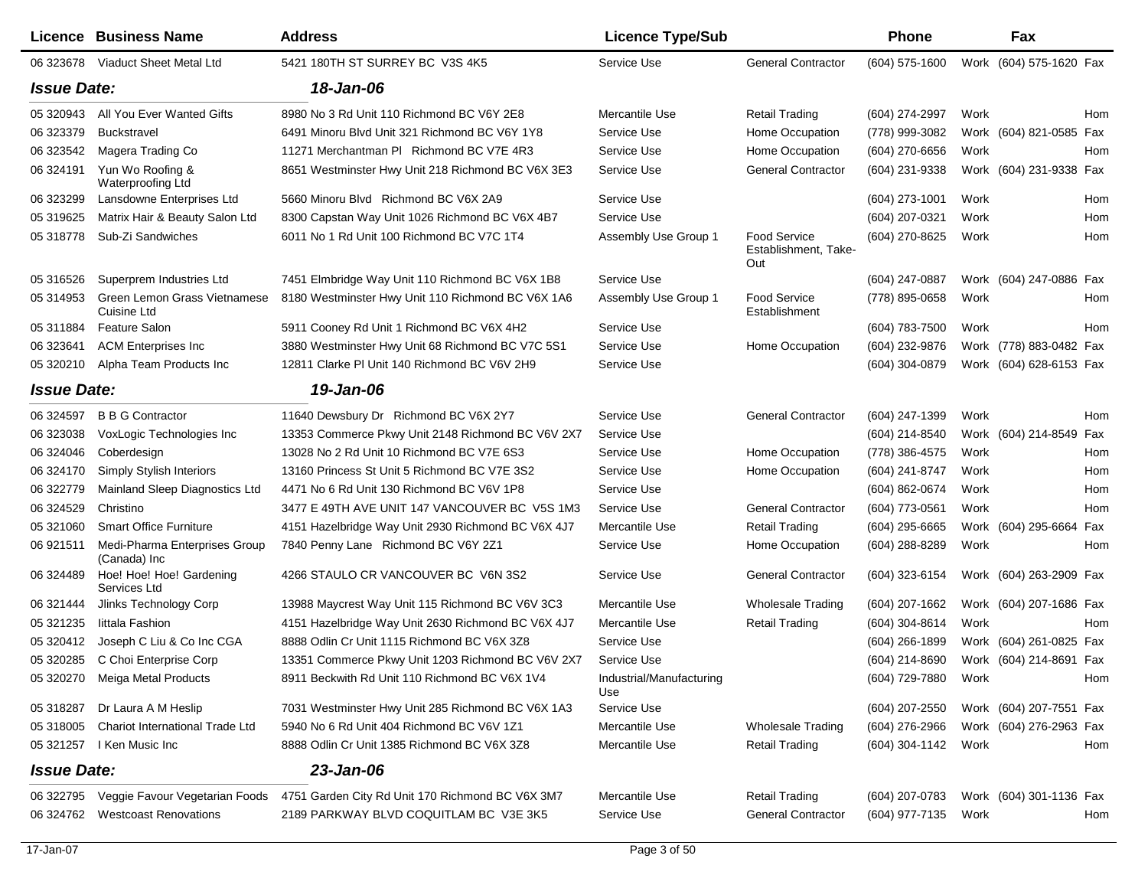|                    | Licence Business Name                         | <b>Address</b>                                     | <b>Licence Type/Sub</b>         |                                                    | Phone               | Fax                     |
|--------------------|-----------------------------------------------|----------------------------------------------------|---------------------------------|----------------------------------------------------|---------------------|-------------------------|
|                    | 06 323678 Viaduct Sheet Metal Ltd             | 5421 180TH ST SURREY BC V3S 4K5                    | Service Use                     | <b>General Contractor</b>                          | $(604)$ 575-1600    | Work (604) 575-1620 Fax |
| <b>Issue Date:</b> |                                               | 18-Jan-06                                          |                                 |                                                    |                     |                         |
| 05 320943          | All You Ever Wanted Gifts                     | 8980 No 3 Rd Unit 110 Richmond BC V6Y 2E8          | Mercantile Use                  | <b>Retail Trading</b>                              | (604) 274-2997      | Work<br>Hom             |
| 06 323379          | <b>Buckstravel</b>                            | 6491 Minoru Blvd Unit 321 Richmond BC V6Y 1Y8      | Service Use                     | Home Occupation                                    | (778) 999-3082      | Work (604) 821-0585 Fax |
| 06 323542          | Magera Trading Co                             | 11271 Merchantman PI Richmond BC V7E 4R3           | Service Use                     | Home Occupation                                    | (604) 270-6656      | Work<br>Hom             |
| 06 324191          | Yun Wo Roofing &<br>Waterproofing Ltd         | 8651 Westminster Hwy Unit 218 Richmond BC V6X 3E3  | Service Use                     | <b>General Contractor</b>                          | (604) 231-9338      | Work (604) 231-9338 Fax |
| 06 323299          | Lansdowne Enterprises Ltd                     | 5660 Minoru Blvd Richmond BC V6X 2A9               | Service Use                     |                                                    | (604) 273-1001      | Work<br>Hom             |
| 05 319625          | Matrix Hair & Beauty Salon Ltd                | 8300 Capstan Way Unit 1026 Richmond BC V6X 4B7     | Service Use                     |                                                    | $(604)$ 207-0321    | Work<br>Hom             |
| 05 31 8778         | Sub-Zi Sandwiches                             | 6011 No 1 Rd Unit 100 Richmond BC V7C 1T4          | Assembly Use Group 1            | <b>Food Service</b><br>Establishment, Take-<br>Out | (604) 270-8625      | Work<br>Hom             |
| 05 31 65 26        | Superprem Industries Ltd                      | 7451 Elmbridge Way Unit 110 Richmond BC V6X 1B8    | Service Use                     |                                                    | (604) 247-0887      | Work (604) 247-0886 Fax |
| 05 314953          | Green Lemon Grass Vietnamese<br>Cuisine Ltd   | 8180 Westminster Hwy Unit 110 Richmond BC V6X 1A6  | Assembly Use Group 1            | <b>Food Service</b><br>Establishment               | (778) 895-0658      | Work<br>Hom             |
| 05 311884          | <b>Feature Salon</b>                          | 5911 Cooney Rd Unit 1 Richmond BC V6X 4H2          | Service Use                     |                                                    | (604) 783-7500      | Work<br>Hom             |
| 06 323641          | <b>ACM Enterprises Inc.</b>                   | 3880 Westminster Hwy Unit 68 Richmond BC V7C 5S1   | Service Use                     | Home Occupation                                    | (604) 232-9876      | Work (778) 883-0482 Fax |
| 05 320210          | Alpha Team Products Inc                       | 12811 Clarke PI Unit 140 Richmond BC V6V 2H9       | Service Use                     |                                                    | (604) 304-0879      | Work (604) 628-6153 Fax |
| <b>Issue Date:</b> |                                               | 19-Jan-06                                          |                                 |                                                    |                     |                         |
| 06 324597          | <b>B B G Contractor</b>                       | 11640 Dewsbury Dr Richmond BC V6X 2Y7              | Service Use                     | <b>General Contractor</b>                          | (604) 247-1399      | Work<br>Hom             |
| 06 323038          | VoxLogic Technologies Inc                     | 13353 Commerce Pkwy Unit 2148 Richmond BC V6V 2X7  | Service Use                     |                                                    | (604) 214-8540      | Work (604) 214-8549 Fax |
| 06 324046          | Coberdesign                                   | 13028 No 2 Rd Unit 10 Richmond BC V7E 6S3          | Service Use                     | Home Occupation                                    | (778) 386-4575      | Work<br>Hom             |
| 06 324170          | Simply Stylish Interiors                      | 13160 Princess St Unit 5 Richmond BC V7E 3S2       | Service Use                     | Home Occupation                                    | (604) 241-8747      | Work<br>Hom             |
| 06 322779          | Mainland Sleep Diagnostics Ltd                | 4471 No 6 Rd Unit 130 Richmond BC V6V 1P8          | Service Use                     |                                                    | (604) 862-0674      | Hom<br>Work             |
| 06 324529          | Christino                                     | 3477 E 49TH AVE UNIT 147 VANCOUVER BC V5S 1M3      | Service Use                     | <b>General Contractor</b>                          | (604) 773-0561      | Work<br>Hom             |
| 05 321060          | <b>Smart Office Furniture</b>                 | 4151 Hazelbridge Way Unit 2930 Richmond BC V6X 4J7 | Mercantile Use                  | <b>Retail Trading</b>                              | (604) 295-6665      | Work (604) 295-6664 Fax |
| 06 921511          | Medi-Pharma Enterprises Group<br>(Canada) Inc | 7840 Penny Lane Richmond BC V6Y 2Z1                | Service Use                     | Home Occupation                                    | (604) 288-8289      | Work<br>Hom             |
| 06 324489          | Hoe! Hoe! Hoe! Gardening<br>Services Ltd      | 4266 STAULO CR VANCOUVER BC V6N 3S2                | Service Use                     | <b>General Contractor</b>                          | (604) 323-6154      | Work (604) 263-2909 Fax |
| 06 321444          | Jlinks Technology Corp                        | 13988 Maycrest Way Unit 115 Richmond BC V6V 3C3    | Mercantile Use                  | <b>Wholesale Trading</b>                           | $(604)$ 207-1662    | Work (604) 207-1686 Fax |
| 05 321235          | littala Fashion                               | 4151 Hazelbridge Way Unit 2630 Richmond BC V6X 4J7 | Mercantile Use                  | <b>Retail Trading</b>                              | $(604)$ 304-8614    | Work<br>Hom             |
| 05 320412          | Joseph C Liu & Co Inc CGA                     | 8888 Odlin Cr Unit 1115 Richmond BC V6X 3Z8        | Service Use                     |                                                    | $(604)$ 266-1899    | Work (604) 261-0825 Fax |
|                    | 05 320285 C Choi Enterprise Corp              | 13351 Commerce Pkwy Unit 1203 Richmond BC V6V 2X7  | Service Use                     |                                                    | (604) 214-8690      | Work (604) 214-8691 Fax |
|                    | 05 320270 Meiga Metal Products                | 8911 Beckwith Rd Unit 110 Richmond BC V6X 1V4      | Industrial/Manufacturing<br>Use |                                                    | (604) 729-7880 Work | Hom                     |
| 05 318287          | Dr Laura A M Heslip                           | 7031 Westminster Hwy Unit 285 Richmond BC V6X 1A3  | Service Use                     |                                                    | (604) 207-2550      | Work (604) 207-7551 Fax |
| 05 318005          | <b>Chariot International Trade Ltd</b>        | 5940 No 6 Rd Unit 404 Richmond BC V6V 1Z1          | Mercantile Use                  | <b>Wholesale Trading</b>                           | (604) 276-2966      | Work (604) 276-2963 Fax |
| 05 321257          | I Ken Music Inc                               | 8888 Odlin Cr Unit 1385 Richmond BC V6X 3Z8        | Mercantile Use                  | <b>Retail Trading</b>                              | (604) 304-1142      | Work<br>Hom             |
| <b>Issue Date:</b> |                                               | 23-Jan-06                                          |                                 |                                                    |                     |                         |
| 06 322795          | Veggie Favour Vegetarian Foods                | 4751 Garden City Rd Unit 170 Richmond BC V6X 3M7   | Mercantile Use                  | <b>Retail Trading</b>                              | $(604)$ 207-0783    | Work (604) 301-1136 Fax |
| 06 324762          | <b>Westcoast Renovations</b>                  | 2189 PARKWAY BLVD COQUITLAM BC V3E 3K5             | Service Use                     | <b>General Contractor</b>                          | (604) 977-7135      | Work<br>Hom             |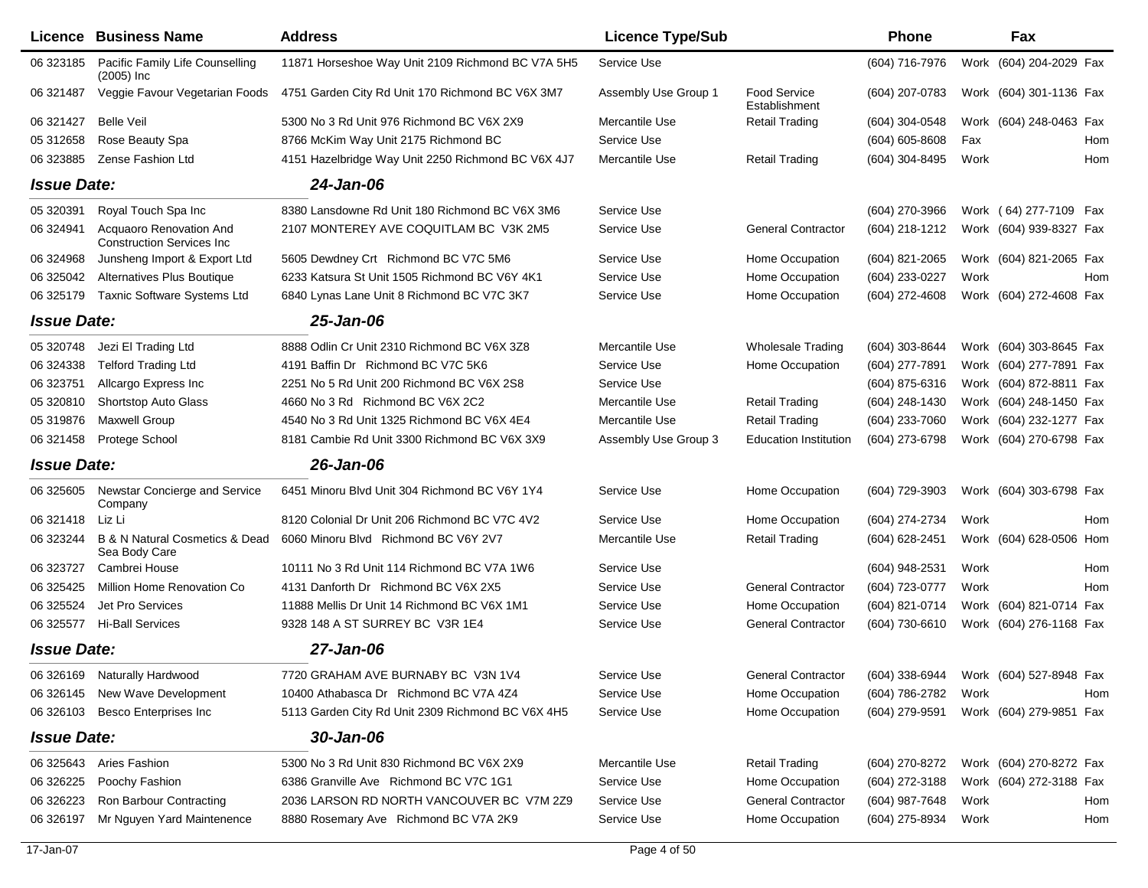|                    | Licence Business Name                                          | <b>Address</b>                                     | <b>Licence Type/Sub</b> |                                      | <b>Phone</b>                           |      | Fax                     |     |
|--------------------|----------------------------------------------------------------|----------------------------------------------------|-------------------------|--------------------------------------|----------------------------------------|------|-------------------------|-----|
| 06 323185          | Pacific Family Life Counselling<br>$(2005)$ Inc                | 11871 Horseshoe Way Unit 2109 Richmond BC V7A 5H5  | Service Use             |                                      | (604) 716-7976                         |      | Work (604) 204-2029 Fax |     |
| 06 321487          | Veggie Favour Vegetarian Foods                                 | 4751 Garden City Rd Unit 170 Richmond BC V6X 3M7   | Assembly Use Group 1    | <b>Food Service</b><br>Establishment | (604) 207-0783                         |      | Work (604) 301-1136 Fax |     |
| 06 321427          | Belle Veil                                                     | 5300 No 3 Rd Unit 976 Richmond BC V6X 2X9          | Mercantile Use          | <b>Retail Trading</b>                | (604) 304-0548                         |      | Work (604) 248-0463 Fax |     |
| 05 31 2658         | Rose Beauty Spa                                                | 8766 McKim Way Unit 2175 Richmond BC               | Service Use             |                                      | $(604) 605 - 8608$                     | Fax  |                         | Hom |
| 06 323885          | Zense Fashion Ltd                                              | 4151 Hazelbridge Way Unit 2250 Richmond BC V6X 4J7 | Mercantile Use          | <b>Retail Trading</b>                | (604) 304-8495                         | Work |                         | Hom |
| <b>Issue Date:</b> |                                                                | 24-Jan-06                                          |                         |                                      |                                        |      |                         |     |
| 05 320391          | Royal Touch Spa Inc                                            | 8380 Lansdowne Rd Unit 180 Richmond BC V6X 3M6     | Service Use             |                                      | (604) 270-3966                         |      | Work (64) 277-7109 Fax  |     |
| 06 324941          | Acquaoro Renovation And<br><b>Construction Services Inc</b>    | 2107 MONTEREY AVE COQUITLAM BC V3K 2M5             | Service Use             | <b>General Contractor</b>            | (604) 218-1212                         |      | Work (604) 939-8327 Fax |     |
| 06 324968          | Junsheng Import & Export Ltd                                   | 5605 Dewdney Crt Richmond BC V7C 5M6               | Service Use             | Home Occupation                      | (604) 821-2065                         |      | Work (604) 821-2065 Fax |     |
| 06 325042          | Alternatives Plus Boutique                                     | 6233 Katsura St Unit 1505 Richmond BC V6Y 4K1      | Service Use             | Home Occupation                      | (604) 233-0227                         | Work |                         | Hom |
| 06 325179          | Taxnic Software Systems Ltd                                    | 6840 Lynas Lane Unit 8 Richmond BC V7C 3K7         | Service Use             | Home Occupation                      | (604) 272-4608                         |      | Work (604) 272-4608 Fax |     |
| <b>Issue Date:</b> |                                                                | 25-Jan-06                                          |                         |                                      |                                        |      |                         |     |
| 05 320748          | Jezi El Trading Ltd                                            | 8888 Odlin Cr Unit 2310 Richmond BC V6X 3Z8        | Mercantile Use          | <b>Wholesale Trading</b>             | (604) 303-8644                         |      | Work (604) 303-8645 Fax |     |
| 06 324338          | <b>Telford Trading Ltd</b>                                     | 4191 Baffin Dr Richmond BC V7C 5K6                 | Service Use             | Home Occupation                      | (604) 277-7891                         |      | Work (604) 277-7891 Fax |     |
| 06 323751          | Allcargo Express Inc                                           | 2251 No 5 Rd Unit 200 Richmond BC V6X 2S8          | Service Use             |                                      | (604) 875-6316                         |      | Work (604) 872-8811 Fax |     |
| 05 320810          | <b>Shortstop Auto Glass</b>                                    | 4660 No 3 Rd Richmond BC V6X 2C2                   | Mercantile Use          | Retail Trading                       | (604) 248-1430                         |      | Work (604) 248-1450 Fax |     |
| 05 319876          | <b>Maxwell Group</b>                                           | 4540 No 3 Rd Unit 1325 Richmond BC V6X 4E4         | Mercantile Use          | <b>Retail Trading</b>                | (604) 233-7060                         |      | Work (604) 232-1277 Fax |     |
| 06 321458          | Protege School                                                 | 8181 Cambie Rd Unit 3300 Richmond BC V6X 3X9       | Assembly Use Group 3    | <b>Education Institution</b>         | (604) 273-6798                         |      | Work (604) 270-6798 Fax |     |
| <b>Issue Date:</b> |                                                                | 26-Jan-06                                          |                         |                                      |                                        |      |                         |     |
| 06 325605          | Newstar Concierge and Service<br>Company                       | 6451 Minoru Blvd Unit 304 Richmond BC V6Y 1Y4      | Service Use             | Home Occupation                      | (604) 729-3903                         |      | Work (604) 303-6798 Fax |     |
| 06 321418          | Liz Li                                                         | 8120 Colonial Dr Unit 206 Richmond BC V7C 4V2      | Service Use             | Home Occupation                      | (604) 274-2734                         | Work |                         | Hom |
| 06 323244          | <b>B &amp; N Natural Cosmetics &amp; Dead</b><br>Sea Body Care | 6060 Minoru Blvd Richmond BC V6Y 2V7               | Mercantile Use          | <b>Retail Trading</b>                | (604) 628-2451                         |      | Work (604) 628-0506 Hom |     |
| 06 323727          | Cambrei House                                                  | 10111 No 3 Rd Unit 114 Richmond BC V7A 1W6         | Service Use             |                                      | (604) 948-2531                         | Work |                         | Hom |
| 06 325425          | Million Home Renovation Co                                     | 4131 Danforth Dr Richmond BC V6X 2X5               | Service Use             | <b>General Contractor</b>            | (604) 723-0777                         | Work |                         | Hom |
| 06 325524          | Jet Pro Services                                               | 11888 Mellis Dr Unit 14 Richmond BC V6X 1M1        | Service Use             | Home Occupation                      | (604) 821-0714                         |      | Work (604) 821-0714 Fax |     |
| 06 325577          | <b>Hi-Ball Services</b>                                        | 9328 148 A ST SURREY BC V3R 1E4                    | Service Use             | <b>General Contractor</b>            | (604) 730-6610                         |      | Work (604) 276-1168 Fax |     |
| <b>Issue Date:</b> |                                                                | 27-Jan-06                                          |                         |                                      |                                        |      |                         |     |
|                    | 06 326169 Naturally Hardwood                                   | 7720 GRAHAM AVE BURNABY BC V3N 1V4                 | Service Use             | <b>General Contractor</b>            | (604) 338-6944 Work (604) 527-8948 Fax |      |                         |     |
| 06 326145          | New Wave Development                                           | 10400 Athabasca Dr Richmond BC V7A 4Z4             | Service Use             | Home Occupation                      | (604) 786-2782                         | Work |                         | Hom |
| 06 326103          | <b>Besco Enterprises Inc</b>                                   | 5113 Garden City Rd Unit 2309 Richmond BC V6X 4H5  | Service Use             | Home Occupation                      | (604) 279-9591                         |      | Work (604) 279-9851 Fax |     |
| <b>Issue Date:</b> |                                                                | 30-Jan-06                                          |                         |                                      |                                        |      |                         |     |
| 06 325643          | Aries Fashion                                                  | 5300 No 3 Rd Unit 830 Richmond BC V6X 2X9          | Mercantile Use          | <b>Retail Trading</b>                | (604) 270-8272                         |      | Work (604) 270-8272 Fax |     |
| 06 326225          | Poochy Fashion                                                 | 6386 Granville Ave Richmond BC V7C 1G1             | Service Use             | Home Occupation                      | (604) 272-3188                         |      | Work (604) 272-3188 Fax |     |
| 06 326223          | Ron Barbour Contracting                                        | 2036 LARSON RD NORTH VANCOUVER BC V7M 2Z9          | Service Use             | <b>General Contractor</b>            | (604) 987-7648                         | Work |                         | Hom |
| 06 326197          | Mr Nguyen Yard Maintenence                                     | 8880 Rosemary Ave Richmond BC V7A 2K9              | Service Use             | Home Occupation                      | (604) 275-8934                         | Work |                         | Hom |
|                    |                                                                |                                                    |                         |                                      |                                        |      |                         |     |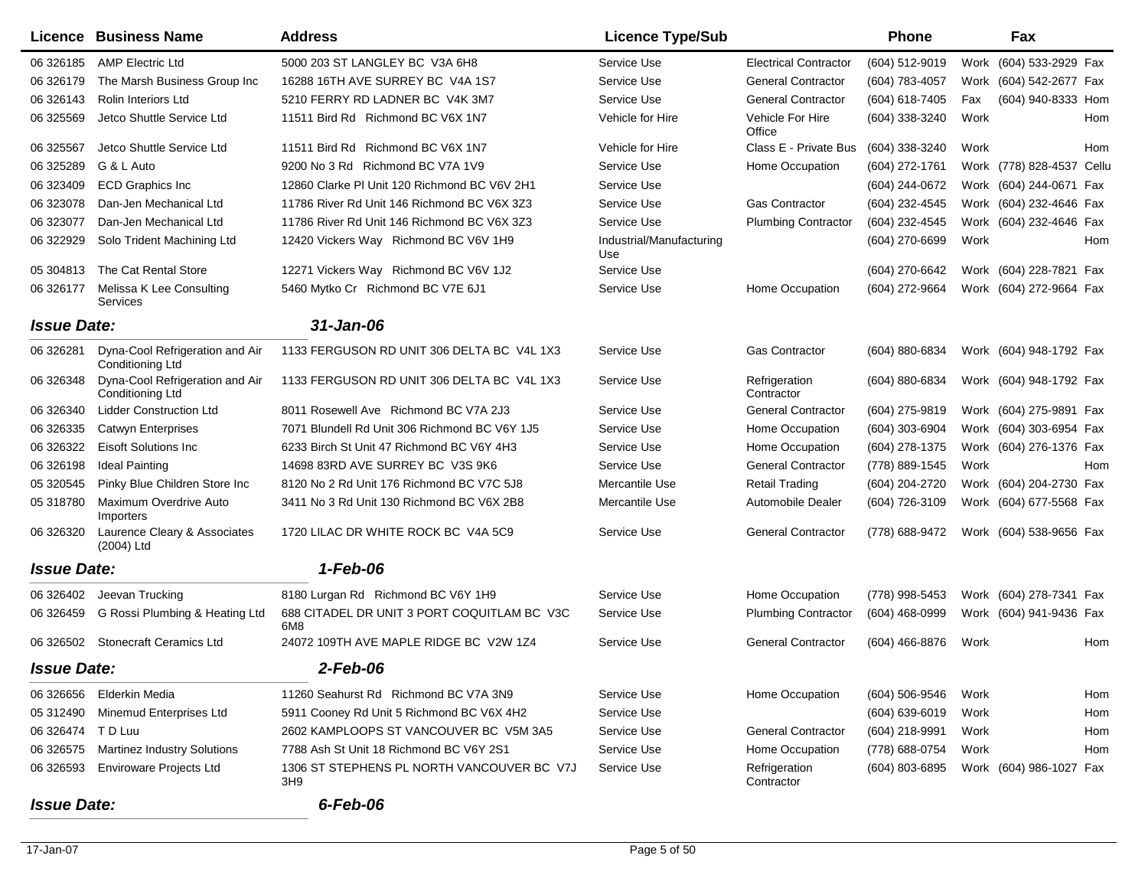|                    | Licence Business Name                               | <b>Address</b>                                                | <b>Licence Type/Sub</b>         |                              | <b>Phone</b>       |      | Fax                          |
|--------------------|-----------------------------------------------------|---------------------------------------------------------------|---------------------------------|------------------------------|--------------------|------|------------------------------|
| 06 326185          | <b>AMP Electric Ltd</b>                             | 5000 203 ST LANGLEY BC V3A 6H8                                | Service Use                     | <b>Electrical Contractor</b> | (604) 512-9019     |      | Work (604) 533-2929 Fax      |
| 06 326179          | The Marsh Business Group Inc                        | 16288 16TH AVE SURREY BC V4A 1S7                              | Service Use                     | <b>General Contractor</b>    | (604) 783-4057     |      | Work (604) 542-2677 Fax      |
| 06 32 6143         | Rolin Interiors Ltd                                 | 5210 FERRY RD LADNER BC V4K 3M7                               | Service Use                     | <b>General Contractor</b>    | (604) 618-7405     | Fax  | (604) 940-8333 Hom           |
| 06 325569          | Jetco Shuttle Service Ltd                           | 11511 Bird Rd Richmond BC V6X 1N7                             | Vehicle for Hire                | Vehicle For Hire<br>Office   | (604) 338-3240     | Work | Hom                          |
| 06 325567          | Jetco Shuttle Service Ltd                           | 11511 Bird Rd Richmond BC V6X 1N7                             | Vehicle for Hire                | Class E - Private Bus        | (604) 338-3240     | Work | Hom                          |
| 06 325289          | G & L Auto                                          | 9200 No 3 Rd Richmond BC V7A 1V9                              | Service Use                     | Home Occupation              | (604) 272-1761     |      | Work (778) 828-4537<br>Cellu |
| 06 323409          | <b>ECD Graphics Inc</b>                             | 12860 Clarke PI Unit 120 Richmond BC V6V 2H1                  | Service Use                     |                              | (604) 244-0672     |      | Work (604) 244-0671 Fax      |
| 06 323078          | Dan-Jen Mechanical Ltd                              | 11786 River Rd Unit 146 Richmond BC V6X 3Z3                   | Service Use                     | <b>Gas Contractor</b>        | (604) 232-4545     |      | Work (604) 232-4646 Fax      |
| 06 323077          | Dan-Jen Mechanical Ltd                              | 11786 River Rd Unit 146 Richmond BC V6X 3Z3                   | Service Use                     | <b>Plumbing Contractor</b>   | (604) 232-4545     |      | Work (604) 232-4646 Fax      |
| 06 322929          | Solo Trident Machining Ltd                          | 12420 Vickers Way Richmond BC V6V 1H9                         | Industrial/Manufacturing<br>Use |                              | (604) 270-6699     | Work | Hom                          |
| 05 304813          | The Cat Rental Store                                | 12271 Vickers Way Richmond BC V6V 1J2                         | Service Use                     |                              | (604) 270-6642     |      | Work (604) 228-7821 Fax      |
| 06 326177          | Melissa K Lee Consulting<br>Services                | 5460 Mytko Cr Richmond BC V7E 6J1                             | Service Use                     | Home Occupation              | (604) 272-9664     |      | Work (604) 272-9664 Fax      |
| <b>Issue Date:</b> |                                                     | 31-Jan-06                                                     |                                 |                              |                    |      |                              |
| 06 326281          | Dyna-Cool Refrigeration and Air<br>Conditioning Ltd | 1133 FERGUSON RD UNIT 306 DELTA BC V4L 1X3                    | Service Use                     | <b>Gas Contractor</b>        | (604) 880-6834     |      | Work (604) 948-1792 Fax      |
| 06 326348          | Dyna-Cool Refrigeration and Air<br>Conditioning Ltd | 1133 FERGUSON RD UNIT 306 DELTA BC V4L 1X3                    | Service Use                     | Refrigeration<br>Contractor  | (604) 880-6834     |      | Work (604) 948-1792 Fax      |
| 06 32 6340         | <b>Lidder Construction Ltd</b>                      | 8011 Rosewell Ave Richmond BC V7A 2J3                         | Service Use                     | <b>General Contractor</b>    | (604) 275-9819     |      | Work (604) 275-9891 Fax      |
| 06 326335          | <b>Catwyn Enterprises</b>                           | 7071 Blundell Rd Unit 306 Richmond BC V6Y 1J5                 | Service Use                     | Home Occupation              | (604) 303-6904     |      | Work (604) 303-6954 Fax      |
| 06 32 6322         | <b>Eisoft Solutions Inc.</b>                        | 6233 Birch St Unit 47 Richmond BC V6Y 4H3                     | Service Use                     | Home Occupation              | (604) 278-1375     |      | Work (604) 276-1376 Fax      |
| 06 32 6198         | <b>Ideal Painting</b>                               | 14698 83RD AVE SURREY BC V3S 9K6                              | Service Use                     | <b>General Contractor</b>    | (778) 889-1545     | Work | Hom                          |
| 05 320545          | Pinky Blue Children Store Inc                       | 8120 No 2 Rd Unit 176 Richmond BC V7C 5J8                     | Mercantile Use                  | <b>Retail Trading</b>        | (604) 204-2720     |      | Work (604) 204-2730 Fax      |
| 05 318780          | Maximum Overdrive Auto<br>Importers                 | 3411 No 3 Rd Unit 130 Richmond BC V6X 2B8                     | Mercantile Use                  | Automobile Dealer            | (604) 726-3109     |      | Work (604) 677-5568 Fax      |
| 06 32 6320         | Laurence Cleary & Associates<br>(2004) Ltd          | 1720 LILAC DR WHITE ROCK BC V4A 5C9                           | Service Use                     | <b>General Contractor</b>    | (778) 688-9472     |      | Work (604) 538-9656 Fax      |
| <b>Issue Date:</b> |                                                     | 1-Feb-06                                                      |                                 |                              |                    |      |                              |
| 06 326402          | Jeevan Trucking                                     | 8180 Lurgan Rd Richmond BC V6Y 1H9                            | Service Use                     | Home Occupation              | (778) 998-5453     |      | Work (604) 278-7341 Fax      |
| 06 32 645 9        | G Rossi Plumbing & Heating Ltd                      | 688 CITADEL DR UNIT 3 PORT COQUITLAM BC V3C<br>6M8            | Service Use                     | <b>Plumbing Contractor</b>   | (604) 468-0999     |      | Work (604) 941-9436 Fax      |
|                    | 06 326502 Stonecraft Ceramics Ltd                   | 24072 109TH AVE MAPLE RIDGE BC V2W 1Z4                        | Service Use                     | <b>General Contractor</b>    | (604) 466-8876     | Work | Hom                          |
| <b>Issue Date:</b> |                                                     | 2-Feb-06                                                      |                                 |                              |                    |      |                              |
| 06 326656          | Elderkin Media                                      | 11260 Seahurst Rd Richmond BC V7A 3N9                         | Service Use                     | Home Occupation              | (604) 506-9546     | Work | Hom                          |
|                    | 05 312490 Minemud Enterprises Ltd                   | 5911 Cooney Rd Unit 5 Richmond BC V6X 4H2                     | Service Use                     |                              | $(604) 639 - 6019$ | Work | Hom                          |
| 06 326474 TD Luu   |                                                     | 2602 KAMPLOOPS ST VANCOUVER BC V5M 3A5                        | Service Use                     | <b>General Contractor</b>    | (604) 218-9991     | Work | Hom                          |
| 06 32 6575         | <b>Martinez Industry Solutions</b>                  | 7788 Ash St Unit 18 Richmond BC V6Y 2S1                       | Service Use                     | Home Occupation              | (778) 688-0754     | Work | Hom                          |
| 06 326593          | Enviroware Projects Ltd                             | 1306 ST STEPHENS PL NORTH VANCOUVER BC V7J<br>3H <sub>9</sub> | Service Use                     | Refrigeration<br>Contractor  | (604) 803-6895     |      | Work (604) 986-1027 Fax      |
| <b>Issue Date:</b> |                                                     | 6-Feb-06                                                      |                                 |                              |                    |      |                              |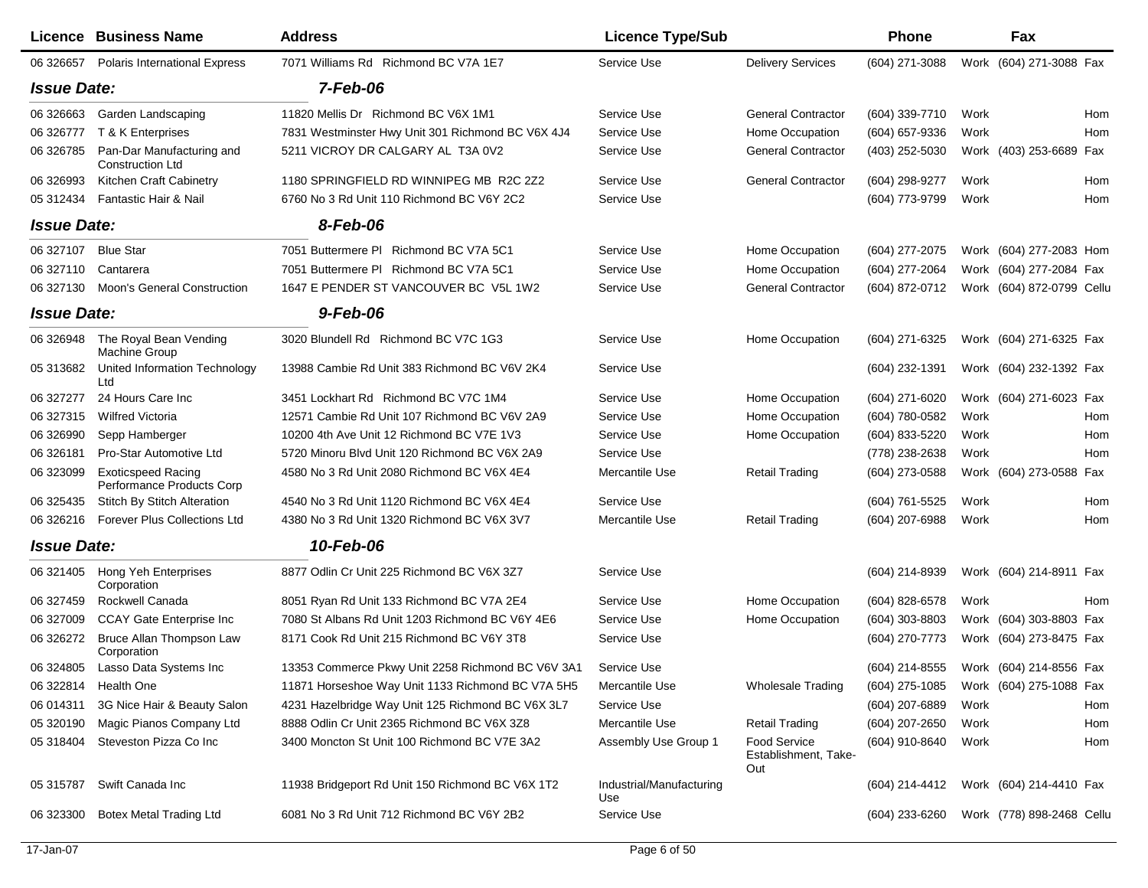|                    | Licence Business Name                                  | <b>Address</b>                                    | <b>Licence Type/Sub</b>         |                                             | Phone          | Fax                        |
|--------------------|--------------------------------------------------------|---------------------------------------------------|---------------------------------|---------------------------------------------|----------------|----------------------------|
| 06 32 6657         | <b>Polaris International Express</b>                   | 7071 Williams Rd Richmond BC V7A 1E7              | Service Use                     | <b>Delivery Services</b>                    | (604) 271-3088 | Work (604) 271-3088 Fax    |
| <b>Issue Date:</b> |                                                        | $7-Feb-06$                                        |                                 |                                             |                |                            |
| 06 326663          | Garden Landscaping                                     | 11820 Mellis Dr Richmond BC V6X 1M1               | Service Use                     | <b>General Contractor</b>                   | (604) 339-7710 | Hom<br>Work                |
| 06 326777          | T & K Enterprises                                      | 7831 Westminster Hwy Unit 301 Richmond BC V6X 4J4 | Service Use                     | Home Occupation                             | (604) 657-9336 | Hom<br>Work                |
| 06 326785          | Pan-Dar Manufacturing and<br><b>Construction Ltd</b>   | 5211 VICROY DR CALGARY AL T3A 0V2                 | Service Use                     | <b>General Contractor</b>                   | (403) 252-5030 | Work (403) 253-6689 Fax    |
| 06 326993          | Kitchen Craft Cabinetry                                | 1180 SPRINGFIELD RD WINNIPEG MB R2C 2Z2           | Service Use                     | <b>General Contractor</b>                   | (604) 298-9277 | Work<br>Hom                |
| 05 31 24 34        | Fantastic Hair & Nail                                  | 6760 No 3 Rd Unit 110 Richmond BC V6Y 2C2         | Service Use                     |                                             | (604) 773-9799 | Work<br>Hom                |
| <b>Issue Date:</b> |                                                        | 8-Feb-06                                          |                                 |                                             |                |                            |
| 06 327107          | <b>Blue Star</b>                                       | 7051 Buttermere PI Richmond BC V7A 5C1            | Service Use                     | Home Occupation                             | (604) 277-2075 | Work (604) 277-2083 Hom    |
| 06 327110          | Cantarera                                              | 7051 Buttermere PI Richmond BC V7A 5C1            | Service Use                     | Home Occupation                             | (604) 277-2064 | Work (604) 277-2084 Fax    |
| 06 327130          | <b>Moon's General Construction</b>                     | 1647 E PENDER ST VANCOUVER BC V5L 1W2             | Service Use                     | <b>General Contractor</b>                   | (604) 872-0712 | Work (604) 872-0799 Cellu  |
| <b>Issue Date:</b> |                                                        | 9-Feb-06                                          |                                 |                                             |                |                            |
| 06 326948          | The Royal Bean Vending<br>Machine Group                | 3020 Blundell Rd Richmond BC V7C 1G3              | Service Use                     | Home Occupation                             | (604) 271-6325 | Work (604) 271-6325 Fax    |
| 05 313682          | United Information Technology<br>Ltd                   | 13988 Cambie Rd Unit 383 Richmond BC V6V 2K4      | Service Use                     |                                             | (604) 232-1391 | Work (604) 232-1392 Fax    |
| 06 327277          | 24 Hours Care Inc                                      | 3451 Lockhart Rd Richmond BC V7C 1M4              | Service Use                     | Home Occupation                             | (604) 271-6020 | Work (604) 271-6023 Fax    |
| 06 327315          | <b>Wilfred Victoria</b>                                | 12571 Cambie Rd Unit 107 Richmond BC V6V 2A9      | Service Use                     | Home Occupation                             | (604) 780-0582 | Work<br>Hom                |
| 06 326990          | Sepp Hamberger                                         | 10200 4th Ave Unit 12 Richmond BC V7E 1V3         | Service Use                     | Home Occupation                             | (604) 833-5220 | Work<br>Hom                |
| 06 326181          | Pro-Star Automotive Ltd                                | 5720 Minoru Blvd Unit 120 Richmond BC V6X 2A9     | Service Use                     |                                             | (778) 238-2638 | Work<br>Hom                |
| 06 323099          | <b>Exoticspeed Racing</b><br>Performance Products Corp | 4580 No 3 Rd Unit 2080 Richmond BC V6X 4E4        | Mercantile Use                  | <b>Retail Trading</b>                       | (604) 273-0588 | Work (604) 273-0588<br>Fax |
| 06 325435          | <b>Stitch By Stitch Alteration</b>                     | 4540 No 3 Rd Unit 1120 Richmond BC V6X 4E4        | Service Use                     |                                             | (604) 761-5525 | Work<br>Hom                |
| 06 326216          | <b>Forever Plus Collections Ltd</b>                    | 4380 No 3 Rd Unit 1320 Richmond BC V6X 3V7        | Mercantile Use                  | <b>Retail Trading</b>                       | (604) 207-6988 | Work<br>Hom                |
| <b>Issue Date:</b> |                                                        | 10-Feb-06                                         |                                 |                                             |                |                            |
|                    | 06 321405 Hong Yeh Enterprises<br>Corporation          | 8877 Odlin Cr Unit 225 Richmond BC V6X 3Z7        | Service Use                     |                                             | (604) 214-8939 | Work (604) 214-8911 Fax    |
| 06 327459          | Rockwell Canada                                        | 8051 Ryan Rd Unit 133 Richmond BC V7A 2E4         | Service Use                     | Home Occupation                             | (604) 828-6578 | Work<br>Hom                |
| 06 327009          | <b>CCAY Gate Enterprise Inc</b>                        | 7080 St Albans Rd Unit 1203 Richmond BC V6Y 4E6   | Service Use                     | Home Occupation                             | (604) 303-8803 | Work (604) 303-8803 Fax    |
| 06 326272          | Bruce Allan Thompson Law<br>Corporation                | 8171 Cook Rd Unit 215 Richmond BC V6Y 3T8         | Service Use                     |                                             | (604) 270-7773 | Work (604) 273-8475 Fax    |
| 06 324805          | Lasso Data Systems Inc                                 | 13353 Commerce Pkwy Unit 2258 Richmond BC V6V 3A1 | Service Use                     |                                             | (604) 214-8555 | Work (604) 214-8556 Fax    |
|                    | 06 322814 Health One                                   | 11871 Horseshoe Way Unit 1133 Richmond BC V7A 5H5 | Mercantile Use                  | <b>Wholesale Trading</b>                    | (604) 275-1085 | Work (604) 275-1088 Fax    |
| 06 014311          | 3G Nice Hair & Beauty Salon                            | 4231 Hazelbridge Way Unit 125 Richmond BC V6X 3L7 | Service Use                     |                                             | (604) 207-6889 | Work<br>Hom                |
| 05 320190          | Magic Pianos Company Ltd                               | 8888 Odlin Cr Unit 2365 Richmond BC V6X 3Z8       | Mercantile Use                  | <b>Retail Trading</b>                       | (604) 207-2650 | Work<br>Hom                |
|                    | 05 318404 Steveston Pizza Co Inc                       | 3400 Moncton St Unit 100 Richmond BC V7E 3A2      | Assembly Use Group 1            | Food Service<br>Establishment, Take-<br>Out | (604) 910-8640 | Work<br>Hom                |
| 05 31 5787         | Swift Canada Inc                                       | 11938 Bridgeport Rd Unit 150 Richmond BC V6X 1T2  | Industrial/Manufacturing<br>Use |                                             | (604) 214-4412 | Work (604) 214-4410 Fax    |
| 06 323300          | <b>Botex Metal Trading Ltd</b>                         | 6081 No 3 Rd Unit 712 Richmond BC V6Y 2B2         | Service Use                     |                                             | (604) 233-6260 | Work (778) 898-2468 Cellu  |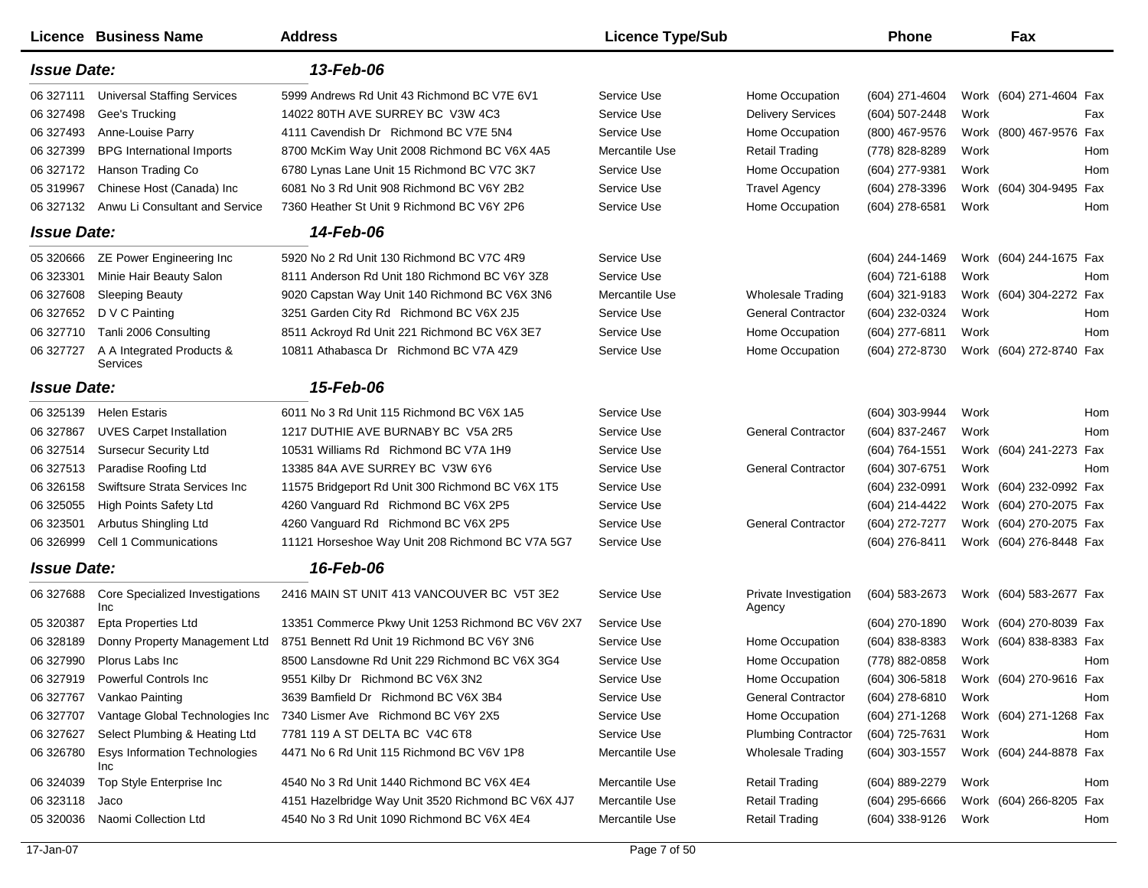|                    | Licence Business Name                         | <b>Address</b>                                     | <b>Licence Type/Sub</b> |                                 | <b>Phone</b>     | Fax                        |
|--------------------|-----------------------------------------------|----------------------------------------------------|-------------------------|---------------------------------|------------------|----------------------------|
| <b>Issue Date:</b> |                                               | 13-Feb-06                                          |                         |                                 |                  |                            |
| 06 327111          | <b>Universal Staffing Services</b>            | 5999 Andrews Rd Unit 43 Richmond BC V7E 6V1        | Service Use             | Home Occupation                 | (604) 271-4604   | Work (604) 271-4604 Fax    |
| 06 327498          | Gee's Trucking                                | 14022 80TH AVE SURREY BC V3W 4C3                   | Service Use             | <b>Delivery Services</b>        | (604) 507-2448   | Work<br>Fax                |
| 06 327493          | Anne-Louise Parry                             | 4111 Cavendish Dr Richmond BC V7E 5N4              | Service Use             | Home Occupation                 | (800) 467-9576   | Work (800) 467-9576 Fax    |
| 06 327399          | <b>BPG</b> International Imports              | 8700 McKim Way Unit 2008 Richmond BC V6X 4A5       | Mercantile Use          | <b>Retail Trading</b>           | (778) 828-8289   | Work<br>Hom                |
| 06 327172          | Hanson Trading Co                             | 6780 Lynas Lane Unit 15 Richmond BC V7C 3K7        | Service Use             | Home Occupation                 | (604) 277-9381   | Work<br>Hom                |
| 05 31 9967         | Chinese Host (Canada) Inc                     | 6081 No 3 Rd Unit 908 Richmond BC V6Y 2B2          | Service Use             | <b>Travel Agency</b>            | (604) 278-3396   | Work (604) 304-9495<br>Fax |
| 06 327132          | Anwu Li Consultant and Service                | 7360 Heather St Unit 9 Richmond BC V6Y 2P6         | Service Use             | Home Occupation                 | (604) 278-6581   | Work<br>Hom                |
| <b>Issue Date:</b> |                                               | 14-Feb-06                                          |                         |                                 |                  |                            |
| 05 320666          | ZE Power Engineering Inc                      | 5920 No 2 Rd Unit 130 Richmond BC V7C 4R9          | Service Use             |                                 | (604) 244-1469   | Work (604) 244-1675 Fax    |
| 06 323301          | Minie Hair Beauty Salon                       | 8111 Anderson Rd Unit 180 Richmond BC V6Y 3Z8      | Service Use             |                                 | (604) 721-6188   | Work<br>Hom                |
| 06 327608          | <b>Sleeping Beauty</b>                        | 9020 Capstan Way Unit 140 Richmond BC V6X 3N6      | Mercantile Use          | <b>Wholesale Trading</b>        | (604) 321-9183   | Work (604) 304-2272 Fax    |
| 06 327652          | D V C Painting                                | 3251 Garden City Rd Richmond BC V6X 2J5            | Service Use             | <b>General Contractor</b>       | (604) 232-0324   | Work<br>Hom                |
| 06 327710          | Tanli 2006 Consulting                         | 8511 Ackroyd Rd Unit 221 Richmond BC V6X 3E7       | Service Use             | Home Occupation                 | (604) 277-6811   | Work<br>Hom                |
| 06 327727          | A A Integrated Products &<br>Services         | 10811 Athabasca Dr Richmond BC V7A 4Z9             | Service Use             | Home Occupation                 | (604) 272-8730   | Work (604) 272-8740 Fax    |
| <b>Issue Date:</b> |                                               | 15-Feb-06                                          |                         |                                 |                  |                            |
| 06 325139          | <b>Helen Estaris</b>                          | 6011 No 3 Rd Unit 115 Richmond BC V6X 1A5          | Service Use             |                                 | (604) 303-9944   | Work<br>Hom                |
| 06 327867          | <b>UVES Carpet Installation</b>               | 1217 DUTHIE AVE BURNABY BC V5A 2R5                 | Service Use             | <b>General Contractor</b>       | (604) 837-2467   | Work<br>Hom                |
| 06 327514          | <b>Sursecur Security Ltd</b>                  | 10531 Williams Rd Richmond BC V7A 1H9              | Service Use             |                                 | (604) 764-1551   | Work (604) 241-2273 Fax    |
| 06 327513          | Paradise Roofing Ltd                          | 13385 84A AVE SURREY BC V3W 6Y6                    | Service Use             | <b>General Contractor</b>       | (604) 307-6751   | Work<br>Hom                |
| 06 326158          | Swiftsure Strata Services Inc                 | 11575 Bridgeport Rd Unit 300 Richmond BC V6X 1T5   | Service Use             |                                 | (604) 232-0991   | Work (604) 232-0992 Fax    |
| 06 325055          | High Points Safety Ltd                        | 4260 Vanguard Rd Richmond BC V6X 2P5               | Service Use             |                                 | (604) 214-4422   | Work (604) 270-2075 Fax    |
| 06 323501          | Arbutus Shingling Ltd                         | 4260 Vanguard Rd Richmond BC V6X 2P5               | Service Use             | <b>General Contractor</b>       | (604) 272-7277   | Work (604) 270-2075 Fax    |
| 06 326999          | Cell 1 Communications                         | 11121 Horseshoe Way Unit 208 Richmond BC V7A 5G7   | Service Use             |                                 | (604) 276-8411   | Work (604) 276-8448 Fax    |
| <b>Issue Date:</b> |                                               | 16-Feb-06                                          |                         |                                 |                  |                            |
| 06 327688          | <b>Core Specialized Investigations</b><br>Inc | 2416 MAIN ST UNIT 413 VANCOUVER BC V5T 3E2         | Service Use             | Private Investigation<br>Agency | (604) 583-2673   | Work (604) 583-2677 Fax    |
| 05 320387          | <b>Epta Properties Ltd</b>                    | 13351 Commerce Pkwy Unit 1253 Richmond BC V6V 2X7  | Service Use             |                                 | (604) 270-1890   | Work (604) 270-8039 Fax    |
| 06 328189          | Donny Property Management Ltd                 | 8751 Bennett Rd Unit 19 Richmond BC V6Y 3N6        | Service Use             | Home Occupation                 | (604) 838-8383   | Work (604) 838-8383 Fax    |
| 06 327990          | Plorus Labs Inc                               | 8500 Lansdowne Rd Unit 229 Richmond BC V6X 3G4     | Service Use             | Home Occupation                 | (778) 882-0858   | Work<br>Hom                |
| 06 327919          | Powerful Controls Inc                         | 9551 Kilby Dr Richmond BC V6X 3N2                  | Service Use             | Home Occupation                 | $(604)$ 306-5818 | Work (604) 270-9616 Fax    |
| 06 327767          | Vankao Painting                               | 3639 Bamfield Dr Richmond BC V6X 3B4               | Service Use             | <b>General Contractor</b>       | (604) 278-6810   | Work<br>Hom                |
| 06 327707          | Vantage Global Technologies Inc               | 7340 Lismer Ave Richmond BC V6Y 2X5                | Service Use             | Home Occupation                 | (604) 271-1268   | Work (604) 271-1268 Fax    |
| 06 327627          | Select Plumbing & Heating Ltd                 | 7781 119 A ST DELTA BC V4C 6T8                     | Service Use             | <b>Plumbing Contractor</b>      | (604) 725-7631   | Work<br>Hom                |
| 06 32 6780         | Esys Information Technologies<br>Inc          | 4471 No 6 Rd Unit 115 Richmond BC V6V 1P8          | Mercantile Use          | Wholesale Trading               | $(604)$ 303-1557 | Work (604) 244-8878 Fax    |
| 06 324039          | Top Style Enterprise Inc                      | 4540 No 3 Rd Unit 1440 Richmond BC V6X 4E4         | Mercantile Use          | <b>Retail Trading</b>           | (604) 889-2279   | Work<br>Hom                |
| 06 323118          | Jaco                                          | 4151 Hazelbridge Way Unit 3520 Richmond BC V6X 4J7 | Mercantile Use          | <b>Retail Trading</b>           | $(604)$ 295-6666 | Work (604) 266-8205 Fax    |
| 05 320036          | Naomi Collection Ltd                          | 4540 No 3 Rd Unit 1090 Richmond BC V6X 4E4         | Mercantile Use          | <b>Retail Trading</b>           | (604) 338-9126   | Work<br>Hom                |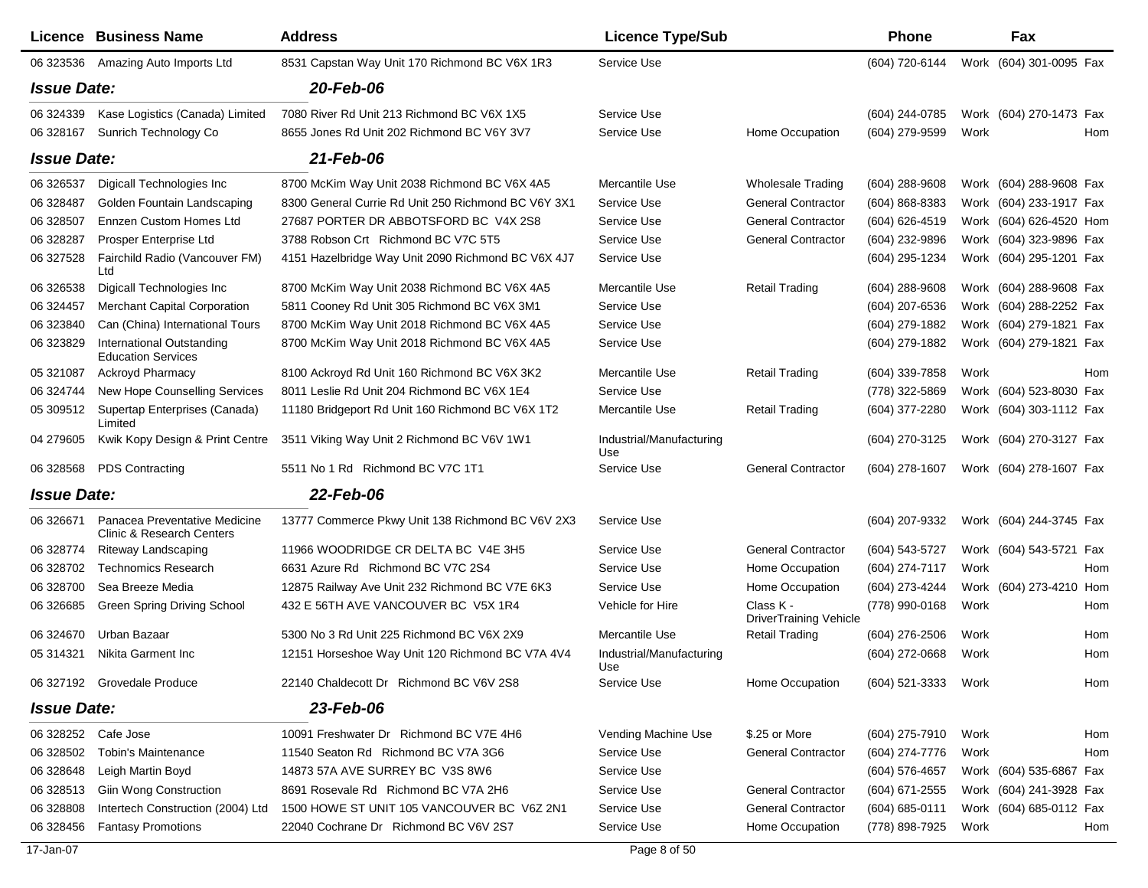|                    | Licence Business Name                                         | <b>Address</b>                                      | <b>Licence Type/Sub</b>         |                                            | <b>Phone</b>       |      | Fax                     |  |
|--------------------|---------------------------------------------------------------|-----------------------------------------------------|---------------------------------|--------------------------------------------|--------------------|------|-------------------------|--|
| 06 323536          | Amazing Auto Imports Ltd                                      | 8531 Capstan Way Unit 170 Richmond BC V6X 1R3       | Service Use                     |                                            | (604) 720-6144     |      | Work (604) 301-0095 Fax |  |
| <b>Issue Date:</b> |                                                               | 20-Feb-06                                           |                                 |                                            |                    |      |                         |  |
| 06 324339          | Kase Logistics (Canada) Limited                               | 7080 River Rd Unit 213 Richmond BC V6X 1X5          | Service Use                     |                                            | (604) 244-0785     |      | Work (604) 270-1473 Fax |  |
| 06 328167          | Sunrich Technology Co                                         | 8655 Jones Rd Unit 202 Richmond BC V6Y 3V7          | Service Use                     | Home Occupation                            | (604) 279-9599     | Work | Hom                     |  |
| <b>Issue Date:</b> |                                                               | 21-Feb-06                                           |                                 |                                            |                    |      |                         |  |
| 06 32 6537         | Digicall Technologies Inc                                     | 8700 McKim Way Unit 2038 Richmond BC V6X 4A5        | Mercantile Use                  | Wholesale Trading                          | (604) 288-9608     |      | Work (604) 288-9608 Fax |  |
| 06 328487          | Golden Fountain Landscaping                                   | 8300 General Currie Rd Unit 250 Richmond BC V6Y 3X1 | Service Use                     | <b>General Contractor</b>                  | (604) 868-8383     |      | Work (604) 233-1917 Fax |  |
| 06 328507          | Ennzen Custom Homes Ltd                                       | 27687 PORTER DR ABBOTSFORD BC V4X 2S8               | Service Use                     | <b>General Contractor</b>                  | (604) 626-4519     |      | Work (604) 626-4520 Hom |  |
| 06 328287          | Prosper Enterprise Ltd                                        | 3788 Robson Crt Richmond BC V7C 5T5                 | Service Use                     | <b>General Contractor</b>                  | (604) 232-9896     |      | Work (604) 323-9896 Fax |  |
| 06 327528          | Fairchild Radio (Vancouver FM)<br>Ltd                         | 4151 Hazelbridge Way Unit 2090 Richmond BC V6X 4J7  | Service Use                     |                                            | (604) 295-1234     |      | Work (604) 295-1201 Fax |  |
| 06 326538          | Digicall Technologies Inc                                     | 8700 McKim Way Unit 2038 Richmond BC V6X 4A5        | Mercantile Use                  | <b>Retail Trading</b>                      | (604) 288-9608     |      | Work (604) 288-9608 Fax |  |
| 06 324457          | <b>Merchant Capital Corporation</b>                           | 5811 Cooney Rd Unit 305 Richmond BC V6X 3M1         | Service Use                     |                                            | (604) 207-6536     |      | Work (604) 288-2252 Fax |  |
| 06 323840          | Can (China) International Tours                               | 8700 McKim Way Unit 2018 Richmond BC V6X 4A5        | Service Use                     |                                            | (604) 279-1882     |      | Work (604) 279-1821 Fax |  |
| 06 323829          | <b>International Outstanding</b><br><b>Education Services</b> | 8700 McKim Way Unit 2018 Richmond BC V6X 4A5        | Service Use                     |                                            | (604) 279-1882     |      | Work (604) 279-1821 Fax |  |
| 05 321087          | Ackroyd Pharmacy                                              | 8100 Ackroyd Rd Unit 160 Richmond BC V6X 3K2        | Mercantile Use                  | <b>Retail Trading</b>                      | (604) 339-7858     | Work | Hom                     |  |
| 06 324744          | New Hope Counselling Services                                 | 8011 Leslie Rd Unit 204 Richmond BC V6X 1E4         | Service Use                     |                                            | (778) 322-5869     |      | Work (604) 523-8030 Fax |  |
| 05 309512          | Supertap Enterprises (Canada)<br>Limited                      | 11180 Bridgeport Rd Unit 160 Richmond BC V6X 1T2    | Mercantile Use                  | <b>Retail Trading</b>                      | (604) 377-2280     |      | Work (604) 303-1112 Fax |  |
| 04 279605          | Kwik Kopy Design & Print Centre                               | 3511 Viking Way Unit 2 Richmond BC V6V 1W1          | Industrial/Manufacturing<br>Use |                                            | (604) 270-3125     |      | Work (604) 270-3127 Fax |  |
| 06 328568          | <b>PDS Contracting</b>                                        | 5511 No 1 Rd Richmond BC V7C 1T1                    | Service Use                     | <b>General Contractor</b>                  | (604) 278-1607     |      | Work (604) 278-1607 Fax |  |
| <b>Issue Date:</b> |                                                               | 22-Feb-06                                           |                                 |                                            |                    |      |                         |  |
| 06 32 6671         | Panacea Preventative Medicine<br>Clinic & Research Centers    | 13777 Commerce Pkwy Unit 138 Richmond BC V6V 2X3    | Service Use                     |                                            | (604) 207-9332     |      | Work (604) 244-3745 Fax |  |
| 06 328774          | Riteway Landscaping                                           | 11966 WOODRIDGE CR DELTA BC V4E 3H5                 | Service Use                     | <b>General Contractor</b>                  | (604) 543-5727     |      | Work (604) 543-5721 Fax |  |
| 06 328702          | <b>Technomics Research</b>                                    | 6631 Azure Rd Richmond BC V7C 2S4                   | Service Use                     | Home Occupation                            | (604) 274-7117     | Work | Hom                     |  |
| 06 328700          | Sea Breeze Media                                              | 12875 Railway Ave Unit 232 Richmond BC V7E 6K3      | Service Use                     | Home Occupation                            | (604) 273-4244     |      | Work (604) 273-4210 Hom |  |
| 06 32 6685         | <b>Green Spring Driving School</b>                            | 432 E 56TH AVE VANCOUVER BC V5X 1R4                 | Vehicle for Hire                | Class K -<br><b>DriverTraining Vehicle</b> | (778) 990-0168     | Work | Hom                     |  |
| 06 324670          | Urban Bazaar                                                  | 5300 No 3 Rd Unit 225 Richmond BC V6X 2X9           | Mercantile Use                  | <b>Retail Trading</b>                      | $(604)$ 276-2506   | Work | Hom                     |  |
| 05 31 43 21        | Nikita Garment Inc                                            | 12151 Horseshoe Way Unit 120 Richmond BC V7A 4V4    | Industrial/Manufacturing<br>Use |                                            | (604) 272-0668     | Work | Hom                     |  |
|                    | 06 327192 Grovedale Produce                                   | 22140 Chaldecott Dr Richmond BC V6V 2S8             | Service Use                     | Home Occupation                            | (604) 521-3333     | Work | Hom                     |  |
| <b>Issue Date:</b> |                                                               | 23-Feb-06                                           |                                 |                                            |                    |      |                         |  |
| 06 328252          | Cafe Jose                                                     | 10091 Freshwater Dr Richmond BC V7E 4H6             | Vending Machine Use             | \$.25 or More                              | (604) 275-7910     | Work | Hom                     |  |
| 06 328502          | <b>Tobin's Maintenance</b>                                    | 11540 Seaton Rd Richmond BC V7A 3G6                 | Service Use                     | <b>General Contractor</b>                  | (604) 274-7776     | Work | Hom                     |  |
| 06 328648          | Leigh Martin Boyd                                             | 14873 57A AVE SURREY BC V3S 8W6                     | Service Use                     |                                            | (604) 576-4657     |      | Work (604) 535-6867 Fax |  |
| 06 328513          | <b>Giin Wong Construction</b>                                 | 8691 Rosevale Rd Richmond BC V7A 2H6                | Service Use                     | <b>General Contractor</b>                  | (604) 671-2555     |      | Work (604) 241-3928 Fax |  |
| 06 328808          | Intertech Construction (2004) Ltd                             | 1500 HOWE ST UNIT 105 VANCOUVER BC V6Z 2N1          | Service Use                     | <b>General Contractor</b>                  | $(604) 685 - 0111$ |      | Work (604) 685-0112 Fax |  |
| 06 328456          | <b>Fantasy Promotions</b>                                     | 22040 Cochrane Dr Richmond BC V6V 2S7               | Service Use                     | Home Occupation                            | (778) 898-7925     | Work | Hom                     |  |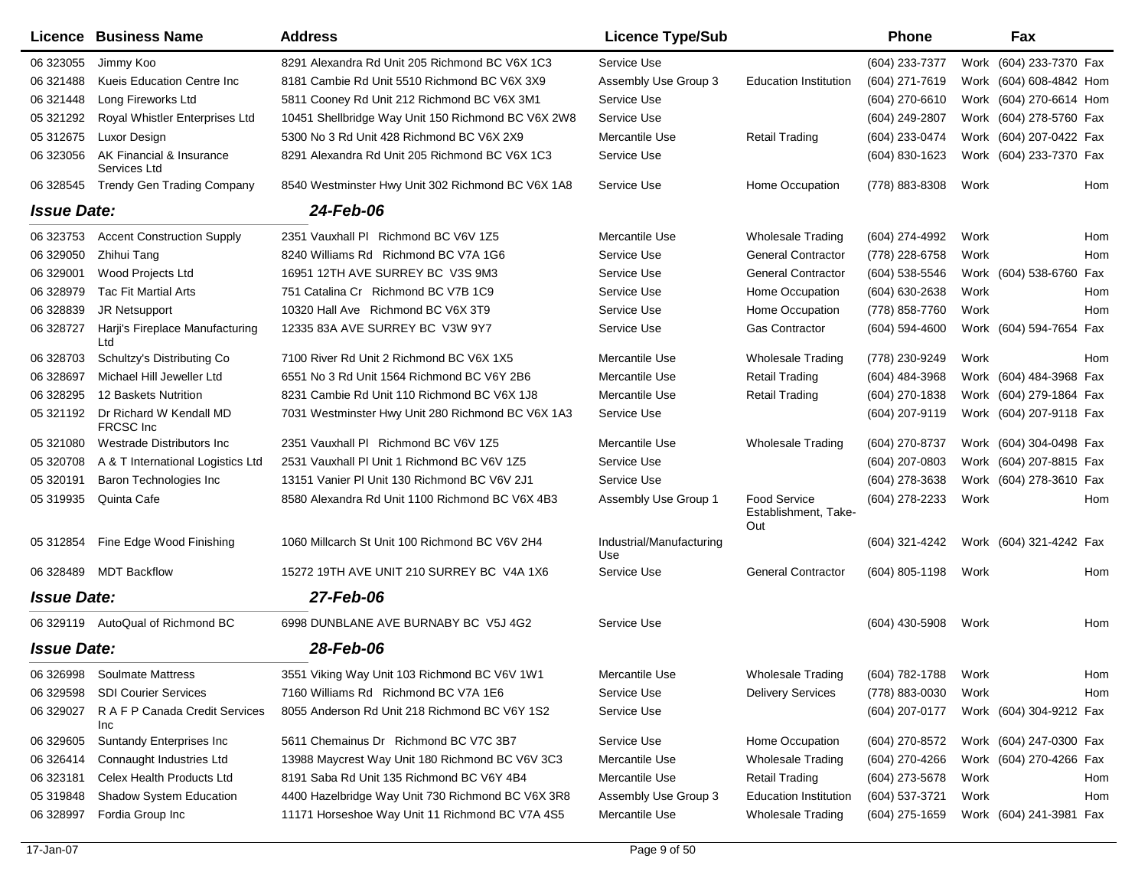|                    | Licence Business Name                       | <b>Address</b>                                     | <b>Licence Type/Sub</b>         |                                                    | <b>Phone</b>        |      | Fax                     |     |
|--------------------|---------------------------------------------|----------------------------------------------------|---------------------------------|----------------------------------------------------|---------------------|------|-------------------------|-----|
| 06 323055          | Jimmy Koo                                   | 8291 Alexandra Rd Unit 205 Richmond BC V6X 1C3     | Service Use                     |                                                    | (604) 233-7377      |      | Work (604) 233-7370 Fax |     |
| 06 321488          | Kueis Education Centre Inc                  | 8181 Cambie Rd Unit 5510 Richmond BC V6X 3X9       | Assembly Use Group 3            | <b>Education Institution</b>                       | (604) 271-7619      |      | Work (604) 608-4842 Hom |     |
| 06 321448          | Long Fireworks Ltd                          | 5811 Cooney Rd Unit 212 Richmond BC V6X 3M1        | Service Use                     |                                                    | (604) 270-6610      |      | Work (604) 270-6614 Hom |     |
| 05 321292          | Royal Whistler Enterprises Ltd              | 10451 Shellbridge Way Unit 150 Richmond BC V6X 2W8 | Service Use                     |                                                    | (604) 249-2807      |      | Work (604) 278-5760 Fax |     |
| 05 31 26 75        | Luxor Design                                | 5300 No 3 Rd Unit 428 Richmond BC V6X 2X9          | Mercantile Use                  | <b>Retail Trading</b>                              | (604) 233-0474      |      | Work (604) 207-0422 Fax |     |
| 06 323056          | AK Financial & Insurance<br>Services Ltd    | 8291 Alexandra Rd Unit 205 Richmond BC V6X 1C3     | Service Use                     |                                                    | (604) 830-1623      |      | Work (604) 233-7370 Fax |     |
| 06 328545          | <b>Trendy Gen Trading Company</b>           | 8540 Westminster Hwy Unit 302 Richmond BC V6X 1A8  | Service Use                     | Home Occupation                                    | (778) 883-8308      | Work |                         | Hom |
| <b>Issue Date:</b> |                                             | 24-Feb-06                                          |                                 |                                                    |                     |      |                         |     |
| 06 323753          | <b>Accent Construction Supply</b>           | 2351 Vauxhall PI Richmond BC V6V 1Z5               | Mercantile Use                  | <b>Wholesale Trading</b>                           | (604) 274-4992      | Work |                         | Hom |
| 06 329050          | Zhihui Tang                                 | 8240 Williams Rd Richmond BC V7A 1G6               | Service Use                     | <b>General Contractor</b>                          | (778) 228-6758      | Work |                         | Hom |
| 06 329001          | Wood Projects Ltd                           | 16951 12TH AVE SURREY BC V3S 9M3                   | Service Use                     | <b>General Contractor</b>                          | $(604)$ 538-5546    |      | Work (604) 538-6760     | Fax |
| 06 328979          | <b>Tac Fit Martial Arts</b>                 | 751 Catalina Cr Richmond BC V7B 1C9                | Service Use                     | Home Occupation                                    | (604) 630-2638      | Work |                         | Hom |
| 06 328839          | <b>JR Netsupport</b>                        | 10320 Hall Ave Richmond BC V6X 3T9                 | Service Use                     | Home Occupation                                    | (778) 858-7760      | Work |                         | Hom |
| 06 328727          | Harji's Fireplace Manufacturing<br>Ltd      | 12335 83A AVE SURREY BC V3W 9Y7                    | Service Use                     | <b>Gas Contractor</b>                              | (604) 594-4600      |      | Work (604) 594-7654 Fax |     |
| 06 328703          | Schultzy's Distributing Co.                 | 7100 River Rd Unit 2 Richmond BC V6X 1X5           | Mercantile Use                  | <b>Wholesale Trading</b>                           | (778) 230-9249      | Work |                         | Hom |
| 06 328697          | Michael Hill Jeweller Ltd                   | 6551 No 3 Rd Unit 1564 Richmond BC V6Y 2B6         | Mercantile Use                  | <b>Retail Trading</b>                              | $(604)$ 484-3968    |      | Work (604) 484-3968 Fax |     |
| 06 328295          | 12 Baskets Nutrition                        | 8231 Cambie Rd Unit 110 Richmond BC V6X 1J8        | Mercantile Use                  | <b>Retail Trading</b>                              | (604) 270-1838      |      | Work (604) 279-1864 Fax |     |
| 05 321192          | Dr Richard W Kendall MD<br><b>FRCSC</b> Inc | 7031 Westminster Hwy Unit 280 Richmond BC V6X 1A3  | Service Use                     |                                                    | (604) 207-9119      |      | Work (604) 207-9118 Fax |     |
| 05 321080          | Westrade Distributors Inc                   | 2351 Vauxhall PI Richmond BC V6V 1Z5               | Mercantile Use                  | <b>Wholesale Trading</b>                           | (604) 270-8737      |      | Work (604) 304-0498 Fax |     |
| 05 320708          | A & T International Logistics Ltd           | 2531 Vauxhall PI Unit 1 Richmond BC V6V 1Z5        | Service Use                     |                                                    | $(604)$ 207-0803    |      | Work (604) 207-8815 Fax |     |
| 05 320191          | Baron Technologies Inc                      | 13151 Vanier PI Unit 130 Richmond BC V6V 2J1       | Service Use                     |                                                    | (604) 278-3638      |      | Work (604) 278-3610 Fax |     |
| 05 319935          | Quinta Cafe                                 | 8580 Alexandra Rd Unit 1100 Richmond BC V6X 4B3    | Assembly Use Group 1            | <b>Food Service</b><br>Establishment, Take-<br>Out | (604) 278-2233      | Work |                         | Hom |
| 05 31 28 54        | Fine Edge Wood Finishing                    | 1060 Millcarch St Unit 100 Richmond BC V6V 2H4     | Industrial/Manufacturing<br>Use |                                                    | (604) 321-4242      |      | Work (604) 321-4242 Fax |     |
|                    | 06 328489 MDT Backflow                      | 15272 19TH AVE UNIT 210 SURREY BC V4A 1X6          | Service Use                     | <b>General Contractor</b>                          | (604) 805-1198      | Work |                         | Hom |
| <b>Issue Date:</b> |                                             | 27-Feb-06                                          |                                 |                                                    |                     |      |                         |     |
|                    | 06 329119 AutoQual of Richmond BC           | 6998 DUNBLANE AVE BURNABY BC V5J 4G2               | Service Use                     |                                                    | (604) 430-5908      | Work |                         | Hom |
| <b>Issue Date:</b> |                                             | 28-Feb-06                                          |                                 |                                                    |                     |      |                         |     |
| 06 326998          | Soulmate Mattress                           | 3551 Viking Way Unit 103 Richmond BC V6V 1W1       | Mercantile Use                  | <b>Wholesale Trading</b>                           | (604) 782-1788 Work |      |                         | Hom |
| 06 329598          | <b>SDI Courier Services</b>                 | 7160 Williams Rd Richmond BC V7A 1E6               | Service Use                     | <b>Delivery Services</b>                           | (778) 883-0030      | Work |                         | Hom |
| 06 329027          | R A F P Canada Credit Services<br>Inc       | 8055 Anderson Rd Unit 218 Richmond BC V6Y 1S2      | Service Use                     |                                                    | (604) 207-0177      |      | Work (604) 304-9212 Fax |     |
| 06 329605          | Suntandy Enterprises Inc                    | 5611 Chemainus Dr Richmond BC V7C 3B7              | Service Use                     | Home Occupation                                    | (604) 270-8572      |      | Work (604) 247-0300 Fax |     |
| 06 326414          | Connaught Industries Ltd                    | 13988 Maycrest Way Unit 180 Richmond BC V6V 3C3    | Mercantile Use                  | <b>Wholesale Trading</b>                           | (604) 270-4266      |      | Work (604) 270-4266 Fax |     |
| 06 323181          | Celex Health Products Ltd                   | 8191 Saba Rd Unit 135 Richmond BC V6Y 4B4          | Mercantile Use                  | <b>Retail Trading</b>                              | (604) 273-5678      | Work |                         | Hom |
| 05 319848          | Shadow System Education                     | 4400 Hazelbridge Way Unit 730 Richmond BC V6X 3R8  | Assembly Use Group 3            | <b>Education Institution</b>                       | (604) 537-3721      | Work |                         | Hom |
| 06 328997          | Fordia Group Inc                            | 11171 Horseshoe Way Unit 11 Richmond BC V7A 4S5    | Mercantile Use                  | <b>Wholesale Trading</b>                           | $(604)$ 275-1659    |      | Work (604) 241-3981 Fax |     |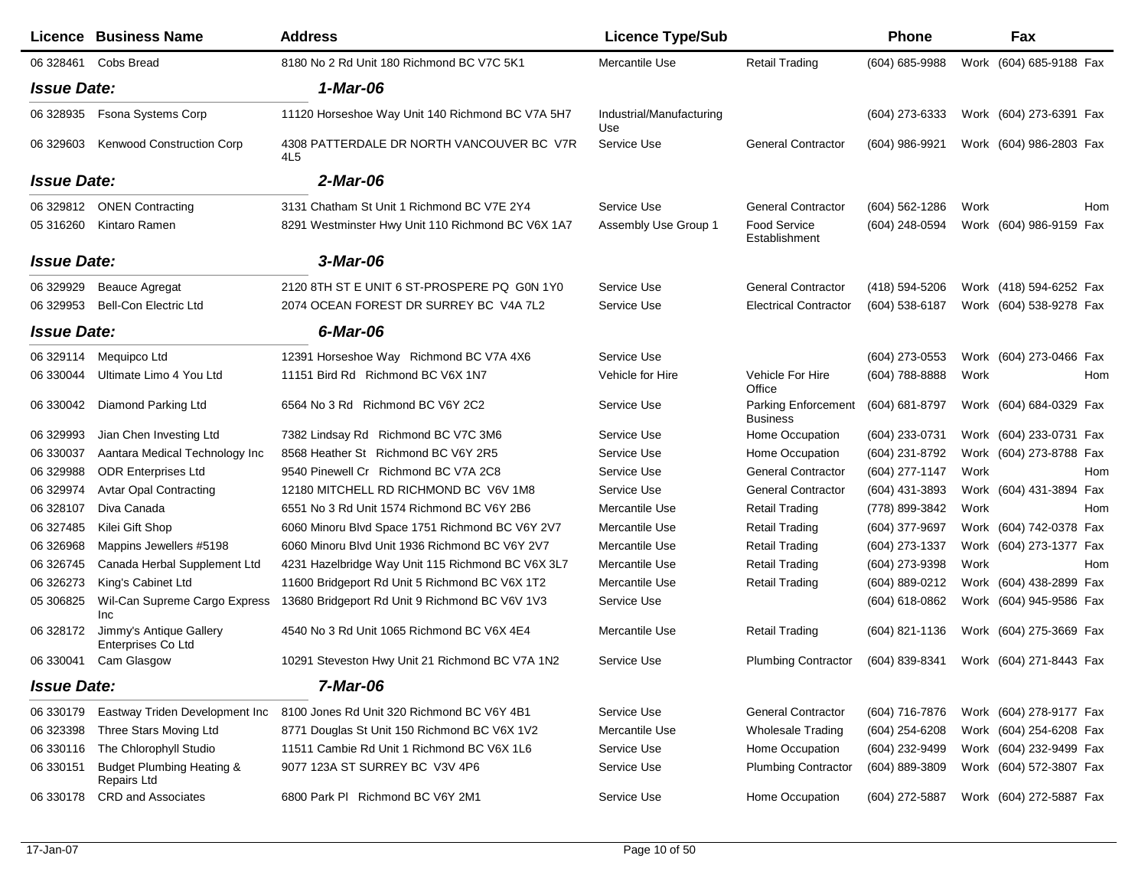|                    | Licence Business Name                               | <b>Address</b>                                               | <b>Licence Type/Sub</b>         |                                        | <b>Phone</b>       |      | Fax                     |     |
|--------------------|-----------------------------------------------------|--------------------------------------------------------------|---------------------------------|----------------------------------------|--------------------|------|-------------------------|-----|
| 06 328461          | Cobs Bread                                          | 8180 No 2 Rd Unit 180 Richmond BC V7C 5K1                    | Mercantile Use                  | <b>Retail Trading</b>                  | (604) 685-9988     |      | Work (604) 685-9188 Fax |     |
| <b>Issue Date:</b> |                                                     | 1-Mar-06                                                     |                                 |                                        |                    |      |                         |     |
| 06 328935          | Fsona Systems Corp                                  | 11120 Horseshoe Way Unit 140 Richmond BC V7A 5H7             | Industrial/Manufacturing<br>Use |                                        | (604) 273-6333     |      | Work (604) 273-6391 Fax |     |
| 06 329603          | Kenwood Construction Corp                           | 4308 PATTERDALE DR NORTH VANCOUVER BC V7R<br>4L <sub>5</sub> | Service Use                     | <b>General Contractor</b>              | (604) 986-9921     |      | Work (604) 986-2803 Fax |     |
| <b>Issue Date:</b> |                                                     | 2-Mar-06                                                     |                                 |                                        |                    |      |                         |     |
| 06 329812          | <b>ONEN Contracting</b>                             | 3131 Chatham St Unit 1 Richmond BC V7E 2Y4                   | Service Use                     | <b>General Contractor</b>              | $(604) 562 - 1286$ | Work |                         | Hom |
| 05 31 62 60        | Kintaro Ramen                                       | 8291 Westminster Hwy Unit 110 Richmond BC V6X 1A7            | Assembly Use Group 1            | Food Service<br>Establishment          | (604) 248-0594     |      | Work (604) 986-9159 Fax |     |
| <b>Issue Date:</b> |                                                     | 3-Mar-06                                                     |                                 |                                        |                    |      |                         |     |
| 06 329929          | <b>Beauce Agregat</b>                               | 2120 8TH ST E UNIT 6 ST-PROSPERE PQ G0N 1Y0                  | Service Use                     | <b>General Contractor</b>              | (418) 594-5206     |      | Work (418) 594-6252 Fax |     |
| 06 329953          | <b>Bell-Con Electric Ltd</b>                        | 2074 OCEAN FOREST DR SURREY BC V4A 7L2                       | Service Use                     | <b>Electrical Contractor</b>           | (604) 538-6187     |      | Work (604) 538-9278 Fax |     |
| <b>Issue Date:</b> |                                                     | 6-Mar-06                                                     |                                 |                                        |                    |      |                         |     |
| 06 329114          | Mequipco Ltd                                        | 12391 Horseshoe Way Richmond BC V7A 4X6                      | Service Use                     |                                        | (604) 273-0553     |      | Work (604) 273-0466 Fax |     |
| 06 330044          | Ultimate Limo 4 You Ltd                             | 11151 Bird Rd Richmond BC V6X 1N7                            | Vehicle for Hire                | Vehicle For Hire<br>Office             | (604) 788-8888     | Work |                         | Hom |
| 06 330042          | Diamond Parking Ltd                                 | 6564 No 3 Rd Richmond BC V6Y 2C2                             | Service Use                     | Parking Enforcement<br><b>Business</b> | (604) 681-8797     |      | Work (604) 684-0329 Fax |     |
| 06 329993          | Jian Chen Investing Ltd                             | 7382 Lindsay Rd Richmond BC V7C 3M6                          | Service Use                     | Home Occupation                        | (604) 233-0731     |      | Work (604) 233-0731 Fax |     |
| 06 330037          | Aantara Medical Technology Inc                      | 8568 Heather St Richmond BC V6Y 2R5                          | Service Use                     | Home Occupation                        | (604) 231-8792     |      | Work (604) 273-8788 Fax |     |
| 06 329988          | <b>ODR Enterprises Ltd</b>                          | 9540 Pinewell Cr Richmond BC V7A 2C8                         | Service Use                     | <b>General Contractor</b>              | (604) 277-1147     | Work |                         | Hom |
| 06 329974          | <b>Avtar Opal Contracting</b>                       | 12180 MITCHELL RD RICHMOND BC V6V 1M8                        | Service Use                     | <b>General Contractor</b>              | (604) 431-3893     |      | Work (604) 431-3894 Fax |     |
| 06 328107          | Diva Canada                                         | 6551 No 3 Rd Unit 1574 Richmond BC V6Y 2B6                   | Mercantile Use                  | <b>Retail Trading</b>                  | (778) 899-3842     | Work |                         | Hom |
| 06 327485          | Kilei Gift Shop                                     | 6060 Minoru Blvd Space 1751 Richmond BC V6Y 2V7              | Mercantile Use                  | <b>Retail Trading</b>                  | (604) 377-9697     |      | Work (604) 742-0378 Fax |     |
| 06 326968          | Mappins Jewellers #5198                             | 6060 Minoru Blvd Unit 1936 Richmond BC V6Y 2V7               | Mercantile Use                  | <b>Retail Trading</b>                  | (604) 273-1337     |      | Work (604) 273-1377 Fax |     |
| 06 326745          | Canada Herbal Supplement Ltd                        | 4231 Hazelbridge Way Unit 115 Richmond BC V6X 3L7            | Mercantile Use                  | <b>Retail Trading</b>                  | (604) 273-9398     | Work |                         | Hom |
| 06 326273          | King's Cabinet Ltd                                  | 11600 Bridgeport Rd Unit 5 Richmond BC V6X 1T2               | Mercantile Use                  | <b>Retail Trading</b>                  | (604) 889-0212     |      | Work (604) 438-2899 Fax |     |
| 05 30 68 25        | Wil-Can Supreme Cargo Express<br>Inc                | 13680 Bridgeport Rd Unit 9 Richmond BC V6V 1V3               | Service Use                     |                                        | (604) 618-0862     |      | Work (604) 945-9586 Fax |     |
| 06 328172          | Jimmy's Antique Gallery<br>Enterprises Co Ltd       | 4540 No 3 Rd Unit 1065 Richmond BC V6X 4E4                   | Mercantile Use                  | <b>Retail Trading</b>                  | (604) 821-1136     |      | Work (604) 275-3669 Fax |     |
| 06 330041          | Cam Glasgow                                         | 10291 Steveston Hwy Unit 21 Richmond BC V7A 1N2              | Service Use                     | <b>Plumbing Contractor</b>             | (604) 839-8341     |      | Work (604) 271-8443 Fax |     |
| <b>Issue Date:</b> |                                                     | 7-Mar-06                                                     |                                 |                                        |                    |      |                         |     |
| 06 330179          | Eastway Triden Development Inc                      | 8100 Jones Rd Unit 320 Richmond BC V6Y 4B1                   | Service Use                     | <b>General Contractor</b>              | (604) 716-7876     |      | Work (604) 278-9177 Fax |     |
| 06 323398          | Three Stars Moving Ltd                              | 8771 Douglas St Unit 150 Richmond BC V6X 1V2                 | Mercantile Use                  | Wholesale Trading                      | $(604)$ 254-6208   |      | Work (604) 254-6208 Fax |     |
| 06 330116          | The Chlorophyll Studio                              | 11511 Cambie Rd Unit 1 Richmond BC V6X 1L6                   | Service Use                     | Home Occupation                        | (604) 232-9499     |      | Work (604) 232-9499 Fax |     |
| 06 330151          | <b>Budget Plumbing Heating &amp;</b><br>Repairs Ltd | 9077 123A ST SURREY BC V3V 4P6                               | Service Use                     | <b>Plumbing Contractor</b>             | $(604)$ 889-3809   |      | Work (604) 572-3807 Fax |     |
| 06 330178          | <b>CRD</b> and Associates                           | 6800 Park PI Richmond BC V6Y 2M1                             | Service Use                     | Home Occupation                        | (604) 272-5887     |      | Work (604) 272-5887 Fax |     |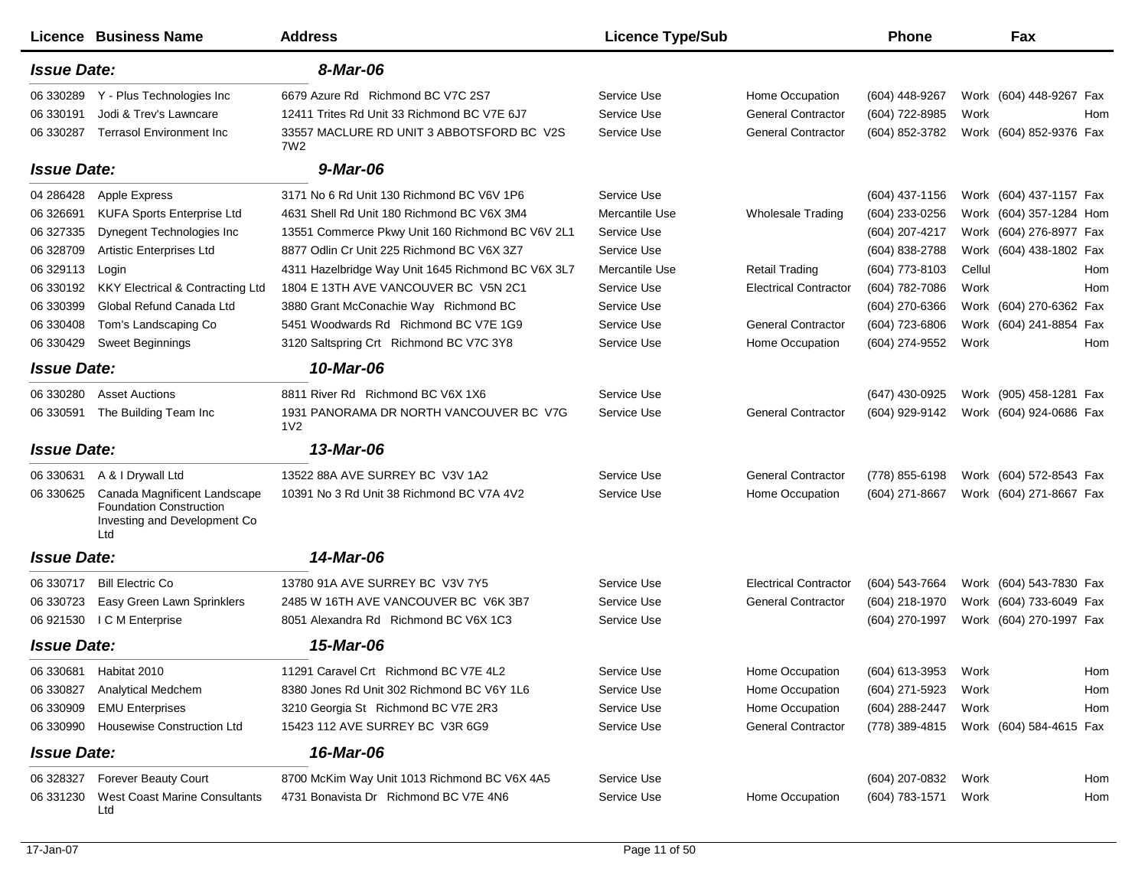|                    | Licence Business Name                                                                                 | <b>Address</b>                                              | <b>Licence Type/Sub</b> |                              | Phone            | Fax                                    |
|--------------------|-------------------------------------------------------------------------------------------------------|-------------------------------------------------------------|-------------------------|------------------------------|------------------|----------------------------------------|
| <b>Issue Date:</b> |                                                                                                       | 8-Mar-06                                                    |                         |                              |                  |                                        |
| 06 330289          | Y - Plus Technologies Inc                                                                             | 6679 Azure Rd Richmond BC V7C 2S7                           | Service Use             | Home Occupation              | (604) 448-9267   | Work (604) 448-9267 Fax                |
| 06 330191          | Jodi & Trev's Lawncare                                                                                | 12411 Trites Rd Unit 33 Richmond BC V7E 6J7                 | Service Use             | <b>General Contractor</b>    | (604) 722-8985   | Work<br>Hom                            |
| 06 330287          | <b>Terrasol Environment Inc</b>                                                                       | 33557 MACLURE RD UNIT 3 ABBOTSFORD BC V2S<br>7W2            | Service Use             | <b>General Contractor</b>    | (604) 852-3782   | Work (604) 852-9376 Fax                |
| <b>Issue Date:</b> |                                                                                                       | 9-Mar-06                                                    |                         |                              |                  |                                        |
| 04 28 64 28        | <b>Apple Express</b>                                                                                  | 3171 No 6 Rd Unit 130 Richmond BC V6V 1P6                   | Service Use             |                              | $(604)$ 437-1156 | Work (604) 437-1157 Fax                |
| 06 32 6691         | <b>KUFA Sports Enterprise Ltd</b>                                                                     | 4631 Shell Rd Unit 180 Richmond BC V6X 3M4                  | Mercantile Use          | <b>Wholesale Trading</b>     | $(604)$ 233-0256 | Work (604) 357-1284 Hom                |
| 06 327335          | Dynegent Technologies Inc                                                                             | 13551 Commerce Pkwy Unit 160 Richmond BC V6V 2L1            | Service Use             |                              | (604) 207-4217   | Work (604) 276-8977 Fax                |
| 06 328709          | Artistic Enterprises Ltd                                                                              | 8877 Odlin Cr Unit 225 Richmond BC V6X 3Z7                  | Service Use             |                              | (604) 838-2788   | Work (604) 438-1802 Fax                |
| 06 329113          | Login                                                                                                 | 4311 Hazelbridge Way Unit 1645 Richmond BC V6X 3L7          | Mercantile Use          | <b>Retail Trading</b>        | (604) 773-8103   | Cellul<br>Hom                          |
| 06 330192          | <b>KKY Electrical &amp; Contracting Ltd</b>                                                           | 1804 E 13TH AVE VANCOUVER BC V5N 2C1                        | Service Use             | <b>Electrical Contractor</b> | (604) 782-7086   | Work<br>Hom                            |
| 06 330399          | Global Refund Canada Ltd                                                                              | 3880 Grant McConachie Way Richmond BC                       | Service Use             |                              | (604) 270-6366   | Work (604) 270-6362 Fax                |
| 06 330408          | Tom's Landscaping Co                                                                                  | 5451 Woodwards Rd Richmond BC V7E 1G9                       | Service Use             | <b>General Contractor</b>    | (604) 723-6806   | Work (604) 241-8854 Fax                |
| 06 330429          | <b>Sweet Beginnings</b>                                                                               | 3120 Saltspring Crt Richmond BC V7C 3Y8                     | Service Use             | Home Occupation              | (604) 274-9552   | Work<br>Hom                            |
| <b>Issue Date:</b> |                                                                                                       | 10-Mar-06                                                   |                         |                              |                  |                                        |
| 06 330280          | <b>Asset Auctions</b>                                                                                 | 8811 River Rd Richmond BC V6X 1X6                           | Service Use             |                              | (647) 430-0925   | Work (905) 458-1281 Fax                |
| 06 330591          | The Building Team Inc                                                                                 | 1931 PANORAMA DR NORTH VANCOUVER BC V7G<br>1 <sub>V</sub> 2 | Service Use             | <b>General Contractor</b>    | (604) 929-9142   | Work (604) 924-0686 Fax                |
| <b>Issue Date:</b> |                                                                                                       | 13-Mar-06                                                   |                         |                              |                  |                                        |
| 06 330631          | A & I Drywall Ltd                                                                                     | 13522 88A AVE SURREY BC V3V 1A2                             | Service Use             | <b>General Contractor</b>    | (778) 855-6198   | Work (604) 572-8543 Fax                |
| 06 330625          | Canada Magnificent Landscape<br><b>Foundation Construction</b><br>Investing and Development Co<br>Ltd | 10391 No 3 Rd Unit 38 Richmond BC V7A 4V2                   | Service Use             | Home Occupation              | (604) 271-8667   | Work (604) 271-8667 Fax                |
| <b>Issue Date:</b> |                                                                                                       | 14-Mar-06                                                   |                         |                              |                  |                                        |
| 06 330717          | <b>Bill Electric Co</b>                                                                               | 13780 91A AVE SURREY BC V3V 7Y5                             | Service Use             | <b>Electrical Contractor</b> | (604) 543-7664   | Work (604) 543-7830 Fax                |
| 06 330723          | Easy Green Lawn Sprinklers                                                                            | 2485 W 16TH AVE VANCOUVER BC V6K 3B7                        | Service Use             | <b>General Contractor</b>    | (604) 218-1970   | Work (604) 733-6049 Fax                |
| 06 921530          | I C M Enterprise                                                                                      | 8051 Alexandra Rd Richmond BC V6X 1C3                       | Service Use             |                              | (604) 270-1997   | Work (604) 270-1997 Fax                |
| <b>Issue Date:</b> |                                                                                                       | 15-Mar-06                                                   |                         |                              |                  |                                        |
|                    | 06 330681 Habitat 2010                                                                                | 11291 Caravel Crt Richmond BC V7E 4L2                       | Service Use             | Home Occupation              | (604) 613-3953   | Work<br>Hom                            |
| 06 330827          | Analytical Medchem                                                                                    | 8380 Jones Rd Unit 302 Richmond BC V6Y 1L6                  | Service Use             | Home Occupation              | (604) 271-5923   | Work<br>Hom                            |
| 06 330909          | <b>EMU Enterprises</b>                                                                                | 3210 Georgia St Richmond BC V7E 2R3                         | Service Use             | Home Occupation              | (604) 288-2447   | Work<br>Hom                            |
| 06 330990          | <b>Housewise Construction Ltd</b>                                                                     | 15423 112 AVE SURREY BC V3R 6G9                             | Service Use             | <b>General Contractor</b>    |                  | (778) 389-4815 Work (604) 584-4615 Fax |
| <b>Issue Date:</b> |                                                                                                       | 16-Mar-06                                                   |                         |                              |                  |                                        |
| 06 328327          | <b>Forever Beauty Court</b>                                                                           | 8700 McKim Way Unit 1013 Richmond BC V6X 4A5                | Service Use             |                              | (604) 207-0832   | Work<br>Hom                            |
| 06 331230          | <b>West Coast Marine Consultants</b><br>Ltd                                                           | 4731 Bonavista Dr Richmond BC V7E 4N6                       | Service Use             | Home Occupation              | (604) 783-1571   | Work<br>Hom                            |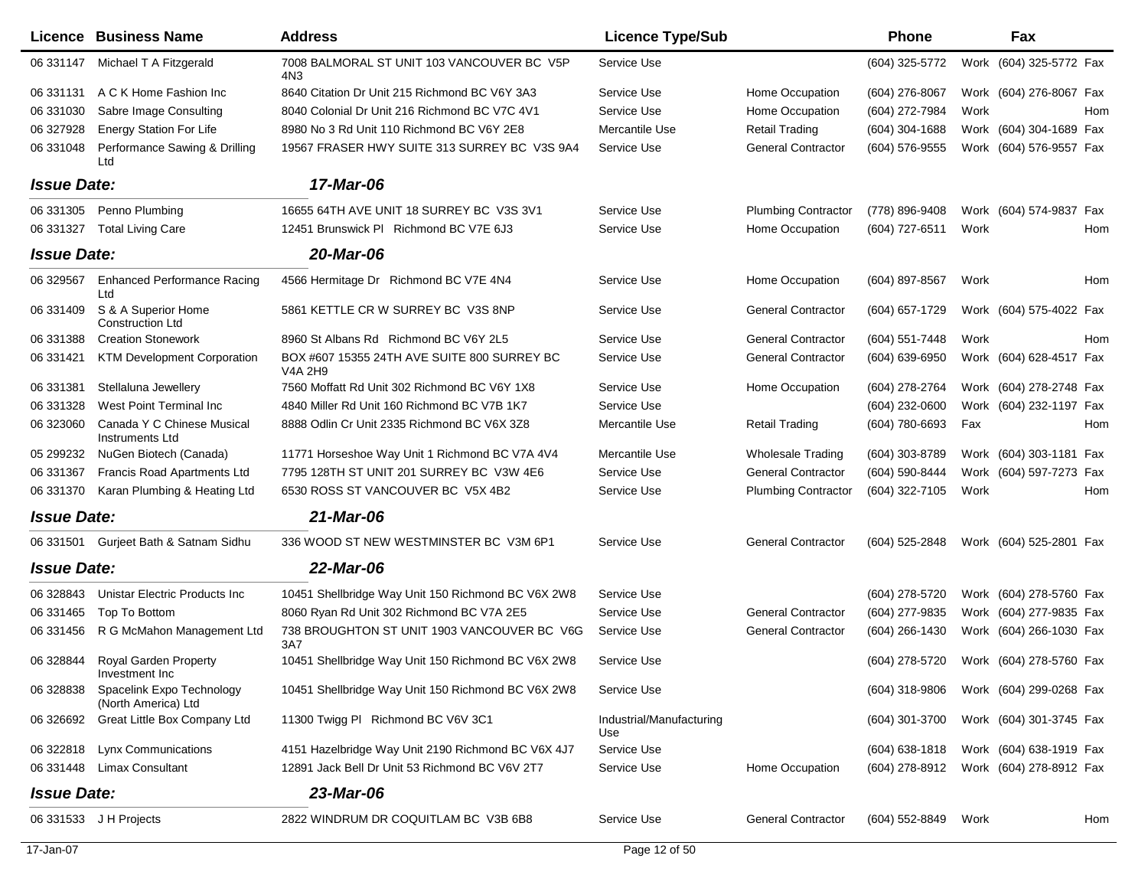|                    | Licence Business Name                            | <b>Address</b>                                         | <b>Licence Type/Sub</b>         |                            | <b>Phone</b>     | Fax                                    |
|--------------------|--------------------------------------------------|--------------------------------------------------------|---------------------------------|----------------------------|------------------|----------------------------------------|
| 06 331147          | Michael T A Fitzgerald                           | 7008 BALMORAL ST UNIT 103 VANCOUVER BC V5P<br>4N3      | Service Use                     |                            | $(604)$ 325-5772 | Work (604) 325-5772 Fax                |
| 06 331131          | A C K Home Fashion Inc                           | 8640 Citation Dr Unit 215 Richmond BC V6Y 3A3          | Service Use                     | Home Occupation            | (604) 276-8067   | Work (604) 276-8067 Fax                |
| 06 331030          | Sabre Image Consulting                           | 8040 Colonial Dr Unit 216 Richmond BC V7C 4V1          | Service Use                     | Home Occupation            | (604) 272-7984   | Work<br>Hom                            |
| 06 327928          | <b>Energy Station For Life</b>                   | 8980 No 3 Rd Unit 110 Richmond BC V6Y 2E8              | Mercantile Use                  | <b>Retail Trading</b>      | (604) 304-1688   | Work (604) 304-1689 Fax                |
| 06 331048          | Performance Sawing & Drilling<br>Ltd             | 19567 FRASER HWY SUITE 313 SURREY BC V3S 9A4           | Service Use                     | <b>General Contractor</b>  | (604) 576-9555   | Work (604) 576-9557 Fax                |
| <b>Issue Date:</b> |                                                  | 17-Mar-06                                              |                                 |                            |                  |                                        |
| 06 331305          | Penno Plumbing                                   | 16655 64TH AVE UNIT 18 SURREY BC V3S 3V1               | Service Use                     | <b>Plumbing Contractor</b> | (778) 896-9408   | Work (604) 574-9837 Fax                |
| 06 331327          | <b>Total Living Care</b>                         | 12451 Brunswick PI Richmond BC V7E 6J3                 | Service Use                     | Home Occupation            | (604) 727-6511   | Work<br>Hom                            |
| <b>Issue Date:</b> |                                                  | 20-Mar-06                                              |                                 |                            |                  |                                        |
| 06 329567          | <b>Enhanced Performance Racing</b><br>Ltd        | 4566 Hermitage Dr Richmond BC V7E 4N4                  | Service Use                     | Home Occupation            | (604) 897-8567   | Work<br>Hom                            |
| 06 331409          | S & A Superior Home<br><b>Construction Ltd</b>   | 5861 KETTLE CR W SURREY BC V3S 8NP                     | Service Use                     | <b>General Contractor</b>  | (604) 657-1729   | Work (604) 575-4022 Fax                |
| 06 331388          | <b>Creation Stonework</b>                        | 8960 St Albans Rd Richmond BC V6Y 2L5                  | Service Use                     | <b>General Contractor</b>  | (604) 551-7448   | Work<br>Hom                            |
| 06 331421          | <b>KTM Development Corporation</b>               | BOX #607 15355 24TH AVE SUITE 800 SURREY BC<br>V4A 2H9 | Service Use                     | <b>General Contractor</b>  | (604) 639-6950   | Work (604) 628-4517 Fax                |
| 06 331381          | Stellaluna Jewellery                             | 7560 Moffatt Rd Unit 302 Richmond BC V6Y 1X8           | Service Use                     | Home Occupation            | (604) 278-2764   | Work (604) 278-2748 Fax                |
| 06 331328          | West Point Terminal Inc.                         | 4840 Miller Rd Unit 160 Richmond BC V7B 1K7            | Service Use                     |                            | (604) 232-0600   | Work (604) 232-1197 Fax                |
| 06 323060          | Canada Y C Chinese Musical<br>Instruments Ltd    | 8888 Odlin Cr Unit 2335 Richmond BC V6X 3Z8            | Mercantile Use                  | <b>Retail Trading</b>      | (604) 780-6693   | Fax<br>Hom                             |
| 05 299232          | NuGen Biotech (Canada)                           | 11771 Horseshoe Way Unit 1 Richmond BC V7A 4V4         | Mercantile Use                  | <b>Wholesale Trading</b>   | (604) 303-8789   | Work (604) 303-1181 Fax                |
| 06 331367          | Francis Road Apartments Ltd                      | 7795 128TH ST UNIT 201 SURREY BC V3W 4E6               | Service Use                     | <b>General Contractor</b>  | (604) 590-8444   | Work (604) 597-7273 Fax                |
| 06 331370          | Karan Plumbing & Heating Ltd                     | 6530 ROSS ST VANCOUVER BC V5X 4B2                      | Service Use                     | <b>Plumbing Contractor</b> | (604) 322-7105   | Work<br>Hom                            |
| <b>Issue Date:</b> |                                                  | 21-Mar-06                                              |                                 |                            |                  |                                        |
| 06 331501          | Gurjeet Bath & Satnam Sidhu                      | 336 WOOD ST NEW WESTMINSTER BC V3M 6P1                 | Service Use                     | <b>General Contractor</b>  | (604) 525-2848   | Work (604) 525-2801 Fax                |
| <b>Issue Date:</b> |                                                  | 22-Mar-06                                              |                                 |                            |                  |                                        |
| 06 328843          | Unistar Electric Products Inc                    | 10451 Shellbridge Way Unit 150 Richmond BC V6X 2W8     | Service Use                     |                            | (604) 278-5720   | Work (604) 278-5760 Fax                |
| 06 331465          | Top To Bottom                                    | 8060 Ryan Rd Unit 302 Richmond BC V7A 2E5              | Service Use                     | <b>General Contractor</b>  | (604) 277-9835   | Work (604) 277-9835 Fax                |
| 06 331456          | R G McMahon Management Ltd                       | 738 BROUGHTON ST UNIT 1903 VANCOUVER BC V6G<br>3A7     | Service Use                     | <b>General Contractor</b>  | $(604)$ 266-1430 | Work (604) 266-1030 Fax                |
| 06 328844          | <b>Royal Garden Property</b><br>Investment Inc   | 10451 Shellbridge Way Unit 150 Richmond BC V6X 2W8     | Service Use                     |                            | (604) 278-5720   | Work (604) 278-5760 Fax                |
| 06 328838          | Spacelink Expo Technology<br>(North America) Ltd | 10451 Shellbridge Way Unit 150 Richmond BC V6X 2W8     | Service Use                     |                            |                  | (604) 318-9806 Work (604) 299-0268 Fax |
|                    | 06 326692 Great Little Box Company Ltd           | 11300 Twigg PI Richmond BC V6V 3C1                     | Industrial/Manufacturing<br>Use |                            | (604) 301-3700   | Work (604) 301-3745 Fax                |
| 06 322818          | Lynx Communications                              | 4151 Hazelbridge Way Unit 2190 Richmond BC V6X 4J7     | Service Use                     |                            | $(604)$ 638-1818 | Work (604) 638-1919 Fax                |
| 06 331448          | Limax Consultant                                 | 12891 Jack Bell Dr Unit 53 Richmond BC V6V 2T7         | Service Use                     | Home Occupation            |                  | (604) 278-8912 Work (604) 278-8912 Fax |
| <b>Issue Date:</b> |                                                  | 23-Mar-06                                              |                                 |                            |                  |                                        |
|                    | 06 331533 J H Projects                           | 2822 WINDRUM DR COQUITLAM BC V3B 6B8                   | Service Use                     | <b>General Contractor</b>  | (604) 552-8849   | Work<br>Hom                            |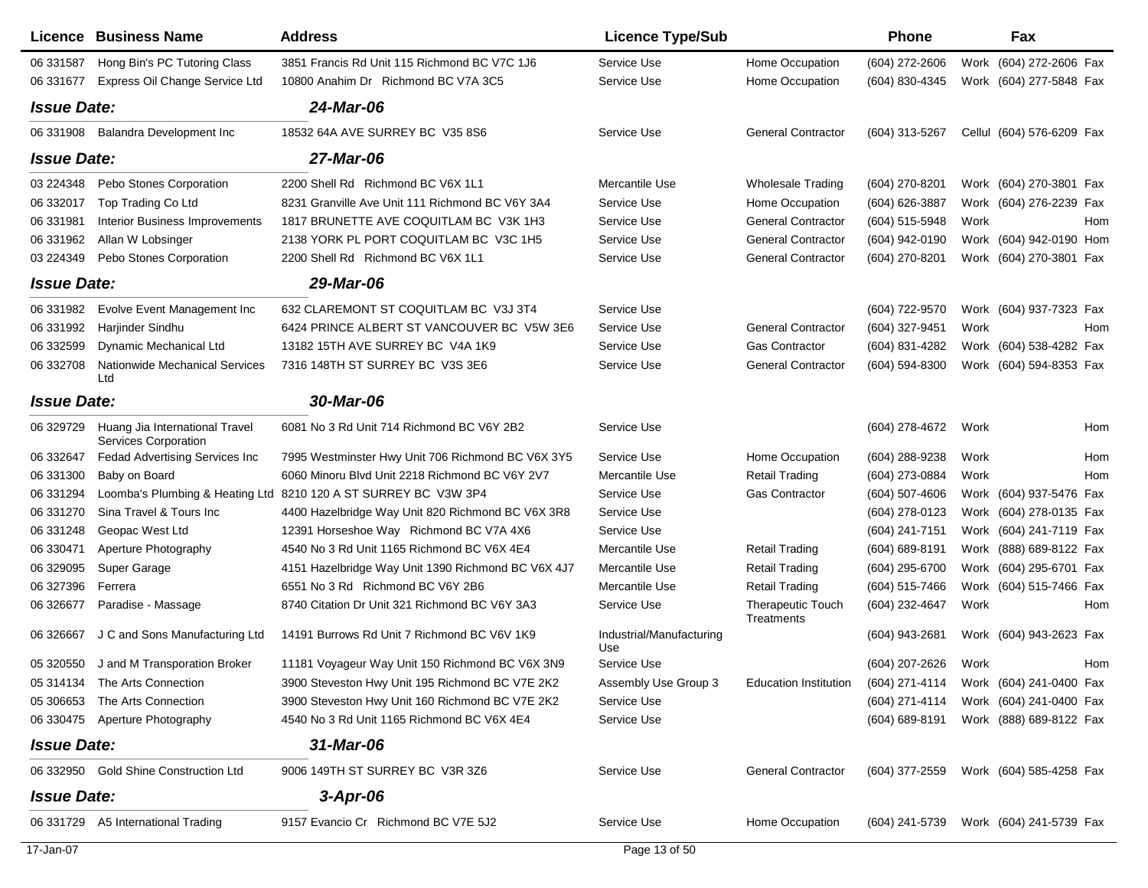|                    | Licence Business Name                                         | <b>Address</b>                                                  | <b>Licence Type/Sub</b>         |                                        | Phone            | Fax                                    |     |
|--------------------|---------------------------------------------------------------|-----------------------------------------------------------------|---------------------------------|----------------------------------------|------------------|----------------------------------------|-----|
| 06 331587          | Hong Bin's PC Tutoring Class                                  | 3851 Francis Rd Unit 115 Richmond BC V7C 1J6                    | Service Use                     | Home Occupation                        | (604) 272-2606   | Work (604) 272-2606 Fax                |     |
| 06 331677          | Express Oil Change Service Ltd                                | 10800 Anahim Dr Richmond BC V7A 3C5                             | Service Use                     | Home Occupation                        | (604) 830-4345   | Work (604) 277-5848 Fax                |     |
| <b>Issue Date:</b> |                                                               | 24-Mar-06                                                       |                                 |                                        |                  |                                        |     |
| 06 331908          | Balandra Development Inc                                      | 18532 64A AVE SURREY BC V35 8S6                                 | Service Use                     | <b>General Contractor</b>              | (604) 313-5267   | Cellul (604) 576-6209 Fax              |     |
| <b>Issue Date:</b> |                                                               | 27-Mar-06                                                       |                                 |                                        |                  |                                        |     |
| 03 224348          | Pebo Stones Corporation                                       | 2200 Shell Rd Richmond BC V6X 1L1                               | Mercantile Use                  | <b>Wholesale Trading</b>               | (604) 270-8201   | Work (604) 270-3801 Fax                |     |
| 06 332017          | Top Trading Co Ltd                                            | 8231 Granville Ave Unit 111 Richmond BC V6Y 3A4                 | Service Use                     | Home Occupation                        | (604) 626-3887   | Work (604) 276-2239 Fax                |     |
| 06 331981          | Interior Business Improvements                                | 1817 BRUNETTE AVE COQUITLAM BC V3K 1H3                          | Service Use                     | <b>General Contractor</b>              | (604) 515-5948   | Work                                   | Hom |
| 06 331962          | Allan W Lobsinger                                             | 2138 YORK PL PORT COQUITLAM BC V3C 1H5                          | Service Use                     | <b>General Contractor</b>              | (604) 942-0190   | Work (604) 942-0190 Hom                |     |
| 03 224349          | Pebo Stones Corporation                                       | 2200 Shell Rd Richmond BC V6X 1L1                               | Service Use                     | <b>General Contractor</b>              | (604) 270-8201   | Work (604) 270-3801 Fax                |     |
| <b>Issue Date:</b> |                                                               | 29-Mar-06                                                       |                                 |                                        |                  |                                        |     |
| 06 331982          | Evolve Event Management Inc                                   | 632 CLAREMONT ST COQUITLAM BC V3J 3T4                           | Service Use                     |                                        | (604) 722-9570   | Work (604) 937-7323 Fax                |     |
| 06 331992          | Harjinder Sindhu                                              | 6424 PRINCE ALBERT ST VANCOUVER BC V5W 3E6                      | Service Use                     | <b>General Contractor</b>              | (604) 327-9451   | Work                                   | Hom |
| 06 332599          | <b>Dynamic Mechanical Ltd</b>                                 | 13182 15TH AVE SURREY BC V4A 1K9                                | Service Use                     | <b>Gas Contractor</b>                  | (604) 831-4282   | Work (604) 538-4282 Fax                |     |
| 06 332708          | Nationwide Mechanical Services<br>Ltd                         | 7316 148TH ST SURREY BC V3S 3E6                                 | Service Use                     | <b>General Contractor</b>              | (604) 594-8300   | Work (604) 594-8353 Fax                |     |
| <b>Issue Date:</b> |                                                               | 30-Mar-06                                                       |                                 |                                        |                  |                                        |     |
| 06 329729          | Huang Jia International Travel<br><b>Services Corporation</b> | 6081 No 3 Rd Unit 714 Richmond BC V6Y 2B2                       | Service Use                     |                                        | (604) 278-4672   | Work                                   | Hom |
| 06 332647          | Fedad Advertising Services Inc                                | 7995 Westminster Hwy Unit 706 Richmond BC V6X 3Y5               | Service Use                     | Home Occupation                        | (604) 288-9238   | Work                                   | Hom |
| 06 331300          | Baby on Board                                                 | 6060 Minoru Blvd Unit 2218 Richmond BC V6Y 2V7                  | Mercantile Use                  | <b>Retail Trading</b>                  | (604) 273-0884   | Work                                   | Hom |
| 06 331294          |                                                               | Loomba's Plumbing & Heating Ltd 8210 120 A ST SURREY BC V3W 3P4 | Service Use                     | <b>Gas Contractor</b>                  | $(604)$ 507-4606 | Work (604) 937-5476 Fax                |     |
| 06 331270          | Sina Travel & Tours Inc                                       | 4400 Hazelbridge Way Unit 820 Richmond BC V6X 3R8               | Service Use                     |                                        | (604) 278-0123   | Work (604) 278-0135 Fax                |     |
| 06 331248          | Geopac West Ltd                                               | 12391 Horseshoe Way Richmond BC V7A 4X6                         | Service Use                     |                                        | (604) 241-7151   | Work (604) 241-7119 Fax                |     |
| 06 330471          | Aperture Photography                                          | 4540 No 3 Rd Unit 1165 Richmond BC V6X 4E4                      | Mercantile Use                  | <b>Retail Trading</b>                  | (604) 689-8191   | Work (888) 689-8122 Fax                |     |
| 06 329095          | Super Garage                                                  | 4151 Hazelbridge Way Unit 1390 Richmond BC V6X 4J7              | Mercantile Use                  | <b>Retail Trading</b>                  | (604) 295-6700   | Work (604) 295-6701 Fax                |     |
| 06 327396          | Ferrera                                                       | 6551 No 3 Rd Richmond BC V6Y 2B6                                | Mercantile Use                  | <b>Retail Trading</b>                  | (604) 515-7466   | Work (604) 515-7466 Fax                |     |
| 06 32 6677         | Paradise - Massage                                            | 8740 Citation Dr Unit 321 Richmond BC V6Y 3A3                   | Service Use                     | <b>Therapeutic Touch</b><br>Treatments | (604) 232-4647   | Work                                   | Hom |
| 06 32 6667         | J C and Sons Manufacturing Ltd                                | 14191 Burrows Rd Unit 7 Richmond BC V6V 1K9                     | Industrial/Manufacturing<br>Use |                                        | (604) 943-2681   | Work (604) 943-2623 Fax                |     |
| 05 320550          | J and M Transporation Broker                                  | 11181 Voyageur Way Unit 150 Richmond BC V6X 3N9                 | Service Use                     |                                        | (604) 207-2626   | Work                                   | Hom |
|                    | 05 314134 The Arts Connection                                 | 3900 Steveston Hwy Unit 195 Richmond BC V7E 2K2                 | Assembly Use Group 3            | Education Institution                  |                  | (604) 271-4114 Work (604) 241-0400 Fax |     |
| 05 30 6653         | The Arts Connection                                           | 3900 Steveston Hwy Unit 160 Richmond BC V7E 2K2                 | Service Use                     |                                        | (604) 271-4114   | Work (604) 241-0400 Fax                |     |
|                    | 06 330475 Aperture Photography                                | 4540 No 3 Rd Unit 1165 Richmond BC V6X 4E4                      | Service Use                     |                                        |                  | (604) 689-8191 Work (888) 689-8122 Fax |     |
| <b>Issue Date:</b> |                                                               | 31-Mar-06                                                       |                                 |                                        |                  |                                        |     |
|                    | 06 332950 Gold Shine Construction Ltd                         | 9006 149TH ST SURREY BC V3R 3Z6                                 | Service Use                     | <b>General Contractor</b>              |                  | (604) 377-2559 Work (604) 585-4258 Fax |     |
| <b>Issue Date:</b> |                                                               | $3$ -Apr-06                                                     |                                 |                                        |                  |                                        |     |
|                    | 06 331729 A5 International Trading                            | 9157 Evancio Cr Richmond BC V7E 5J2                             | Service Use                     | Home Occupation                        | (604) 241-5739   | Work (604) 241-5739 Fax                |     |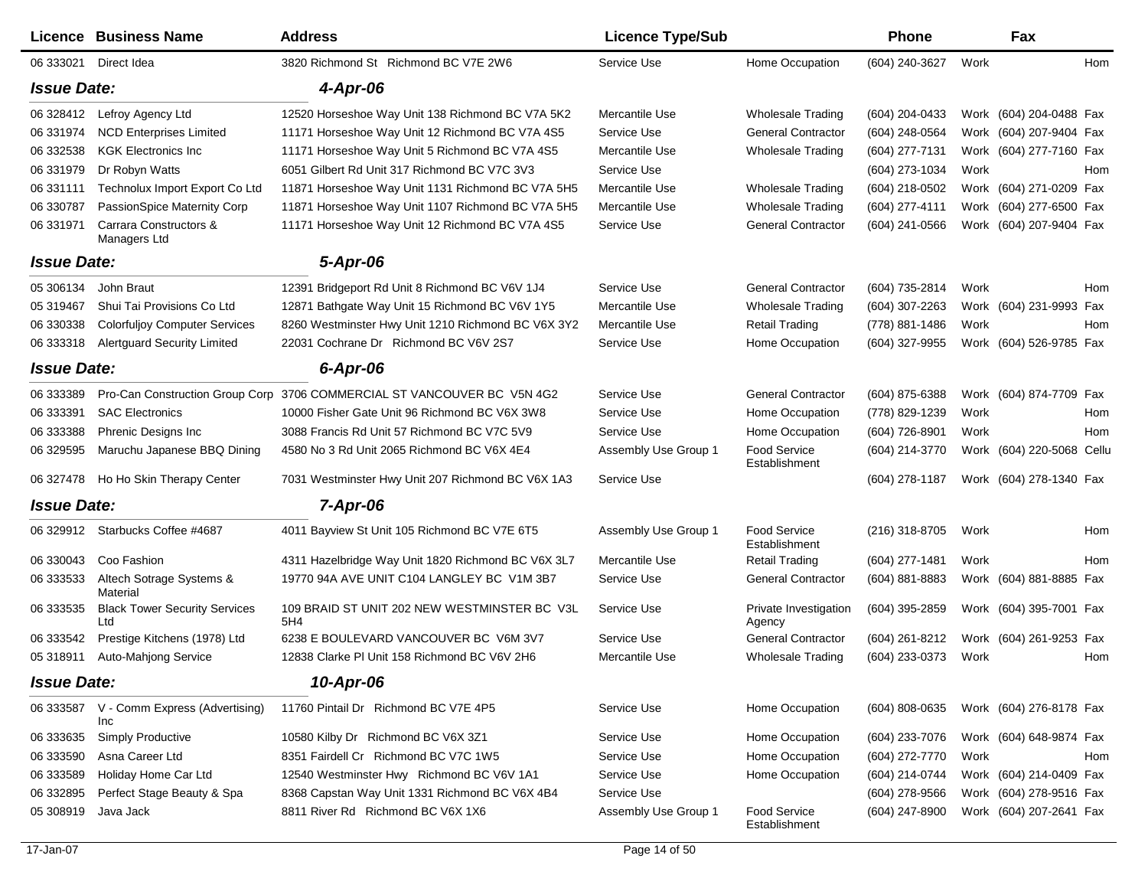|                    | <b>Licence Business Name</b>                    | <b>Address</b>                                      | <b>Licence Type/Sub</b> |                                 | Phone            |      | Fax                       |     |
|--------------------|-------------------------------------------------|-----------------------------------------------------|-------------------------|---------------------------------|------------------|------|---------------------------|-----|
| 06 333021          | Direct Idea                                     | 3820 Richmond St Richmond BC V7E 2W6                | Service Use             | Home Occupation                 | (604) 240-3627   | Work |                           | Hom |
| <b>Issue Date:</b> |                                                 | $4$ -Apr-06                                         |                         |                                 |                  |      |                           |     |
| 06 328412          | Lefroy Agency Ltd                               | 12520 Horseshoe Way Unit 138 Richmond BC V7A 5K2    | Mercantile Use          | Wholesale Trading               | (604) 204-0433   |      | Work (604) 204-0488 Fax   |     |
| 06 331974          | <b>NCD Enterprises Limited</b>                  | 11171 Horseshoe Way Unit 12 Richmond BC V7A 4S5     | Service Use             | <b>General Contractor</b>       | (604) 248-0564   |      | Work (604) 207-9404 Fax   |     |
| 06 332538          | <b>KGK Electronics Inc</b>                      | 11171 Horseshoe Way Unit 5 Richmond BC V7A 4S5      | Mercantile Use          | <b>Wholesale Trading</b>        | (604) 277-7131   |      | Work (604) 277-7160 Fax   |     |
| 06 331979          | Dr Robyn Watts                                  | 6051 Gilbert Rd Unit 317 Richmond BC V7C 3V3        | Service Use             |                                 | (604) 273-1034   | Work |                           | Hom |
| 06 331111          | Technolux Import Export Co Ltd                  | 11871 Horseshoe Way Unit 1131 Richmond BC V7A 5H5   | Mercantile Use          | <b>Wholesale Trading</b>        | (604) 218-0502   |      | Work (604) 271-0209 Fax   |     |
| 06 330787          | PassionSpice Maternity Corp                     | 11871 Horseshoe Way Unit 1107 Richmond BC V7A 5H5   | Mercantile Use          | <b>Wholesale Trading</b>        | (604) 277-4111   |      | Work (604) 277-6500 Fax   |     |
| 06 331971          | Carrara Constructors &<br>Managers Ltd          | 11171 Horseshoe Way Unit 12 Richmond BC V7A 4S5     | Service Use             | <b>General Contractor</b>       | (604) 241-0566   |      | Work (604) 207-9404 Fax   |     |
| <b>Issue Date:</b> |                                                 | 5-Apr-06                                            |                         |                                 |                  |      |                           |     |
| 05 30 6134         | John Braut                                      | 12391 Bridgeport Rd Unit 8 Richmond BC V6V 1J4      | Service Use             | <b>General Contractor</b>       | (604) 735-2814   | Work |                           | Hom |
| 05 31 94 67        | Shui Tai Provisions Co Ltd                      | 12871 Bathgate Way Unit 15 Richmond BC V6V 1Y5      | Mercantile Use          | <b>Wholesale Trading</b>        | (604) 307-2263   |      | Work (604) 231-9993 Fax   |     |
| 06 330338          | <b>Colorfuljoy Computer Services</b>            | 8260 Westminster Hwy Unit 1210 Richmond BC V6X 3Y2  | Mercantile Use          | <b>Retail Trading</b>           | (778) 881-1486   | Work |                           | Hom |
| 06 333318          | <b>Alertguard Security Limited</b>              | 22031 Cochrane Dr Richmond BC V6V 2S7               | Service Use             | Home Occupation                 | (604) 327-9955   |      | Work (604) 526-9785 Fax   |     |
| <b>Issue Date:</b> |                                                 | 6-Apr-06                                            |                         |                                 |                  |      |                           |     |
| 06 333389          | Pro-Can Construction Group Corp                 | 3706 COMMERCIAL ST VANCOUVER BC V5N 4G2             | Service Use             | <b>General Contractor</b>       | (604) 875-6388   |      | Work (604) 874-7709 Fax   |     |
| 06 333391          | <b>SAC Electronics</b>                          | 10000 Fisher Gate Unit 96 Richmond BC V6X 3W8       | Service Use             | Home Occupation                 | (778) 829-1239   | Work |                           | Hom |
| 06 333388          | Phrenic Designs Inc                             | 3088 Francis Rd Unit 57 Richmond BC V7C 5V9         | Service Use             | Home Occupation                 | (604) 726-8901   | Work |                           | Hom |
| 06 329595          | Maruchu Japanese BBQ Dining                     | 4580 No 3 Rd Unit 2065 Richmond BC V6X 4E4          | Assembly Use Group 1    | Food Service<br>Establishment   | (604) 214-3770   |      | Work (604) 220-5068 Cellu |     |
| 06 327478          | Ho Ho Skin Therapy Center                       | 7031 Westminster Hwy Unit 207 Richmond BC V6X 1A3   | Service Use             |                                 | $(604)$ 278-1187 |      | Work (604) 278-1340 Fax   |     |
| <b>Issue Date:</b> |                                                 | 7-Apr-06                                            |                         |                                 |                  |      |                           |     |
| 06 329912          | Starbucks Coffee #4687                          | 4011 Bayview St Unit 105 Richmond BC V7E 6T5        | Assembly Use Group 1    | Food Service<br>Establishment   | (216) 318-8705   | Work |                           | Hom |
| 06 330043          | Coo Fashion                                     | 4311 Hazelbridge Way Unit 1820 Richmond BC V6X 3L7  | Mercantile Use          | <b>Retail Trading</b>           | (604) 277-1481   | Work |                           | Hom |
| 06 333533          | Altech Sotrage Systems &<br>Material            | 19770 94A AVE UNIT C104 LANGLEY BC V1M 3B7          | Service Use             | <b>General Contractor</b>       | (604) 881-8883   |      | Work (604) 881-8885 Fax   |     |
| 06 333535          | <b>Black Tower Security Services</b><br>Ltd     | 109 BRAID ST UNIT 202 NEW WESTMINSTER BC V3L<br>5H4 | Service Use             | Private Investigation<br>Agency | (604) 395-2859   |      | Work (604) 395-7001 Fax   |     |
| 06 333542          | Prestige Kitchens (1978) Ltd                    | 6238 E BOULEVARD VANCOUVER BC V6M 3V7               | Service Use             | <b>General Contractor</b>       | (604) 261-8212   |      | Work (604) 261-9253 Fax   |     |
| 05 318911          | Auto-Mahjong Service                            | 12838 Clarke PI Unit 158 Richmond BC V6V 2H6        | Mercantile Use          | <b>Wholesale Trading</b>        | (604) 233-0373   | Work |                           | Hom |
| <b>Issue Date:</b> |                                                 | 10-Apr-06                                           |                         |                                 |                  |      |                           |     |
|                    | 06 333587 V - Comm Express (Advertising)<br>Inc | 11760 Pintail Dr Richmond BC V7E 4P5                | Service Use             | Home Occupation                 | (604) 808-0635   |      | Work (604) 276-8178 Fax   |     |
| 06 333635          | <b>Simply Productive</b>                        | 10580 Kilby Dr Richmond BC V6X 3Z1                  | Service Use             | Home Occupation                 | (604) 233-7076   |      | Work (604) 648-9874 Fax   |     |
| 06 333590          | Asna Career Ltd                                 | 8351 Fairdell Cr Richmond BC V7C 1W5                | Service Use             | Home Occupation                 | (604) 272-7770   | Work |                           | Hom |
| 06 333589          | Holiday Home Car Ltd                            | 12540 Westminster Hwy Richmond BC V6V 1A1           | Service Use             | Home Occupation                 | (604) 214-0744   |      | Work (604) 214-0409 Fax   |     |
| 06 332895          | Perfect Stage Beauty & Spa                      | 8368 Capstan Way Unit 1331 Richmond BC V6X 4B4      | Service Use             |                                 | $(604)$ 278-9566 |      | Work (604) 278-9516 Fax   |     |
| 05 308919          | Java Jack                                       | 8811 River Rd Richmond BC V6X 1X6                   | Assembly Use Group 1    | Food Service<br>Establishment   | (604) 247-8900   |      | Work (604) 207-2641 Fax   |     |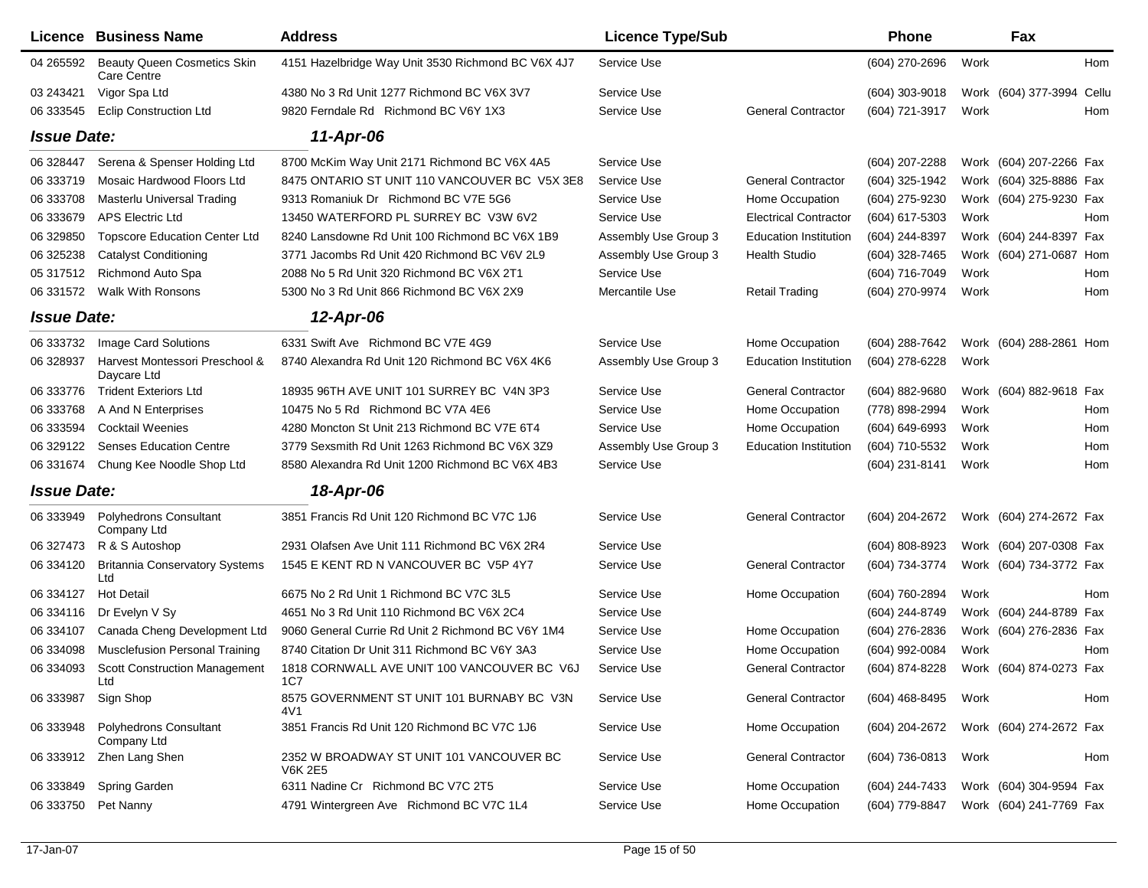|                    | Licence Business Name                             | <b>Address</b>                                             | <b>Licence Type/Sub</b> |                              | <b>Phone</b>   |      | Fax                       |     |
|--------------------|---------------------------------------------------|------------------------------------------------------------|-------------------------|------------------------------|----------------|------|---------------------------|-----|
| 04 265592          | <b>Beauty Queen Cosmetics Skin</b><br>Care Centre | 4151 Hazelbridge Way Unit 3530 Richmond BC V6X 4J7         | Service Use             |                              | (604) 270-2696 | Work |                           | Hom |
| 03 24 34 21        | Vigor Spa Ltd                                     | 4380 No 3 Rd Unit 1277 Richmond BC V6X 3V7                 | Service Use             |                              | (604) 303-9018 |      | Work (604) 377-3994 Cellu |     |
| 06 333545          | <b>Eclip Construction Ltd</b>                     | 9820 Ferndale Rd Richmond BC V6Y 1X3                       | Service Use             | <b>General Contractor</b>    | (604) 721-3917 | Work |                           | Hom |
| <b>Issue Date:</b> |                                                   | 11-Apr-06                                                  |                         |                              |                |      |                           |     |
| 06 328447          | Serena & Spenser Holding Ltd                      | 8700 McKim Way Unit 2171 Richmond BC V6X 4A5               | Service Use             |                              | (604) 207-2288 |      | Work (604) 207-2266 Fax   |     |
| 06 333719          | Mosaic Hardwood Floors Ltd                        | 8475 ONTARIO ST UNIT 110 VANCOUVER BC V5X 3E8              | Service Use             | <b>General Contractor</b>    | (604) 325-1942 |      | Work (604) 325-8886 Fax   |     |
| 06 333708          | Masterlu Universal Trading                        | 9313 Romaniuk Dr Richmond BC V7E 5G6                       | Service Use             | Home Occupation              | (604) 275-9230 |      | Work (604) 275-9230 Fax   |     |
| 06 333679          | <b>APS Electric Ltd</b>                           | 13450 WATERFORD PL SURREY BC V3W 6V2                       | Service Use             | <b>Electrical Contractor</b> | (604) 617-5303 | Work |                           | Hom |
| 06 329850          | <b>Topscore Education Center Ltd</b>              | 8240 Lansdowne Rd Unit 100 Richmond BC V6X 1B9             | Assembly Use Group 3    | <b>Education Institution</b> | (604) 244-8397 |      | Work (604) 244-8397 Fax   |     |
| 06 325238          | <b>Catalyst Conditioning</b>                      | 3771 Jacombs Rd Unit 420 Richmond BC V6V 2L9               | Assembly Use Group 3    | <b>Health Studio</b>         | (604) 328-7465 |      | Work (604) 271-0687 Hom   |     |
| 05 317512          | Richmond Auto Spa                                 | 2088 No 5 Rd Unit 320 Richmond BC V6X 2T1                  | Service Use             |                              | (604) 716-7049 | Work |                           | Hom |
| 06 331572          | <b>Walk With Ronsons</b>                          | 5300 No 3 Rd Unit 866 Richmond BC V6X 2X9                  | Mercantile Use          | <b>Retail Trading</b>        | (604) 270-9974 | Work |                           | Hom |
| <b>Issue Date:</b> |                                                   | 12-Apr-06                                                  |                         |                              |                |      |                           |     |
| 06 333732          | Image Card Solutions                              | 6331 Swift Ave Richmond BC V7E 4G9                         | Service Use             | Home Occupation              | (604) 288-7642 |      | Work (604) 288-2861 Hom   |     |
| 06 328937          | Harvest Montessori Preschool &<br>Daycare Ltd     | 8740 Alexandra Rd Unit 120 Richmond BC V6X 4K6             | Assembly Use Group 3    | <b>Education Institution</b> | (604) 278-6228 | Work |                           |     |
| 06 333776          | <b>Trident Exteriors Ltd</b>                      | 18935 96TH AVE UNIT 101 SURREY BC V4N 3P3                  | Service Use             | <b>General Contractor</b>    | (604) 882-9680 |      | Work (604) 882-9618 Fax   |     |
| 06 333768          | A And N Enterprises                               | 10475 No 5 Rd Richmond BC V7A 4E6                          | Service Use             | Home Occupation              | (778) 898-2994 | Work |                           | Hom |
| 06 333594          | <b>Cocktail Weenies</b>                           | 4280 Moncton St Unit 213 Richmond BC V7E 6T4               | Service Use             | Home Occupation              | (604) 649-6993 | Work |                           | Hom |
| 06 329122          | <b>Senses Education Centre</b>                    | 3779 Sexsmith Rd Unit 1263 Richmond BC V6X 3Z9             | Assembly Use Group 3    | <b>Education Institution</b> | (604) 710-5532 | Work |                           | Hom |
| 06 331674          | Chung Kee Noodle Shop Ltd                         | 8580 Alexandra Rd Unit 1200 Richmond BC V6X 4B3            | Service Use             |                              | (604) 231-8141 | Work |                           | Hom |
| <b>Issue Date:</b> |                                                   | 18-Apr-06                                                  |                         |                              |                |      |                           |     |
| 06 333949          | <b>Polyhedrons Consultant</b><br>Company Ltd      | 3851 Francis Rd Unit 120 Richmond BC V7C 1J6               | Service Use             | <b>General Contractor</b>    | (604) 204-2672 |      | Work (604) 274-2672 Fax   |     |
| 06 327473          | R & S Autoshop                                    | 2931 Olafsen Ave Unit 111 Richmond BC V6X 2R4              | Service Use             |                              | (604) 808-8923 |      | Work (604) 207-0308 Fax   |     |
| 06 334120          | <b>Britannia Conservatory Systems</b><br>Ltd      | 1545 E KENT RD N VANCOUVER BC V5P 4Y7                      | Service Use             | <b>General Contractor</b>    | (604) 734-3774 |      | Work (604) 734-3772 Fax   |     |
| 06 334127          | <b>Hot Detail</b>                                 | 6675 No 2 Rd Unit 1 Richmond BC V7C 3L5                    | Service Use             | Home Occupation              | (604) 760-2894 | Work |                           | Hom |
| 06 334116          | Dr Evelyn V Sy                                    | 4651 No 3 Rd Unit 110 Richmond BC V6X 2C4                  | Service Use             |                              | (604) 244-8749 |      | Work (604) 244-8789 Fax   |     |
| 06 334107          | Canada Cheng Development Ltd                      | 9060 General Currie Rd Unit 2 Richmond BC V6Y 1M4          | Service Use             | Home Occupation              | (604) 276-2836 |      | Work (604) 276-2836 Fax   |     |
| 06 334098          | <b>Musclefusion Personal Training</b>             | 8740 Citation Dr Unit 311 Richmond BC V6Y 3A3              | Service Use             | Home Occupation              | (604) 992-0084 | Work |                           | Hom |
| 06 334093          | <b>Scott Construction Management</b><br>Ltd       | 1818 CORNWALL AVE UNIT 100 VANCOUVER BC V6J<br>1C7         | Service Use             | <b>General Contractor</b>    | (604) 874-8228 |      | Work (604) 874-0273 Fax   |     |
| 06 333987          | Sign Shop                                         | 8575 GOVERNMENT ST UNIT 101 BURNABY BC V3N<br>4V1          | Service Use             | <b>General Contractor</b>    | (604) 468-8495 | Work |                           | Hom |
| 06 333948          | <b>Polyhedrons Consultant</b><br>Company Ltd      | 3851 Francis Rd Unit 120 Richmond BC V7C 1J6               | Service Use             | Home Occupation              | (604) 204-2672 |      | Work (604) 274-2672 Fax   |     |
|                    | 06 333912 Zhen Lang Shen                          | 2352 W BROADWAY ST UNIT 101 VANCOUVER BC<br><b>V6K 2E5</b> | Service Use             | <b>General Contractor</b>    | (604) 736-0813 | Work |                           | Hom |
| 06 333849          | Spring Garden                                     | 6311 Nadine Cr Richmond BC V7C 2T5                         | Service Use             | Home Occupation              | (604) 244-7433 |      | Work (604) 304-9594 Fax   |     |
| 06 333750          | Pet Nanny                                         | 4791 Wintergreen Ave Richmond BC V7C 1L4                   | Service Use             | Home Occupation              | (604) 779-8847 |      | Work (604) 241-7769 Fax   |     |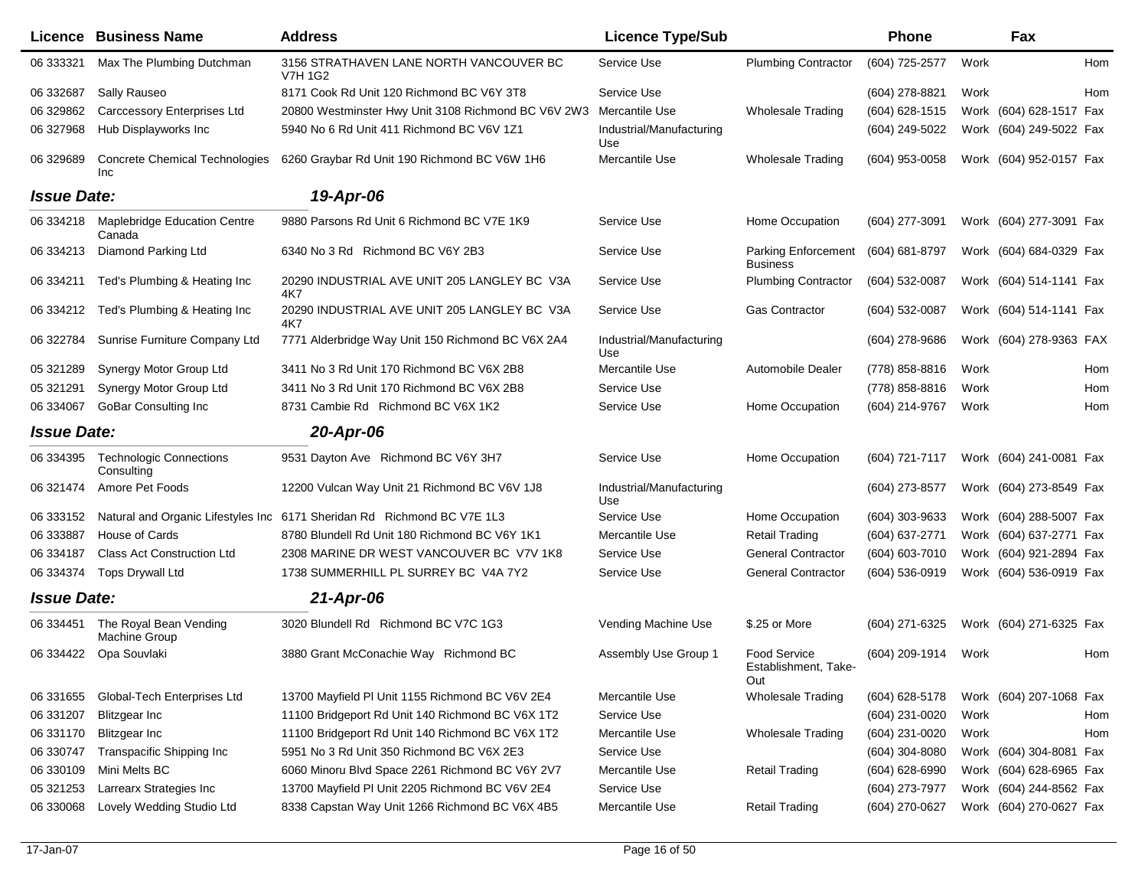|                    | <b>Licence Business Name</b>                   | <b>Address</b>                                                          | <b>Licence Type/Sub</b>         |                                                    | <b>Phone</b>     |      | Fax                     |     |
|--------------------|------------------------------------------------|-------------------------------------------------------------------------|---------------------------------|----------------------------------------------------|------------------|------|-------------------------|-----|
| 06 333321          | Max The Plumbing Dutchman                      | 3156 STRATHAVEN LANE NORTH VANCOUVER BC<br><b>V7H 1G2</b>               | Service Use                     | <b>Plumbing Contractor</b>                         | (604) 725-2577   | Work |                         | Hom |
| 06 332687          | Sally Rauseo                                   | 8171 Cook Rd Unit 120 Richmond BC V6Y 3T8                               | Service Use                     |                                                    | (604) 278-8821   | Work |                         | Hom |
| 06 329862          | Carccessory Enterprises Ltd                    | 20800 Westminster Hwy Unit 3108 Richmond BC V6V 2W3                     | Mercantile Use                  | <b>Wholesale Trading</b>                           | (604) 628-1515   |      | Work (604) 628-1517 Fax |     |
| 06 327968          | Hub Displayworks Inc                           | 5940 No 6 Rd Unit 411 Richmond BC V6V 1Z1                               | Industrial/Manufacturing<br>Use |                                                    | (604) 249-5022   |      | Work (604) 249-5022 Fax |     |
| 06 329689          | <b>Concrete Chemical Technologies</b><br>Inc   | 6260 Graybar Rd Unit 190 Richmond BC V6W 1H6                            | Mercantile Use                  | <b>Wholesale Trading</b>                           | (604) 953-0058   |      | Work (604) 952-0157 Fax |     |
| <b>Issue Date:</b> |                                                | 19-Apr-06                                                               |                                 |                                                    |                  |      |                         |     |
| 06 334218          | <b>Maplebridge Education Centre</b><br>Canada  | 9880 Parsons Rd Unit 6 Richmond BC V7E 1K9                              | Service Use                     | Home Occupation                                    | (604) 277-3091   |      | Work (604) 277-3091 Fax |     |
| 06 334213          | Diamond Parking Ltd                            | 6340 No 3 Rd Richmond BC V6Y 2B3                                        | Service Use                     | <b>Parking Enforcement</b><br><b>Business</b>      | (604) 681-8797   |      | Work (604) 684-0329 Fax |     |
| 06 334211          | Ted's Plumbing & Heating Inc                   | 20290 INDUSTRIAL AVE UNIT 205 LANGLEY BC V3A<br>4K7                     | Service Use                     | <b>Plumbing Contractor</b>                         | (604) 532-0087   |      | Work (604) 514-1141 Fax |     |
| 06 334212          | Ted's Plumbing & Heating Inc                   | 20290 INDUSTRIAL AVE UNIT 205 LANGLEY BC V3A<br>4K7                     | Service Use                     | <b>Gas Contractor</b>                              | (604) 532-0087   |      | Work (604) 514-1141 Fax |     |
| 06 322784          | Sunrise Furniture Company Ltd                  | 7771 Alderbridge Way Unit 150 Richmond BC V6X 2A4                       | Industrial/Manufacturing<br>Use |                                                    | (604) 278-9686   |      | Work (604) 278-9363 FAX |     |
| 05 321289          | Synergy Motor Group Ltd                        | 3411 No 3 Rd Unit 170 Richmond BC V6X 2B8                               | Mercantile Use                  | Automobile Dealer                                  | (778) 858-8816   | Work |                         | Hom |
| 05 321291          | Synergy Motor Group Ltd                        | 3411 No 3 Rd Unit 170 Richmond BC V6X 2B8                               | Service Use                     |                                                    | (778) 858-8816   | Work |                         | Hom |
| 06 334067          | <b>GoBar Consulting Inc</b>                    | 8731 Cambie Rd Richmond BC V6X 1K2                                      | Service Use                     | Home Occupation                                    | (604) 214-9767   | Work |                         | Hom |
| <b>Issue Date:</b> |                                                | 20-Apr-06                                                               |                                 |                                                    |                  |      |                         |     |
| 06 334395          | <b>Technologic Connections</b><br>Consulting   | 9531 Dayton Ave Richmond BC V6Y 3H7                                     | Service Use                     | Home Occupation                                    | (604) 721-7117   |      | Work (604) 241-0081 Fax |     |
| 06 321474          | Amore Pet Foods                                | 12200 Vulcan Way Unit 21 Richmond BC V6V 1J8                            | Industrial/Manufacturing<br>Use |                                                    | (604) 273-8577   |      | Work (604) 273-8549 Fax |     |
| 06 333152          |                                                | Natural and Organic Lifestyles Inc 6171 Sheridan Rd Richmond BC V7E 1L3 | Service Use                     | Home Occupation                                    | (604) 303-9633   |      | Work (604) 288-5007 Fax |     |
| 06 333887          | House of Cards                                 | 8780 Blundell Rd Unit 180 Richmond BC V6Y 1K1                           | Mercantile Use                  | <b>Retail Trading</b>                              | (604) 637-2771   |      | Work (604) 637-2771 Fax |     |
| 06 334187          | <b>Class Act Construction Ltd</b>              | 2308 MARINE DR WEST VANCOUVER BC V7V 1K8                                | Service Use                     | <b>General Contractor</b>                          | (604) 603-7010   |      | Work (604) 921-2894 Fax |     |
| 06 334374          | <b>Tops Drywall Ltd</b>                        | 1738 SUMMERHILL PL SURREY BC V4A 7Y2                                    | Service Use                     | <b>General Contractor</b>                          | (604) 536-0919   |      | Work (604) 536-0919 Fax |     |
| <b>Issue Date:</b> |                                                | 21-Apr-06                                                               |                                 |                                                    |                  |      |                         |     |
| 06 334451          | The Royal Bean Vending<br><b>Machine Group</b> | 3020 Blundell Rd Richmond BC V7C 1G3                                    | Vending Machine Use             | \$.25 or More                                      | (604) 271-6325   |      | Work (604) 271-6325 Fax |     |
| 06 334422          | Opa Souvlaki                                   | 3880 Grant McConachie Way Richmond BC                                   | Assembly Use Group 1            | <b>Food Service</b><br>Establishment, Take-<br>Out | (604) 209-1914   | Work |                         | Hom |
| 06 331655          | Global-Tech Enterprises Ltd                    | 13700 Mayfield PI Unit 1155 Richmond BC V6V 2E4                         | Mercantile Use                  | Wholesale Trading                                  | (604) 628-5178   |      | Work (604) 207-1068 Fax |     |
| 06 331 207         | <b>Blitzgear Inc</b>                           | 11100 Bridgeport Rd Unit 140 Richmond BC V6X 1T2                        | Service Use                     |                                                    | (604) 231-0020   | Work |                         | Hom |
| 06 331170          | <b>Blitzgear Inc</b>                           | 11100 Bridgeport Rd Unit 140 Richmond BC V6X 1T2                        | Mercantile Use                  | <b>Wholesale Trading</b>                           | (604) 231-0020   | Work |                         | Hom |
| 06 330747          | Transpacific Shipping Inc                      | 5951 No 3 Rd Unit 350 Richmond BC V6X 2E3                               | Service Use                     |                                                    | $(604)$ 304-8080 |      | Work (604) 304-8081 Fax |     |
| 06 330109          | Mini Melts BC                                  | 6060 Minoru Blvd Space 2261 Richmond BC V6Y 2V7                         | Mercantile Use                  | <b>Retail Trading</b>                              | (604) 628-6990   |      | Work (604) 628-6965 Fax |     |
| 05 321253          | Larrearx Strategies Inc                        | 13700 Mayfield PI Unit 2205 Richmond BC V6V 2E4                         | Service Use                     |                                                    | (604) 273-7977   |      | Work (604) 244-8562 Fax |     |
| 06 330068          | Lovely Wedding Studio Ltd                      | 8338 Capstan Way Unit 1266 Richmond BC V6X 4B5                          | Mercantile Use                  | <b>Retail Trading</b>                              | (604) 270-0627   |      | Work (604) 270-0627 Fax |     |
|                    |                                                |                                                                         |                                 |                                                    |                  |      |                         |     |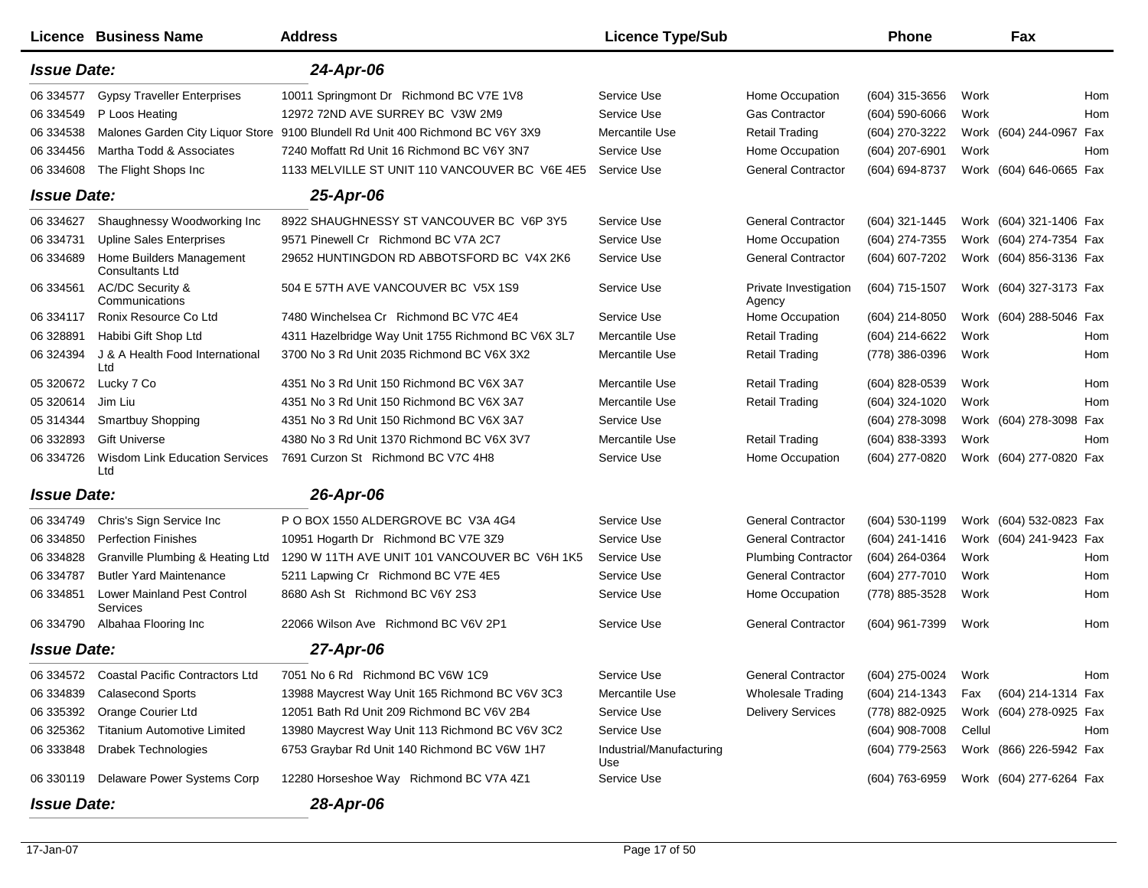|                    | Licence Business Name                          | <b>Address</b>                                     | <b>Licence Type/Sub</b>         |                                 | Phone               |        | Fax                     |     |
|--------------------|------------------------------------------------|----------------------------------------------------|---------------------------------|---------------------------------|---------------------|--------|-------------------------|-----|
| <b>Issue Date:</b> |                                                | 24-Apr-06                                          |                                 |                                 |                     |        |                         |     |
| 06 334577          | <b>Gypsy Traveller Enterprises</b>             | 10011 Springmont Dr Richmond BC V7E 1V8            | Service Use                     | Home Occupation                 | (604) 315-3656      | Work   |                         | Hom |
| 06 334549          | P Loos Heating                                 | 12972 72ND AVE SURREY BC V3W 2M9                   | Service Use                     | <b>Gas Contractor</b>           | $(604)$ 590-6066    | Work   |                         | Hom |
| 06 334538          | Malones Garden City Liquor Store               | 9100 Blundell Rd Unit 400 Richmond BC V6Y 3X9      | Mercantile Use                  | <b>Retail Trading</b>           | (604) 270-3222      |        | Work (604) 244-0967     | Fax |
| 06 334456          | Martha Todd & Associates                       | 7240 Moffatt Rd Unit 16 Richmond BC V6Y 3N7        | Service Use                     | Home Occupation                 | (604) 207-6901      | Work   |                         | Hom |
| 06 334608          | The Flight Shops Inc                           | 1133 MELVILLE ST UNIT 110 VANCOUVER BC V6E 4E5     | Service Use                     | <b>General Contractor</b>       | (604) 694-8737      |        | Work (604) 646-0665 Fax |     |
| <b>Issue Date:</b> |                                                | 25-Apr-06                                          |                                 |                                 |                     |        |                         |     |
| 06 334627          | Shaughnessy Woodworking Inc                    | 8922 SHAUGHNESSY ST VANCOUVER BC V6P 3Y5           | Service Use                     | <b>General Contractor</b>       | (604) 321-1445      |        | Work (604) 321-1406 Fax |     |
| 06 334731          | <b>Upline Sales Enterprises</b>                | 9571 Pinewell Cr Richmond BC V7A 2C7               | Service Use                     | Home Occupation                 | (604) 274-7355      |        | Work (604) 274-7354 Fax |     |
| 06 334689          | Home Builders Management<br>Consultants Ltd    | 29652 HUNTINGDON RD ABBOTSFORD BC V4X 2K6          | Service Use                     | <b>General Contractor</b>       | (604) 607-7202      |        | Work (604) 856-3136 Fax |     |
| 06 334561          | AC/DC Security &<br>Communications             | 504 E 57TH AVE VANCOUVER BC V5X 1S9                | Service Use                     | Private Investigation<br>Agency | (604) 715-1507      |        | Work (604) 327-3173 Fax |     |
| 06 334117          | Ronix Resource Co Ltd                          | 7480 Winchelsea Cr Richmond BC V7C 4E4             | Service Use                     | Home Occupation                 | (604) 214-8050      |        | Work (604) 288-5046 Fax |     |
| 06 328891          | Habibi Gift Shop Ltd                           | 4311 Hazelbridge Way Unit 1755 Richmond BC V6X 3L7 | Mercantile Use                  | <b>Retail Trading</b>           | (604) 214-6622      | Work   |                         | Hom |
| 06 324394          | J & A Health Food International<br>Ltd         | 3700 No 3 Rd Unit 2035 Richmond BC V6X 3X2         | Mercantile Use                  | <b>Retail Trading</b>           | (778) 386-0396      | Work   |                         | Hom |
| 05 320672          | Lucky 7 Co                                     | 4351 No 3 Rd Unit 150 Richmond BC V6X 3A7          | Mercantile Use                  | <b>Retail Trading</b>           | $(604)$ 828-0539    | Work   |                         | Hom |
| 05 320614          | Jim Liu                                        | 4351 No 3 Rd Unit 150 Richmond BC V6X 3A7          | Mercantile Use                  | <b>Retail Trading</b>           | (604) 324-1020      | Work   |                         | Hom |
| 05 314344          | Smartbuy Shopping                              | 4351 No 3 Rd Unit 150 Richmond BC V6X 3A7          | Service Use                     |                                 | (604) 278-3098      |        | Work (604) 278-3098 Fax |     |
| 06 332893          | <b>Gift Universe</b>                           | 4380 No 3 Rd Unit 1370 Richmond BC V6X 3V7         | Mercantile Use                  | <b>Retail Trading</b>           | (604) 838-3393      | Work   |                         | Hom |
| 06 334726          | <b>Wisdom Link Education Services</b><br>Ltd   | 7691 Curzon St Richmond BC V7C 4H8                 | Service Use                     | Home Occupation                 | (604) 277-0820      |        | Work (604) 277-0820 Fax |     |
| <b>Issue Date:</b> |                                                | 26-Apr-06                                          |                                 |                                 |                     |        |                         |     |
| 06 334749          | Chris's Sign Service Inc                       | P O BOX 1550 ALDERGROVE BC V3A 4G4                 | Service Use                     | <b>General Contractor</b>       | (604) 530-1199      |        | Work (604) 532-0823 Fax |     |
| 06 334850          | <b>Perfection Finishes</b>                     | 10951 Hogarth Dr Richmond BC V7E 3Z9               | Service Use                     | <b>General Contractor</b>       | (604) 241-1416      |        | Work (604) 241-9423 Fax |     |
| 06 334828          | Granville Plumbing & Heating Ltd               | 1290 W 11TH AVE UNIT 101 VANCOUVER BC V6H 1K5      | Service Use                     | <b>Plumbing Contractor</b>      | (604) 264-0364      | Work   |                         | Hom |
| 06 334787          | <b>Butler Yard Maintenance</b>                 | 5211 Lapwing Cr Richmond BC V7E 4E5                | Service Use                     | <b>General Contractor</b>       | (604) 277-7010      | Work   |                         | Hom |
| 06 334851          | <b>Lower Mainland Pest Control</b><br>Services | 8680 Ash St Richmond BC V6Y 2S3                    | Service Use                     | Home Occupation                 | (778) 885-3528      | Work   |                         | Hom |
| 06 334790          | Albahaa Flooring Inc                           | 22066 Wilson Ave Richmond BC V6V 2P1               | Service Use                     | <b>General Contractor</b>       | (604) 961-7399      | Work   |                         | Hom |
| <b>Issue Date:</b> |                                                | 27-Apr-06                                          |                                 |                                 |                     |        |                         |     |
|                    | 06 334572 Coastal Pacific Contractors Ltd      | 7051 No 6 Rd Richmond BC V6W 1C9                   | Service Use                     | General Contractor              | (604) 275-0024 Work |        |                         | Hom |
| 06 334839          | <b>Calasecond Sports</b>                       | 13988 Maycrest Way Unit 165 Richmond BC V6V 3C3    | Mercantile Use                  | <b>Wholesale Trading</b>        | (604) 214-1343      | Fax    | (604) 214-1314 Fax      |     |
| 06 335392          | Orange Courier Ltd                             | 12051 Bath Rd Unit 209 Richmond BC V6V 2B4         | Service Use                     | <b>Delivery Services</b>        | (778) 882-0925      |        | Work (604) 278-0925 Fax |     |
| 06 325362          | <b>Titanium Automotive Limited</b>             | 13980 Maycrest Way Unit 113 Richmond BC V6V 3C2    | Service Use                     |                                 | $(604)$ 908-7008    | Cellul |                         | Hom |
| 06 333848          | Drabek Technologies                            | 6753 Graybar Rd Unit 140 Richmond BC V6W 1H7       | Industrial/Manufacturing<br>Use |                                 | (604) 779-2563      |        | Work (866) 226-5942 Fax |     |
| 06 330119          | Delaware Power Systems Corp                    | 12280 Horseshoe Way Richmond BC V7A 4Z1            | Service Use                     |                                 | (604) 763-6959      |        | Work (604) 277-6264 Fax |     |
| <b>Issue Date:</b> |                                                | 28-Apr-06                                          |                                 |                                 |                     |        |                         |     |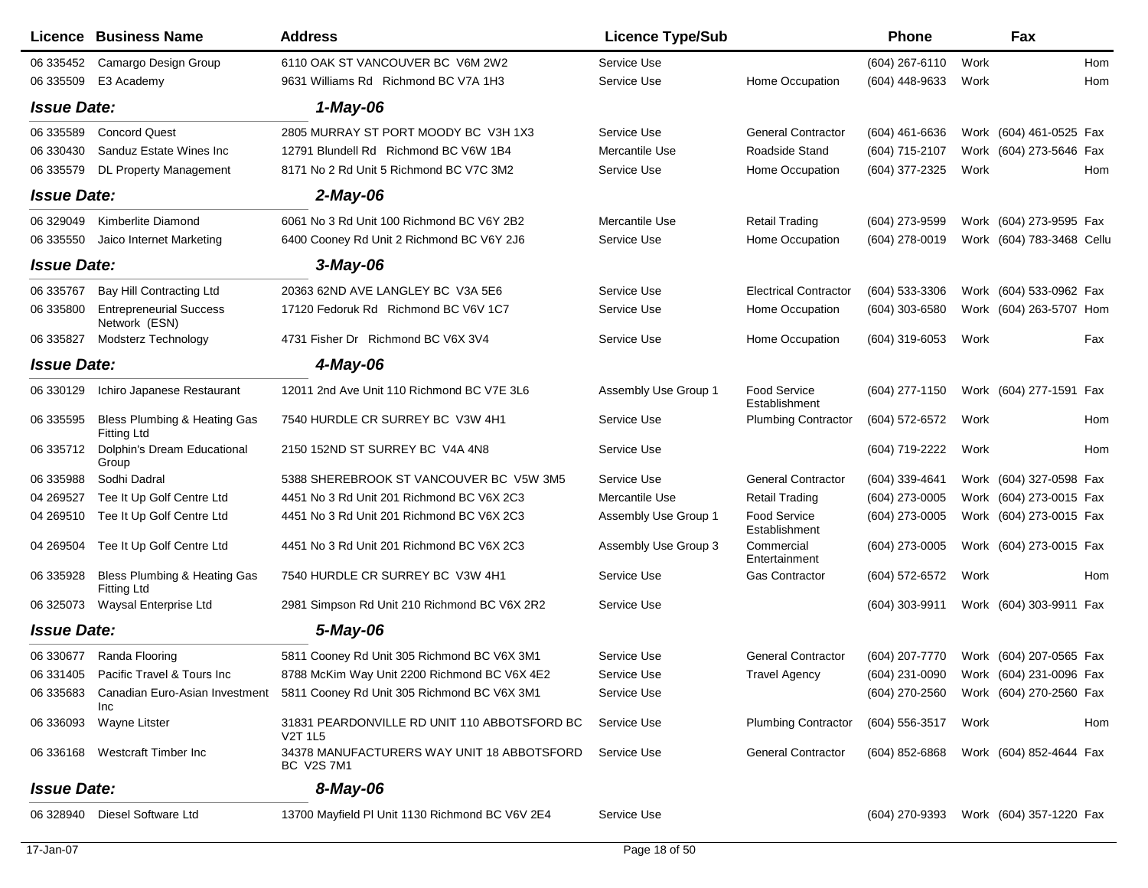|                    | Licence Business Name                              | <b>Address</b>                                                                   | <b>Licence Type/Sub</b> |                                      | <b>Phone</b>        |      | Fax                                    |     |
|--------------------|----------------------------------------------------|----------------------------------------------------------------------------------|-------------------------|--------------------------------------|---------------------|------|----------------------------------------|-----|
| 06 335452          | Camargo Design Group                               | 6110 OAK ST VANCOUVER BC V6M 2W2                                                 | Service Use             |                                      | (604) 267-6110      | Work |                                        | Hom |
| 06 335509          | E3 Academy                                         | 9631 Williams Rd Richmond BC V7A 1H3                                             | Service Use             | Home Occupation                      | (604) 448-9633      | Work |                                        | Hom |
| <b>Issue Date:</b> |                                                    | 1-May-06                                                                         |                         |                                      |                     |      |                                        |     |
| 06 335589          | <b>Concord Quest</b>                               | 2805 MURRAY ST PORT MOODY BC V3H 1X3                                             | Service Use             | <b>General Contractor</b>            | (604) 461-6636      |      | Work (604) 461-0525 Fax                |     |
| 06 330430          | Sanduz Estate Wines Inc                            | 12791 Blundell Rd Richmond BC V6W 1B4                                            | Mercantile Use          | Roadside Stand                       | (604) 715-2107      |      | Work (604) 273-5646 Fax                |     |
| 06 335579          | <b>DL Property Management</b>                      | 8171 No 2 Rd Unit 5 Richmond BC V7C 3M2                                          | Service Use             | Home Occupation                      | (604) 377-2325      | Work |                                        | Hom |
| <b>Issue Date:</b> |                                                    | $2$ -May-06                                                                      |                         |                                      |                     |      |                                        |     |
| 06 329049          | Kimberlite Diamond                                 | 6061 No 3 Rd Unit 100 Richmond BC V6Y 2B2                                        | Mercantile Use          | <b>Retail Trading</b>                | (604) 273-9599      |      | Work (604) 273-9595 Fax                |     |
| 06 335550          | Jaico Internet Marketing                           | 6400 Cooney Rd Unit 2 Richmond BC V6Y 2J6                                        | Service Use             | Home Occupation                      | (604) 278-0019      |      | Work (604) 783-3468 Cellu              |     |
| <b>Issue Date:</b> |                                                    | $3$ -May-06                                                                      |                         |                                      |                     |      |                                        |     |
| 06 335767          | Bay Hill Contracting Ltd                           | 20363 62ND AVE LANGLEY BC V3A 5E6                                                | Service Use             | <b>Electrical Contractor</b>         | (604) 533-3306      |      | Work (604) 533-0962 Fax                |     |
| 06 335800          | <b>Entrepreneurial Success</b><br>Network (ESN)    | 17120 Fedoruk Rd Richmond BC V6V 1C7                                             | Service Use             | Home Occupation                      | (604) 303-6580      |      | Work (604) 263-5707 Hom                |     |
| 06 335827          | Modsterz Technology                                | 4731 Fisher Dr Richmond BC V6X 3V4                                               | Service Use             | Home Occupation                      | (604) 319-6053      | Work |                                        | Fax |
| <b>Issue Date:</b> |                                                    | 4-May-06                                                                         |                         |                                      |                     |      |                                        |     |
| 06 330129          | Ichiro Japanese Restaurant                         | 12011 2nd Ave Unit 110 Richmond BC V7E 3L6                                       | Assembly Use Group 1    | <b>Food Service</b><br>Establishment | (604) 277-1150      |      | Work (604) 277-1591 Fax                |     |
| 06 335595          | Bless Plumbing & Heating Gas<br><b>Fitting Ltd</b> | 7540 HURDLE CR SURREY BC V3W 4H1                                                 | Service Use             | <b>Plumbing Contractor</b>           | (604) 572-6572      | Work |                                        | Hom |
| 06 335712          | Dolphin's Dream Educational<br>Group               | 2150 152ND ST SURREY BC V4A 4N8                                                  | Service Use             |                                      | (604) 719-2222      | Work |                                        | Hom |
| 06 335988          | Sodhi Dadral                                       | 5388 SHEREBROOK ST VANCOUVER BC V5W 3M5                                          | Service Use             | <b>General Contractor</b>            | (604) 339-4641      |      | Work (604) 327-0598 Fax                |     |
| 04 269527          | Tee It Up Golf Centre Ltd                          | 4451 No 3 Rd Unit 201 Richmond BC V6X 2C3                                        | Mercantile Use          | <b>Retail Trading</b>                | (604) 273-0005      |      | Work (604) 273-0015 Fax                |     |
| 04 269510          | Tee It Up Golf Centre Ltd                          | 4451 No 3 Rd Unit 201 Richmond BC V6X 2C3                                        | Assembly Use Group 1    | Food Service<br>Establishment        | (604) 273-0005      |      | Work (604) 273-0015 Fax                |     |
| 04 269504          | Tee It Up Golf Centre Ltd                          | 4451 No 3 Rd Unit 201 Richmond BC V6X 2C3                                        | Assembly Use Group 3    | Commercial<br>Entertainment          | (604) 273-0005      |      | Work (604) 273-0015 Fax                |     |
| 06 335928          | Bless Plumbing & Heating Gas<br>Fitting Ltd        | 7540 HURDLE CR SURREY BC V3W 4H1                                                 | Service Use             | <b>Gas Contractor</b>                | (604) 572-6572      | Work |                                        | Hom |
| 06 325073          | Waysal Enterprise Ltd                              | 2981 Simpson Rd Unit 210 Richmond BC V6X 2R2                                     | Service Use             |                                      | (604) 303-9911      |      | Work (604) 303-9911 Fax                |     |
| <b>Issue Date:</b> |                                                    | 5-May-06                                                                         |                         |                                      |                     |      |                                        |     |
|                    | 06 330677 Randa Flooring                           | 5811 Cooney Rd Unit 305 Richmond BC V6X 3M1                                      | Service Use             | <b>General Contractor</b>            |                     |      | (604) 207-7770 Work (604) 207-0565 Fax |     |
|                    | 06 331405 Pacific Travel & Tours Inc               | 8788 McKim Way Unit 2200 Richmond BC V6X 4E2                                     | Service Use             | <b>Travel Agency</b>                 |                     |      | (604) 231-0090 Work (604) 231-0096 Fax |     |
| 06 335683          | Canadian Euro-Asian Investment<br>Inc              | 5811 Cooney Rd Unit 305 Richmond BC V6X 3M1                                      | Service Use             |                                      |                     |      | (604) 270-2560 Work (604) 270-2560 Fax |     |
| 06 336093          | Wayne Litster                                      | 31831 PEARDONVILLE RD UNIT 110 ABBOTSFORD BC<br>V <sub>2</sub> T 1L <sub>5</sub> | Service Use             | <b>Plumbing Contractor</b>           | (604) 556-3517 Work |      |                                        | Hom |
|                    | 06 336168 Westcraft Timber Inc                     | 34378 MANUFACTURERS WAY UNIT 18 ABBOTSFORD<br>BC V2S 7M1                         | Service Use             | <b>General Contractor</b>            | (604) 852-6868      |      | Work (604) 852-4644 Fax                |     |
| <b>Issue Date:</b> |                                                    | 8-May-06                                                                         |                         |                                      |                     |      |                                        |     |
| 06 328940          | Diesel Software Ltd                                | 13700 Mayfield PI Unit 1130 Richmond BC V6V 2E4                                  | Service Use             |                                      |                     |      | (604) 270-9393 Work (604) 357-1220 Fax |     |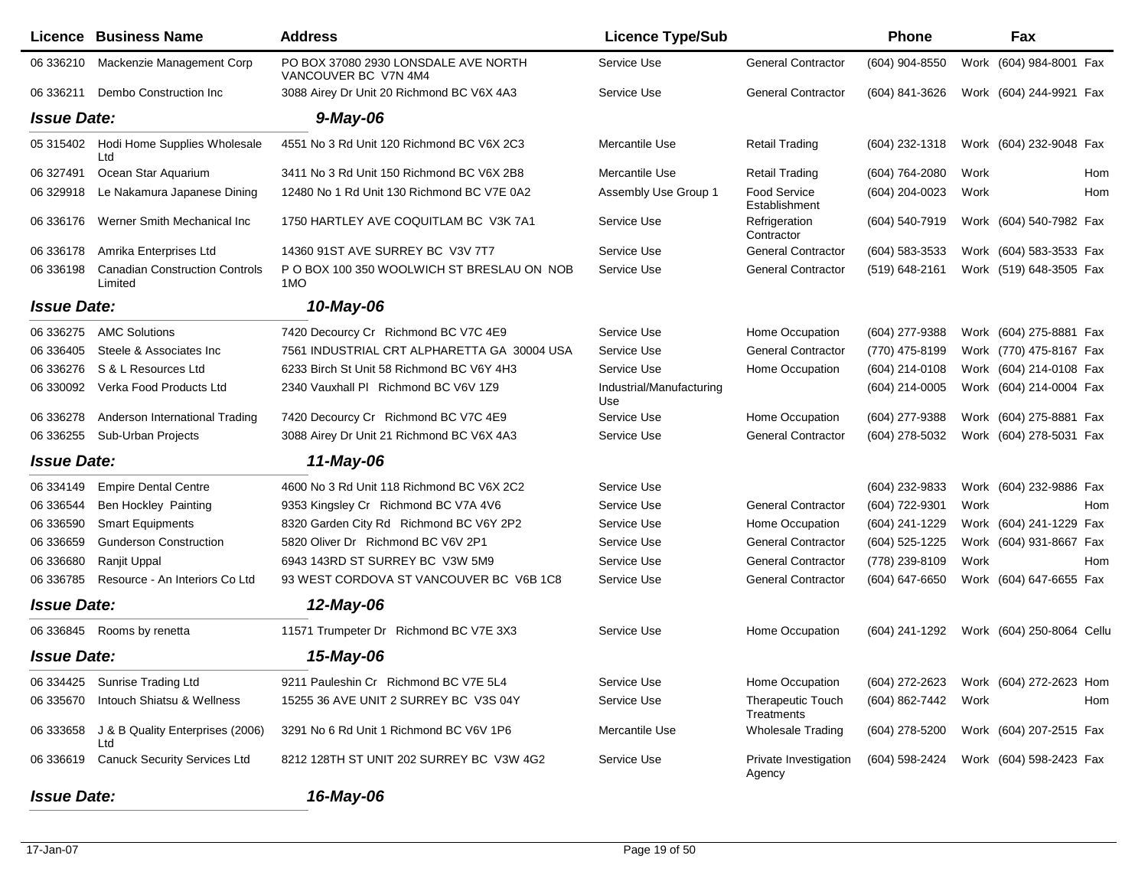|                    | <b>Licence Business Name</b>                     | <b>Address</b>                                               | <b>Licence Type/Sub</b>         |                                        | <b>Phone</b>     |      | Fax                       |
|--------------------|--------------------------------------------------|--------------------------------------------------------------|---------------------------------|----------------------------------------|------------------|------|---------------------------|
| 06 336210          | Mackenzie Management Corp                        | PO BOX 37080 2930 LONSDALE AVE NORTH<br>VANCOUVER BC V7N 4M4 | Service Use                     | <b>General Contractor</b>              | (604) 904-8550   |      | Work (604) 984-8001 Fax   |
| 06 336211          | Dembo Construction Inc                           | 3088 Airey Dr Unit 20 Richmond BC V6X 4A3                    | Service Use                     | <b>General Contractor</b>              | (604) 841-3626   |      | Work (604) 244-9921 Fax   |
| <b>Issue Date:</b> |                                                  | $9$ -May-06                                                  |                                 |                                        |                  |      |                           |
|                    | 05 315402 Hodi Home Supplies Wholesale<br>Ltd    | 4551 No 3 Rd Unit 120 Richmond BC V6X 2C3                    | Mercantile Use                  | <b>Retail Trading</b>                  | $(604)$ 232-1318 |      | Work (604) 232-9048 Fax   |
| 06 327491          | Ocean Star Aquarium                              | 3411 No 3 Rd Unit 150 Richmond BC V6X 2B8                    | Mercantile Use                  | <b>Retail Trading</b>                  | (604) 764-2080   | Work | Hom                       |
| 06 329918          | Le Nakamura Japanese Dining                      | 12480 No 1 Rd Unit 130 Richmond BC V7E 0A2                   | Assembly Use Group 1            | <b>Food Service</b><br>Establishment   | (604) 204-0023   | Work | Hom                       |
| 06 336176          | Werner Smith Mechanical Inc                      | 1750 HARTLEY AVE COQUITLAM BC V3K 7A1                        | Service Use                     | Refrigeration<br>Contractor            | (604) 540-7919   |      | Work (604) 540-7982 Fax   |
| 06 336178          | Amrika Enterprises Ltd                           | 14360 91ST AVE SURREY BC V3V 7T7                             | Service Use                     | <b>General Contractor</b>              | (604) 583-3533   |      | Work (604) 583-3533 Fax   |
| 06 336198          | <b>Canadian Construction Controls</b><br>Limited | P O BOX 100 350 WOOLWICH ST BRESLAU ON NOB<br>1MO            | Service Use                     | <b>General Contractor</b>              | (519) 648-2161   |      | Work (519) 648-3505 Fax   |
| <b>Issue Date:</b> |                                                  | 10-May-06                                                    |                                 |                                        |                  |      |                           |
| 06 336275          | <b>AMC Solutions</b>                             | 7420 Decourcy Cr Richmond BC V7C 4E9                         | Service Use                     | Home Occupation                        | (604) 277-9388   |      | Work (604) 275-8881 Fax   |
| 06 336405          | Steele & Associates Inc.                         | 7561 INDUSTRIAL CRT ALPHARETTA GA 30004 USA                  | Service Use                     | <b>General Contractor</b>              | (770) 475-8199   |      | Work (770) 475-8167 Fax   |
| 06 336276          | S & L Resources Ltd                              | 6233 Birch St Unit 58 Richmond BC V6Y 4H3                    | Service Use                     | Home Occupation                        | (604) 214-0108   |      | Work (604) 214-0108 Fax   |
| 06 330092          | Verka Food Products Ltd                          | 2340 Vauxhall PI Richmond BC V6V 1Z9                         | Industrial/Manufacturing<br>Use |                                        | (604) 214-0005   |      | Work (604) 214-0004 Fax   |
| 06 336278          | Anderson International Trading                   | 7420 Decourcy Cr Richmond BC V7C 4E9                         | Service Use                     | Home Occupation                        | (604) 277-9388   |      | Work (604) 275-8881 Fax   |
| 06 336255          | Sub-Urban Projects                               | 3088 Airey Dr Unit 21 Richmond BC V6X 4A3                    | Service Use                     | <b>General Contractor</b>              | (604) 278-5032   |      | Work (604) 278-5031 Fax   |
| <b>Issue Date:</b> |                                                  | 11-May-06                                                    |                                 |                                        |                  |      |                           |
| 06 334149          | <b>Empire Dental Centre</b>                      | 4600 No 3 Rd Unit 118 Richmond BC V6X 2C2                    | Service Use                     |                                        | (604) 232-9833   |      | Work (604) 232-9886 Fax   |
| 06 336544          | <b>Ben Hockley Painting</b>                      | 9353 Kingsley Cr Richmond BC V7A 4V6                         | Service Use                     | <b>General Contractor</b>              | (604) 722-9301   | Work | Hom                       |
| 06 336590          | <b>Smart Equipments</b>                          | 8320 Garden City Rd Richmond BC V6Y 2P2                      | Service Use                     | Home Occupation                        | (604) 241-1229   |      | Work (604) 241-1229 Fax   |
| 06 33 6659         | <b>Gunderson Construction</b>                    | 5820 Oliver Dr Richmond BC V6V 2P1                           | Service Use                     | <b>General Contractor</b>              | (604) 525-1225   |      | Work (604) 931-8667 Fax   |
| 06 336680          | Ranjit Uppal                                     | 6943 143RD ST SURREY BC V3W 5M9                              | Service Use                     | <b>General Contractor</b>              | (778) 239-8109   | Work | Hom                       |
| 06 33 6785         | Resource - An Interiors Co Ltd                   | 93 WEST CORDOVA ST VANCOUVER BC V6B 1C8                      | Service Use                     | <b>General Contractor</b>              | (604) 647-6650   |      | Work (604) 647-6655 Fax   |
| <b>Issue Date:</b> |                                                  | 12-May-06                                                    |                                 |                                        |                  |      |                           |
| 06 336845          | Rooms by renetta                                 | 11571 Trumpeter Dr Richmond BC V7E 3X3                       | Service Use                     | Home Occupation                        | (604) 241-1292   |      | Work (604) 250-8064 Cellu |
| <b>Issue Date:</b> |                                                  | 15-May-06                                                    |                                 |                                        |                  |      |                           |
| 06 334425          | <b>Sunrise Trading Ltd</b>                       | 9211 Pauleshin Cr Richmond BC V7E 5L4                        | Service Use                     | Home Occupation                        | (604) 272-2623   |      | Work (604) 272-2623 Hom   |
| 06 335670          | Intouch Shiatsu & Wellness                       | 15255 36 AVE UNIT 2 SURREY BC V3S 04Y                        | Service Use                     | <b>Therapeutic Touch</b><br>Treatments | (604) 862-7442   | Work | Hom                       |
| 06 333658          | J & B Quality Enterprises (2006)<br>Ltd          | 3291 No 6 Rd Unit 1 Richmond BC V6V 1P6                      | Mercantile Use                  | Wholesale Trading                      | (604) 278-5200   |      | Work (604) 207-2515 Fax   |
| 06 336619          | <b>Canuck Security Services Ltd</b>              | 8212 128TH ST UNIT 202 SURREY BC V3W 4G2                     | Service Use                     | Private Investigation<br>Agency        | (604) 598-2424   |      | Work (604) 598-2423 Fax   |

*Issue Date:*

*16-May-06*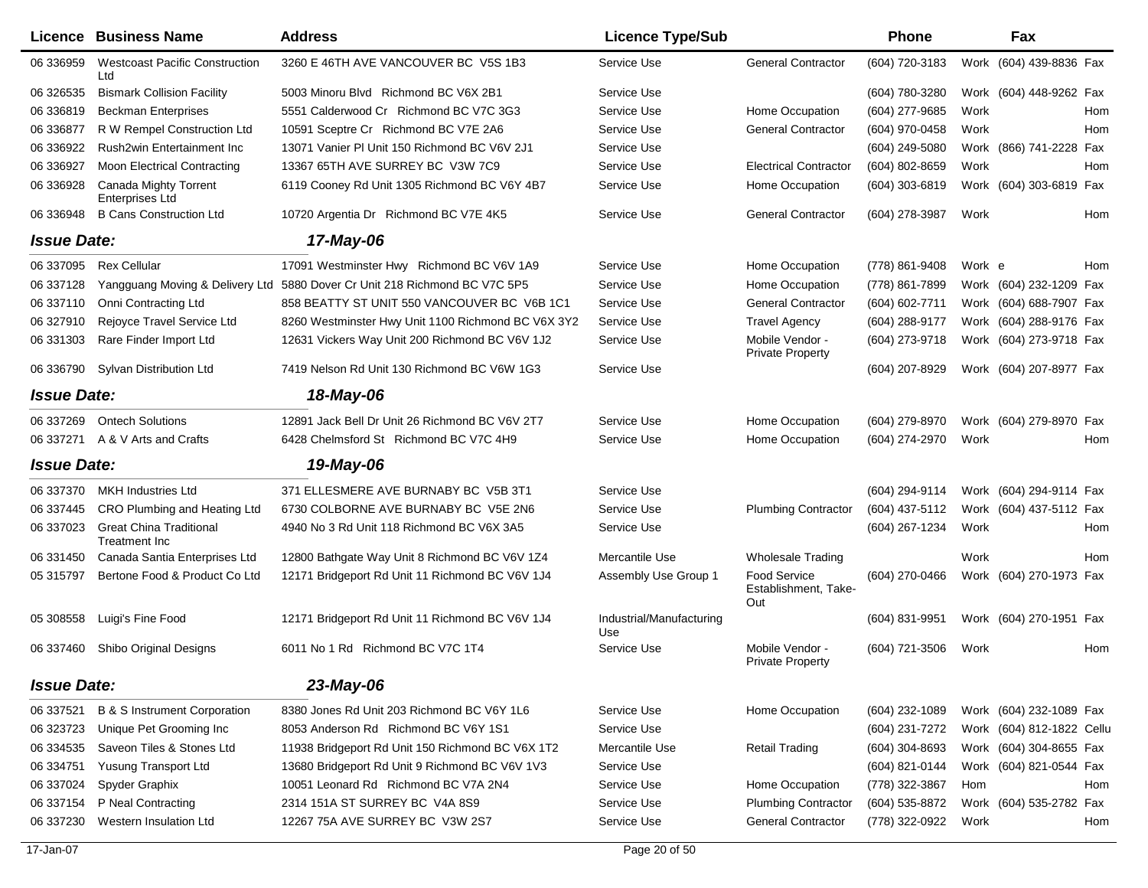|                    | <b>Licence Business Name</b>                    | <b>Address</b>                                     | <b>Licence Type/Sub</b>         |                                                    | <b>Phone</b>     |        | Fax                       |     |
|--------------------|-------------------------------------------------|----------------------------------------------------|---------------------------------|----------------------------------------------------|------------------|--------|---------------------------|-----|
| 06 336959          | <b>Westcoast Pacific Construction</b><br>Ltd    | 3260 E 46TH AVE VANCOUVER BC V5S 1B3               | Service Use                     | <b>General Contractor</b>                          | (604) 720-3183   |        | Work (604) 439-8836 Fax   |     |
| 06 32 6535         | <b>Bismark Collision Facility</b>               | 5003 Minoru Blvd Richmond BC V6X 2B1               | Service Use                     |                                                    | (604) 780-3280   |        | Work (604) 448-9262 Fax   |     |
| 06 336819          | <b>Beckman Enterprises</b>                      | 5551 Calderwood Cr Richmond BC V7C 3G3             | Service Use                     | Home Occupation                                    | (604) 277-9685   | Work   |                           | Hom |
| 06 336877          | R W Rempel Construction Ltd                     | 10591 Sceptre Cr Richmond BC V7E 2A6               | Service Use                     | <b>General Contractor</b>                          | (604) 970-0458   | Work   |                           | Hom |
| 06 336922          | Rush2win Entertainment Inc                      | 13071 Vanier PI Unit 150 Richmond BC V6V 2J1       | Service Use                     |                                                    | (604) 249-5080   |        | Work (866) 741-2228 Fax   |     |
| 06 336927          | <b>Moon Electrical Contracting</b>              | 13367 65TH AVE SURREY BC V3W 7C9                   | Service Use                     | <b>Electrical Contractor</b>                       | (604) 802-8659   | Work   |                           | Hom |
| 06 336928          | Canada Mighty Torrent<br>Enterprises Ltd        | 6119 Cooney Rd Unit 1305 Richmond BC V6Y 4B7       | Service Use                     | Home Occupation                                    | (604) 303-6819   |        | Work (604) 303-6819 Fax   |     |
| 06 336948          | <b>B Cans Construction Ltd</b>                  | 10720 Argentia Dr Richmond BC V7E 4K5              | Service Use                     | <b>General Contractor</b>                          | (604) 278-3987   | Work   |                           | Hom |
| <b>Issue Date:</b> |                                                 | 17-May-06                                          |                                 |                                                    |                  |        |                           |     |
| 06 337095          | <b>Rex Cellular</b>                             | 17091 Westminster Hwy Richmond BC V6V 1A9          | Service Use                     | Home Occupation                                    | (778) 861-9408   | Work e |                           | Hom |
| 06 337128          | Yangguang Moving & Delivery Ltd                 | 5880 Dover Cr Unit 218 Richmond BC V7C 5P5         | Service Use                     | Home Occupation                                    | (778) 861-7899   |        | Work (604) 232-1209 Fax   |     |
| 06 337110          | Onni Contracting Ltd                            | 858 BEATTY ST UNIT 550 VANCOUVER BC V6B 1C1        | Service Use                     | <b>General Contractor</b>                          | (604) 602-7711   |        | Work (604) 688-7907 Fax   |     |
| 06 327910          | Rejoyce Travel Service Ltd                      | 8260 Westminster Hwy Unit 1100 Richmond BC V6X 3Y2 | Service Use                     | <b>Travel Agency</b>                               | (604) 288-9177   |        | Work (604) 288-9176 Fax   |     |
| 06 331303          | Rare Finder Import Ltd                          | 12631 Vickers Way Unit 200 Richmond BC V6V 1J2     | Service Use                     | Mobile Vendor -<br><b>Private Property</b>         | (604) 273-9718   |        | Work (604) 273-9718 Fax   |     |
| 06 33 6790         | Sylvan Distribution Ltd                         | 7419 Nelson Rd Unit 130 Richmond BC V6W 1G3        | Service Use                     |                                                    | (604) 207-8929   |        | Work (604) 207-8977 Fax   |     |
| <b>Issue Date:</b> |                                                 | 18-May-06                                          |                                 |                                                    |                  |        |                           |     |
| 06 337269          | <b>Ontech Solutions</b>                         | 12891 Jack Bell Dr Unit 26 Richmond BC V6V 2T7     | Service Use                     | Home Occupation                                    | (604) 279-8970   |        | Work (604) 279-8970 Fax   |     |
| 06 337271          | A & V Arts and Crafts                           | 6428 Chelmsford St Richmond BC V7C 4H9             | Service Use                     | Home Occupation                                    | (604) 274-2970   | Work   |                           | Hom |
| <b>Issue Date:</b> |                                                 | 19-May-06                                          |                                 |                                                    |                  |        |                           |     |
| 06 337370          | <b>MKH Industries Ltd</b>                       | 371 ELLESMERE AVE BURNABY BC V5B 3T1               | Service Use                     |                                                    | (604) 294-9114   |        | Work (604) 294-9114 Fax   |     |
| 06 337445          | CRO Plumbing and Heating Ltd                    | 6730 COLBORNE AVE BURNABY BC V5E 2N6               | Service Use                     | <b>Plumbing Contractor</b>                         | (604) 437-5112   |        | Work (604) 437-5112 Fax   |     |
| 06 337023          | <b>Great China Traditional</b><br>Treatment Inc | 4940 No 3 Rd Unit 118 Richmond BC V6X 3A5          | Service Use                     |                                                    | (604) 267-1234   | Work   |                           | Hom |
| 06 331450          | Canada Santia Enterprises Ltd                   | 12800 Bathgate Way Unit 8 Richmond BC V6V 1Z4      | Mercantile Use                  | <b>Wholesale Trading</b>                           |                  | Work   |                           | Hom |
| 05 31 57 97        | Bertone Food & Product Co Ltd                   | 12171 Bridgeport Rd Unit 11 Richmond BC V6V 1J4    | Assembly Use Group 1            | <b>Food Service</b><br>Establishment, Take-<br>Out | (604) 270-0466   |        | Work (604) 270-1973 Fax   |     |
| 05 308558          | Luigi's Fine Food                               | 12171 Bridgeport Rd Unit 11 Richmond BC V6V 1J4    | Industrial/Manufacturing<br>Use |                                                    | (604) 831-9951   |        | Work (604) 270-1951 Fax   |     |
| 06 337460          | Shibo Original Designs                          | 6011 No 1 Rd Richmond BC V7C 1T4                   | Service Use                     | Mobile Vendor -<br><b>Private Property</b>         | (604) 721-3506   | Work   |                           | Hom |
| <b>Issue Date:</b> |                                                 | 23-May-06                                          |                                 |                                                    |                  |        |                           |     |
| 06 337521          | <b>B &amp; S Instrument Corporation</b>         | 8380 Jones Rd Unit 203 Richmond BC V6Y 1L6         | Service Use                     | Home Occupation                                    | (604) 232-1089   |        | Work (604) 232-1089 Fax   |     |
| 06 323723          | Unique Pet Grooming Inc                         | 8053 Anderson Rd Richmond BC V6Y 1S1               | Service Use                     |                                                    | (604) 231-7272   |        | Work (604) 812-1822 Cellu |     |
| 06 334535          | Saveon Tiles & Stones Ltd                       | 11938 Bridgeport Rd Unit 150 Richmond BC V6X 1T2   | Mercantile Use                  | <b>Retail Trading</b>                              | $(604)$ 304-8693 |        | Work (604) 304-8655 Fax   |     |
| 06 334751          | Yusung Transport Ltd                            | 13680 Bridgeport Rd Unit 9 Richmond BC V6V 1V3     | Service Use                     |                                                    | (604) 821-0144   |        | Work (604) 821-0544 Fax   |     |
| 06 337024          | Spyder Graphix                                  | 10051 Leonard Rd Richmond BC V7A 2N4               | Service Use                     | Home Occupation                                    | (778) 322-3867   | Hom    |                           | Hom |
| 06 337154          | P Neal Contracting                              | 2314 151A ST SURREY BC V4A 8S9                     | Service Use                     | <b>Plumbing Contractor</b>                         | (604) 535-8872   |        | Work (604) 535-2782 Fax   |     |
| 06 337230          | Western Insulation Ltd                          | 12267 75A AVE SURREY BC V3W 2S7                    | Service Use                     | <b>General Contractor</b>                          | (778) 322-0922   | Work   |                           | Hom |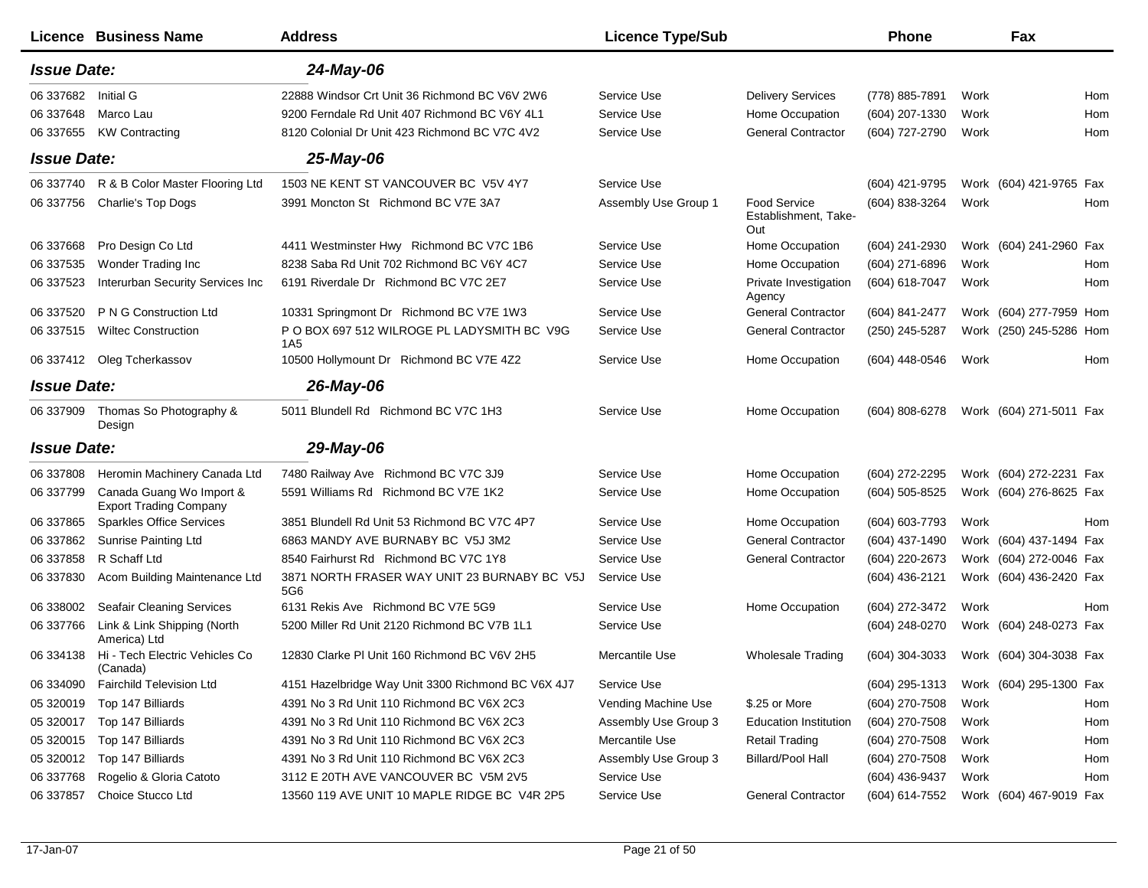|                    | <b>Licence Business Name</b>                              | <b>Address</b>                                      | <b>Licence Type/Sub</b> |                                             | Phone          |      | Fax                                    |     |
|--------------------|-----------------------------------------------------------|-----------------------------------------------------|-------------------------|---------------------------------------------|----------------|------|----------------------------------------|-----|
| <b>Issue Date:</b> |                                                           | 24-May-06                                           |                         |                                             |                |      |                                        |     |
| 06 337682          | <b>Initial G</b>                                          | 22888 Windsor Crt Unit 36 Richmond BC V6V 2W6       | Service Use             | <b>Delivery Services</b>                    | (778) 885-7891 | Work |                                        | Hom |
| 06 337648          | Marco Lau                                                 | 9200 Ferndale Rd Unit 407 Richmond BC V6Y 4L1       | Service Use             | Home Occupation                             | (604) 207-1330 | Work |                                        | Hom |
| 06 337655          | <b>KW Contracting</b>                                     | 8120 Colonial Dr Unit 423 Richmond BC V7C 4V2       | Service Use             | <b>General Contractor</b>                   | (604) 727-2790 | Work |                                        | Hom |
| <b>Issue Date:</b> |                                                           | 25-May-06                                           |                         |                                             |                |      |                                        |     |
| 06 337740          | R & B Color Master Flooring Ltd                           | 1503 NE KENT ST VANCOUVER BC V5V 4Y7                | Service Use             |                                             | (604) 421-9795 |      | Work (604) 421-9765 Fax                |     |
| 06 337756          | Charlie's Top Dogs                                        | 3991 Moncton St Richmond BC V7E 3A7                 | Assembly Use Group 1    | Food Service<br>Establishment, Take-<br>Out | (604) 838-3264 | Work |                                        | Hom |
| 06 337668          | Pro Design Co Ltd                                         | 4411 Westminster Hwy Richmond BC V7C 1B6            | Service Use             | Home Occupation                             | (604) 241-2930 |      | Work (604) 241-2960 Fax                |     |
| 06 337535          | Wonder Trading Inc                                        | 8238 Saba Rd Unit 702 Richmond BC V6Y 4C7           | Service Use             | Home Occupation                             | (604) 271-6896 | Work |                                        | Hom |
| 06 337523          | Interurban Security Services Inc                          | 6191 Riverdale Dr Richmond BC V7C 2E7               | Service Use             | Private Investigation<br>Agency             | (604) 618-7047 | Work |                                        | Hom |
| 06 337520          | P N G Construction Ltd                                    | 10331 Springmont Dr Richmond BC V7E 1W3             | Service Use             | <b>General Contractor</b>                   | (604) 841-2477 |      | Work (604) 277-7959 Hom                |     |
| 06 337515          | <b>Wiltec Construction</b>                                | P O BOX 697 512 WILROGE PL LADYSMITH BC V9G<br>1A5  | Service Use             | <b>General Contractor</b>                   | (250) 245-5287 |      | Work (250) 245-5286 Hom                |     |
|                    | 06 337412 Oleg Tcherkassov                                | 10500 Hollymount Dr Richmond BC V7E 4Z2             | Service Use             | Home Occupation                             | (604) 448-0546 | Work |                                        | Hom |
| <b>Issue Date:</b> |                                                           | 26-May-06                                           |                         |                                             |                |      |                                        |     |
| 06 337909          | Thomas So Photography &<br>Design                         | 5011 Blundell Rd Richmond BC V7C 1H3                | Service Use             | Home Occupation                             | (604) 808-6278 |      | Work (604) 271-5011 Fax                |     |
| <b>Issue Date:</b> |                                                           | 29-May-06                                           |                         |                                             |                |      |                                        |     |
| 06 337808          | Heromin Machinery Canada Ltd                              | 7480 Railway Ave Richmond BC V7C 3J9                | Service Use             | Home Occupation                             | (604) 272-2295 |      | Work (604) 272-2231 Fax                |     |
| 06 337799          | Canada Guang Wo Import &<br><b>Export Trading Company</b> | 5591 Williams Rd Richmond BC V7E 1K2                | Service Use             | Home Occupation                             | (604) 505-8525 |      | Work (604) 276-8625 Fax                |     |
| 06 337865          | <b>Sparkles Office Services</b>                           | 3851 Blundell Rd Unit 53 Richmond BC V7C 4P7        | Service Use             | Home Occupation                             | (604) 603-7793 | Work |                                        | Hom |
| 06 337862          | Sunrise Painting Ltd                                      | 6863 MANDY AVE BURNABY BC V5J 3M2                   | Service Use             | <b>General Contractor</b>                   | (604) 437-1490 |      | Work (604) 437-1494 Fax                |     |
| 06 337858          | R Schaff Ltd                                              | 8540 Fairhurst Rd Richmond BC V7C 1Y8               | Service Use             | <b>General Contractor</b>                   | (604) 220-2673 |      | Work (604) 272-0046 Fax                |     |
| 06 337830          | Acom Building Maintenance Ltd                             | 3871 NORTH FRASER WAY UNIT 23 BURNABY BC V5J<br>5G6 | Service Use             |                                             | (604) 436-2121 |      | Work (604) 436-2420 Fax                |     |
| 06 338002          | <b>Seafair Cleaning Services</b>                          | 6131 Rekis Ave Richmond BC V7E 5G9                  | Service Use             | Home Occupation                             | (604) 272-3472 | Work |                                        | Hom |
| 06 337766          | Link & Link Shipping (North<br>America) Ltd               | 5200 Miller Rd Unit 2120 Richmond BC V7B 1L1        | Service Use             |                                             | (604) 248-0270 |      | Work (604) 248-0273 Fax                |     |
| 06 334138          | Hi - Tech Electric Vehicles Co<br>(Canada)                | 12830 Clarke PI Unit 160 Richmond BC V6V 2H5        | Mercantile Use          | <b>Wholesale Trading</b>                    | (604) 304-3033 |      | Work (604) 304-3038 Fax                |     |
| 06 334090          | <b>Fairchild Television Ltd</b>                           | 4151 Hazelbridge Way Unit 3300 Richmond BC V6X 4J7  | Service Use             |                                             | (604) 295-1313 |      | Work (604) 295-1300 Fax                |     |
| 05 320019          | Top 147 Billiards                                         | 4391 No 3 Rd Unit 110 Richmond BC V6X 2C3           | Vending Machine Use     | \$.25 or More                               | (604) 270-7508 | Work |                                        | Hom |
| 05 320017          | Top 147 Billiards                                         | 4391 No 3 Rd Unit 110 Richmond BC V6X 2C3           | Assembly Use Group 3    | <b>Education Institution</b>                | (604) 270-7508 | Work |                                        | Hom |
| 05 320015          | Top 147 Billiards                                         | 4391 No 3 Rd Unit 110 Richmond BC V6X 2C3           | Mercantile Use          | <b>Retail Trading</b>                       | (604) 270-7508 | Work |                                        | Hom |
| 05 320012          | Top 147 Billiards                                         | 4391 No 3 Rd Unit 110 Richmond BC V6X 2C3           | Assembly Use Group 3    | <b>Billard/Pool Hall</b>                    | (604) 270-7508 | Work |                                        | Hom |
| 06 337768          | Rogelio & Gloria Catoto                                   | 3112 E 20TH AVE VANCOUVER BC V5M 2V5                | Service Use             |                                             | (604) 436-9437 | Work |                                        | Hom |
| 06 337857          | Choice Stucco Ltd                                         | 13560 119 AVE UNIT 10 MAPLE RIDGE BC V4R 2P5        | Service Use             | <b>General Contractor</b>                   |                |      | (604) 614-7552 Work (604) 467-9019 Fax |     |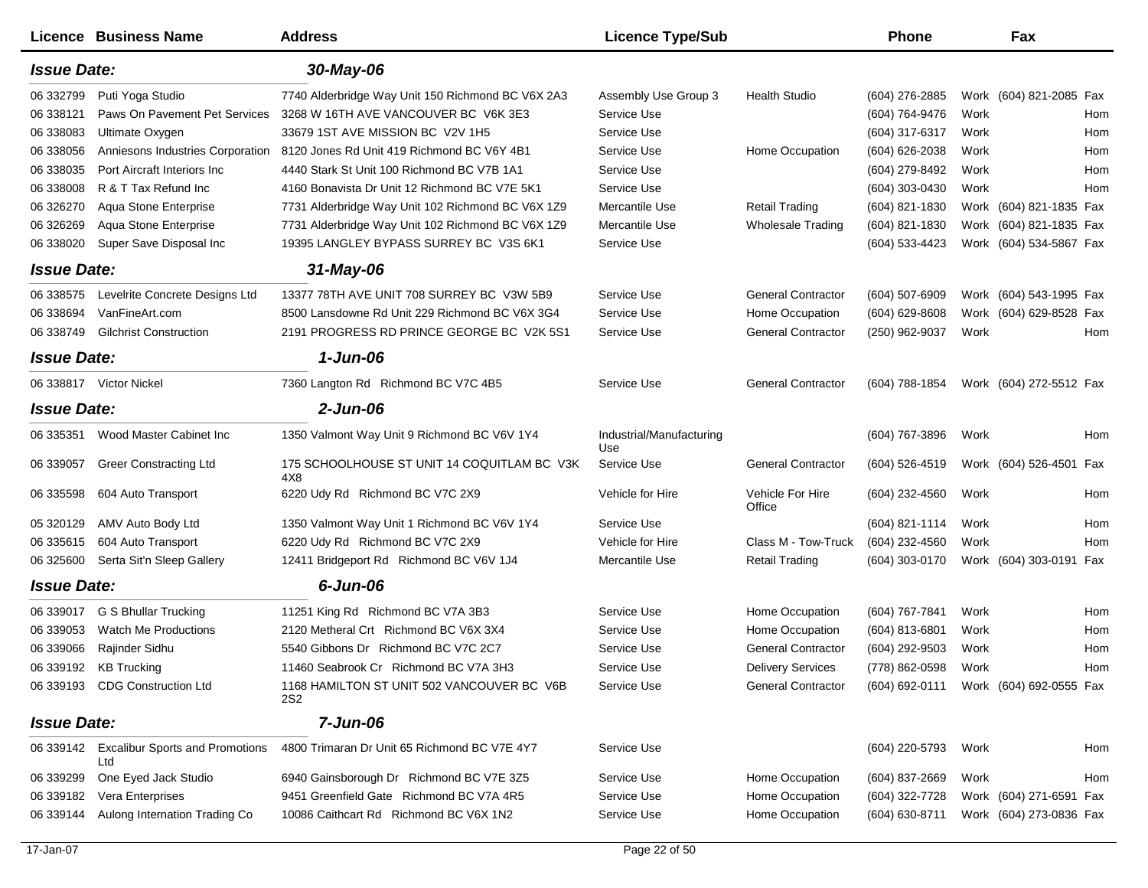|                    | <b>Licence Business Name</b>                     | <b>Address</b>                                     | <b>Licence Type/Sub</b>         |                            | <b>Phone</b>                           |      | Fax                     |     |
|--------------------|--------------------------------------------------|----------------------------------------------------|---------------------------------|----------------------------|----------------------------------------|------|-------------------------|-----|
| <b>Issue Date:</b> |                                                  | 30-May-06                                          |                                 |                            |                                        |      |                         |     |
| 06 332799          | Puti Yoga Studio                                 | 7740 Alderbridge Way Unit 150 Richmond BC V6X 2A3  | Assembly Use Group 3            | <b>Health Studio</b>       | (604) 276-2885                         |      | Work (604) 821-2085 Fax |     |
| 06 338121          | Paws On Pavement Pet Services                    | 3268 W 16TH AVE VANCOUVER BC V6K 3E3               | Service Use                     |                            | (604) 764-9476                         | Work |                         | Hom |
| 06 338083          | Ultimate Oxygen                                  | 33679 1ST AVE MISSION BC V2V 1H5                   | Service Use                     |                            | (604) 317-6317                         | Work |                         | Hom |
| 06 338056          | Anniesons Industries Corporation                 | 8120 Jones Rd Unit 419 Richmond BC V6Y 4B1         | Service Use                     | Home Occupation            | (604) 626-2038                         | Work |                         | Hom |
| 06 338035          | Port Aircraft Interiors Inc                      | 4440 Stark St Unit 100 Richmond BC V7B 1A1         | Service Use                     |                            | (604) 279-8492                         | Work |                         | Hom |
| 06 338008          | R & T Tax Refund Inc                             | 4160 Bonavista Dr Unit 12 Richmond BC V7E 5K1      | Service Use                     |                            | (604) 303-0430                         | Work |                         | Hom |
| 06 326270          | Aqua Stone Enterprise                            | 7731 Alderbridge Way Unit 102 Richmond BC V6X 1Z9  | Mercantile Use                  | <b>Retail Trading</b>      | (604) 821-1830                         |      | Work (604) 821-1835 Fax |     |
| 06 326269          | Aqua Stone Enterprise                            | 7731 Alderbridge Way Unit 102 Richmond BC V6X 1Z9  | Mercantile Use                  | <b>Wholesale Trading</b>   | (604) 821-1830                         |      | Work (604) 821-1835 Fax |     |
| 06 338020          | Super Save Disposal Inc                          | 19395 LANGLEY BYPASS SURREY BC V3S 6K1             | Service Use                     |                            | (604) 533-4423                         |      | Work (604) 534-5867 Fax |     |
| <b>Issue Date:</b> |                                                  | 31-May-06                                          |                                 |                            |                                        |      |                         |     |
| 06 338575          | Levelrite Concrete Designs Ltd                   | 13377 78TH AVE UNIT 708 SURREY BC V3W 5B9          | Service Use                     | <b>General Contractor</b>  | (604) 507-6909                         |      | Work (604) 543-1995 Fax |     |
| 06 338694          | VanFineArt.com                                   | 8500 Lansdowne Rd Unit 229 Richmond BC V6X 3G4     | Service Use                     | Home Occupation            | (604) 629-8608                         |      | Work (604) 629-8528 Fax |     |
| 06 338749          | <b>Gilchrist Construction</b>                    | 2191 PROGRESS RD PRINCE GEORGE BC V2K 5S1          | Service Use                     | <b>General Contractor</b>  | (250) 962-9037                         | Work |                         | Hom |
| <b>Issue Date:</b> |                                                  | $1$ -Jun-06                                        |                                 |                            |                                        |      |                         |     |
|                    | 06 338817 Victor Nickel                          | 7360 Langton Rd Richmond BC V7C 4B5                | Service Use                     | <b>General Contractor</b>  | (604) 788-1854                         |      | Work (604) 272-5512 Fax |     |
| <b>Issue Date:</b> |                                                  | $2$ -Jun-06                                        |                                 |                            |                                        |      |                         |     |
| 06 335351          | Wood Master Cabinet Inc                          | 1350 Valmont Way Unit 9 Richmond BC V6V 1Y4        | Industrial/Manufacturing<br>Use |                            | (604) 767-3896                         | Work |                         | Hom |
| 06 339057          | <b>Greer Constracting Ltd</b>                    | 175 SCHOOLHOUSE ST UNIT 14 COQUITLAM BC V3K<br>4X8 | Service Use                     | <b>General Contractor</b>  | (604) 526-4519                         |      | Work (604) 526-4501 Fax |     |
| 06 335598          | 604 Auto Transport                               | 6220 Udy Rd Richmond BC V7C 2X9                    | Vehicle for Hire                | Vehicle For Hire<br>Office | (604) 232-4560                         | Work |                         | Hom |
| 05 320129          | AMV Auto Body Ltd                                | 1350 Valmont Way Unit 1 Richmond BC V6V 1Y4        | Service Use                     |                            | (604) 821-1114                         | Work |                         | Hom |
| 06 335615          | 604 Auto Transport                               | 6220 Udy Rd Richmond BC V7C 2X9                    | Vehicle for Hire                | Class M - Tow-Truck        | (604) 232-4560                         | Work |                         | Hom |
| 06 325600          | Serta Sit'n Sleep Gallery                        | 12411 Bridgeport Rd Richmond BC V6V 1J4            | Mercantile Use                  | <b>Retail Trading</b>      | (604) 303-0170                         |      | Work (604) 303-0191 Fax |     |
| <b>Issue Date:</b> |                                                  | 6-Jun-06                                           |                                 |                            |                                        |      |                         |     |
| 06 339017          | G S Bhullar Trucking                             | 11251 King Rd Richmond BC V7A 3B3                  | Service Use                     | Home Occupation            | (604) 767-7841                         | Work |                         | Hom |
| 06 339053          | <b>Watch Me Productions</b>                      | 2120 Metheral Crt Richmond BC V6X 3X4              | Service Use                     | Home Occupation            | $(604)$ 813-6801                       | Work |                         | Hom |
| 06 339066          | Rajinder Sidhu                                   | 5540 Gibbons Dr Richmond BC V7C 2C7                | Service Use                     | <b>General Contractor</b>  | (604) 292-9503                         | Work |                         | Hom |
|                    | 06 339192 KB Trucking                            | 11460 Seabrook Cr Richmond BC V7A 3H3              | Service Use                     | <b>Delivery Services</b>   | (778) 862-0598                         | Work |                         | Hom |
|                    | 06 339193 CDG Construction Ltd                   | 1168 HAMILTON ST UNIT 502 VANCOUVER BC V6B<br>2S2  | Service Use                     | <b>General Contractor</b>  | (604) 692-0111 Work (604) 692-0555 Fax |      |                         |     |
| <b>Issue Date:</b> |                                                  | 7-Jun-06                                           |                                 |                            |                                        |      |                         |     |
|                    | 06 339142 Excalibur Sports and Promotions<br>Ltd | 4800 Trimaran Dr Unit 65 Richmond BC V7E 4Y7       | Service Use                     |                            | (604) 220-5793                         | Work |                         | Hom |
| 06 339299          | One Eyed Jack Studio                             | 6940 Gainsborough Dr Richmond BC V7E 3Z5           | Service Use                     | Home Occupation            | (604) 837-2669                         | Work |                         | Hom |
| 06 339182          | Vera Enterprises                                 | 9451 Greenfield Gate Richmond BC V7A 4R5           | Service Use                     | Home Occupation            | (604) 322-7728                         |      | Work (604) 271-6591 Fax |     |
| 06 339144          | Aulong Internation Trading Co                    | 10086 Caithcart Rd Richmond BC V6X 1N2             | Service Use                     | Home Occupation            | (604) 630-8711                         |      | Work (604) 273-0836 Fax |     |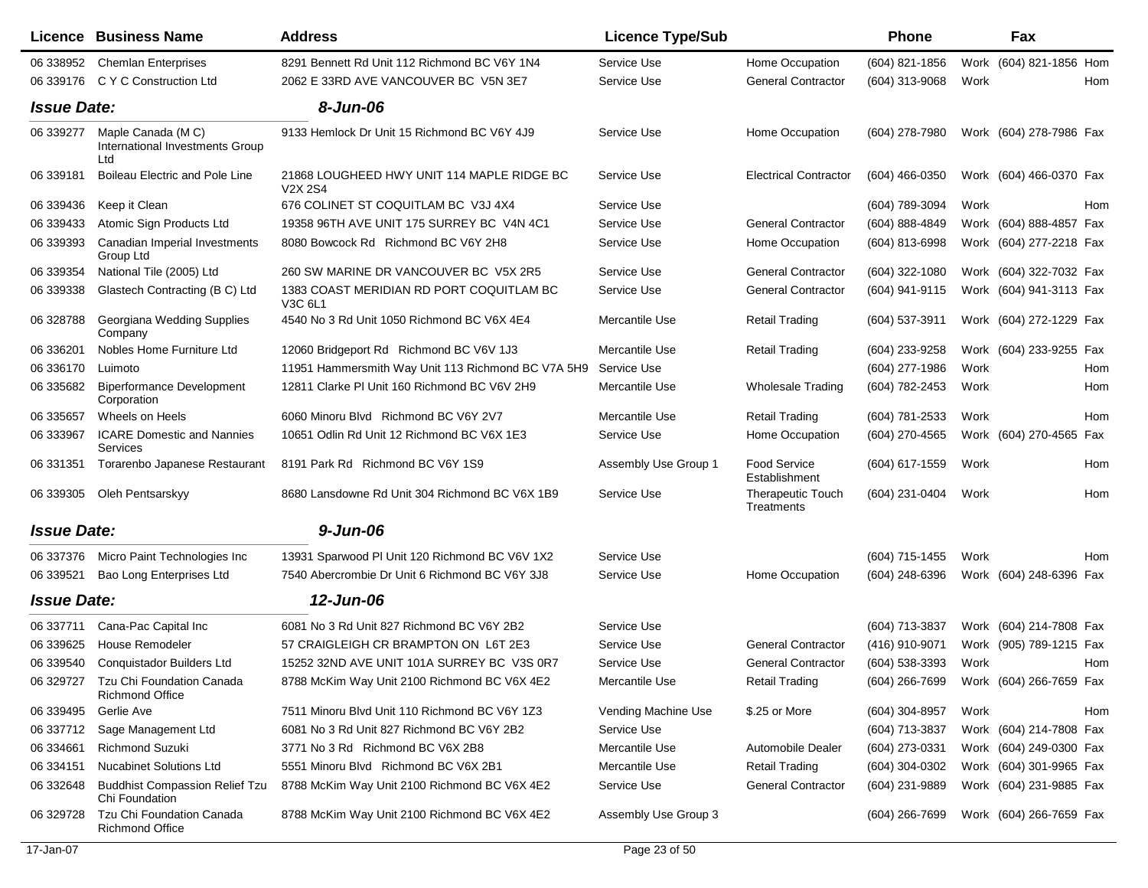|                    | Licence Business Name                                       | <b>Address</b>                                                     | <b>Licence Type/Sub</b> |                                        | <b>Phone</b>     |      | Fax                     |     |
|--------------------|-------------------------------------------------------------|--------------------------------------------------------------------|-------------------------|----------------------------------------|------------------|------|-------------------------|-----|
| 06 338952          | <b>Chemlan Enterprises</b>                                  | 8291 Bennett Rd Unit 112 Richmond BC V6Y 1N4                       | Service Use             | Home Occupation                        | $(604)$ 821-1856 |      | Work (604) 821-1856 Hom |     |
| 06 339176          | C Y C Construction Ltd                                      | 2062 E 33RD AVE VANCOUVER BC V5N 3E7                               | Service Use             | <b>General Contractor</b>              | (604) 313-9068   | Work |                         | Hom |
| <b>Issue Date:</b> |                                                             | 8-Jun-06                                                           |                         |                                        |                  |      |                         |     |
| 06 339277          | Maple Canada (MC)<br>International Investments Group<br>Ltd | 9133 Hemlock Dr Unit 15 Richmond BC V6Y 4J9                        | Service Use             | Home Occupation                        | (604) 278-7980   |      | Work (604) 278-7986 Fax |     |
| 06 339181          | Boileau Electric and Pole Line                              | 21868 LOUGHEED HWY UNIT 114 MAPLE RIDGE BC<br>V <sub>2</sub> X 2S4 | Service Use             | <b>Electrical Contractor</b>           | (604) 466-0350   |      | Work (604) 466-0370 Fax |     |
| 06 339436          | Keep it Clean                                               | 676 COLINET ST COQUITLAM BC V3J 4X4                                | Service Use             |                                        | (604) 789-3094   | Work |                         | Hom |
| 06 339433          | Atomic Sign Products Ltd                                    | 19358 96TH AVE UNIT 175 SURREY BC V4N 4C1                          | Service Use             | <b>General Contractor</b>              | (604) 888-4849   |      | Work (604) 888-4857 Fax |     |
| 06 339393          | Canadian Imperial Investments<br>Group Ltd                  | 8080 Bowcock Rd Richmond BC V6Y 2H8                                | Service Use             | Home Occupation                        | (604) 813-6998   |      | Work (604) 277-2218 Fax |     |
| 06 339354          | National Tile (2005) Ltd                                    | 260 SW MARINE DR VANCOUVER BC V5X 2R5                              | Service Use             | <b>General Contractor</b>              | (604) 322-1080   |      | Work (604) 322-7032 Fax |     |
| 06 339338          | Glastech Contracting (B C) Ltd                              | 1383 COAST MERIDIAN RD PORT COQUITLAM BC<br>V3C 6L1                | Service Use             | <b>General Contractor</b>              | (604) 941-9115   |      | Work (604) 941-3113 Fax |     |
| 06 328788          | Georgiana Wedding Supplies<br>Company                       | 4540 No 3 Rd Unit 1050 Richmond BC V6X 4E4                         | Mercantile Use          | <b>Retail Trading</b>                  | (604) 537-3911   |      | Work (604) 272-1229 Fax |     |
| 06 336201          | Nobles Home Furniture Ltd                                   | 12060 Bridgeport Rd Richmond BC V6V 1J3                            | Mercantile Use          | <b>Retail Trading</b>                  | (604) 233-9258   |      | Work (604) 233-9255 Fax |     |
| 06 336170          | Luimoto                                                     | 11951 Hammersmith Way Unit 113 Richmond BC V7A 5H9                 | Service Use             |                                        | (604) 277-1986   | Work |                         | Hom |
| 06 335682          | <b>Biperformance Development</b><br>Corporation             | 12811 Clarke PI Unit 160 Richmond BC V6V 2H9                       | Mercantile Use          | <b>Wholesale Trading</b>               | (604) 782-2453   | Work |                         | Hom |
| 06 335657          | Wheels on Heels                                             | 6060 Minoru Blvd Richmond BC V6Y 2V7                               | Mercantile Use          | <b>Retail Trading</b>                  | (604) 781-2533   | Work |                         | Hom |
| 06 333967          | <b>ICARE Domestic and Nannies</b><br>Services               | 10651 Odlin Rd Unit 12 Richmond BC V6X 1E3                         | Service Use             | Home Occupation                        | (604) 270-4565   |      | Work (604) 270-4565 Fax |     |
| 06 331351          | Torarenbo Japanese Restaurant                               | 8191 Park Rd Richmond BC V6Y 1S9                                   | Assembly Use Group 1    | Food Service<br>Establishment          | (604) 617-1559   | Work |                         | Hom |
| 06 339305          | Oleh Pentsarskyy                                            | 8680 Lansdowne Rd Unit 304 Richmond BC V6X 1B9                     | Service Use             | <b>Therapeutic Touch</b><br>Treatments | (604) 231-0404   | Work |                         | Hom |
| <b>Issue Date:</b> |                                                             | $9 - Jun-06$                                                       |                         |                                        |                  |      |                         |     |
| 06 337376          | Micro Paint Technologies Inc                                | 13931 Sparwood PI Unit 120 Richmond BC V6V 1X2                     | Service Use             |                                        | (604) 715-1455   | Work |                         | Hom |
| 06 339521          | Bao Long Enterprises Ltd                                    | 7540 Abercrombie Dr Unit 6 Richmond BC V6Y 3J8                     | Service Use             | Home Occupation                        | (604) 248-6396   |      | Work (604) 248-6396 Fax |     |
| <b>Issue Date:</b> |                                                             | 12-Jun-06                                                          |                         |                                        |                  |      |                         |     |
| 06 337711          | Cana-Pac Capital Inc                                        | 6081 No 3 Rd Unit 827 Richmond BC V6Y 2B2                          | Service Use             |                                        | (604) 713-3837   |      | Work (604) 214-7808 Fax |     |
| 06 339625          | <b>House Remodeler</b>                                      | 57 CRAIGLEIGH CR BRAMPTON ON L6T 2E3                               | Service Use             | <b>General Contractor</b>              | (416) 910-9071   |      | Work (905) 789-1215 Fax |     |
| 06 339540          | Conquistador Builders Ltd                                   | 15252 32ND AVE UNIT 101A SURREY BC V3S 0R7                         | Service Use             | <b>General Contractor</b>              | (604) 538-3393   | Work |                         | Hom |
| 06 329727          | Tzu Chi Foundation Canada<br><b>Richmond Office</b>         | 8788 McKim Way Unit 2100 Richmond BC V6X 4E2                       | Mercantile Use          | <b>Retail Trading</b>                  | (604) 266-7699   |      | Work (604) 266-7659 Fax |     |
| 06 339495          | Gerlie Ave                                                  | 7511 Minoru Blvd Unit 110 Richmond BC V6Y 1Z3                      | Vending Machine Use     | \$.25 or More                          | $(604)$ 304-8957 | Work |                         | Hom |
| 06 337712          | Sage Management Ltd                                         | 6081 No 3 Rd Unit 827 Richmond BC V6Y 2B2                          | Service Use             |                                        | (604) 713-3837   |      | Work (604) 214-7808 Fax |     |
| 06 334661          | <b>Richmond Suzuki</b>                                      | 3771 No 3 Rd Richmond BC V6X 2B8                                   | Mercantile Use          | Automobile Dealer                      | (604) 273-0331   |      | Work (604) 249-0300 Fax |     |
| 06 334151          | <b>Nucabinet Solutions Ltd</b>                              | 5551 Minoru Blvd Richmond BC V6X 2B1                               | Mercantile Use          | <b>Retail Trading</b>                  | (604) 304-0302   |      | Work (604) 301-9965 Fax |     |
| 06 332648          | <b>Buddhist Compassion Relief Tzu</b><br>Chi Foundation     | 8788 McKim Way Unit 2100 Richmond BC V6X 4E2                       | Service Use             | <b>General Contractor</b>              | (604) 231-9889   |      | Work (604) 231-9885 Fax |     |
| 06 329728          | Tzu Chi Foundation Canada<br><b>Richmond Office</b>         | 8788 McKim Way Unit 2100 Richmond BC V6X 4E2                       | Assembly Use Group 3    |                                        | (604) 266-7699   |      | Work (604) 266-7659 Fax |     |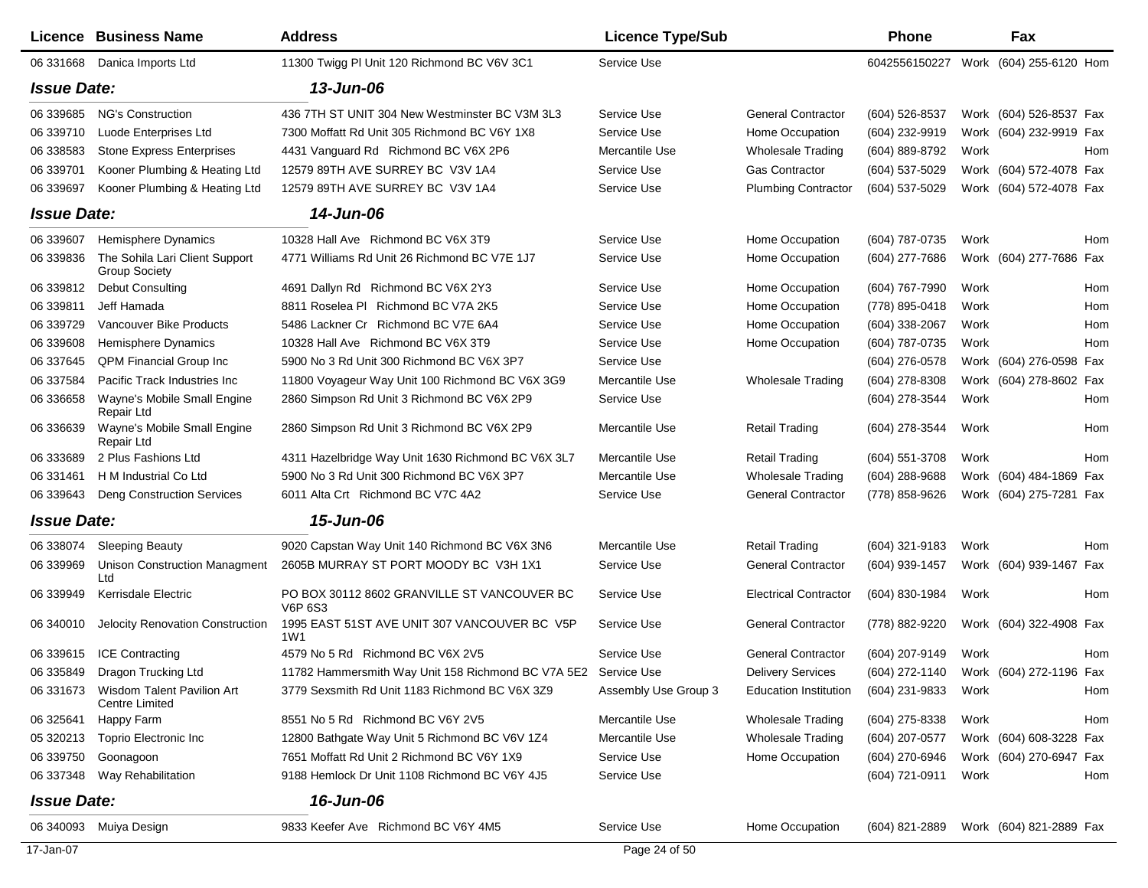|                    | Licence Business Name                                         | <b>Address</b>                                                 | <b>Licence Type/Sub</b> |                              | <b>Phone</b>                           |      | Fax                     |     |
|--------------------|---------------------------------------------------------------|----------------------------------------------------------------|-------------------------|------------------------------|----------------------------------------|------|-------------------------|-----|
|                    | 06 331668 Danica Imports Ltd                                  | 11300 Twigg PI Unit 120 Richmond BC V6V 3C1                    | Service Use             |                              | 6042556150227                          |      | Work (604) 255-6120 Hom |     |
| <b>Issue Date:</b> |                                                               | 13-Jun-06                                                      |                         |                              |                                        |      |                         |     |
| 06 339685          | <b>NG's Construction</b>                                      | 436 7TH ST UNIT 304 New Westminster BC V3M 3L3                 | Service Use             | <b>General Contractor</b>    | (604) 526-8537                         |      | Work (604) 526-8537 Fax |     |
| 06 339710          | Luode Enterprises Ltd                                         | 7300 Moffatt Rd Unit 305 Richmond BC V6Y 1X8                   | Service Use             | Home Occupation              | (604) 232-9919                         |      | Work (604) 232-9919 Fax |     |
| 06 338583          | <b>Stone Express Enterprises</b>                              | 4431 Vanguard Rd Richmond BC V6X 2P6                           | Mercantile Use          | <b>Wholesale Trading</b>     | (604) 889-8792                         | Work |                         | Hom |
| 06 339701          | Kooner Plumbing & Heating Ltd                                 | 12579 89TH AVE SURREY BC V3V 1A4                               | Service Use             | <b>Gas Contractor</b>        | (604) 537-5029                         | Work | (604) 572-4078 Fax      |     |
| 06 339697          | Kooner Plumbing & Heating Ltd                                 | 12579 89TH AVE SURREY BC V3V 1A4                               | Service Use             | <b>Plumbing Contractor</b>   | (604) 537-5029                         |      | Work (604) 572-4078 Fax |     |
| <b>Issue Date:</b> |                                                               | 14-Jun-06                                                      |                         |                              |                                        |      |                         |     |
| 06 339607          | Hemisphere Dynamics                                           | 10328 Hall Ave Richmond BC V6X 3T9                             | Service Use             | Home Occupation              | (604) 787-0735                         | Work |                         | Hom |
| 06 339836          | The Sohila Lari Client Support<br><b>Group Society</b>        | 4771 Williams Rd Unit 26 Richmond BC V7E 1J7                   | Service Use             | Home Occupation              | (604) 277-7686                         |      | Work (604) 277-7686 Fax |     |
| 06 339812          | <b>Debut Consulting</b>                                       | 4691 Dallyn Rd Richmond BC V6X 2Y3                             | Service Use             | Home Occupation              | (604) 767-7990                         | Work |                         | Hom |
| 06 339811          | Jeff Hamada                                                   | 8811 Roselea PI Richmond BC V7A 2K5                            | Service Use             | Home Occupation              | (778) 895-0418                         | Work |                         | Hom |
| 06 339729          | Vancouver Bike Products                                       | 5486 Lackner Cr Richmond BC V7E 6A4                            | Service Use             | Home Occupation              | (604) 338-2067                         | Work |                         | Hom |
| 06 339608          | <b>Hemisphere Dynamics</b>                                    | 10328 Hall Ave Richmond BC V6X 3T9                             | Service Use             | Home Occupation              | (604) 787-0735                         | Work |                         | Hom |
| 06 337645          | <b>QPM Financial Group Inc</b>                                | 5900 No 3 Rd Unit 300 Richmond BC V6X 3P7                      | Service Use             |                              | (604) 276-0578                         |      | Work (604) 276-0598 Fax |     |
| 06 337584          | Pacific Track Industries Inc                                  | 11800 Voyageur Way Unit 100 Richmond BC V6X 3G9                | Mercantile Use          | <b>Wholesale Trading</b>     | (604) 278-8308                         |      | Work (604) 278-8602 Fax |     |
| 06 336658          | Wayne's Mobile Small Engine<br>Repair Ltd                     | 2860 Simpson Rd Unit 3 Richmond BC V6X 2P9                     | Service Use             |                              | (604) 278-3544                         | Work |                         | Hom |
| 06 33 66 39        | Wayne's Mobile Small Engine<br>Repair Ltd                     | 2860 Simpson Rd Unit 3 Richmond BC V6X 2P9                     | Mercantile Use          | <b>Retail Trading</b>        | (604) 278-3544                         | Work |                         | Hom |
| 06 333689          | 2 Plus Fashions Ltd                                           | 4311 Hazelbridge Way Unit 1630 Richmond BC V6X 3L7             | Mercantile Use          | <b>Retail Trading</b>        | (604) 551-3708                         | Work |                         | Hom |
| 06 331461          | H M Industrial Co Ltd                                         | 5900 No 3 Rd Unit 300 Richmond BC V6X 3P7                      | Mercantile Use          | <b>Wholesale Trading</b>     | $(604)$ 288-9688                       |      | Work (604) 484-1869 Fax |     |
| 06 339643          | <b>Deng Construction Services</b>                             | 6011 Alta Crt Richmond BC V7C 4A2                              | Service Use             | <b>General Contractor</b>    | (778) 858-9626                         |      | Work (604) 275-7281 Fax |     |
| <b>Issue Date:</b> |                                                               | 15-Jun-06                                                      |                         |                              |                                        |      |                         |     |
| 06 338074          | <b>Sleeping Beauty</b>                                        | 9020 Capstan Way Unit 140 Richmond BC V6X 3N6                  | Mercantile Use          | <b>Retail Trading</b>        | (604) 321-9183                         | Work |                         | Hom |
| 06 339969          | Unison Construction Managment<br>Ltd                          | 2605B MURRAY ST PORT MOODY BC V3H 1X1                          | Service Use             | <b>General Contractor</b>    | (604) 939-1457                         |      | Work (604) 939-1467 Fax |     |
| 06 339949          | Kerrisdale Electric                                           | PO BOX 30112 8602 GRANVILLE ST VANCOUVER BC<br><b>V6P 6S3</b>  | Service Use             | <b>Electrical Contractor</b> | (604) 830-1984                         | Work |                         | Hom |
| 06 340010          | Jelocity Renovation Construction                              | 1995 EAST 51ST AVE UNIT 307 VANCOUVER BC V5P<br>1W1            | Service Use             | <b>General Contractor</b>    | (778) 882-9220                         |      | Work (604) 322-4908 Fax |     |
| 06 339615          | <b>ICE Contracting</b>                                        | 4579 No 5 Rd Richmond BC V6X 2V5                               | Service Use             | <b>General Contractor</b>    | (604) 207-9149                         | Work |                         | Hom |
|                    | 06 335849 Dragon Trucking Ltd                                 | 11782 Hammersmith Way Unit 158 Richmond BC V7A 5E2 Service Use |                         | <b>Delivery Services</b>     | (604) 272-1140 Work (604) 272-1196 Fax |      |                         |     |
|                    | 06 331673 Wisdom Talent Pavilion Art<br><b>Centre Limited</b> | 3779 Sexsmith Rd Unit 1183 Richmond BC V6X 3Z9                 | Assembly Use Group 3    | <b>Education Institution</b> | (604) 231-9833 Work                    |      |                         | Hom |
| 06 325641          | Happy Farm                                                    | 8551 No 5 Rd Richmond BC V6Y 2V5                               | Mercantile Use          | <b>Wholesale Trading</b>     | (604) 275-8338                         | Work |                         | Hom |
|                    | 05 320213 Toprio Electronic Inc                               | 12800 Bathgate Way Unit 5 Richmond BC V6V 1Z4                  | Mercantile Use          | <b>Wholesale Trading</b>     | (604) 207-0577                         |      | Work (604) 608-3228 Fax |     |
| 06 339750          | Goonagoon                                                     | 7651 Moffatt Rd Unit 2 Richmond BC V6Y 1X9                     | Service Use             | Home Occupation              | (604) 270-6946                         |      | Work (604) 270-6947 Fax |     |
|                    | 06 337348 Way Rehabilitation                                  | 9188 Hemlock Dr Unit 1108 Richmond BC V6Y 4J5                  | Service Use             |                              | (604) 721-0911                         | Work |                         | Hom |
| <b>Issue Date:</b> |                                                               | 16-Jun-06                                                      |                         |                              |                                        |      |                         |     |
|                    | 06 340093 Muiya Design                                        | 9833 Keefer Ave Richmond BC V6Y 4M5                            | Service Use             | Home Occupation              | (604) 821-2889                         |      | Work (604) 821-2889 Fax |     |
| 17-Jan-07          |                                                               |                                                                | Page 24 of 50           |                              |                                        |      |                         |     |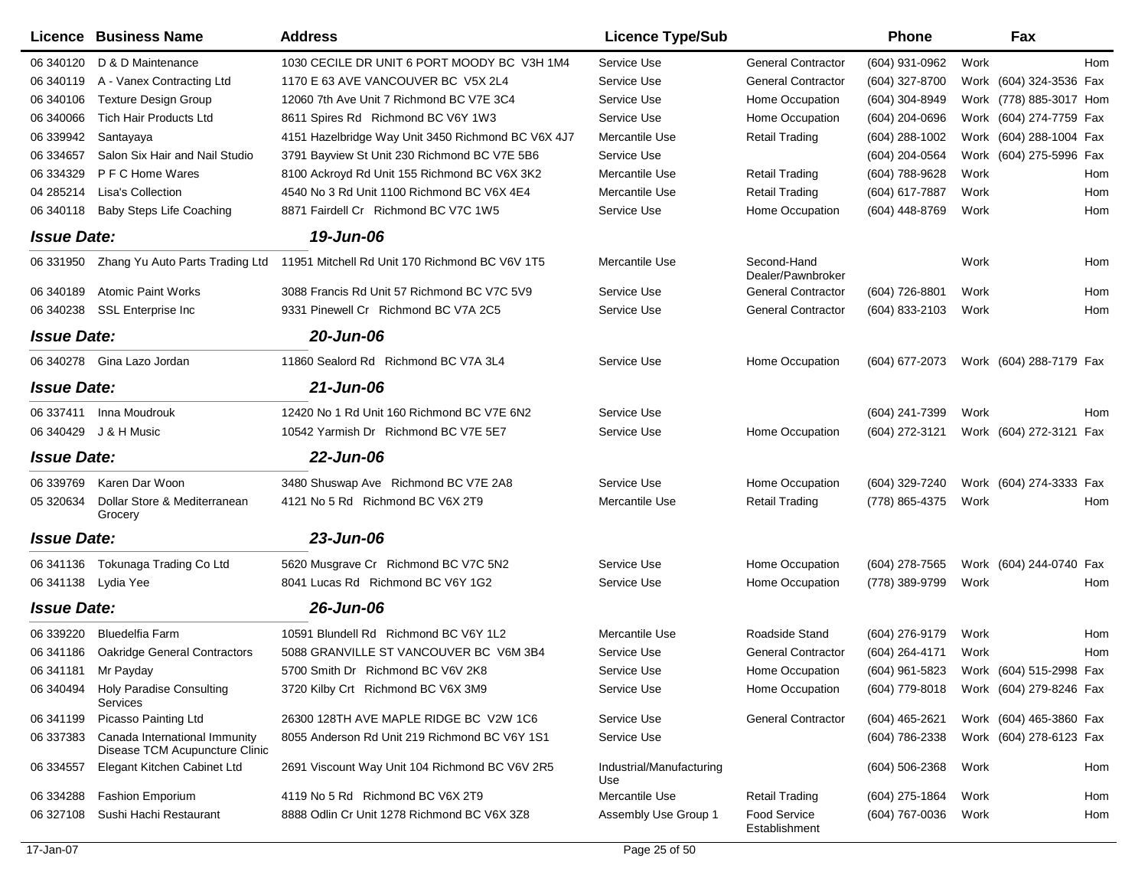|                    | Licence Business Name                                           | <b>Address</b>                                     | <b>Licence Type/Sub</b>         |                                      | <b>Phone</b>     |      | Fax                     |     |
|--------------------|-----------------------------------------------------------------|----------------------------------------------------|---------------------------------|--------------------------------------|------------------|------|-------------------------|-----|
| 06 340120          | D & D Maintenance                                               | 1030 CECILE DR UNIT 6 PORT MOODY BC V3H 1M4        | Service Use                     | <b>General Contractor</b>            | (604) 931-0962   | Work |                         | Hom |
| 06 340119          | A - Vanex Contracting Ltd                                       | 1170 E 63 AVE VANCOUVER BC V5X 2L4                 | Service Use                     | <b>General Contractor</b>            | (604) 327-8700   |      | Work (604) 324-3536 Fax |     |
| 06 340106          | <b>Texture Design Group</b>                                     | 12060 7th Ave Unit 7 Richmond BC V7E 3C4           | Service Use                     | Home Occupation                      | (604) 304-8949   |      | Work (778) 885-3017 Hom |     |
| 06 340066          | <b>Tich Hair Products Ltd</b>                                   | 8611 Spires Rd Richmond BC V6Y 1W3                 | Service Use                     | Home Occupation                      | (604) 204-0696   |      | Work (604) 274-7759 Fax |     |
| 06 339942          | Santayaya                                                       | 4151 Hazelbridge Way Unit 3450 Richmond BC V6X 4J7 | Mercantile Use                  | <b>Retail Trading</b>                | $(604)$ 288-1002 |      | Work (604) 288-1004 Fax |     |
| 06 334657          | Salon Six Hair and Nail Studio                                  | 3791 Bayview St Unit 230 Richmond BC V7E 5B6       | Service Use                     |                                      | (604) 204-0564   |      | Work (604) 275-5996 Fax |     |
| 06 334329          | P F C Home Wares                                                | 8100 Ackroyd Rd Unit 155 Richmond BC V6X 3K2       | Mercantile Use                  | <b>Retail Trading</b>                | (604) 788-9628   | Work |                         | Hom |
| 04 285214          | Lisa's Collection                                               | 4540 No 3 Rd Unit 1100 Richmond BC V6X 4E4         | Mercantile Use                  | <b>Retail Trading</b>                | (604) 617-7887   | Work |                         | Hom |
| 06 340118          | <b>Baby Steps Life Coaching</b>                                 | 8871 Fairdell Cr Richmond BC V7C 1W5               | Service Use                     | Home Occupation                      | (604) 448-8769   | Work |                         | Hom |
| <b>Issue Date:</b> |                                                                 | 19-Jun-06                                          |                                 |                                      |                  |      |                         |     |
| 06 331950          | Zhang Yu Auto Parts Trading Ltd                                 | 11951 Mitchell Rd Unit 170 Richmond BC V6V 1T5     | Mercantile Use                  | Second-Hand<br>Dealer/Pawnbroker     |                  | Work |                         | Hom |
| 06 340189          | <b>Atomic Paint Works</b>                                       | 3088 Francis Rd Unit 57 Richmond BC V7C 5V9        | Service Use                     | <b>General Contractor</b>            | (604) 726-8801   | Work |                         | Hom |
| 06 340238          | <b>SSL Enterprise Inc</b>                                       | 9331 Pinewell Cr Richmond BC V7A 2C5               | Service Use                     | <b>General Contractor</b>            | (604) 833-2103   | Work |                         | Hom |
| <b>Issue Date:</b> |                                                                 | 20-Jun-06                                          |                                 |                                      |                  |      |                         |     |
|                    | 06 340278 Gina Lazo Jordan                                      | 11860 Sealord Rd Richmond BC V7A 3L4               | Service Use                     | Home Occupation                      | (604) 677-2073   |      | Work (604) 288-7179 Fax |     |
| <b>Issue Date:</b> |                                                                 | 21-Jun-06                                          |                                 |                                      |                  |      |                         |     |
| 06 337411          | Inna Moudrouk                                                   | 12420 No 1 Rd Unit 160 Richmond BC V7E 6N2         | Service Use                     |                                      | (604) 241-7399   | Work |                         | Hom |
|                    | 06 340429 J & H Music                                           | 10542 Yarmish Dr Richmond BC V7E 5E7               | Service Use                     | Home Occupation                      | (604) 272-3121   |      | Work (604) 272-3121 Fax |     |
| <b>Issue Date:</b> |                                                                 | 22-Jun-06                                          |                                 |                                      |                  |      |                         |     |
| 06 339769          | Karen Dar Woon                                                  | 3480 Shuswap Ave Richmond BC V7E 2A8               | Service Use                     | Home Occupation                      | (604) 329-7240   |      | Work (604) 274-3333 Fax |     |
| 05 320634          | Dollar Store & Mediterranean<br>Grocery                         | 4121 No 5 Rd Richmond BC V6X 2T9                   | Mercantile Use                  | <b>Retail Trading</b>                | (778) 865-4375   | Work |                         | Hom |
| <b>Issue Date:</b> |                                                                 | 23-Jun-06                                          |                                 |                                      |                  |      |                         |     |
| 06 341136          | Tokunaga Trading Co Ltd                                         | 5620 Musgrave Cr Richmond BC V7C 5N2               | Service Use                     | Home Occupation                      | (604) 278-7565   |      | Work (604) 244-0740 Fax |     |
|                    | 06 341138 Lydia Yee                                             | 8041 Lucas Rd Richmond BC V6Y 1G2                  | Service Use                     | Home Occupation                      | (778) 389-9799   | Work |                         | Hom |
| <b>Issue Date:</b> |                                                                 | 26-Jun-06                                          |                                 |                                      |                  |      |                         |     |
| 06 339220          | <b>Bluedelfia Farm</b>                                          | 10591 Blundell Rd Richmond BC V6Y 1L2              | Mercantile Use                  | Roadside Stand                       | (604) 276-9179   | Work |                         | Hom |
| 06 341186          | <b>Oakridge General Contractors</b>                             | 5088 GRANVILLE ST VANCOUVER BC V6M 3B4             | Service Use                     | <b>General Contractor</b>            | (604) 264-4171   | Work |                         | Hom |
|                    | 06 341181 Mr Payday                                             | 5700 Smith Dr Richmond BC V6V 2K8                  | Service Use                     | Home Occupation                      | (604) 961-5823   |      | Work (604) 515-2998 Fax |     |
| 06 340494          | <b>Holy Paradise Consulting</b><br>Services                     | 3720 Kilby Crt Richmond BC V6X 3M9                 | Service Use                     | Home Occupation                      | (604) 779-8018   |      | Work (604) 279-8246 Fax |     |
| 06 341199          | Picasso Painting Ltd                                            | 26300 128TH AVE MAPLE RIDGE BC V2W 1C6             | Service Use                     | <b>General Contractor</b>            | $(604)$ 465-2621 |      | Work (604) 465-3860 Fax |     |
| 06 337383          | Canada International Immunity<br>Disease TCM Acupuncture Clinic | 8055 Anderson Rd Unit 219 Richmond BC V6Y 1S1      | Service Use                     |                                      | (604) 786-2338   |      | Work (604) 278-6123 Fax |     |
| 06 334557          | Elegant Kitchen Cabinet Ltd                                     | 2691 Viscount Way Unit 104 Richmond BC V6V 2R5     | Industrial/Manufacturing<br>Use |                                      | $(604)$ 506-2368 | Work |                         | Hom |
| 06 334288          | <b>Fashion Emporium</b>                                         | 4119 No 5 Rd Richmond BC V6X 2T9                   | Mercantile Use                  | <b>Retail Trading</b>                | (604) 275-1864   | Work |                         | Hom |
| 06 327108          | Sushi Hachi Restaurant                                          | 8888 Odlin Cr Unit 1278 Richmond BC V6X 3Z8        | Assembly Use Group 1            | <b>Food Service</b><br>Establishment | (604) 767-0036   | Work |                         | Hom |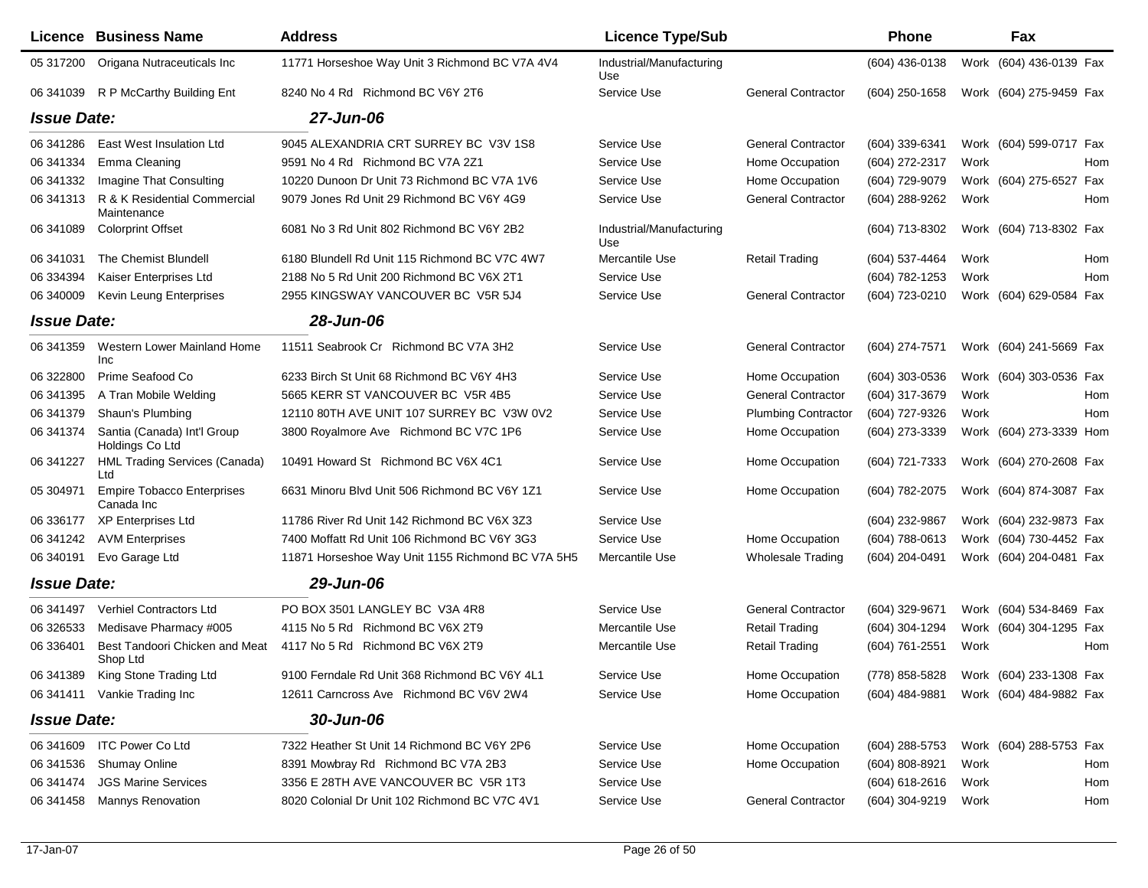|                    | <b>Licence Business Name</b>                    | <b>Address</b>                                    | <b>Licence Type/Sub</b>         |                            | Phone                                  |      | Fax                     |            |
|--------------------|-------------------------------------------------|---------------------------------------------------|---------------------------------|----------------------------|----------------------------------------|------|-------------------------|------------|
| 05 317200          | Origana Nutraceuticals Inc                      | 11771 Horseshoe Way Unit 3 Richmond BC V7A 4V4    | Industrial/Manufacturing<br>Use |                            | (604) 436-0138                         |      | Work (604) 436-0139 Fax |            |
| 06 341039          | R P McCarthy Building Ent                       | 8240 No 4 Rd Richmond BC V6Y 2T6                  | Service Use                     | <b>General Contractor</b>  | $(604)$ 250-1658                       |      | Work (604) 275-9459 Fax |            |
| <b>Issue Date:</b> |                                                 | 27-Jun-06                                         |                                 |                            |                                        |      |                         |            |
| 06 341 286         | East West Insulation Ltd                        | 9045 ALEXANDRIA CRT SURREY BC V3V 1S8             | Service Use                     | <b>General Contractor</b>  | (604) 339-6341                         |      | Work (604) 599-0717 Fax |            |
| 06 341334          | Emma Cleaning                                   | 9591 No 4 Rd Richmond BC V7A 2Z1                  | Service Use                     | Home Occupation            | (604) 272-2317                         | Work |                         | Hom        |
| 06 341332          | Imagine That Consulting                         | 10220 Dunoon Dr Unit 73 Richmond BC V7A 1V6       | Service Use                     | Home Occupation            | (604) 729-9079                         |      | Work (604) 275-6527     | Fax        |
| 06 341313          | R & K Residential Commercial<br>Maintenance     | 9079 Jones Rd Unit 29 Richmond BC V6Y 4G9         | Service Use                     | <b>General Contractor</b>  | (604) 288-9262                         | Work |                         | Hom        |
| 06 341 089         | <b>Colorprint Offset</b>                        | 6081 No 3 Rd Unit 802 Richmond BC V6Y 2B2         | Industrial/Manufacturing<br>Use |                            | (604) 713-8302                         |      | Work (604) 713-8302 Fax |            |
| 06 341 031         | The Chemist Blundell                            | 6180 Blundell Rd Unit 115 Richmond BC V7C 4W7     | Mercantile Use                  | Retail Trading             | (604) 537-4464                         | Work |                         | Hom        |
| 06 334394          | Kaiser Enterprises Ltd                          | 2188 No 5 Rd Unit 200 Richmond BC V6X 2T1         | Service Use                     |                            | (604) 782-1253                         | Work |                         | Hom        |
| 06 340009          | <b>Kevin Leung Enterprises</b>                  | 2955 KINGSWAY VANCOUVER BC V5R 5J4                | Service Use                     | <b>General Contractor</b>  | (604) 723-0210                         |      | Work (604) 629-0584 Fax |            |
| <b>Issue Date:</b> |                                                 | 28-Jun-06                                         |                                 |                            |                                        |      |                         |            |
| 06 341359          | Western Lower Mainland Home<br>Inc              | 11511 Seabrook Cr Richmond BC V7A 3H2             | Service Use                     | <b>General Contractor</b>  | (604) 274-7571                         |      | Work (604) 241-5669 Fax |            |
| 06 322800          | Prime Seafood Co                                | 6233 Birch St Unit 68 Richmond BC V6Y 4H3         | Service Use                     | Home Occupation            | (604) 303-0536                         |      | Work (604) 303-0536 Fax |            |
| 06 341 395         | A Tran Mobile Welding                           | 5665 KERR ST VANCOUVER BC V5R 4B5                 | Service Use                     | <b>General Contractor</b>  | (604) 317-3679                         | Work |                         | Hom        |
| 06 341379          | Shaun's Plumbing                                | 12110 80TH AVE UNIT 107 SURREY BC V3W 0V2         | Service Use                     | <b>Plumbing Contractor</b> | (604) 727-9326                         | Work |                         | <b>Hom</b> |
| 06 341374          | Santia (Canada) Int'l Group<br>Holdings Co Ltd  | 3800 Royalmore Ave Richmond BC V7C 1P6            | Service Use                     | Home Occupation            | (604) 273-3339                         |      | Work (604) 273-3339 Hom |            |
| 06 341227          | <b>HML Trading Services (Canada)</b><br>Ltd     | 10491 Howard St Richmond BC V6X 4C1               | Service Use                     | Home Occupation            | (604) 721-7333                         |      | Work (604) 270-2608 Fax |            |
| 05 304971          | <b>Empire Tobacco Enterprises</b><br>Canada Inc | 6631 Minoru Blvd Unit 506 Richmond BC V6Y 1Z1     | Service Use                     | Home Occupation            | (604) 782-2075                         |      | Work (604) 874-3087 Fax |            |
| 06 336177          | <b>XP Enterprises Ltd</b>                       | 11786 River Rd Unit 142 Richmond BC V6X 3Z3       | Service Use                     |                            | (604) 232-9867                         |      | Work (604) 232-9873 Fax |            |
| 06 341242          | <b>AVM Enterprises</b>                          | 7400 Moffatt Rd Unit 106 Richmond BC V6Y 3G3      | Service Use                     | Home Occupation            | (604) 788-0613                         |      | Work (604) 730-4452 Fax |            |
| 06 340191          | Evo Garage Ltd                                  | 11871 Horseshoe Way Unit 1155 Richmond BC V7A 5H5 | Mercantile Use                  | <b>Wholesale Trading</b>   | (604) 204-0491                         |      | Work (604) 204-0481 Fax |            |
| <b>Issue Date:</b> |                                                 | 29-Jun-06                                         |                                 |                            |                                        |      |                         |            |
| 06 341497          | <b>Verhiel Contractors Ltd</b>                  | PO BOX 3501 LANGLEY BC V3A 4R8                    | Service Use                     | <b>General Contractor</b>  | (604) 329-9671                         |      | Work (604) 534-8469 Fax |            |
| 06 32 6533         | Medisave Pharmacy #005                          | 4115 No 5 Rd Richmond BC V6X 2T9                  | Mercantile Use                  | <b>Retail Trading</b>      | (604) 304-1294                         |      | Work (604) 304-1295 Fax |            |
| 06 33 6401         | Best Tandoori Chicken and Meat<br>Shop Ltd      | 4117 No 5 Rd Richmond BC V6X 2T9                  | Mercantile Use                  | <b>Retail Trading</b>      | (604) 761-2551                         | Work |                         | Hom        |
|                    | 06 341389 King Stone Trading Ltd                | 9100 Ferndale Rd Unit 368 Richmond BC V6Y 4L1     | Service Use                     | Home Occupation            | (778) 858-5828 Work (604) 233-1308 Fax |      |                         |            |
|                    | 06 341411 Vankie Trading Inc                    | 12611 Carncross Ave Richmond BC V6V 2W4           | Service Use                     | Home Occupation            | (604) 484-9881 Work (604) 484-9882 Fax |      |                         |            |
| <b>Issue Date:</b> |                                                 | 30-Jun-06                                         |                                 |                            |                                        |      |                         |            |
|                    | 06 341609 ITC Power Co Ltd                      | 7322 Heather St Unit 14 Richmond BC V6Y 2P6       | Service Use                     | Home Occupation            | (604) 288-5753                         |      | Work (604) 288-5753 Fax |            |
| 06 341536          | <b>Shumay Online</b>                            | 8391 Mowbray Rd Richmond BC V7A 2B3               | Service Use                     | Home Occupation            | (604) 808-8921                         | Work |                         | Hom        |
| 06 341474          | <b>JGS Marine Services</b>                      | 3356 E 28TH AVE VANCOUVER BC V5R 1T3              | Service Use                     |                            | $(604) 618 - 2616$                     | Work |                         | Hom        |
| 06 341458          | Mannys Renovation                               | 8020 Colonial Dr Unit 102 Richmond BC V7C 4V1     | Service Use                     | <b>General Contractor</b>  | (604) 304-9219                         | Work |                         | Hom        |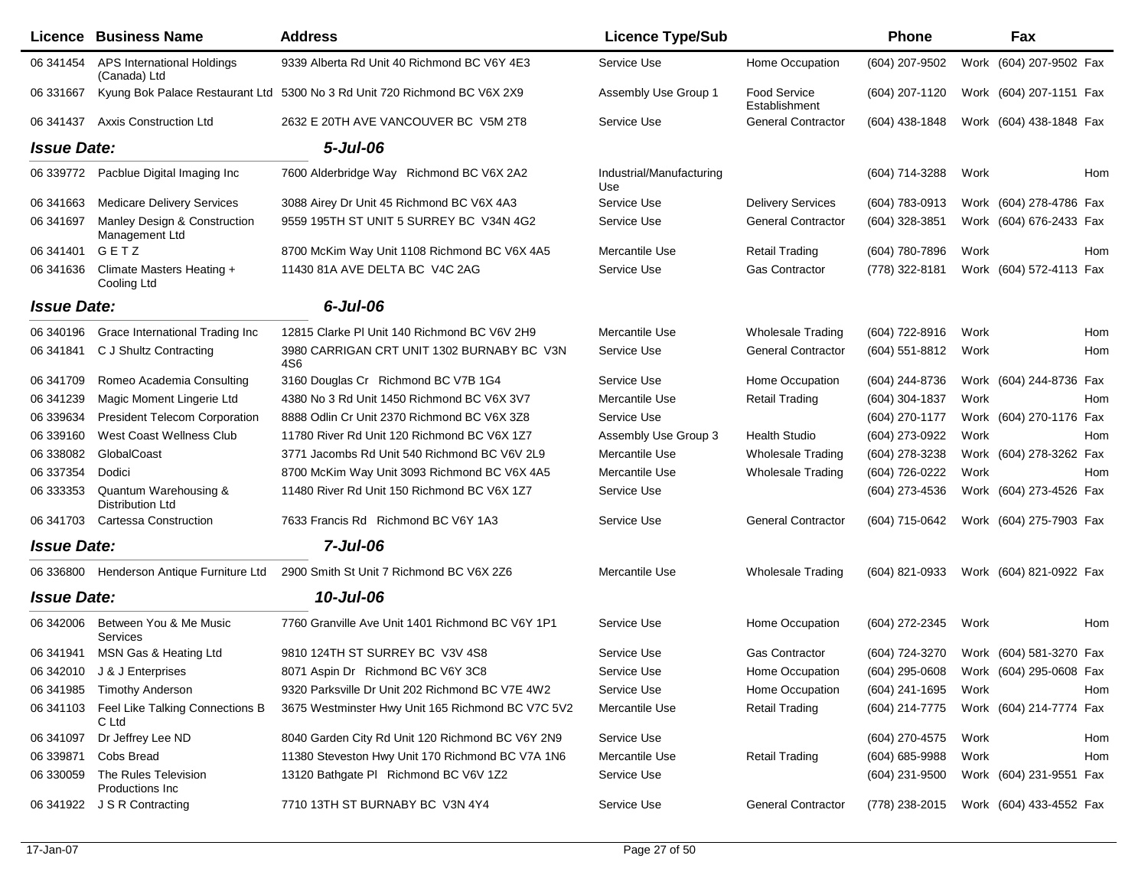|                    | Licence Business Name                              | <b>Address</b>                                                            | <b>Licence Type/Sub</b>         |                                      | <b>Phone</b>        | Fax                                    |
|--------------------|----------------------------------------------------|---------------------------------------------------------------------------|---------------------------------|--------------------------------------|---------------------|----------------------------------------|
| 06 341454          | <b>APS International Holdings</b><br>(Canada) Ltd  | 9339 Alberta Rd Unit 40 Richmond BC V6Y 4E3                               | Service Use                     | Home Occupation                      | (604) 207-9502      | Work (604) 207-9502 Fax                |
| 06 331667          |                                                    | Kyung Bok Palace Restaurant Ltd 5300 No 3 Rd Unit 720 Richmond BC V6X 2X9 | Assembly Use Group 1            | <b>Food Service</b><br>Establishment | (604) 207-1120      | Work (604) 207-1151 Fax                |
| 06 341437          | Axxis Construction Ltd                             | 2632 E 20TH AVE VANCOUVER BC V5M 2T8                                      | Service Use                     | <b>General Contractor</b>            | (604) 438-1848      | Work (604) 438-1848 Fax                |
| <b>Issue Date:</b> |                                                    | $5 -$ Jul $-06$                                                           |                                 |                                      |                     |                                        |
|                    | 06 339772 Pacblue Digital Imaging Inc              | 7600 Alderbridge Way Richmond BC V6X 2A2                                  | Industrial/Manufacturing<br>Use |                                      | (604) 714-3288      | Hom<br>Work                            |
| 06 341 663         | <b>Medicare Delivery Services</b>                  | 3088 Airey Dr Unit 45 Richmond BC V6X 4A3                                 | Service Use                     | <b>Delivery Services</b>             | (604) 783-0913      | Work (604) 278-4786 Fax                |
| 06 341697          | Manley Design & Construction<br>Management Ltd     | 9559 195TH ST UNIT 5 SURREY BC V34N 4G2                                   | Service Use                     | <b>General Contractor</b>            | (604) 328-3851      | Work (604) 676-2433 Fax                |
| 06 341401          | GETZ                                               | 8700 McKim Way Unit 1108 Richmond BC V6X 4A5                              | Mercantile Use                  | <b>Retail Trading</b>                | (604) 780-7896      | Work<br>Hom                            |
| 06 341 636         | Climate Masters Heating +<br>Cooling Ltd           | 11430 81A AVE DELTA BC V4C 2AG                                            | Service Use                     | <b>Gas Contractor</b>                | (778) 322-8181      | Work (604) 572-4113 Fax                |
| <b>Issue Date:</b> |                                                    | $6$ -Jul-06                                                               |                                 |                                      |                     |                                        |
| 06 340196          | Grace International Trading Inc                    | 12815 Clarke PI Unit 140 Richmond BC V6V 2H9                              | Mercantile Use                  | <b>Wholesale Trading</b>             | (604) 722-8916      | Work<br>Hom                            |
| 06 341841          | C J Shultz Contracting                             | 3980 CARRIGAN CRT UNIT 1302 BURNABY BC V3N<br>4S6                         | Service Use                     | <b>General Contractor</b>            | (604) 551-8812      | Work<br>Hom                            |
| 06 341709          | Romeo Academia Consulting                          | 3160 Douglas Cr Richmond BC V7B 1G4                                       | Service Use                     | Home Occupation                      | (604) 244-8736      | Work (604) 244-8736 Fax                |
| 06 341239          | Magic Moment Lingerie Ltd                          | 4380 No 3 Rd Unit 1450 Richmond BC V6X 3V7                                | Mercantile Use                  | <b>Retail Trading</b>                | (604) 304-1837      | Hom<br>Work                            |
| 06 339634          | <b>President Telecom Corporation</b>               | 8888 Odlin Cr Unit 2370 Richmond BC V6X 3Z8                               | Service Use                     |                                      | (604) 270-1177      | Work (604) 270-1176 Fax                |
| 06 339160          | West Coast Wellness Club                           | 11780 River Rd Unit 120 Richmond BC V6X 1Z7                               | Assembly Use Group 3            | <b>Health Studio</b>                 | (604) 273-0922      | Work<br>Hom                            |
| 06 338082          | GlobalCoast                                        | 3771 Jacombs Rd Unit 540 Richmond BC V6V 2L9                              | Mercantile Use                  | <b>Wholesale Trading</b>             | (604) 278-3238      | Work (604) 278-3262 Fax                |
| 06 337354          | Dodici                                             | 8700 McKim Way Unit 3093 Richmond BC V6X 4A5                              | Mercantile Use                  | <b>Wholesale Trading</b>             | (604) 726-0222      | Work<br>Hom                            |
| 06 333353          | Quantum Warehousing &<br>Distribution Ltd          | 11480 River Rd Unit 150 Richmond BC V6X 127                               | Service Use                     |                                      | (604) 273-4536      | Work (604) 273-4526 Fax                |
| 06 341703          | <b>Cartessa Construction</b>                       | 7633 Francis Rd Richmond BC V6Y 1A3                                       | Service Use                     | <b>General Contractor</b>            | (604) 715-0642      | Work (604) 275-7903 Fax                |
| <b>Issue Date:</b> |                                                    | $7$ -Jul-06                                                               |                                 |                                      |                     |                                        |
| 06 336800          | Henderson Antique Furniture Ltd                    | 2900 Smith St Unit 7 Richmond BC V6X 2Z6                                  | Mercantile Use                  | <b>Wholesale Trading</b>             | (604) 821-0933      | Work (604) 821-0922 Fax                |
| <b>Issue Date:</b> |                                                    | 10-Jul-06                                                                 |                                 |                                      |                     |                                        |
| 06 34 2006         | Between You & Me Music<br>Services                 | 7760 Granville Ave Unit 1401 Richmond BC V6Y 1P1                          | Service Use                     | Home Occupation                      | (604) 272-2345      | Work<br>Hom                            |
|                    | 06 341941 MSN Gas & Heating Ltd                    | 9810 124TH ST SURREY BC V3V 4S8                                           | Service Use                     | <b>Gas Contractor</b>                | (604) 724-3270      | Work (604) 581-3270 Fax                |
|                    | 06 342010 J & J Enterprises                        | 8071 Aspin Dr Richmond BC V6Y 3C8                                         | Service Use                     | Home Occupation                      |                     | (604) 295-0608 Work (604) 295-0608 Fax |
|                    | 06 341985 Timothy Anderson                         | 9320 Parksville Dr Unit 202 Richmond BC V7E 4W2                           | Service Use                     | Home Occupation                      | (604) 241-1695 Work | Hom                                    |
|                    | 06 341103 Feel Like Talking Connections B<br>C Ltd | 3675 Westminster Hwy Unit 165 Richmond BC V7C 5V2                         | Mercantile Use                  | <b>Retail Trading</b>                |                     | (604) 214-7775 Work (604) 214-7774 Fax |
| 06 341097          | Dr Jeffrey Lee ND                                  | 8040 Garden City Rd Unit 120 Richmond BC V6Y 2N9                          | Service Use                     |                                      | (604) 270-4575      | Work<br>Hom                            |
| 06 339871          | Cobs Bread                                         | 11380 Steveston Hwy Unit 170 Richmond BC V7A 1N6                          | Mercantile Use                  | <b>Retail Trading</b>                | $(604) 685 - 9988$  | Work<br>Hom                            |
| 06 330059          | The Rules Television<br>Productions Inc            | 13120 Bathgate PI Richmond BC V6V 1Z2                                     | Service Use                     |                                      | (604) 231-9500      | Work (604) 231-9551 Fax                |
|                    | 06 341922 J S R Contracting                        | 7710 13TH ST BURNABY BC V3N 4Y4                                           | Service Use                     | <b>General Contractor</b>            |                     | (778) 238-2015 Work (604) 433-4552 Fax |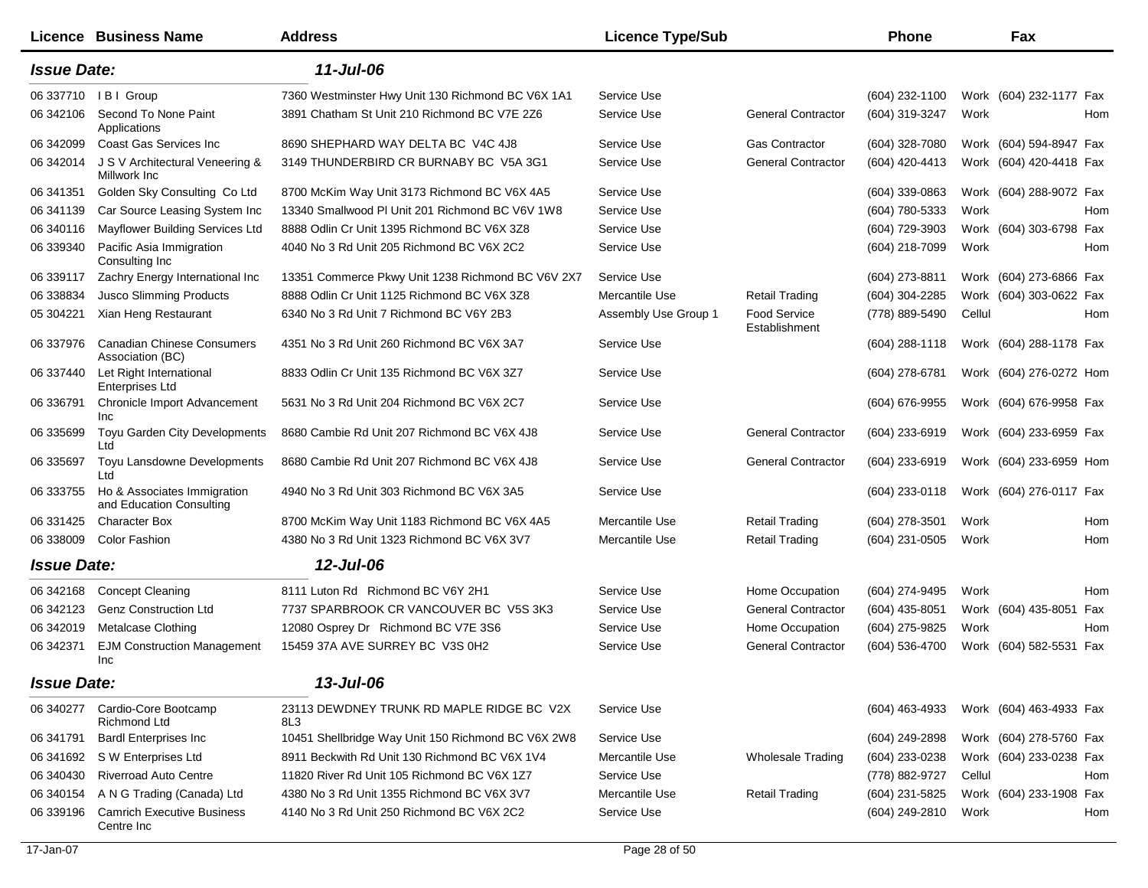|                    | <b>Licence Business Name</b>                            | <b>Address</b>                                     | <b>Licence Type/Sub</b> |                                      | <b>Phone</b>     |        | Fax                     |     |
|--------------------|---------------------------------------------------------|----------------------------------------------------|-------------------------|--------------------------------------|------------------|--------|-------------------------|-----|
| <b>Issue Date:</b> |                                                         | 11-Jul-06                                          |                         |                                      |                  |        |                         |     |
| 06 337710          | I B I Group                                             | 7360 Westminster Hwy Unit 130 Richmond BC V6X 1A1  | Service Use             |                                      | (604) 232-1100   |        | Work (604) 232-1177 Fax |     |
| 06 342106          | Second To None Paint<br>Applications                    | 3891 Chatham St Unit 210 Richmond BC V7E 2Z6       | Service Use             | <b>General Contractor</b>            | (604) 319-3247   | Work   |                         | Hom |
| 06 34 2099         | Coast Gas Services Inc                                  | 8690 SHEPHARD WAY DELTA BC V4C 4J8                 | Service Use             | Gas Contractor                       | (604) 328-7080   |        | Work (604) 594-8947 Fax |     |
| 06 34 2014         | J S V Architectural Veneering &<br>Millwork Inc         | 3149 THUNDERBIRD CR BURNABY BC V5A 3G1             | Service Use             | <b>General Contractor</b>            | (604) 420-4413   |        | Work (604) 420-4418 Fax |     |
| 06 341351          | Golden Sky Consulting Co Ltd                            | 8700 McKim Way Unit 3173 Richmond BC V6X 4A5       | Service Use             |                                      | (604) 339-0863   |        | Work (604) 288-9072 Fax |     |
| 06 341139          | Car Source Leasing System Inc                           | 13340 Smallwood PI Unit 201 Richmond BC V6V 1W8    | Service Use             |                                      | (604) 780-5333   | Work   |                         | Hom |
| 06 340116          | Mayflower Building Services Ltd                         | 8888 Odlin Cr Unit 1395 Richmond BC V6X 3Z8        | Service Use             |                                      | (604) 729-3903   |        | Work (604) 303-6798 Fax |     |
| 06 339340          | Pacific Asia Immigration<br>Consulting Inc              | 4040 No 3 Rd Unit 205 Richmond BC V6X 2C2          | Service Use             |                                      | (604) 218-7099   | Work   |                         | Hom |
| 06 339117          | Zachry Energy International Inc                         | 13351 Commerce Pkwy Unit 1238 Richmond BC V6V 2X7  | Service Use             |                                      | (604) 273-8811   |        | Work (604) 273-6866 Fax |     |
| 06 338834          | <b>Jusco Slimming Products</b>                          | 8888 Odlin Cr Unit 1125 Richmond BC V6X 3Z8        | Mercantile Use          | <b>Retail Trading</b>                | (604) 304-2285   |        | Work (604) 303-0622 Fax |     |
| 05 304221          | Xian Heng Restaurant                                    | 6340 No 3 Rd Unit 7 Richmond BC V6Y 2B3            | Assembly Use Group 1    | <b>Food Service</b><br>Establishment | (778) 889-5490   | Cellul |                         | Hom |
| 06 337976          | <b>Canadian Chinese Consumers</b><br>Association (BC)   | 4351 No 3 Rd Unit 260 Richmond BC V6X 3A7          | Service Use             |                                      | $(604)$ 288-1118 |        | Work (604) 288-1178 Fax |     |
| 06 337440          | Let Right International<br><b>Enterprises Ltd</b>       | 8833 Odlin Cr Unit 135 Richmond BC V6X 3Z7         | Service Use             |                                      | (604) 278-6781   |        | Work (604) 276-0272 Hom |     |
| 06 336791          | Chronicle Import Advancement<br>Inc                     | 5631 No 3 Rd Unit 204 Richmond BC V6X 2C7          | Service Use             |                                      | (604) 676-9955   |        | Work (604) 676-9958 Fax |     |
| 06 335699          | <b>Toyu Garden City Developments</b><br>Ltd             | 8680 Cambie Rd Unit 207 Richmond BC V6X 4J8        | Service Use             | <b>General Contractor</b>            | (604) 233-6919   |        | Work (604) 233-6959 Fax |     |
| 06 335697          | Toyu Lansdowne Developments<br>Ltd                      | 8680 Cambie Rd Unit 207 Richmond BC V6X 4J8        | Service Use             | <b>General Contractor</b>            | (604) 233-6919   |        | Work (604) 233-6959 Hom |     |
| 06 333755          | Ho & Associates Immigration<br>and Education Consulting | 4940 No 3 Rd Unit 303 Richmond BC V6X 3A5          | Service Use             |                                      | (604) 233-0118   |        | Work (604) 276-0117 Fax |     |
| 06 331425          | <b>Character Box</b>                                    | 8700 McKim Way Unit 1183 Richmond BC V6X 4A5       | Mercantile Use          | <b>Retail Trading</b>                | (604) 278-3501   | Work   |                         | Hom |
| 06 338009          | <b>Color Fashion</b>                                    | 4380 No 3 Rd Unit 1323 Richmond BC V6X 3V7         | Mercantile Use          | <b>Retail Trading</b>                | (604) 231-0505   | Work   |                         | Hom |
| <b>Issue Date:</b> |                                                         | 12-Jul-06                                          |                         |                                      |                  |        |                         |     |
| 06 342168          | <b>Concept Cleaning</b>                                 | 8111 Luton Rd Richmond BC V6Y 2H1                  | Service Use             | Home Occupation                      | (604) 274-9495   | Work   |                         | Hom |
| 06 342123          | <b>Genz Construction Ltd</b>                            | 7737 SPARBROOK CR VANCOUVER BC V5S 3K3             | Service Use             | <b>General Contractor</b>            | (604) 435-8051   |        | Work (604) 435-8051     | Fax |
| 06 34 2019         | Metalcase Clothing                                      | 12080 Osprey Dr Richmond BC V7E 3S6                | Service Use             | Home Occupation                      | (604) 275-9825   | Work   |                         | Hom |
| 06 34 2371         | <b>EJM Construction Management</b><br>Inc               | 15459 37A AVE SURREY BC V3S 0H2                    | Service Use             | <b>General Contractor</b>            | (604) 536-4700   |        | Work (604) 582-5531 Fax |     |
| <b>Issue Date:</b> |                                                         | 13-Jul-06                                          |                         |                                      |                  |        |                         |     |
| 06 340277          | Cardio-Core Bootcamp<br>Richmond Ltd                    | 23113 DEWDNEY TRUNK RD MAPLE RIDGE BC V2X<br>8L3   | Service Use             |                                      | (604) 463-4933   |        | Work (604) 463-4933 Fax |     |
| 06 341791          | <b>Bardl Enterprises Inc</b>                            | 10451 Shellbridge Way Unit 150 Richmond BC V6X 2W8 | Service Use             |                                      | (604) 249-2898   |        | Work (604) 278-5760 Fax |     |
| 06 341692          | S W Enterprises Ltd                                     | 8911 Beckwith Rd Unit 130 Richmond BC V6X 1V4      | Mercantile Use          | Wholesale Trading                    | (604) 233-0238   |        | Work (604) 233-0238 Fax |     |
| 06 340430          | <b>Riverroad Auto Centre</b>                            | 11820 River Rd Unit 105 Richmond BC V6X 1Z7        | Service Use             |                                      | (778) 882-9727   | Cellul |                         | Hom |
| 06 340154          | A N G Trading (Canada) Ltd                              | 4380 No 3 Rd Unit 1355 Richmond BC V6X 3V7         | Mercantile Use          | <b>Retail Trading</b>                | (604) 231-5825   |        | Work (604) 233-1908 Fax |     |
| 06 339196          | <b>Camrich Executive Business</b><br>Centre Inc         | 4140 No 3 Rd Unit 250 Richmond BC V6X 2C2          | Service Use             |                                      | (604) 249-2810   | Work   |                         | Hom |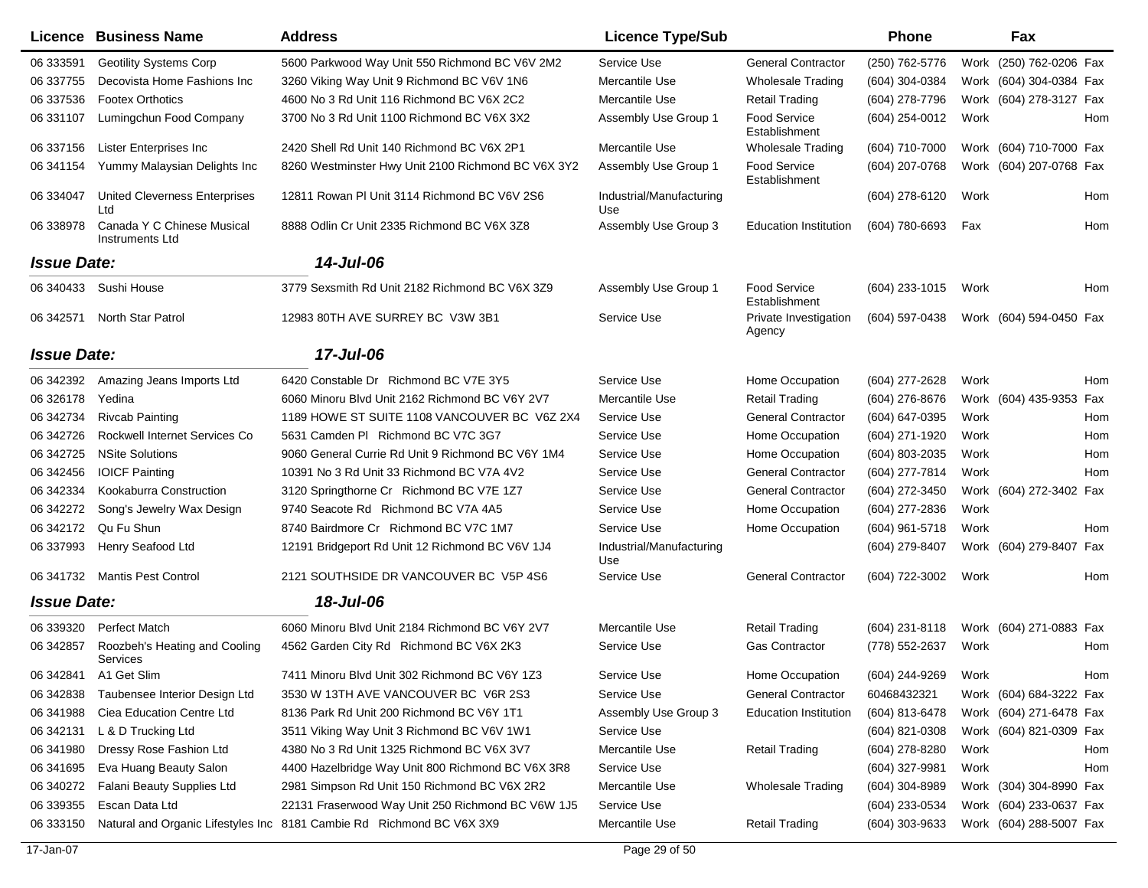|                    | <b>Licence Business Name</b>                  | <b>Address</b>                                                        | <b>Licence Type/Sub</b>         |                                      | <b>Phone</b>        | Fax                     |
|--------------------|-----------------------------------------------|-----------------------------------------------------------------------|---------------------------------|--------------------------------------|---------------------|-------------------------|
| 06 333591          | <b>Geotility Systems Corp</b>                 | 5600 Parkwood Way Unit 550 Richmond BC V6V 2M2                        | Service Use                     | <b>General Contractor</b>            | (250) 762-5776      | Work (250) 762-0206 Fax |
| 06 337755          | Decovista Home Fashions Inc                   | 3260 Viking Way Unit 9 Richmond BC V6V 1N6                            | Mercantile Use                  | <b>Wholesale Trading</b>             | (604) 304-0384      | Work (604) 304-0384 Fax |
| 06 337536          | <b>Footex Orthotics</b>                       | 4600 No 3 Rd Unit 116 Richmond BC V6X 2C2                             | Mercantile Use                  | <b>Retail Trading</b>                | (604) 278-7796      | Work (604) 278-3127 Fax |
| 06 331107          | Lumingchun Food Company                       | 3700 No 3 Rd Unit 1100 Richmond BC V6X 3X2                            | Assembly Use Group 1            | <b>Food Service</b><br>Establishment | (604) 254-0012      | Work<br>Hom             |
| 06 337156          | Lister Enterprises Inc                        | 2420 Shell Rd Unit 140 Richmond BC V6X 2P1                            | Mercantile Use                  | <b>Wholesale Trading</b>             | $(604)$ 710-7000    | Work (604) 710-7000 Fax |
| 06 341154          | Yummy Malaysian Delights Inc                  | 8260 Westminster Hwy Unit 2100 Richmond BC V6X 3Y2                    | Assembly Use Group 1            | <b>Food Service</b><br>Establishment | (604) 207-0768      | Work (604) 207-0768 Fax |
| 06 334047          | <b>United Cleverness Enterprises</b><br>Ltd   | 12811 Rowan PI Unit 3114 Richmond BC V6V 2S6                          | Industrial/Manufacturing<br>Use |                                      | (604) 278-6120      | Work<br>Hom             |
| 06 338978          | Canada Y C Chinese Musical<br>Instruments Ltd | 8888 Odlin Cr Unit 2335 Richmond BC V6X 3Z8                           | Assembly Use Group 3            | <b>Education Institution</b>         | (604) 780-6693      | Hom<br>Fax              |
| <b>Issue Date:</b> |                                               | 14-Jul-06                                                             |                                 |                                      |                     |                         |
| 06 34 04 33        | Sushi House                                   | 3779 Sexsmith Rd Unit 2182 Richmond BC V6X 3Z9                        | Assembly Use Group 1            | <b>Food Service</b><br>Establishment | $(604)$ 233-1015    | Work<br>Hom             |
| 06 34 25 71        | <b>North Star Patrol</b>                      | 12983 80TH AVE SURREY BC V3W 3B1                                      | Service Use                     | Private Investigation<br>Agency      | (604) 597-0438      | Work (604) 594-0450 Fax |
| <b>Issue Date:</b> |                                               | 17-Jul-06                                                             |                                 |                                      |                     |                         |
| 06 342392          | Amazing Jeans Imports Ltd                     | 6420 Constable Dr Richmond BC V7E 3Y5                                 | Service Use                     | Home Occupation                      | (604) 277-2628      | Work<br>Hom             |
| 06 326178          | Yedina                                        | 6060 Minoru Blvd Unit 2162 Richmond BC V6Y 2V7                        | Mercantile Use                  | <b>Retail Trading</b>                | (604) 276-8676      | Work (604) 435-9353 Fax |
| 06 342734          | <b>Rivcab Painting</b>                        | 1189 HOWE ST SUITE 1108 VANCOUVER BC V6Z 2X4                          | Service Use                     | <b>General Contractor</b>            | (604) 647-0395      | Work<br>Hom             |
| 06 342726          | Rockwell Internet Services Co                 | 5631 Camden PI Richmond BC V7C 3G7                                    | Service Use                     | Home Occupation                      | (604) 271-1920      | Work<br>Hom             |
| 06 342725          | <b>NSite Solutions</b>                        | 9060 General Currie Rd Unit 9 Richmond BC V6Y 1M4                     | Service Use                     | Home Occupation                      | (604) 803-2035      | Hom<br>Work             |
| 06 342456          | <b>IOICF Painting</b>                         | 10391 No 3 Rd Unit 33 Richmond BC V7A 4V2                             | Service Use                     | <b>General Contractor</b>            | (604) 277-7814      | Work<br>Hom             |
| 06 342334          | Kookaburra Construction                       | 3120 Springthorne Cr Richmond BC V7E 1Z7                              | Service Use                     | <b>General Contractor</b>            | (604) 272-3450      | Work (604) 272-3402 Fax |
| 06 342272          | Song's Jewelry Wax Design                     | 9740 Seacote Rd Richmond BC V7A 4A5                                   | Service Use                     | Home Occupation                      | (604) 277-2836      | Work                    |
| 06 342172          | Qu Fu Shun                                    | 8740 Bairdmore Cr Richmond BC V7C 1M7                                 | Service Use                     | Home Occupation                      | (604) 961-5718      | Work<br>Hom             |
| 06 337993          | Henry Seafood Ltd                             | 12191 Bridgeport Rd Unit 12 Richmond BC V6V 1J4                       | Industrial/Manufacturing<br>Use |                                      | (604) 279-8407      | Work (604) 279-8407 Fax |
|                    | 06 341732 Mantis Pest Control                 | 2121 SOUTHSIDE DR VANCOUVER BC V5P 4S6                                | Service Use                     | <b>General Contractor</b>            | (604) 722-3002      | Work<br>Hom             |
| <b>Issue Date:</b> |                                               | 18-Jul-06                                                             |                                 |                                      |                     |                         |
| 06 339320          | <b>Perfect Match</b>                          | 6060 Minoru Blvd Unit 2184 Richmond BC V6Y 2V7                        | Mercantile Use                  | <b>Retail Trading</b>                | $(604)$ 231-8118    | Work (604) 271-0883 Fax |
| 06 342857          | Roozbeh's Heating and Cooling<br>Services     | 4562 Garden City Rd Richmond BC V6X 2K3                               | Service Use                     | <b>Gas Contractor</b>                | (778) 552-2637      | Work<br>Hom             |
| 06 342841          | A1 Get Slim                                   | 7411 Minoru Blvd Unit 302 Richmond BC V6Y 1Z3                         | Service Use                     | Home Occupation                      | (604) 244-9269 Work | Hom                     |
| 06 34 28 38        | Taubensee Interior Design Ltd                 | 3530 W 13TH AVE VANCOUVER BC V6R 2S3                                  | Service Use                     | <b>General Contractor</b>            | 60468432321         | Work (604) 684-3222 Fax |
| 06 341988          | Ciea Education Centre Ltd                     | 8136 Park Rd Unit 200 Richmond BC V6Y 1T1                             | Assembly Use Group 3            | <b>Education Institution</b>         | (604) 813-6478      | Work (604) 271-6478 Fax |
| 06 342131          | L & D Trucking Ltd                            | 3511 Viking Way Unit 3 Richmond BC V6V 1W1                            | Service Use                     |                                      | $(604)$ 821-0308    | Work (604) 821-0309 Fax |
| 06 341980          | Dressy Rose Fashion Ltd                       | 4380 No 3 Rd Unit 1325 Richmond BC V6X 3V7                            | Mercantile Use                  | <b>Retail Trading</b>                | (604) 278-8280      | Work<br>Hom             |
| 06 341 695         | Eva Huang Beauty Salon                        | 4400 Hazelbridge Way Unit 800 Richmond BC V6X 3R8                     | Service Use                     |                                      | (604) 327-9981      | Work<br>Hom             |
| 06 340272          | <b>Falani Beauty Supplies Ltd</b>             | 2981 Simpson Rd Unit 150 Richmond BC V6X 2R2                          | Mercantile Use                  | <b>Wholesale Trading</b>             | $(604)$ 304-8989    | Work (304) 304-8990 Fax |
| 06 339355          | Escan Data Ltd                                | 22131 Fraserwood Way Unit 250 Richmond BC V6W 1J5                     | Service Use                     |                                      | (604) 233-0534      | Work (604) 233-0637 Fax |
| 06 333150          |                                               | Natural and Organic Lifestyles Inc 8181 Cambie Rd Richmond BC V6X 3X9 | Mercantile Use                  | <b>Retail Trading</b>                | (604) 303-9633      | Work (604) 288-5007 Fax |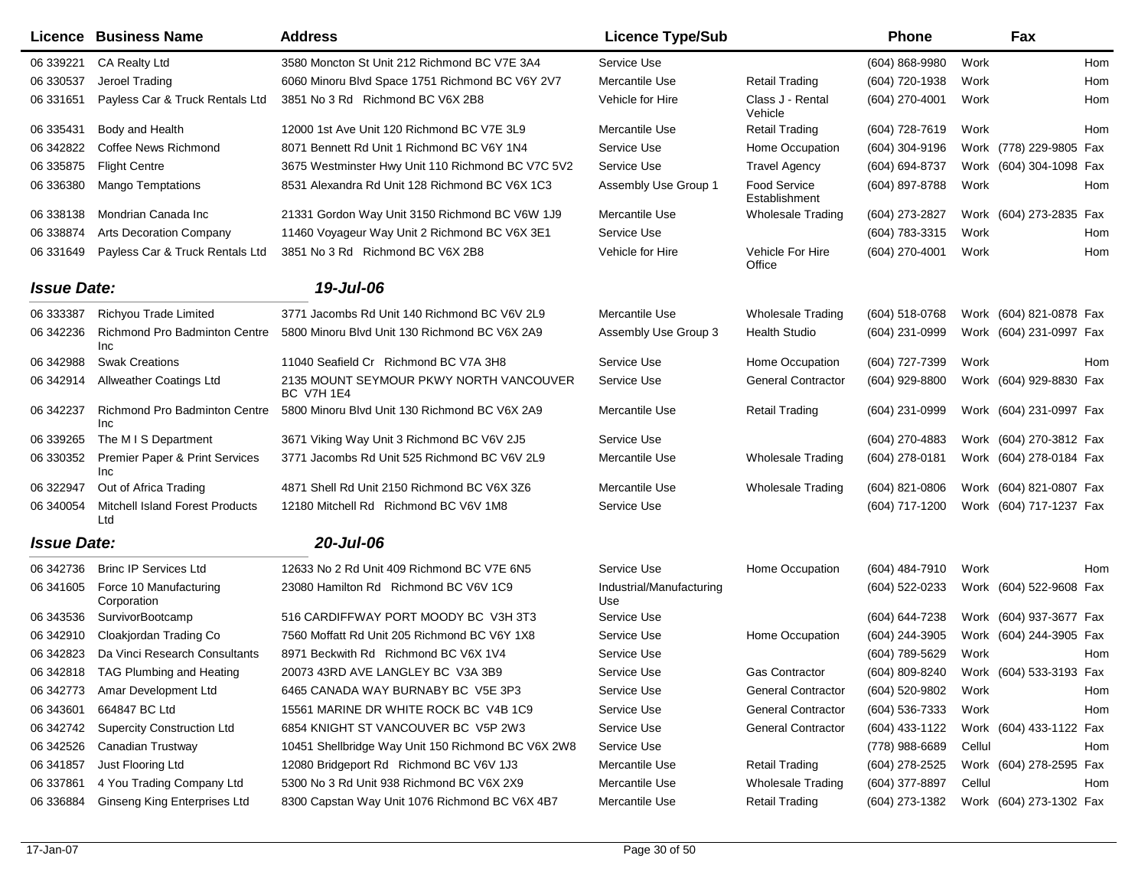|                    | Licence Business Name                         | <b>Address</b>                                               | <b>Licence Type/Sub</b>         |                                      | <b>Phone</b>       |        | Fax                     |     |
|--------------------|-----------------------------------------------|--------------------------------------------------------------|---------------------------------|--------------------------------------|--------------------|--------|-------------------------|-----|
| 06 339221          | CA Realty Ltd                                 | 3580 Moncton St Unit 212 Richmond BC V7E 3A4                 | Service Use                     |                                      | $(604) 868 - 9980$ | Work   |                         | Hom |
| 06 330537          | Jeroel Trading                                | 6060 Minoru Blvd Space 1751 Richmond BC V6Y 2V7              | Mercantile Use                  | <b>Retail Trading</b>                | (604) 720-1938     | Work   |                         | Hom |
| 06 331651          | Payless Car & Truck Rentals Ltd               | 3851 No 3 Rd Richmond BC V6X 2B8                             | Vehicle for Hire                | Class J - Rental<br>Vehicle          | (604) 270-4001     | Work   |                         | Hom |
| 06 335431          | Body and Health                               | 12000 1st Ave Unit 120 Richmond BC V7E 3L9                   | Mercantile Use                  | <b>Retail Trading</b>                | (604) 728-7619     | Work   |                         | Hom |
| 06 342822          | Coffee News Richmond                          | 8071 Bennett Rd Unit 1 Richmond BC V6Y 1N4                   | Service Use                     | Home Occupation                      | (604) 304-9196     |        | Work (778) 229-9805 Fax |     |
| 06 335875          | <b>Flight Centre</b>                          | 3675 Westminster Hwy Unit 110 Richmond BC V7C 5V2            | Service Use                     | <b>Travel Agency</b>                 | (604) 694-8737     |        | Work (604) 304-1098     | Fax |
| 06 336380          | <b>Mango Temptations</b>                      | 8531 Alexandra Rd Unit 128 Richmond BC V6X 1C3               | Assembly Use Group 1            | <b>Food Service</b><br>Establishment | (604) 897-8788     | Work   |                         | Hom |
| 06 338138          | Mondrian Canada Inc                           | 21331 Gordon Way Unit 3150 Richmond BC V6W 1J9               | Mercantile Use                  | <b>Wholesale Trading</b>             | (604) 273-2827     |        | Work (604) 273-2835 Fax |     |
| 06 338874          | <b>Arts Decoration Company</b>                | 11460 Voyageur Way Unit 2 Richmond BC V6X 3E1                | Service Use                     |                                      | (604) 783-3315     | Work   |                         | Hom |
| 06 331649          | Payless Car & Truck Rentals Ltd               | 3851 No 3 Rd Richmond BC V6X 2B8                             | Vehicle for Hire                | Vehicle For Hire<br>Office           | (604) 270-4001     | Work   |                         | Hom |
| <b>Issue Date:</b> |                                               | 19-Jul-06                                                    |                                 |                                      |                    |        |                         |     |
| 06 333387          | Richyou Trade Limited                         | 3771 Jacombs Rd Unit 140 Richmond BC V6V 2L9                 | Mercantile Use                  | Wholesale Trading                    | (604) 518-0768     |        | Work (604) 821-0878 Fax |     |
| 06 342236          | <b>Richmond Pro Badminton Centre</b><br>Inc   | 5800 Minoru Blvd Unit 130 Richmond BC V6X 2A9                | Assembly Use Group 3            | <b>Health Studio</b>                 | (604) 231-0999     |        | Work (604) 231-0997 Fax |     |
| 06 342988          | <b>Swak Creations</b>                         | 11040 Seafield Cr Richmond BC V7A 3H8                        | Service Use                     | Home Occupation                      | (604) 727-7399     | Work   |                         | Hom |
| 06 342914          | <b>Allweather Coatings Ltd</b>                | 2135 MOUNT SEYMOUR PKWY NORTH VANCOUVER<br><b>BC V7H 1E4</b> | Service Use                     | <b>General Contractor</b>            | (604) 929-8800     |        | Work (604) 929-8830 Fax |     |
| 06 342237          | <b>Richmond Pro Badminton Centre</b><br>Inc   | 5800 Minoru Blvd Unit 130 Richmond BC V6X 2A9                | Mercantile Use                  | <b>Retail Trading</b>                | $(604)$ 231-0999   |        | Work (604) 231-0997 Fax |     |
| 06 339265          | The M I S Department                          | 3671 Viking Way Unit 3 Richmond BC V6V 2J5                   | Service Use                     |                                      | (604) 270-4883     |        | Work (604) 270-3812 Fax |     |
| 06 330352          | Premier Paper & Print Services<br>Inc         | 3771 Jacombs Rd Unit 525 Richmond BC V6V 2L9                 | Mercantile Use                  | Wholesale Trading                    | (604) 278-0181     |        | Work (604) 278-0184 Fax |     |
| 06 322947          | Out of Africa Trading                         | 4871 Shell Rd Unit 2150 Richmond BC V6X 3Z6                  | Mercantile Use                  | <b>Wholesale Trading</b>             | $(604)$ 821-0806   |        | Work (604) 821-0807 Fax |     |
| 06 340054          | <b>Mitchell Island Forest Products</b><br>Ltd | 12180 Mitchell Rd Richmond BC V6V 1M8                        | Service Use                     |                                      | (604) 717-1200     |        | Work (604) 717-1237 Fax |     |
| <b>Issue Date:</b> |                                               | 20-Jul-06                                                    |                                 |                                      |                    |        |                         |     |
| 06 342736          | <b>Brinc IP Services Ltd</b>                  | 12633 No 2 Rd Unit 409 Richmond BC V7E 6N5                   | Service Use                     | Home Occupation                      | (604) 484-7910     | Work   |                         | Hom |
| 06 341605          | Force 10 Manufacturing<br>Corporation         | 23080 Hamilton Rd Richmond BC V6V 1C9                        | Industrial/Manufacturing<br>Use |                                      | (604) 522-0233     |        | Work (604) 522-9608 Fax |     |
| 06 343536          | SurvivorBootcamp                              | 516 CARDIFFWAY PORT MOODY BC V3H 3T3                         | Service Use                     |                                      | (604) 644-7238     |        | Work (604) 937-3677 Fax |     |
| 06 342910          | Cloakjordan Trading Co                        | 7560 Moffatt Rd Unit 205 Richmond BC V6Y 1X8                 | Service Use                     | Home Occupation                      | (604) 244-3905     |        | Work (604) 244-3905 Fax |     |
| 06 342823          | Da Vinci Research Consultants                 | 8971 Beckwith Rd Richmond BC V6X 1V4                         | Service Use                     |                                      | (604) 789-5629     | Work   |                         | Hom |
|                    | 06 342818 TAG Plumbing and Heating            | 20073 43RD AVE LANGLEY BC V3A 3B9                            | Service Use                     | Gas Contractor                       | (604) 809-8240     |        | Work (604) 533-3193 Fax |     |
|                    | 06 342773 Amar Development Ltd                | 6465 CANADA WAY BURNABY BC V5E 3P3                           | Service Use                     | <b>General Contractor</b>            | (604) 520-9802     | Work   |                         | Hom |
| 06 343601          | 664847 BC Ltd                                 | 15561 MARINE DR WHITE ROCK BC V4B 1C9                        | Service Use                     | <b>General Contractor</b>            | (604) 536-7333     | Work   |                         | Hom |
| 06 342742          | <b>Supercity Construction Ltd</b>             | 6854 KNIGHT ST VANCOUVER BC V5P 2W3                          | Service Use                     | <b>General Contractor</b>            | (604) 433-1122     |        | Work (604) 433-1122 Fax |     |
| 06 342526          | Canadian Trustway                             | 10451 Shellbridge Way Unit 150 Richmond BC V6X 2W8           | Service Use                     |                                      | (778) 988-6689     | Cellul |                         | Hom |
| 06 341857          | Just Flooring Ltd                             | 12080 Bridgeport Rd Richmond BC V6V 1J3                      | Mercantile Use                  | <b>Retail Trading</b>                | (604) 278-2525     |        | Work (604) 278-2595 Fax |     |
| 06 337861          | 4 You Trading Company Ltd                     | 5300 No 3 Rd Unit 938 Richmond BC V6X 2X9                    | Mercantile Use                  | <b>Wholesale Trading</b>             | (604) 377-8897     | Cellul |                         | Hom |
| 06 336884          | <b>Ginseng King Enterprises Ltd</b>           | 8300 Capstan Way Unit 1076 Richmond BC V6X 4B7               | Mercantile Use                  | <b>Retail Trading</b>                | (604) 273-1382     |        | Work (604) 273-1302 Fax |     |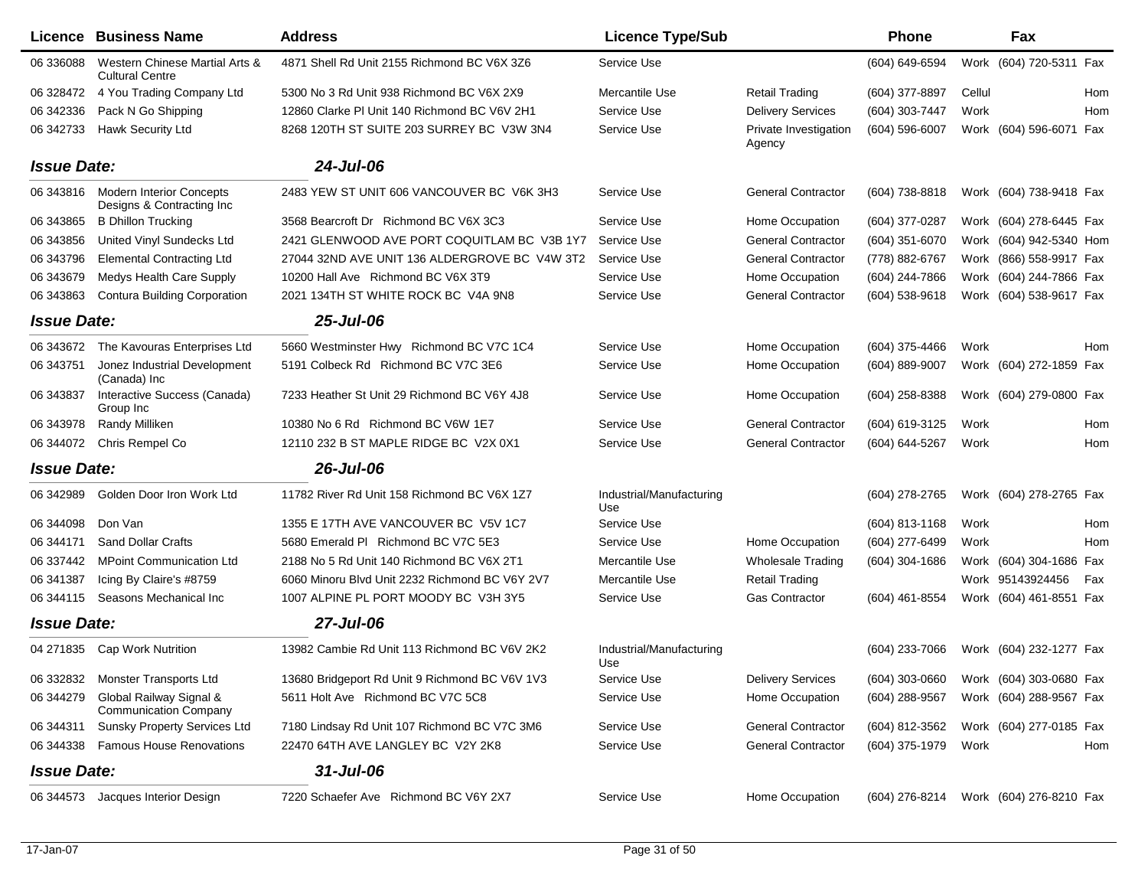|                    | Licence Business Name                                        | <b>Address</b>                                 | <b>Licence Type/Sub</b>         |                                 | <b>Phone</b>     | Fax                     |
|--------------------|--------------------------------------------------------------|------------------------------------------------|---------------------------------|---------------------------------|------------------|-------------------------|
| 06 336088          | Western Chinese Martial Arts &<br><b>Cultural Centre</b>     | 4871 Shell Rd Unit 2155 Richmond BC V6X 3Z6    | Service Use                     |                                 | (604) 649-6594   | Work (604) 720-5311 Fax |
| 06 328472          | 4 You Trading Company Ltd                                    | 5300 No 3 Rd Unit 938 Richmond BC V6X 2X9      | Mercantile Use                  | <b>Retail Trading</b>           | (604) 377-8897   | Cellul<br>Hom           |
| 06 342336          | Pack N Go Shipping                                           | 12860 Clarke PI Unit 140 Richmond BC V6V 2H1   | Service Use                     | <b>Delivery Services</b>        | (604) 303-7447   | Work<br>Hom             |
| 06 342733          | <b>Hawk Security Ltd</b>                                     | 8268 120TH ST SUITE 203 SURREY BC V3W 3N4      | Service Use                     | Private Investigation<br>Agency | $(604)$ 596-6007 | Work (604) 596-6071 Fax |
| <b>Issue Date:</b> |                                                              | 24-Jul-06                                      |                                 |                                 |                  |                         |
| 06 343816          | <b>Modern Interior Concepts</b><br>Designs & Contracting Inc | 2483 YEW ST UNIT 606 VANCOUVER BC V6K 3H3      | Service Use                     | <b>General Contractor</b>       | (604) 738-8818   | Work (604) 738-9418 Fax |
| 06 343865          | <b>B Dhillon Trucking</b>                                    | 3568 Bearcroft Dr Richmond BC V6X 3C3          | Service Use                     | Home Occupation                 | (604) 377-0287   | Work (604) 278-6445 Fax |
| 06 343856          | United Vinyl Sundecks Ltd                                    | 2421 GLENWOOD AVE PORT COQUITLAM BC V3B 1Y7    | Service Use                     | <b>General Contractor</b>       | (604) 351-6070   | Work (604) 942-5340 Hom |
| 06 343796          | <b>Elemental Contracting Ltd</b>                             | 27044 32ND AVE UNIT 136 ALDERGROVE BC V4W 3T2  | Service Use                     | <b>General Contractor</b>       | (778) 882-6767   | Work (866) 558-9917 Fax |
| 06 34 36 79        | Medys Health Care Supply                                     | 10200 Hall Ave Richmond BC V6X 3T9             | Service Use                     | Home Occupation                 | (604) 244-7866   | Work (604) 244-7866 Fax |
| 06 34 38 63        | <b>Contura Building Corporation</b>                          | 2021 134TH ST WHITE ROCK BC V4A 9N8            | Service Use                     | <b>General Contractor</b>       | $(604)$ 538-9618 | Work (604) 538-9617 Fax |
| <b>Issue Date:</b> |                                                              | 25-Jul-06                                      |                                 |                                 |                  |                         |
| 06 34 36 72        | The Kavouras Enterprises Ltd                                 | 5660 Westminster Hwy Richmond BC V7C 1C4       | Service Use                     | Home Occupation                 | (604) 375-4466   | Hom<br>Work             |
| 06 343751          | Jonez Industrial Development<br>(Canada) Inc                 | 5191 Colbeck Rd Richmond BC V7C 3E6            | Service Use                     | Home Occupation                 | (604) 889-9007   | Work (604) 272-1859 Fax |
| 06 343837          | Interactive Success (Canada)<br>Group Inc                    | 7233 Heather St Unit 29 Richmond BC V6Y 4J8    | Service Use                     | Home Occupation                 | (604) 258-8388   | Work (604) 279-0800 Fax |
| 06 343978          | Randy Milliken                                               | 10380 No 6 Rd Richmond BC V6W 1E7              | Service Use                     | <b>General Contractor</b>       | (604) 619-3125   | Work<br>Hom             |
| 06 344072          | Chris Rempel Co                                              | 12110 232 B ST MAPLE RIDGE BC V2X 0X1          | Service Use                     | <b>General Contractor</b>       | (604) 644-5267   | Work<br>Hom             |
| <b>Issue Date:</b> |                                                              | 26-Jul-06                                      |                                 |                                 |                  |                         |
| 06 342989          | Golden Door Iron Work Ltd                                    | 11782 River Rd Unit 158 Richmond BC V6X 1Z7    | Industrial/Manufacturing<br>Use |                                 | (604) 278-2765   | Work (604) 278-2765 Fax |
| 06 344098          | Don Van                                                      | 1355 E 17TH AVE VANCOUVER BC V5V 1C7           | Service Use                     |                                 | (604) 813-1168   | Work<br>Hom             |
| 06 344171          | <b>Sand Dollar Crafts</b>                                    | 5680 Emerald PI Richmond BC V7C 5E3            | Service Use                     | Home Occupation                 | (604) 277-6499   | Work<br>Hom             |
| 06 337442          | <b>MPoint Communication Ltd</b>                              | 2188 No 5 Rd Unit 140 Richmond BC V6X 2T1      | Mercantile Use                  | <b>Wholesale Trading</b>        | $(604)$ 304-1686 | Work (604) 304-1686 Fax |
| 06 341387          | Icing By Claire's #8759                                      | 6060 Minoru Blvd Unit 2232 Richmond BC V6Y 2V7 | Mercantile Use                  | <b>Retail Trading</b>           |                  | Work 95143924456<br>Fax |
| 06 344115          | Seasons Mechanical Inc                                       | 1007 ALPINE PL PORT MOODY BC V3H 3Y5           | Service Use                     | <b>Gas Contractor</b>           | (604) 461-8554   | Work (604) 461-8551 Fax |
| <b>Issue Date:</b> |                                                              | 27-Jul-06                                      |                                 |                                 |                  |                         |
| 04 271835          | Cap Work Nutrition                                           | 13982 Cambie Rd Unit 113 Richmond BC V6V 2K2   | Industrial/Manufacturing<br>Use |                                 | (604) 233-7066   | Work (604) 232-1277 Fax |
|                    | 06 332832 Monster Transports Ltd                             | 13680 Bridgeport Rd Unit 9 Richmond BC V6V 1V3 | Service Use                     | <b>Delivery Services</b>        | (604) 303-0660   | Work (604) 303-0680 Fax |
| 06 344279          | Global Railway Signal &<br><b>Communication Company</b>      | 5611 Holt Ave Richmond BC V7C 5C8              | Service Use                     | Home Occupation                 | (604) 288-9567   | Work (604) 288-9567 Fax |
| 06 344311          | <b>Sunsky Property Services Ltd</b>                          | 7180 Lindsay Rd Unit 107 Richmond BC V7C 3M6   | Service Use                     | <b>General Contractor</b>       | (604) 812-3562   | Work (604) 277-0185 Fax |
|                    | 06 344338  Famous House Renovations                          | 22470 64TH AVE LANGLEY BC V2Y 2K8              | Service Use                     | <b>General Contractor</b>       | (604) 375-1979   | Work<br>Hom             |
| <b>Issue Date:</b> |                                                              | $31$ -Jul-06                                   |                                 |                                 |                  |                         |
| 06 344573          | Jacques Interior Design                                      | 7220 Schaefer Ave Richmond BC V6Y 2X7          | Service Use                     | Home Occupation                 | (604) 276-8214   | Work (604) 276-8210 Fax |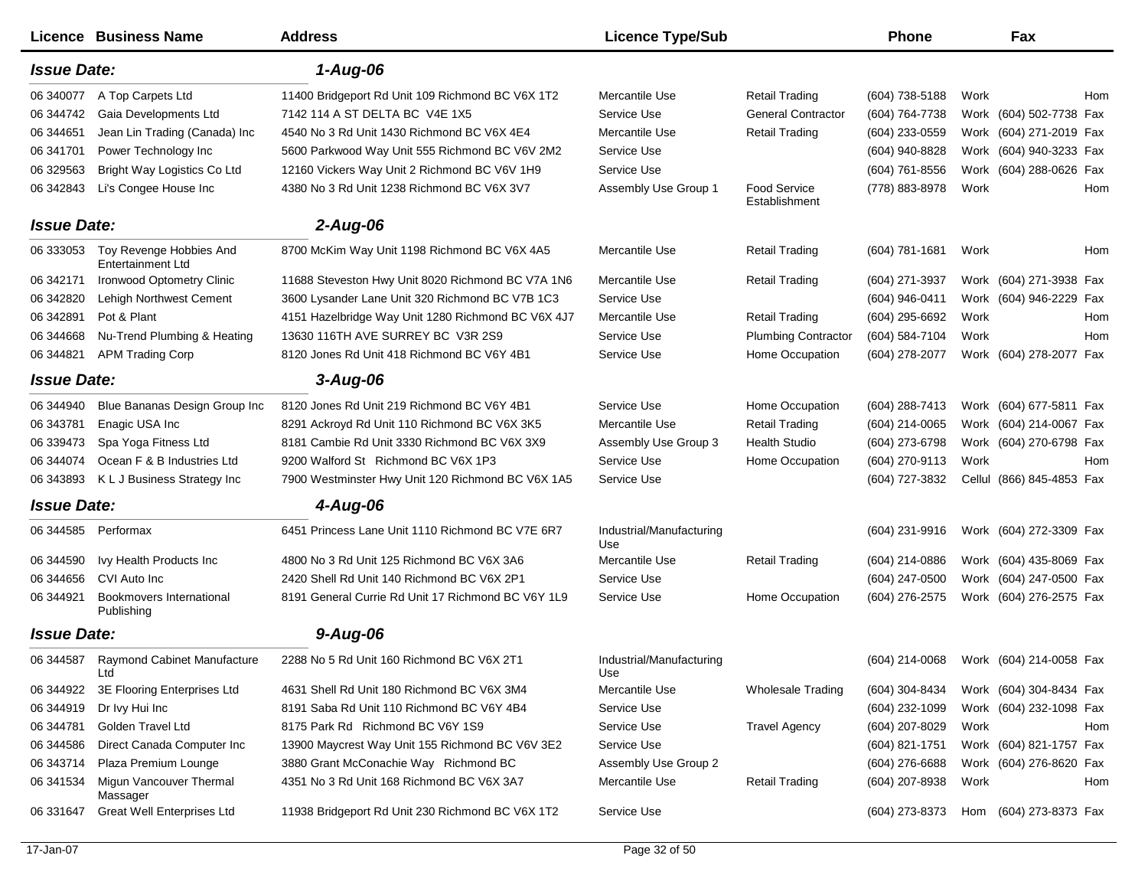|                    | Licence Business Name                               | <b>Address</b>                                     | <b>Licence Type/Sub</b>         |                                      | <b>Phone</b>     |      | Fax                        |
|--------------------|-----------------------------------------------------|----------------------------------------------------|---------------------------------|--------------------------------------|------------------|------|----------------------------|
| <b>Issue Date:</b> |                                                     | $1-Aug-06$                                         |                                 |                                      |                  |      |                            |
| 06 340077          | A Top Carpets Ltd                                   | 11400 Bridgeport Rd Unit 109 Richmond BC V6X 1T2   | Mercantile Use                  | <b>Retail Trading</b>                | (604) 738-5188   | Work | Hom                        |
| 06 344742          | Gaia Developments Ltd                               | 7142 114 A ST DELTA BC V4E 1X5                     | Service Use                     | <b>General Contractor</b>            | (604) 764-7738   |      | Work (604) 502-7738 Fax    |
| 06 344 651         | Jean Lin Trading (Canada) Inc                       | 4540 No 3 Rd Unit 1430 Richmond BC V6X 4E4         | Mercantile Use                  | <b>Retail Trading</b>                | (604) 233-0559   |      | Work (604) 271-2019 Fax    |
| 06 341701          | Power Technology Inc                                | 5600 Parkwood Way Unit 555 Richmond BC V6V 2M2     | Service Use                     |                                      | (604) 940-8828   |      | Work (604) 940-3233 Fax    |
| 06 329563          | Bright Way Logistics Co Ltd                         | 12160 Vickers Way Unit 2 Richmond BC V6V 1H9       | Service Use                     |                                      | (604) 761-8556   |      | Work (604) 288-0626 Fax    |
| 06 342843          | Li's Congee House Inc                               | 4380 No 3 Rd Unit 1238 Richmond BC V6X 3V7         | Assembly Use Group 1            | <b>Food Service</b><br>Establishment | (778) 883-8978   | Work | Hom                        |
| <b>Issue Date:</b> |                                                     | $2$ -Aug-06                                        |                                 |                                      |                  |      |                            |
| 06 333053          | Toy Revenge Hobbies And<br><b>Entertainment Ltd</b> | 8700 McKim Way Unit 1198 Richmond BC V6X 4A5       | Mercantile Use                  | <b>Retail Trading</b>                | $(604)$ 781-1681 | Work | Hom                        |
| 06 342171          | Ironwood Optometry Clinic                           | 11688 Steveston Hwy Unit 8020 Richmond BC V7A 1N6  | Mercantile Use                  | <b>Retail Trading</b>                | (604) 271-3937   |      | Work (604) 271-3938 Fax    |
| 06 342820          | Lehigh Northwest Cement                             | 3600 Lysander Lane Unit 320 Richmond BC V7B 1C3    | Service Use                     |                                      | (604) 946-0411   |      | Work (604) 946-2229<br>Fax |
| 06 34 28 91        | Pot & Plant                                         | 4151 Hazelbridge Way Unit 1280 Richmond BC V6X 4J7 | Mercantile Use                  | <b>Retail Trading</b>                | (604) 295-6692   | Work | Hom                        |
| 06 344 668         | Nu-Trend Plumbing & Heating                         | 13630 116TH AVE SURREY BC V3R 2S9                  | Service Use                     | <b>Plumbing Contractor</b>           | (604) 584-7104   | Work | Hom                        |
| 06 344821          | <b>APM Trading Corp</b>                             | 8120 Jones Rd Unit 418 Richmond BC V6Y 4B1         | Service Use                     | Home Occupation                      | (604) 278-2077   |      | Work (604) 278-2077 Fax    |
| <b>Issue Date:</b> |                                                     | $3 - Aug-06$                                       |                                 |                                      |                  |      |                            |
| 06 344940          | Blue Bananas Design Group Inc                       | 8120 Jones Rd Unit 219 Richmond BC V6Y 4B1         | Service Use                     | Home Occupation                      | $(604)$ 288-7413 |      | Work (604) 677-5811 Fax    |
| 06 343781          | Enagic USA Inc                                      | 8291 Ackroyd Rd Unit 110 Richmond BC V6X 3K5       | Mercantile Use                  | <b>Retail Trading</b>                | (604) 214-0065   |      | Work (604) 214-0067 Fax    |
| 06 339473          | Spa Yoga Fitness Ltd                                | 8181 Cambie Rd Unit 3330 Richmond BC V6X 3X9       | Assembly Use Group 3            | <b>Health Studio</b>                 | (604) 273-6798   |      | Work (604) 270-6798 Fax    |
| 06 344074          | Ocean F & B Industries Ltd                          | 9200 Walford St Richmond BC V6X 1P3                | Service Use                     | Home Occupation                      | (604) 270-9113   | Work | Hom                        |
| 06 343893          | K L J Business Strategy Inc                         | 7900 Westminster Hwy Unit 120 Richmond BC V6X 1A5  | Service Use                     |                                      | (604) 727-3832   |      | Cellul (866) 845-4853 Fax  |
| <b>Issue Date:</b> |                                                     | 4-Aug-06                                           |                                 |                                      |                  |      |                            |
| 06 344585          | Performax                                           | 6451 Princess Lane Unit 1110 Richmond BC V7E 6R7   | Industrial/Manufacturing<br>Use |                                      | (604) 231-9916   |      | Work (604) 272-3309 Fax    |
| 06 344590          | Ivy Health Products Inc                             | 4800 No 3 Rd Unit 125 Richmond BC V6X 3A6          | Mercantile Use                  | <b>Retail Trading</b>                | $(604)$ 214-0886 |      | Work (604) 435-8069 Fax    |
| 06 344 656         | CVI Auto Inc                                        | 2420 Shell Rd Unit 140 Richmond BC V6X 2P1         | Service Use                     |                                      | (604) 247-0500   |      | Work (604) 247-0500 Fax    |
| 06 344921          | Bookmovers International<br>Publishing              | 8191 General Currie Rd Unit 17 Richmond BC V6Y 1L9 | Service Use                     | Home Occupation                      | (604) 276-2575   |      | Work (604) 276-2575 Fax    |
| <b>Issue Date:</b> |                                                     | $9 - Aug-06$                                       |                                 |                                      |                  |      |                            |
| 06 344587          | <b>Raymond Cabinet Manufacture</b><br>Lta           | 2288 No 5 Rd Unit 160 Richmond BC V6X 2T1          | Industrial/Manufacturing<br>use |                                      | $(604)$ 214-0068 |      | Work (604) 214-0058 Fax    |
| 06 344922          | 3E Flooring Enterprises Ltd                         | 4631 Shell Rd Unit 180 Richmond BC V6X 3M4         | Mercantile Use                  | Wholesale Trading                    | (604) 304-8434   |      | Work (604) 304-8434 Fax    |
| 06 344919          | Dr Ivy Hui Inc                                      | 8191 Saba Rd Unit 110 Richmond BC V6Y 4B4          | Service Use                     |                                      | $(604)$ 232-1099 |      | Work (604) 232-1098 Fax    |
| 06 344781          | Golden Travel Ltd                                   | 8175 Park Rd Richmond BC V6Y 1S9                   | Service Use                     | <b>Travel Agency</b>                 | (604) 207-8029   | Work | Hom                        |
| 06 344586          | Direct Canada Computer Inc                          | 13900 Maycrest Way Unit 155 Richmond BC V6V 3E2    | Service Use                     |                                      | (604) 821-1751   |      | Work (604) 821-1757 Fax    |
| 06 343714          | Plaza Premium Lounge                                | 3880 Grant McConachie Way Richmond BC              | Assembly Use Group 2            |                                      | $(604)$ 276-6688 |      | Work (604) 276-8620 Fax    |
| 06 341534          | Migun Vancouver Thermal<br>Massager                 | 4351 No 3 Rd Unit 168 Richmond BC V6X 3A7          | Mercantile Use                  | <b>Retail Trading</b>                | (604) 207-8938   | Work | Hom                        |
| 06 331647          | <b>Great Well Enterprises Ltd</b>                   | 11938 Bridgeport Rd Unit 230 Richmond BC V6X 1T2   | Service Use                     |                                      | (604) 273-8373   |      | Hom (604) 273-8373 Fax     |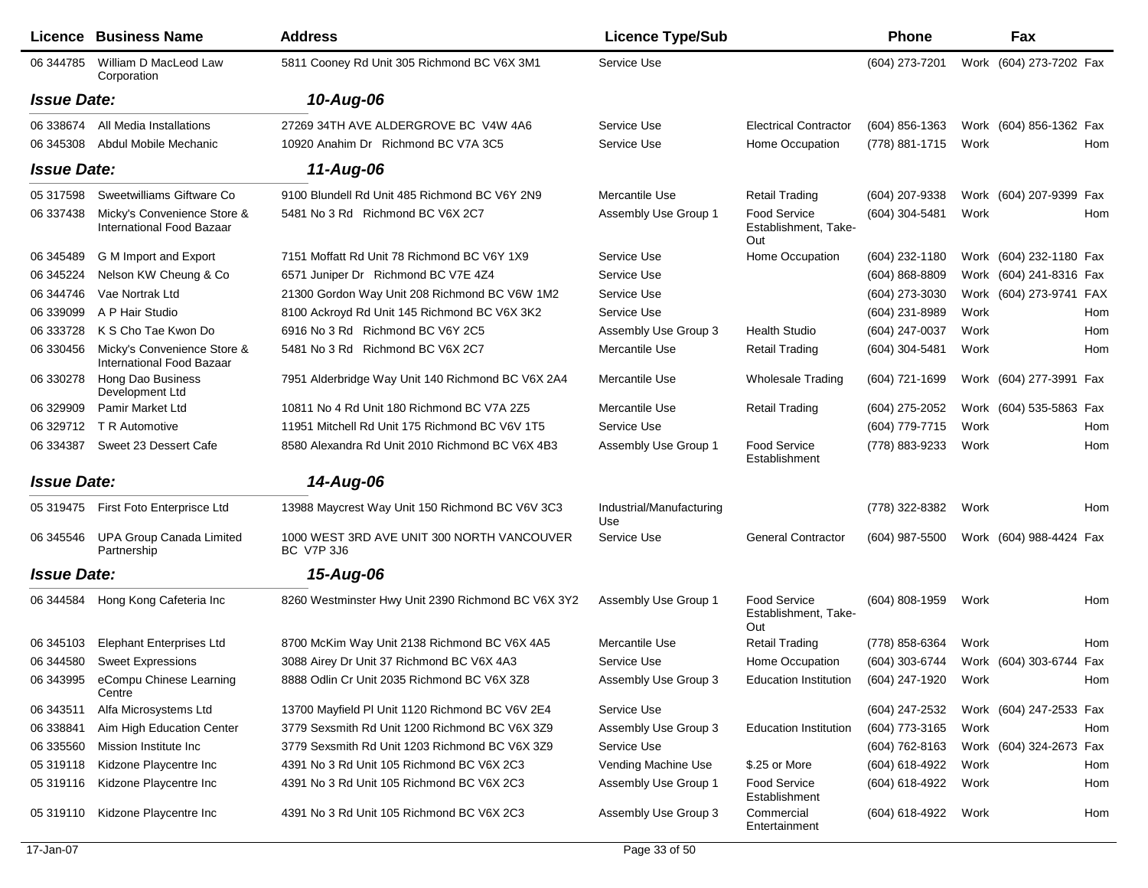|                    | Licence Business Name                                           | <b>Address</b>                                           | <b>Licence Type/Sub</b>         |                                                    | <b>Phone</b>   |      | Fax                     |     |
|--------------------|-----------------------------------------------------------------|----------------------------------------------------------|---------------------------------|----------------------------------------------------|----------------|------|-------------------------|-----|
| 06 344785          | William D MacLeod Law<br>Corporation                            | 5811 Cooney Rd Unit 305 Richmond BC V6X 3M1              | Service Use                     |                                                    | (604) 273-7201 |      | Work (604) 273-7202 Fax |     |
| <b>Issue Date:</b> |                                                                 | 10-Aug-06                                                |                                 |                                                    |                |      |                         |     |
| 06 338674          | All Media Installations                                         | 27269 34TH AVE ALDERGROVE BC V4W 4A6                     | Service Use                     | <b>Electrical Contractor</b>                       | (604) 856-1363 |      | Work (604) 856-1362 Fax |     |
| 06 345308          | Abdul Mobile Mechanic                                           | 10920 Anahim Dr Richmond BC V7A 3C5                      | Service Use                     | Home Occupation                                    | (778) 881-1715 | Work |                         | Hom |
| <b>Issue Date:</b> |                                                                 | $11-Au$ g-06                                             |                                 |                                                    |                |      |                         |     |
| 05 317598          | Sweetwilliams Giftware Co                                       | 9100 Blundell Rd Unit 485 Richmond BC V6Y 2N9            | Mercantile Use                  | <b>Retail Trading</b>                              | (604) 207-9338 |      | Work (604) 207-9399 Fax |     |
| 06 337438          | Micky's Convenience Store &<br>International Food Bazaar        | 5481 No 3 Rd Richmond BC V6X 2C7                         | Assembly Use Group 1            | <b>Food Service</b><br>Establishment, Take-<br>Out | (604) 304-5481 | Work |                         | Hom |
| 06 345489          | G M Import and Export                                           | 7151 Moffatt Rd Unit 78 Richmond BC V6Y 1X9              | Service Use                     | Home Occupation                                    | (604) 232-1180 |      | Work (604) 232-1180 Fax |     |
| 06 345224          | Nelson KW Cheung & Co                                           | 6571 Juniper Dr Richmond BC V7E 4Z4                      | Service Use                     |                                                    | (604) 868-8809 |      | Work (604) 241-8316 Fax |     |
| 06 344746          | Vae Nortrak Ltd                                                 | 21300 Gordon Way Unit 208 Richmond BC V6W 1M2            | Service Use                     |                                                    | (604) 273-3030 |      | Work (604) 273-9741 FAX |     |
| 06 339099          | A P Hair Studio                                                 | 8100 Ackroyd Rd Unit 145 Richmond BC V6X 3K2             | Service Use                     |                                                    | (604) 231-8989 | Work |                         | Hom |
| 06 333728          | K S Cho Tae Kwon Do                                             | 6916 No 3 Rd Richmond BC V6Y 2C5                         | Assembly Use Group 3            | <b>Health Studio</b>                               | (604) 247-0037 | Work |                         | Hom |
| 06 330456          | Micky's Convenience Store &<br><b>International Food Bazaar</b> | 5481 No 3 Rd Richmond BC V6X 2C7                         | Mercantile Use                  | <b>Retail Trading</b>                              | (604) 304-5481 | Work |                         | Hom |
| 06 330278          | Hong Dao Business<br>Development Ltd                            | 7951 Alderbridge Way Unit 140 Richmond BC V6X 2A4        | Mercantile Use                  | Wholesale Trading                                  | (604) 721-1699 |      | Work (604) 277-3991 Fax |     |
| 06 329909          | <b>Pamir Market Ltd</b>                                         | 10811 No 4 Rd Unit 180 Richmond BC V7A 2Z5               | Mercantile Use                  | <b>Retail Trading</b>                              | (604) 275-2052 |      | Work (604) 535-5863 Fax |     |
| 06 329712          | T R Automotive                                                  | 11951 Mitchell Rd Unit 175 Richmond BC V6V 1T5           | Service Use                     |                                                    | (604) 779-7715 | Work |                         | Hom |
| 06 334387          | Sweet 23 Dessert Cafe                                           | 8580 Alexandra Rd Unit 2010 Richmond BC V6X 4B3          | Assembly Use Group 1            | Food Service<br>Establishment                      | (778) 883-9233 | Work |                         | Hom |
| <b>Issue Date:</b> |                                                                 | 14-Aug-06                                                |                                 |                                                    |                |      |                         |     |
| 05 319475          | First Foto Enterprisce Ltd                                      | 13988 Maycrest Way Unit 150 Richmond BC V6V 3C3          | Industrial/Manufacturing<br>Use |                                                    | (778) 322-8382 | Work |                         | Hom |
| 06 345546          | <b>UPA Group Canada Limited</b><br>Partnership                  | 1000 WEST 3RD AVE UNIT 300 NORTH VANCOUVER<br>BC V7P 3J6 | Service Use                     | <b>General Contractor</b>                          | (604) 987-5500 |      | Work (604) 988-4424 Fax |     |
| <b>Issue Date:</b> |                                                                 | 15-Aug-06                                                |                                 |                                                    |                |      |                         |     |
| 06 344584          | Hong Kong Cafeteria Inc                                         | 8260 Westminster Hwy Unit 2390 Richmond BC V6X 3Y2       | Assembly Use Group 1            | <b>Food Service</b><br>Establishment, Take-<br>Out | (604) 808-1959 | Work |                         | Hom |
| 06 345103          | <b>Elephant Enterprises Ltd</b>                                 | 8700 McKim Way Unit 2138 Richmond BC V6X 4A5             | Mercantile Use                  | <b>Retail Trading</b>                              | (778) 858-6364 | Work |                         | Hom |
| 06 344580          | <b>Sweet Expressions</b>                                        | 3088 Airey Dr Unit 37 Richmond BC V6X 4A3                | Service Use                     | Home Occupation                                    | (604) 303-6744 |      | Work (604) 303-6744 Fax |     |
| 06 343995          | eCompu Chinese Learning<br>Centre                               | 8888 Odlin Cr Unit 2035 Richmond BC V6X 3Z8              | Assembly Use Group 3            | Education Institution                              | (604) 247-1920 | Work |                         | Hom |
| 06 343511          | Alfa Microsystems Ltd                                           | 13700 Mayfield PI Unit 1120 Richmond BC V6V 2E4          | Service Use                     |                                                    | (604) 247-2532 |      | Work (604) 247-2533 Fax |     |
| 06 338841          | Aim High Education Center                                       | 3779 Sexsmith Rd Unit 1200 Richmond BC V6X 3Z9           | Assembly Use Group 3            | <b>Education Institution</b>                       | (604) 773-3165 | Work |                         | Hom |
| 06 335560          | Mission Institute Inc                                           | 3779 Sexsmith Rd Unit 1203 Richmond BC V6X 3Z9           | Service Use                     |                                                    | (604) 762-8163 |      | Work (604) 324-2673 Fax |     |
| 05 319118          | Kidzone Playcentre Inc                                          | 4391 No 3 Rd Unit 105 Richmond BC V6X 2C3                | Vending Machine Use             | \$.25 or More                                      | (604) 618-4922 | Work |                         | Hom |
| 05 31 91 16        | Kidzone Playcentre Inc                                          | 4391 No 3 Rd Unit 105 Richmond BC V6X 2C3                | Assembly Use Group 1            | <b>Food Service</b><br>Establishment               | (604) 618-4922 | Work |                         | Hom |
| 05 319110          | Kidzone Playcentre Inc                                          | 4391 No 3 Rd Unit 105 Richmond BC V6X 2C3                | Assembly Use Group 3            | Commercial<br>Entertainment                        | (604) 618-4922 | Work |                         | Hom |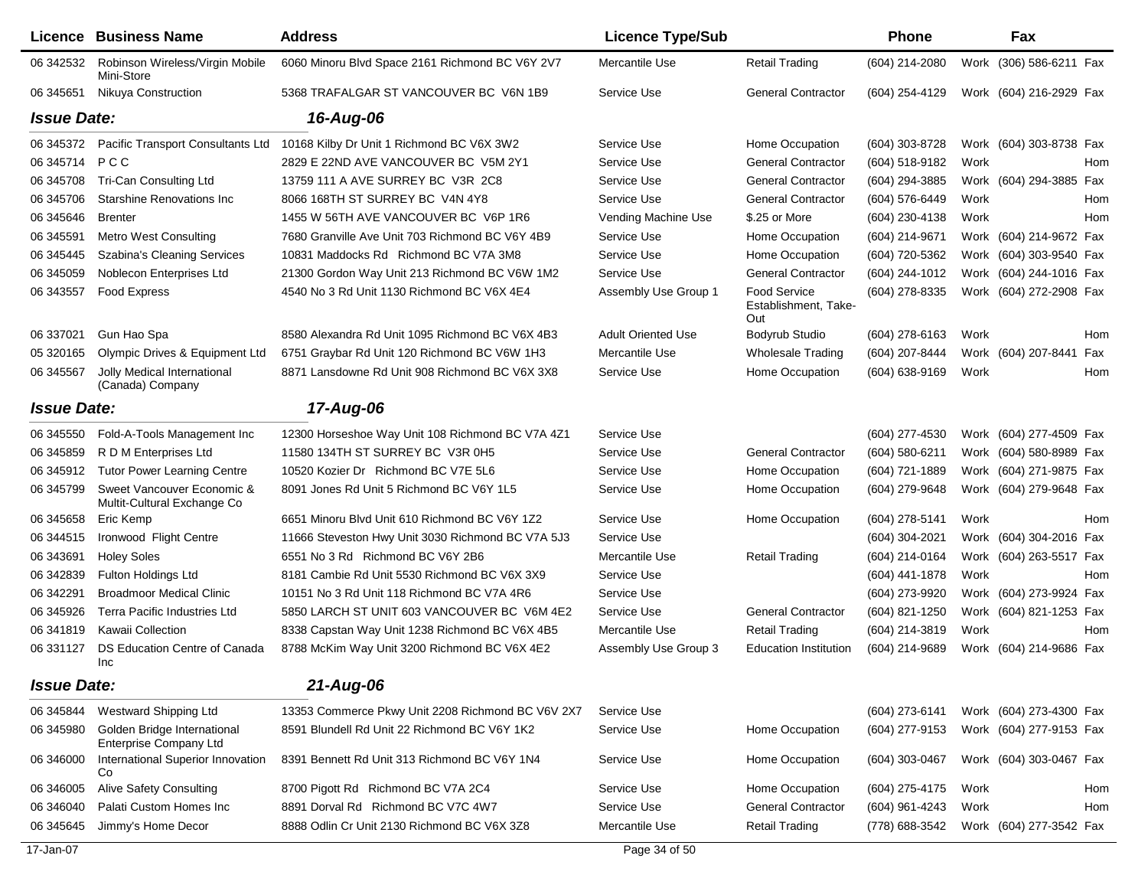|                    | <b>Licence Business Name</b>                                 | <b>Address</b>                                    | <b>Licence Type/Sub</b>   |                                             | Phone            |      | Fax                     |     |
|--------------------|--------------------------------------------------------------|---------------------------------------------------|---------------------------|---------------------------------------------|------------------|------|-------------------------|-----|
| 06 342532          | Robinson Wireless/Virgin Mobile<br>Mini-Store                | 6060 Minoru Blvd Space 2161 Richmond BC V6Y 2V7   | Mercantile Use            | <b>Retail Trading</b>                       | (604) 214-2080   |      | Work (306) 586-6211 Fax |     |
| 06 345 651         | Nikuya Construction                                          | 5368 TRAFALGAR ST VANCOUVER BC V6N 1B9            | Service Use               | <b>General Contractor</b>                   | (604) 254-4129   |      | Work (604) 216-2929 Fax |     |
| <b>Issue Date:</b> |                                                              | 16-Aug-06                                         |                           |                                             |                  |      |                         |     |
| 06 345372          | Pacific Transport Consultants Ltd                            | 10168 Kilby Dr Unit 1 Richmond BC V6X 3W2         | Service Use               | Home Occupation                             | (604) 303-8728   |      | Work (604) 303-8738 Fax |     |
| 06 345714          | PCC                                                          | 2829 E 22ND AVE VANCOUVER BC V5M 2Y1              | Service Use               | <b>General Contractor</b>                   | (604) 518-9182   | Work |                         | Hom |
| 06 345708          | Tri-Can Consulting Ltd                                       | 13759 111 A AVE SURREY BC V3R 2C8                 | Service Use               | <b>General Contractor</b>                   | (604) 294-3885   |      | Work (604) 294-3885 Fax |     |
| 06 345706          | Starshine Renovations Inc.                                   | 8066 168TH ST SURREY BC V4N 4Y8                   | Service Use               | <b>General Contractor</b>                   | (604) 576-6449   | Work |                         | Hom |
| 06 345 646         | <b>Brenter</b>                                               | 1455 W 56TH AVE VANCOUVER BC V6P 1R6              | Vending Machine Use       | \$.25 or More                               | (604) 230-4138   | Work |                         | Hom |
| 06 345591          | Metro West Consulting                                        | 7680 Granville Ave Unit 703 Richmond BC V6Y 4B9   | Service Use               | Home Occupation                             | (604) 214-9671   |      | Work (604) 214-9672 Fax |     |
| 06 345445          | <b>Szabina's Cleaning Services</b>                           | 10831 Maddocks Rd Richmond BC V7A 3M8             | Service Use               | Home Occupation                             | (604) 720-5362   |      | Work (604) 303-9540 Fax |     |
| 06 345059          | Noblecon Enterprises Ltd                                     | 21300 Gordon Way Unit 213 Richmond BC V6W 1M2     | Service Use               | <b>General Contractor</b>                   | (604) 244-1012   |      | Work (604) 244-1016 Fax |     |
| 06 34 35 57        | <b>Food Express</b>                                          | 4540 No 3 Rd Unit 1130 Richmond BC V6X 4E4        | Assembly Use Group 1      | Food Service<br>Establishment, Take-<br>Out | (604) 278-8335   |      | Work (604) 272-2908 Fax |     |
| 06 337021          | Gun Hao Spa                                                  | 8580 Alexandra Rd Unit 1095 Richmond BC V6X 4B3   | <b>Adult Oriented Use</b> | Bodyrub Studio                              | (604) 278-6163   | Work |                         | Hom |
| 05 320165          | Olympic Drives & Equipment Ltd                               | 6751 Graybar Rd Unit 120 Richmond BC V6W 1H3      | Mercantile Use            | <b>Wholesale Trading</b>                    | (604) 207-8444   |      | Work (604) 207-8441     | Fax |
| 06 345567          | Jolly Medical International<br>(Canada) Company              | 8871 Lansdowne Rd Unit 908 Richmond BC V6X 3X8    | Service Use               | Home Occupation                             | (604) 638-9169   | Work |                         | Hom |
| <b>Issue Date:</b> |                                                              | 17-Aug-06                                         |                           |                                             |                  |      |                         |     |
| 06 345550          | Fold-A-Tools Management Inc                                  | 12300 Horseshoe Way Unit 108 Richmond BC V7A 4Z1  | Service Use               |                                             | (604) 277-4530   |      | Work (604) 277-4509 Fax |     |
| 06 345859          | R D M Enterprises Ltd                                        | 11580 134TH ST SURREY BC V3R 0H5                  | Service Use               | <b>General Contractor</b>                   | $(604)$ 580-6211 |      | Work (604) 580-8989 Fax |     |
| 06 345912          | <b>Tutor Power Learning Centre</b>                           | 10520 Kozier Dr Richmond BC V7E 5L6               | Service Use               | Home Occupation                             | (604) 721-1889   |      | Work (604) 271-9875 Fax |     |
| 06 345799          | Sweet Vancouver Economic &<br>Multit-Cultural Exchange Co    | 8091 Jones Rd Unit 5 Richmond BC V6Y 1L5          | Service Use               | Home Occupation                             | (604) 279-9648   |      | Work (604) 279-9648 Fax |     |
| 06 345 658         | Eric Kemp                                                    | 6651 Minoru Blvd Unit 610 Richmond BC V6Y 1Z2     | Service Use               | Home Occupation                             | (604) 278-5141   | Work |                         | Hom |
| 06 344515          | Ironwood Flight Centre                                       | 11666 Steveston Hwy Unit 3030 Richmond BC V7A 5J3 | Service Use               |                                             | (604) 304-2021   |      | Work (604) 304-2016 Fax |     |
| 06 34 36 91        | <b>Holey Soles</b>                                           | 6551 No 3 Rd Richmond BC V6Y 2B6                  | Mercantile Use            | <b>Retail Trading</b>                       | (604) 214-0164   |      | Work (604) 263-5517 Fax |     |
| 06 34 28 39        | <b>Fulton Holdings Ltd</b>                                   | 8181 Cambie Rd Unit 5530 Richmond BC V6X 3X9      | Service Use               |                                             | (604) 441-1878   | Work |                         | Hom |
| 06 342291          | <b>Broadmoor Medical Clinic</b>                              | 10151 No 3 Rd Unit 118 Richmond BC V7A 4R6        | Service Use               |                                             | (604) 273-9920   |      | Work (604) 273-9924 Fax |     |
| 06 345926          | <b>Terra Pacific Industries Ltd</b>                          | 5850 LARCH ST UNIT 603 VANCOUVER BC V6M 4E2       | Service Use               | <b>General Contractor</b>                   | (604) 821-1250   |      | Work (604) 821-1253 Fax |     |
| 06 341819          | Kawaii Collection                                            | 8338 Capstan Way Unit 1238 Richmond BC V6X 4B5    | Mercantile Use            | <b>Retail Trading</b>                       | (604) 214-3819   | Work |                         | Hom |
| 06 331127          | DS Education Centre of Canada<br>Inc                         | 8788 McKim Way Unit 3200 Richmond BC V6X 4E2      | Assembly Use Group 3      | <b>Education Institution</b>                | (604) 214-9689   |      | Work (604) 214-9686 Fax |     |
| <b>Issue Date:</b> |                                                              | 21-Aug-06                                         |                           |                                             |                  |      |                         |     |
| 06 345844          | <b>Westward Shipping Ltd</b>                                 | 13353 Commerce Pkwy Unit 2208 Richmond BC V6V 2X7 | Service Use               |                                             | (604) 273-6141   |      | Work (604) 273-4300 Fax |     |
| 06 345980          | Golden Bridge International<br><b>Enterprise Company Ltd</b> | 8591 Blundell Rd Unit 22 Richmond BC V6Y 1K2      | Service Use               | Home Occupation                             | (604) 277-9153   |      | Work (604) 277-9153 Fax |     |
| 06 34 6000         | International Superior Innovation<br>Co                      | 8391 Bennett Rd Unit 313 Richmond BC V6Y 1N4      | Service Use               | Home Occupation                             | $(604)$ 303-0467 |      | Work (604) 303-0467 Fax |     |
| 06 346005          | <b>Alive Safety Consulting</b>                               | 8700 Pigott Rd Richmond BC V7A 2C4                | Service Use               | Home Occupation                             | (604) 275-4175   | Work |                         | Hom |
| 06 34 6040         | Palati Custom Homes Inc                                      | 8891 Dorval Rd Richmond BC V7C 4W7                | Service Use               | <b>General Contractor</b>                   | (604) 961-4243   | Work |                         | Hom |
| 06 345 645         | Jimmy's Home Decor                                           | 8888 Odlin Cr Unit 2130 Richmond BC V6X 3Z8       | Mercantile Use            | <b>Retail Trading</b>                       | (778) 688-3542   |      | Work (604) 277-3542 Fax |     |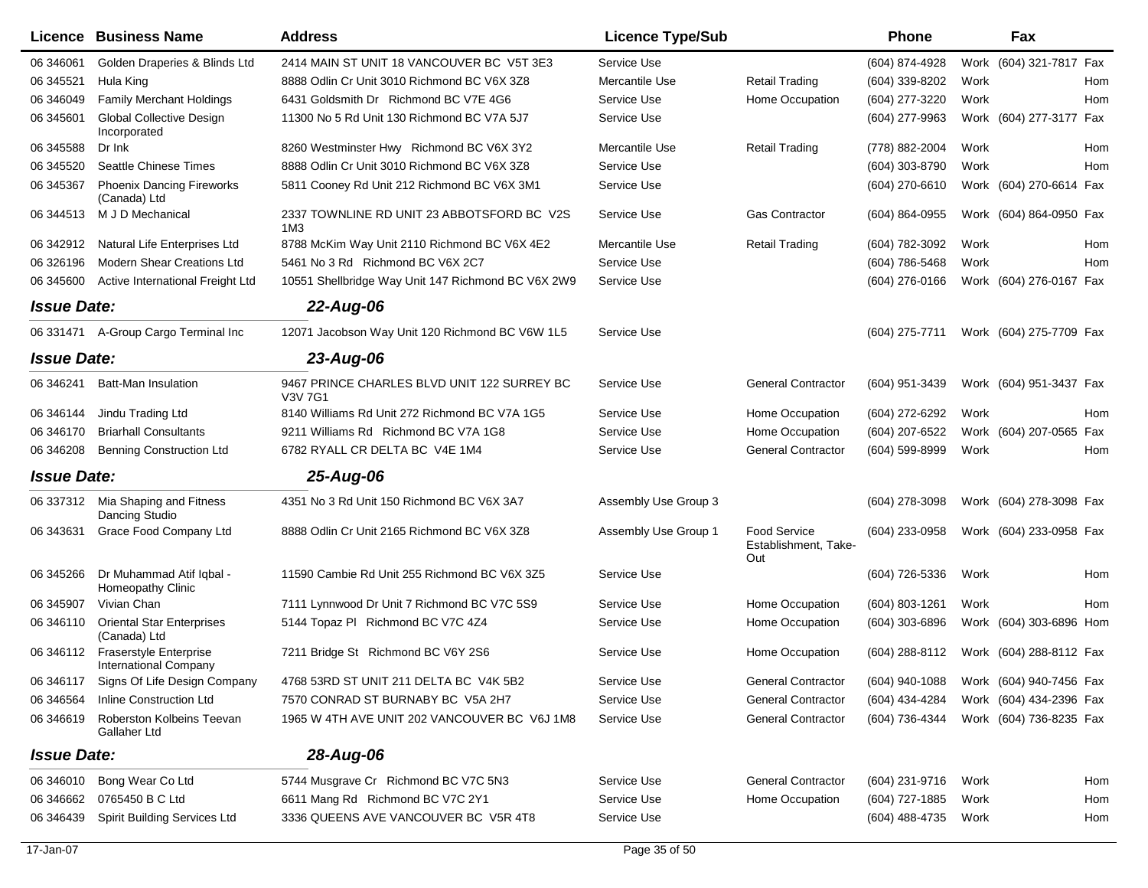|                    | <b>Licence Business Name</b>                           | <b>Address</b>                                                | <b>Licence Type/Sub</b> |                                                    | <b>Phone</b>   | Fax                     |     |
|--------------------|--------------------------------------------------------|---------------------------------------------------------------|-------------------------|----------------------------------------------------|----------------|-------------------------|-----|
| 06 34 60 61        | Golden Draperies & Blinds Ltd                          | 2414 MAIN ST UNIT 18 VANCOUVER BC V5T 3E3                     | Service Use             |                                                    | (604) 874-4928 | Work (604) 321-7817 Fax |     |
| 06 345521          | Hula King                                              | 8888 Odlin Cr Unit 3010 Richmond BC V6X 3Z8                   | Mercantile Use          | <b>Retail Trading</b>                              | (604) 339-8202 | Work                    | Hom |
| 06 34 6049         | <b>Family Merchant Holdings</b>                        | 6431 Goldsmith Dr Richmond BC V7E 4G6                         | Service Use             | Home Occupation                                    | (604) 277-3220 | Work                    | Hom |
| 06 345 601         | <b>Global Collective Design</b><br>Incorporated        | 11300 No 5 Rd Unit 130 Richmond BC V7A 5J7                    | Service Use             |                                                    | (604) 277-9963 | Work (604) 277-3177 Fax |     |
| 06 345588          | Dr Ink                                                 | 8260 Westminster Hwy Richmond BC V6X 3Y2                      | Mercantile Use          | <b>Retail Trading</b>                              | (778) 882-2004 | Work                    | Hom |
| 06 345520          | <b>Seattle Chinese Times</b>                           | 8888 Odlin Cr Unit 3010 Richmond BC V6X 3Z8                   | Service Use             |                                                    | (604) 303-8790 | Work                    | Hom |
| 06 345367          | <b>Phoenix Dancing Fireworks</b><br>(Canada) Ltd       | 5811 Cooney Rd Unit 212 Richmond BC V6X 3M1                   | Service Use             |                                                    | (604) 270-6610 | Work (604) 270-6614 Fax |     |
| 06 344513          | M J D Mechanical                                       | 2337 TOWNLINE RD UNIT 23 ABBOTSFORD BC V2S<br>1M <sub>3</sub> | Service Use             | <b>Gas Contractor</b>                              | (604) 864-0955 | Work (604) 864-0950 Fax |     |
| 06 34 29 12        | Natural Life Enterprises Ltd                           | 8788 McKim Way Unit 2110 Richmond BC V6X 4E2                  | Mercantile Use          | <b>Retail Trading</b>                              | (604) 782-3092 | Work                    | Hom |
| 06 32 6196         | <b>Modern Shear Creations Ltd</b>                      | 5461 No 3 Rd Richmond BC V6X 2C7                              | Service Use             |                                                    | (604) 786-5468 | Work                    | Hom |
| 06 345 600         | Active International Freight Ltd                       | 10551 Shellbridge Way Unit 147 Richmond BC V6X 2W9            | Service Use             |                                                    | (604) 276-0166 | Work (604) 276-0167 Fax |     |
| <b>Issue Date:</b> |                                                        | 22-Aug-06                                                     |                         |                                                    |                |                         |     |
| 06 331471          | A-Group Cargo Terminal Inc                             | 12071 Jacobson Way Unit 120 Richmond BC V6W 1L5               | Service Use             |                                                    | (604) 275-7711 | Work (604) 275-7709 Fax |     |
| <b>Issue Date:</b> |                                                        | $23 - Aug-06$                                                 |                         |                                                    |                |                         |     |
| 06 346241          | <b>Batt-Man Insulation</b>                             | 9467 PRINCE CHARLES BLVD UNIT 122 SURREY BC<br><b>V3V 7G1</b> | Service Use             | <b>General Contractor</b>                          | (604) 951-3439 | Work (604) 951-3437 Fax |     |
| 06 34 6144         | Jindu Trading Ltd                                      | 8140 Williams Rd Unit 272 Richmond BC V7A 1G5                 | Service Use             | Home Occupation                                    | (604) 272-6292 | Work                    | Hom |
| 06 34 6170         | <b>Briarhall Consultants</b>                           | 9211 Williams Rd Richmond BC V7A 1G8                          | Service Use             | Home Occupation                                    | (604) 207-6522 | Work (604) 207-0565 Fax |     |
| 06 34 6208         | <b>Benning Construction Ltd</b>                        | 6782 RYALL CR DELTA BC V4E 1M4                                | Service Use             | <b>General Contractor</b>                          | (604) 599-8999 | Work                    | Hom |
| <b>Issue Date:</b> |                                                        | 25-Aug-06                                                     |                         |                                                    |                |                         |     |
|                    | 06 337312 Mia Shaping and Fitness<br>Dancing Studio    | 4351 No 3 Rd Unit 150 Richmond BC V6X 3A7                     | Assembly Use Group 3    |                                                    | (604) 278-3098 | Work (604) 278-3098 Fax |     |
| 06 343631          | Grace Food Company Ltd                                 | 8888 Odlin Cr Unit 2165 Richmond BC V6X 3Z8                   | Assembly Use Group 1    | <b>Food Service</b><br>Establishment, Take-<br>Out | (604) 233-0958 | Work (604) 233-0958 Fax |     |
| 06 345266          | Dr Muhammad Atif Iqbal -<br>Homeopathy Clinic          | 11590 Cambie Rd Unit 255 Richmond BC V6X 3Z5                  | Service Use             |                                                    | (604) 726-5336 | Work                    | Hom |
| 06 345907          | Vivian Chan                                            | 7111 Lynnwood Dr Unit 7 Richmond BC V7C 5S9                   | Service Use             | Home Occupation                                    | (604) 803-1261 | Work                    | Hom |
| 06 34 6110         | <b>Oriental Star Enterprises</b><br>(Canada) Ltd       | 5144 Topaz PI Richmond BC V7C 4Z4                             | Service Use             | Home Occupation                                    | (604) 303-6896 | Work (604) 303-6896 Hom |     |
| 06 34 6112         | <b>Fraserstyle Enterprise</b><br>International Company | 7211 Bridge St Richmond BC V6Y 2S6                            | Service Use             | Home Occupation                                    | (604) 288-8112 | Work (604) 288-8112 Fax |     |
| 06 346117          | Signs Of Life Design Company                           | 4768 53RD ST UNIT 211 DELTA BC V4K 5B2                        | Service Use             | <b>General Contractor</b>                          | (604) 940-1088 | Work (604) 940-7456 Fax |     |
| 06 34 65 64        | Inline Construction Ltd                                | 7570 CONRAD ST BURNABY BC V5A 2H7                             | Service Use             | <b>General Contractor</b>                          | (604) 434-4284 | Work (604) 434-2396 Fax |     |
| 06 34 6619         | Roberston Kolbeins Teevan<br>Gallaher Ltd              | 1965 W 4TH AVE UNIT 202 VANCOUVER BC V6J 1M8                  | Service Use             | <b>General Contractor</b>                          | (604) 736-4344 | Work (604) 736-8235 Fax |     |
| <b>Issue Date:</b> |                                                        | 28-Aug-06                                                     |                         |                                                    |                |                         |     |
| 06 34 6010         | Bong Wear Co Ltd                                       | 5744 Musgrave Cr Richmond BC V7C 5N3                          | Service Use             | <b>General Contractor</b>                          | (604) 231-9716 | Work                    | Hom |
| 06 34 6662         | 0765450 B C Ltd                                        | 6611 Mang Rd Richmond BC V7C 2Y1                              | Service Use             | Home Occupation                                    | (604) 727-1885 | Work                    | Hom |
| 06 34 64 39        | <b>Spirit Building Services Ltd</b>                    | 3336 QUEENS AVE VANCOUVER BC V5R 4T8                          | Service Use             |                                                    | (604) 488-4735 | Work                    | Hom |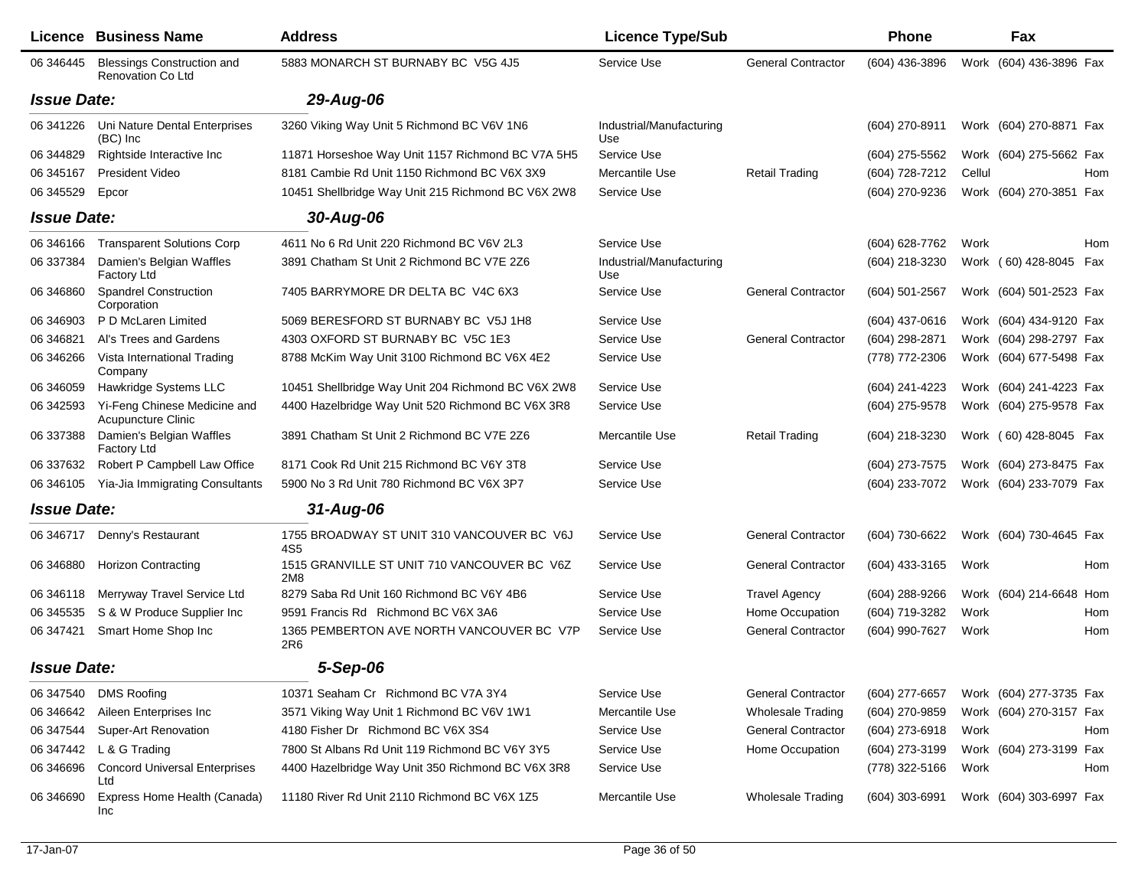|                    | <b>Licence Business Name</b>                                  | <b>Address</b>                                     | <b>Licence Type/Sub</b>         |                           | <b>Phone</b>     |        | Fax                     |     |
|--------------------|---------------------------------------------------------------|----------------------------------------------------|---------------------------------|---------------------------|------------------|--------|-------------------------|-----|
| 06 34 6445         | <b>Blessings Construction and</b><br><b>Renovation Co Ltd</b> | 5883 MONARCH ST BURNABY BC V5G 4J5                 | Service Use                     | <b>General Contractor</b> | (604) 436-3896   | Work   | (604) 436-3896 Fax      |     |
| <b>Issue Date:</b> |                                                               | 29-Aug-06                                          |                                 |                           |                  |        |                         |     |
| 06 341226          | Uni Nature Dental Enterprises<br>(BC) Inc                     | 3260 Viking Way Unit 5 Richmond BC V6V 1N6         | Industrial/Manufacturing<br>Use |                           | (604) 270-8911   |        | Work (604) 270-8871 Fax |     |
| 06 344829          | Rightside Interactive Inc                                     | 11871 Horseshoe Way Unit 1157 Richmond BC V7A 5H5  | Service Use                     |                           | $(604)$ 275-5562 |        | Work (604) 275-5662 Fax |     |
| 06 345167          | President Video                                               | 8181 Cambie Rd Unit 1150 Richmond BC V6X 3X9       | Mercantile Use                  | <b>Retail Trading</b>     | (604) 728-7212   | Cellul |                         | Hom |
| 06 345529          | Epcor                                                         | 10451 Shellbridge Way Unit 215 Richmond BC V6X 2W8 | Service Use                     |                           | (604) 270-9236   |        | Work (604) 270-3851 Fax |     |
| <b>Issue Date:</b> |                                                               | 30-Aug-06                                          |                                 |                           |                  |        |                         |     |
| 06 34 6166         | <b>Transparent Solutions Corp</b>                             | 4611 No 6 Rd Unit 220 Richmond BC V6V 2L3          | Service Use                     |                           | (604) 628-7762   | Work   |                         | Hom |
| 06 337384          | Damien's Belgian Waffles<br>Factory Ltd                       | 3891 Chatham St Unit 2 Richmond BC V7E 2Z6         | Industrial/Manufacturing<br>Use |                           | (604) 218-3230   |        | Work (60) 428-8045 Fax  |     |
| 06 34 6860         | <b>Spandrel Construction</b><br>Corporation                   | 7405 BARRYMORE DR DELTA BC V4C 6X3                 | Service Use                     | <b>General Contractor</b> | (604) 501-2567   |        | Work (604) 501-2523 Fax |     |
| 06 34 690 3        | P D McLaren Limited                                           | 5069 BERESFORD ST BURNABY BC V5J 1H8               | Service Use                     |                           | $(604)$ 437-0616 |        | Work (604) 434-9120 Fax |     |
| 06 34 68 21        | Al's Trees and Gardens                                        | 4303 OXFORD ST BURNABY BC V5C 1E3                  | Service Use                     | <b>General Contractor</b> | (604) 298-2871   |        | Work (604) 298-2797 Fax |     |
| 06 34 62 66        | Vista International Trading<br>Company                        | 8788 McKim Way Unit 3100 Richmond BC V6X 4E2       | Service Use                     |                           | (778) 772-2306   |        | Work (604) 677-5498 Fax |     |
| 06 34 60 59        | Hawkridge Systems LLC                                         | 10451 Shellbridge Way Unit 204 Richmond BC V6X 2W8 | Service Use                     |                           | (604) 241-4223   |        | Work (604) 241-4223 Fax |     |
| 06 342593          | Yi-Feng Chinese Medicine and<br>Acupuncture Clinic            | 4400 Hazelbridge Way Unit 520 Richmond BC V6X 3R8  | Service Use                     |                           | (604) 275-9578   |        | Work (604) 275-9578 Fax |     |
| 06 337388          | Damien's Belgian Waffles<br>Factory Ltd                       | 3891 Chatham St Unit 2 Richmond BC V7E 2Z6         | Mercantile Use                  | <b>Retail Trading</b>     | (604) 218-3230   |        | Work (60) 428-8045 Fax  |     |
| 06 337632          | Robert P Campbell Law Office                                  | 8171 Cook Rd Unit 215 Richmond BC V6Y 3T8          | Service Use                     |                           | (604) 273-7575   |        | Work (604) 273-8475 Fax |     |
| 06 34 610 5        | Yia-Jia Immigrating Consultants                               | 5900 No 3 Rd Unit 780 Richmond BC V6X 3P7          | Service Use                     |                           | (604) 233-7072   |        | Work (604) 233-7079 Fax |     |
| <b>Issue Date:</b> |                                                               | $31 - Aug-06$                                      |                                 |                           |                  |        |                         |     |
| 06 34 6717         | Denny's Restaurant                                            | 1755 BROADWAY ST UNIT 310 VANCOUVER BC V6J<br>4S5  | Service Use                     | <b>General Contractor</b> | (604) 730-6622   |        | Work (604) 730-4645 Fax |     |
| 06 34 6880         | <b>Horizon Contracting</b>                                    | 1515 GRANVILLE ST UNIT 710 VANCOUVER BC V6Z<br>2M8 | Service Use                     | <b>General Contractor</b> | (604) 433-3165   | Work   |                         | Hom |
| 06 34 6118         | Merryway Travel Service Ltd                                   | 8279 Saba Rd Unit 160 Richmond BC V6Y 4B6          | Service Use                     | <b>Travel Agency</b>      | (604) 288-9266   |        | Work (604) 214-6648 Hom |     |
| 06 345535          | S & W Produce Supplier Inc                                    | 9591 Francis Rd Richmond BC V6X 3A6                | Service Use                     | Home Occupation           | (604) 719-3282   | Work   |                         | Hom |
| 06 347421          | Smart Home Shop Inc                                           | 1365 PEMBERTON AVE NORTH VANCOUVER BC V7P<br>2R6   | Service Use                     | <b>General Contractor</b> | (604) 990-7627   | Work   |                         | Hom |
| <b>Issue Date:</b> |                                                               | 5-Sep-06                                           |                                 |                           |                  |        |                         |     |
| 06 347540          | DMS Roofing                                                   | 10371 Seaham Cr Richmond BC V7A 3Y4                | Service Use                     | <b>General Contractor</b> | $(604)$ 277-6657 |        | Work (604) 277-3735 Fax |     |
| 06 34 6642         | Aileen Enterprises Inc                                        | 3571 Viking Way Unit 1 Richmond BC V6V 1W1         | Mercantile Use                  | <b>Wholesale Trading</b>  | (604) 270-9859   |        | Work (604) 270-3157 Fax |     |
| 06 347544          | Super-Art Renovation                                          | 4180 Fisher Dr Richmond BC V6X 3S4                 | Service Use                     | <b>General Contractor</b> | (604) 273-6918   | Work   |                         | Hom |
| 06 347442          | L & G Trading                                                 | 7800 St Albans Rd Unit 119 Richmond BC V6Y 3Y5     | Service Use                     | Home Occupation           | (604) 273-3199   |        | Work (604) 273-3199 Fax |     |
| 06 34 669 6        | <b>Concord Universal Enterprises</b><br>Ltd                   | 4400 Hazelbridge Way Unit 350 Richmond BC V6X 3R8  | Service Use                     |                           | (778) 322-5166   | Work   |                         | Hom |
| 06 34 6690         | Express Home Health (Canada)<br>Inc                           | 11180 River Rd Unit 2110 Richmond BC V6X 1Z5       | Mercantile Use                  | <b>Wholesale Trading</b>  | (604) 303-6991   |        | Work (604) 303-6997 Fax |     |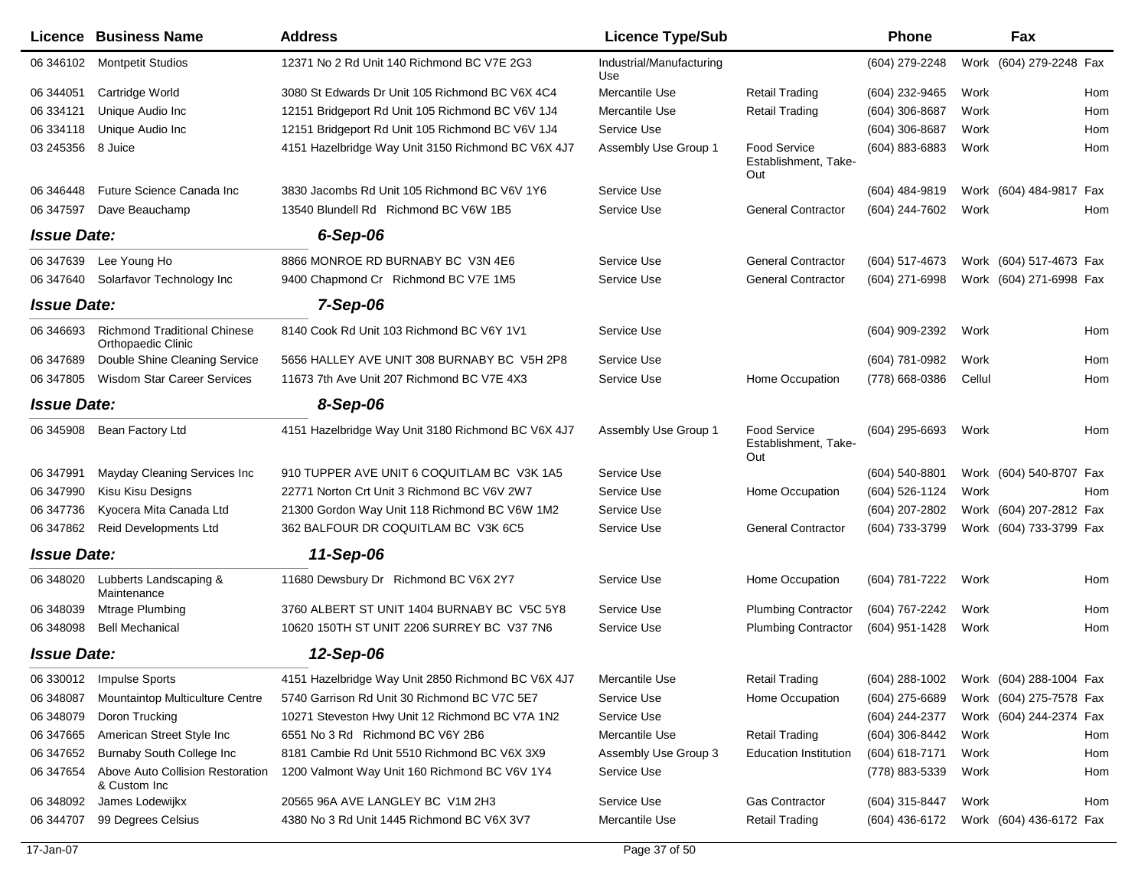|                    | Licence Business Name                                            | <b>Address</b>                                     | <b>Licence Type/Sub</b>         |                                                    | Phone            | Fax                     |                         |
|--------------------|------------------------------------------------------------------|----------------------------------------------------|---------------------------------|----------------------------------------------------|------------------|-------------------------|-------------------------|
|                    | 06 346102 Montpetit Studios                                      | 12371 No 2 Rd Unit 140 Richmond BC V7E 2G3         | Industrial/Manufacturing<br>Use |                                                    | (604) 279-2248   |                         | Work (604) 279-2248 Fax |
| 06 344051          | Cartridge World                                                  | 3080 St Edwards Dr Unit 105 Richmond BC V6X 4C4    | Mercantile Use                  | <b>Retail Trading</b>                              | (604) 232-9465   | Work                    | Hom                     |
| 06 334121          | Unique Audio Inc                                                 | 12151 Bridgeport Rd Unit 105 Richmond BC V6V 1J4   | Mercantile Use                  | <b>Retail Trading</b>                              | (604) 306-8687   | Work                    | Hom                     |
| 06 334118          | Unique Audio Inc                                                 | 12151 Bridgeport Rd Unit 105 Richmond BC V6V 1J4   | Service Use                     |                                                    | (604) 306-8687   | Work                    | Hom                     |
| 03 245356          | 8 Juice                                                          | 4151 Hazelbridge Way Unit 3150 Richmond BC V6X 4J7 | Assembly Use Group 1            | <b>Food Service</b><br>Establishment, Take-<br>Out | (604) 883-6883   | Work                    | Hom                     |
| 06 34 6448         | Future Science Canada Inc                                        | 3830 Jacombs Rd Unit 105 Richmond BC V6V 1Y6       | Service Use                     |                                                    | (604) 484-9819   |                         | Work (604) 484-9817 Fax |
| 06 347597          | Dave Beauchamp                                                   | 13540 Blundell Rd Richmond BC V6W 1B5              | Service Use                     | <b>General Contractor</b>                          | (604) 244-7602   | Work                    | Hom                     |
| <b>Issue Date:</b> |                                                                  | $6-Sep-06$                                         |                                 |                                                    |                  |                         |                         |
| 06 347639          | Lee Young Ho                                                     | 8866 MONROE RD BURNABY BC V3N 4E6                  | Service Use                     | <b>General Contractor</b>                          | (604) 517-4673   |                         | Work (604) 517-4673 Fax |
| 06 347640          | Solarfavor Technology Inc                                        | 9400 Chapmond Cr Richmond BC V7E 1M5               | Service Use                     | <b>General Contractor</b>                          | (604) 271-6998   |                         | Work (604) 271-6998 Fax |
| <b>Issue Date:</b> |                                                                  | 7-Sep-06                                           |                                 |                                                    |                  |                         |                         |
| 06 34 6693         | <b>Richmond Traditional Chinese</b><br><b>Orthopaedic Clinic</b> | 8140 Cook Rd Unit 103 Richmond BC V6Y 1V1          | Service Use                     |                                                    | (604) 909-2392   | Work                    | Hom                     |
| 06 347689          | Double Shine Cleaning Service                                    | 5656 HALLEY AVE UNIT 308 BURNABY BC V5H 2P8        | Service Use                     |                                                    | (604) 781-0982   | Work                    | Hom                     |
| 06 347805          | <b>Wisdom Star Career Services</b>                               | 11673 7th Ave Unit 207 Richmond BC V7E 4X3         | Service Use                     | Home Occupation                                    | (778) 668-0386   | Cellul                  | Hom                     |
| <b>Issue Date:</b> |                                                                  | 8-Sep-06                                           |                                 |                                                    |                  |                         |                         |
|                    | 06 345908 Bean Factory Ltd                                       | 4151 Hazelbridge Way Unit 3180 Richmond BC V6X 4J7 | Assembly Use Group 1            | <b>Food Service</b><br>Establishment, Take-<br>Out | (604) 295-6693   | Work                    | Hom                     |
| 06 347991          | Mayday Cleaning Services Inc                                     | 910 TUPPER AVE UNIT 6 COQUITLAM BC V3K 1A5         | Service Use                     |                                                    | (604) 540-8801   |                         | Work (604) 540-8707 Fax |
| 06 347990          | Kisu Kisu Designs                                                | 22771 Norton Crt Unit 3 Richmond BC V6V 2W7        | Service Use                     | Home Occupation                                    | (604) 526-1124   | Work                    | Hom                     |
| 06 347736          | Kyocera Mita Canada Ltd                                          | 21300 Gordon Way Unit 118 Richmond BC V6W 1M2      | Service Use                     |                                                    | (604) 207-2802   |                         | Work (604) 207-2812 Fax |
| 06 347862          | <b>Reid Developments Ltd</b>                                     | 362 BALFOUR DR COQUITLAM BC V3K 6C5                | Service Use                     | <b>General Contractor</b>                          | (604) 733-3799   |                         | Work (604) 733-3799 Fax |
| <b>Issue Date:</b> |                                                                  | 11-Sep-06                                          |                                 |                                                    |                  |                         |                         |
| 06 348020          | Lubberts Landscaping &<br>Maintenance                            | 11680 Dewsbury Dr Richmond BC V6X 2Y7              | Service Use                     | Home Occupation                                    | (604) 781-7222   | Work                    | Hom                     |
| 06 348039          | Mtrage Plumbing                                                  | 3760 ALBERT ST UNIT 1404 BURNABY BC V5C 5Y8        | Service Use                     | <b>Plumbing Contractor</b>                         | (604) 767-2242   | Work                    | Hom                     |
| 06 348098          | <b>Bell Mechanical</b>                                           | 10620 150TH ST UNIT 2206 SURREY BC V37 7N6         | Service Use                     | <b>Plumbing Contractor</b>                         | (604) 951-1428   | Work                    | Hom                     |
| <b>Issue Date:</b> |                                                                  | 12-Sep-06                                          |                                 |                                                    |                  |                         |                         |
|                    | 06 330012 Impulse Sports                                         | 4151 Hazelbridge Way Unit 2850 Richmond BC V6X 4J7 | Mercantile Use                  | <b>Retail Trading</b>                              | $(604)$ 288-1002 | Work (604) 288-1004 Fax |                         |
| 06 348087          | Mountaintop Multiculture Centre                                  | 5740 Garrison Rd Unit 30 Richmond BC V7C 5E7       | Service Use                     | Home Occupation                                    | (604) 275-6689   |                         | Work (604) 275-7578 Fax |
| 06 348079          | Doron Trucking                                                   | 10271 Steveston Hwy Unit 12 Richmond BC V7A 1N2    | Service Use                     |                                                    | (604) 244-2377   |                         | Work (604) 244-2374 Fax |
| 06 347665          | American Street Style Inc                                        | 6551 No 3 Rd Richmond BC V6Y 2B6                   | Mercantile Use                  | <b>Retail Trading</b>                              | (604) 306-8442   | Work                    | Hom                     |
| 06 347652          | Burnaby South College Inc                                        | 8181 Cambie Rd Unit 5510 Richmond BC V6X 3X9       | Assembly Use Group 3            | <b>Education Institution</b>                       | (604) 618-7171   | Work                    | Hom                     |
| 06 347654          | Above Auto Collision Restoration<br>& Custom Inc                 | 1200 Valmont Way Unit 160 Richmond BC V6V 1Y4      | Service Use                     |                                                    | (778) 883-5339   | Work                    | Hom                     |
| 06 348092          | James Lodewijkx                                                  | 20565 96A AVE LANGLEY BC V1M 2H3                   | Service Use                     | Gas Contractor                                     | (604) 315-8447   | Work                    | Hom                     |
| 06 344707          | 99 Degrees Celsius                                               | 4380 No 3 Rd Unit 1445 Richmond BC V6X 3V7         | Mercantile Use                  | <b>Retail Trading</b>                              | (604) 436-6172   | Work (604) 436-6172 Fax |                         |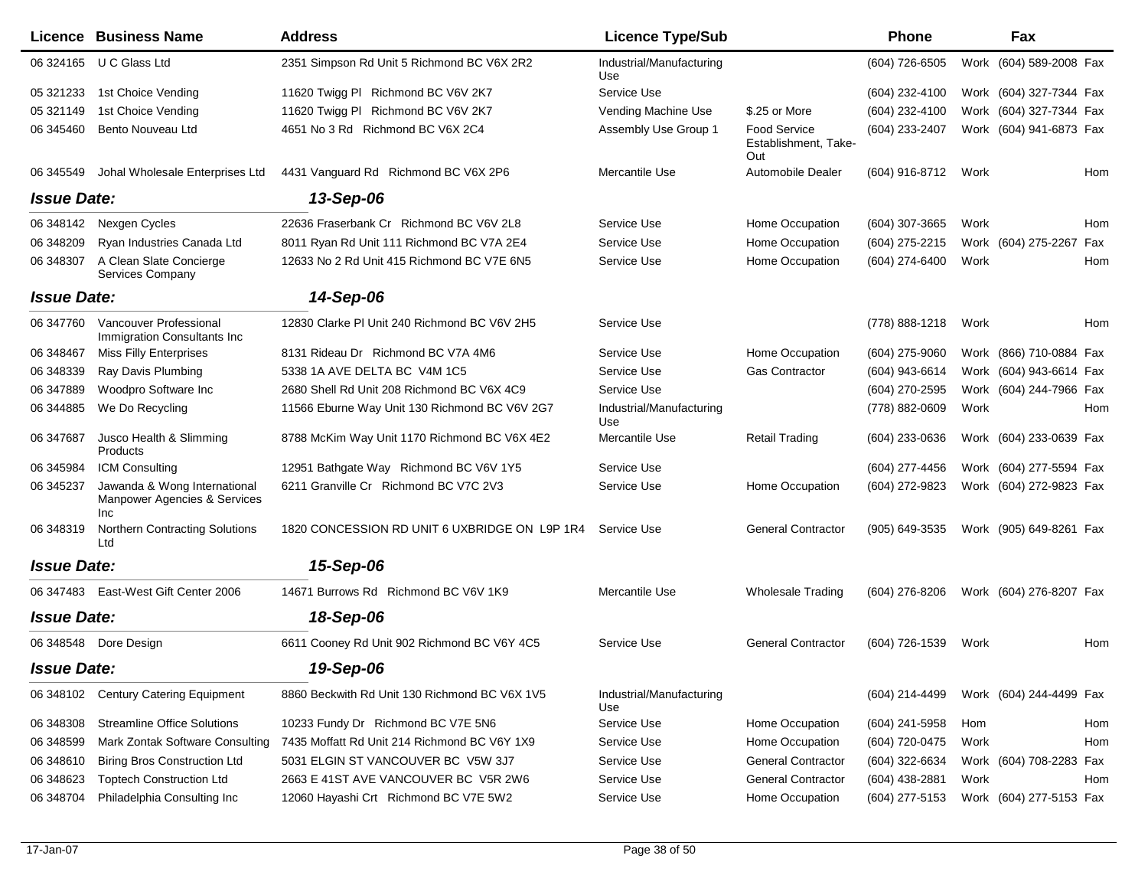|                    | Licence Business Name                                                      | <b>Address</b>                                | <b>Licence Type/Sub</b>         |                                                    | <b>Phone</b>   |      | Fax                     |     |
|--------------------|----------------------------------------------------------------------------|-----------------------------------------------|---------------------------------|----------------------------------------------------|----------------|------|-------------------------|-----|
|                    | 06 324165 U C Glass Ltd                                                    | 2351 Simpson Rd Unit 5 Richmond BC V6X 2R2    | Industrial/Manufacturing<br>Use |                                                    | (604) 726-6505 |      | Work (604) 589-2008 Fax |     |
| 05 321233          | 1st Choice Vending                                                         | 11620 Twigg PI Richmond BC V6V 2K7            | Service Use                     |                                                    | (604) 232-4100 |      | Work (604) 327-7344 Fax |     |
| 05 321149          | 1st Choice Vending                                                         | 11620 Twigg PI Richmond BC V6V 2K7            | Vending Machine Use             | \$.25 or More                                      | (604) 232-4100 |      | Work (604) 327-7344 Fax |     |
| 06 345460          | Bento Nouveau Ltd                                                          | 4651 No 3 Rd Richmond BC V6X 2C4              | Assembly Use Group 1            | <b>Food Service</b><br>Establishment, Take-<br>Out | (604) 233-2407 |      | Work (604) 941-6873 Fax |     |
| 06 345549          | Johal Wholesale Enterprises Ltd                                            | 4431 Vanguard Rd Richmond BC V6X 2P6          | Mercantile Use                  | Automobile Dealer                                  | (604) 916-8712 | Work |                         | Hom |
| <b>Issue Date:</b> |                                                                            | 13-Sep-06                                     |                                 |                                                    |                |      |                         |     |
| 06 348142          | Nexgen Cycles                                                              | 22636 Fraserbank Cr Richmond BC V6V 2L8       | Service Use                     | Home Occupation                                    | (604) 307-3665 | Work |                         | Hom |
| 06 348209          | Ryan Industries Canada Ltd                                                 | 8011 Ryan Rd Unit 111 Richmond BC V7A 2E4     | Service Use                     | Home Occupation                                    | (604) 275-2215 |      | Work (604) 275-2267 Fax |     |
| 06 348307          | A Clean Slate Concierge<br>Services Company                                | 12633 No 2 Rd Unit 415 Richmond BC V7E 6N5    | Service Use                     | Home Occupation                                    | (604) 274-6400 | Work |                         | Hom |
| <b>Issue Date:</b> |                                                                            | 14-Sep-06                                     |                                 |                                                    |                |      |                         |     |
| 06 347760          | Vancouver Professional<br>Immigration Consultants Inc                      | 12830 Clarke PI Unit 240 Richmond BC V6V 2H5  | Service Use                     |                                                    | (778) 888-1218 | Work |                         | Hom |
| 06 348467          | <b>Miss Filly Enterprises</b>                                              | 8131 Rideau Dr Richmond BC V7A 4M6            | Service Use                     | Home Occupation                                    | (604) 275-9060 |      | Work (866) 710-0884 Fax |     |
| 06 348339          | Ray Davis Plumbing                                                         | 5338 1A AVE DELTA BC V4M 1C5                  | Service Use                     | Gas Contractor                                     | (604) 943-6614 |      | Work (604) 943-6614 Fax |     |
| 06 347889          | Woodpro Software Inc                                                       | 2680 Shell Rd Unit 208 Richmond BC V6X 4C9    | Service Use                     |                                                    | (604) 270-2595 |      | Work (604) 244-7966 Fax |     |
| 06 344885          | We Do Recycling                                                            | 11566 Eburne Way Unit 130 Richmond BC V6V 2G7 | Industrial/Manufacturing<br>Use |                                                    | (778) 882-0609 | Work |                         | Hom |
| 06 347687          | Jusco Health & Slimming<br>Products                                        | 8788 McKim Way Unit 1170 Richmond BC V6X 4E2  | Mercantile Use                  | <b>Retail Trading</b>                              | (604) 233-0636 |      | Work (604) 233-0639 Fax |     |
| 06 345984          | <b>ICM Consulting</b>                                                      | 12951 Bathgate Way Richmond BC V6V 1Y5        | Service Use                     |                                                    | (604) 277-4456 |      | Work (604) 277-5594 Fax |     |
| 06 345237          | Jawanda & Wong International<br>Manpower Agencies & Services<br><b>Inc</b> | 6211 Granville Cr Richmond BC V7C 2V3         | Service Use                     | Home Occupation                                    | (604) 272-9823 |      | Work (604) 272-9823 Fax |     |
| 06 348319          | <b>Northern Contracting Solutions</b><br>Ltd                               | 1820 CONCESSION RD UNIT 6 UXBRIDGE ON L9P 1R4 | Service Use                     | <b>General Contractor</b>                          | (905) 649-3535 |      | Work (905) 649-8261 Fax |     |
| <b>Issue Date:</b> |                                                                            | 15-Sep-06                                     |                                 |                                                    |                |      |                         |     |
|                    | 06 347483 East-West Gift Center 2006                                       | 14671 Burrows Rd Richmond BC V6V 1K9          | Mercantile Use                  | Wholesale Trading                                  | (604) 276-8206 |      | Work (604) 276-8207 Fax |     |
| <b>Issue Date:</b> |                                                                            | 18-Sep-06                                     |                                 |                                                    |                |      |                         |     |
|                    | 06 348548 Dore Design                                                      | 6611 Cooney Rd Unit 902 Richmond BC V6Y 4C5   | Service Use                     | <b>General Contractor</b>                          | (604) 726-1539 | Work |                         | Hom |
| <b>Issue Date:</b> |                                                                            | 19-Sep-06                                     |                                 |                                                    |                |      |                         |     |
| 06 348102          | <b>Century Catering Equipment</b>                                          | 8860 Beckwith Rd Unit 130 Richmond BC V6X 1V5 | Industrial/Manufacturing<br>Use |                                                    | (604) 214-4499 |      | Work (604) 244-4499 Fax |     |
| 06 348308          | <b>Streamline Office Solutions</b>                                         | 10233 Fundy Dr Richmond BC V7E 5N6            | Service Use                     | Home Occupation                                    | (604) 241-5958 | Hom  |                         | Hom |
| 06 348599          | Mark Zontak Software Consulting                                            | 7435 Moffatt Rd Unit 214 Richmond BC V6Y 1X9  | Service Use                     | Home Occupation                                    | (604) 720-0475 | Work |                         | Hom |
| 06 348610          | <b>Biring Bros Construction Ltd</b>                                        | 5031 ELGIN ST VANCOUVER BC V5W 3J7            | Service Use                     | <b>General Contractor</b>                          | (604) 322-6634 |      | Work (604) 708-2283 Fax |     |
| 06 34 86 23        | <b>Toptech Construction Ltd</b>                                            | 2663 E 41ST AVE VANCOUVER BC V5R 2W6          | Service Use                     | <b>General Contractor</b>                          | (604) 438-2881 | Work |                         | Hom |
| 06 348704          | Philadelphia Consulting Inc                                                | 12060 Hayashi Crt Richmond BC V7E 5W2         | Service Use                     | Home Occupation                                    | (604) 277-5153 |      | Work (604) 277-5153 Fax |     |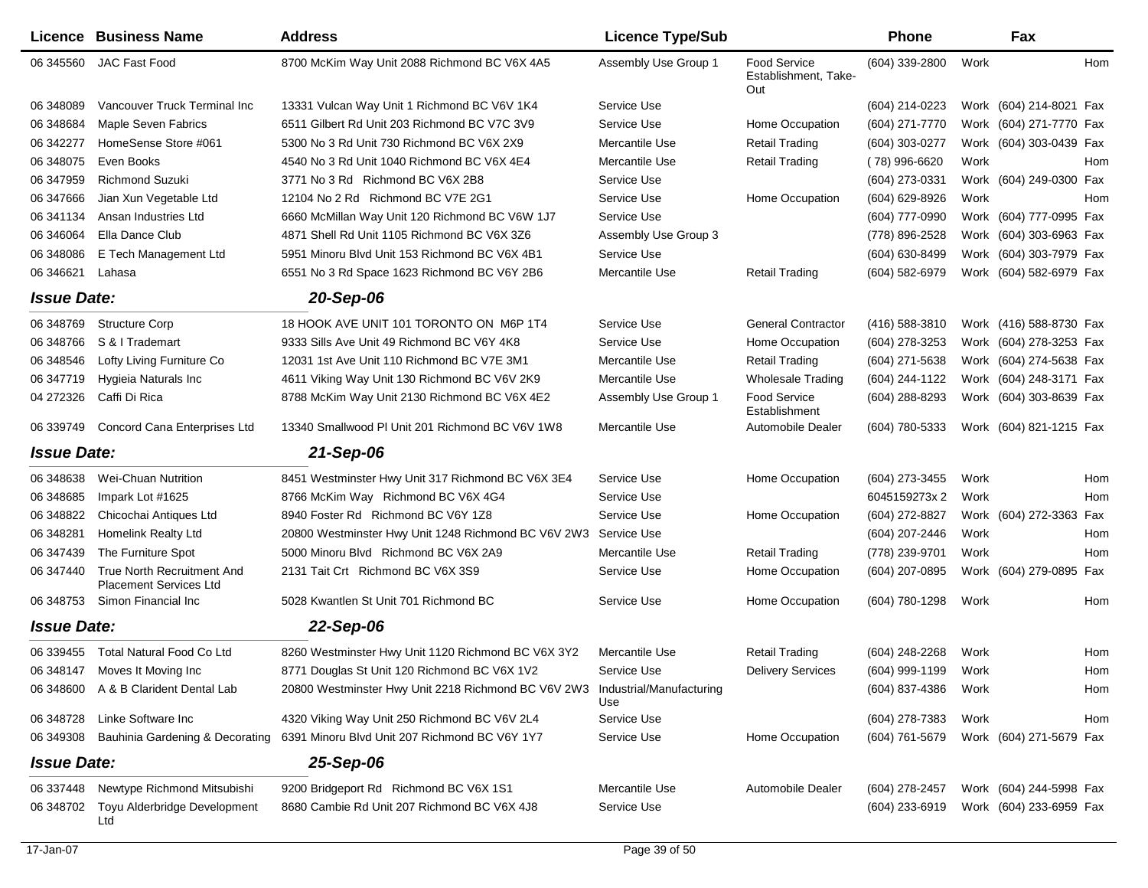|                    | Licence Business Name                                              | <b>Address</b>                                                                          | <b>Licence Type/Sub</b> |                                                    | <b>Phone</b>     |      | Fax                     |     |
|--------------------|--------------------------------------------------------------------|-----------------------------------------------------------------------------------------|-------------------------|----------------------------------------------------|------------------|------|-------------------------|-----|
| 06 345560          | <b>JAC Fast Food</b>                                               | 8700 McKim Way Unit 2088 Richmond BC V6X 4A5                                            | Assembly Use Group 1    | <b>Food Service</b><br>Establishment, Take-<br>Out | (604) 339-2800   | Work |                         | Hom |
| 06 348089          | Vancouver Truck Terminal Inc                                       | 13331 Vulcan Way Unit 1 Richmond BC V6V 1K4                                             | Service Use             |                                                    | (604) 214-0223   |      | Work (604) 214-8021 Fax |     |
| 06 348684          | <b>Maple Seven Fabrics</b>                                         | 6511 Gilbert Rd Unit 203 Richmond BC V7C 3V9                                            | Service Use             | Home Occupation                                    | (604) 271-7770   |      | Work (604) 271-7770 Fax |     |
| 06 342277          | HomeSense Store #061                                               | 5300 No 3 Rd Unit 730 Richmond BC V6X 2X9                                               | Mercantile Use          | <b>Retail Trading</b>                              | (604) 303-0277   |      | Work (604) 303-0439 Fax |     |
| 06 348075          | Even Books                                                         | 4540 No 3 Rd Unit 1040 Richmond BC V6X 4E4                                              | Mercantile Use          | <b>Retail Trading</b>                              | (78) 996-6620    | Work |                         | Hom |
| 06 347959          | <b>Richmond Suzuki</b>                                             | 3771 No 3 Rd Richmond BC V6X 2B8                                                        | Service Use             |                                                    | (604) 273-0331   |      | Work (604) 249-0300 Fax |     |
| 06 347666          | Jian Xun Vegetable Ltd                                             | 12104 No 2 Rd Richmond BC V7E 2G1                                                       | Service Use             | Home Occupation                                    | (604) 629-8926   | Work |                         | Hom |
| 06 341134          | Ansan Industries Ltd                                               | 6660 McMillan Way Unit 120 Richmond BC V6W 1J7                                          | Service Use             |                                                    | (604) 777-0990   |      | Work (604) 777-0995 Fax |     |
| 06 34 60 64        | Ella Dance Club                                                    | 4871 Shell Rd Unit 1105 Richmond BC V6X 3Z6                                             | Assembly Use Group 3    |                                                    | (778) 896-2528   |      | Work (604) 303-6963 Fax |     |
| 06 348086          | E Tech Management Ltd                                              | 5951 Minoru Blvd Unit 153 Richmond BC V6X 4B1                                           | Service Use             |                                                    | (604) 630-8499   |      | Work (604) 303-7979 Fax |     |
| 06 34 6621         | Lahasa                                                             | 6551 No 3 Rd Space 1623 Richmond BC V6Y 2B6                                             | Mercantile Use          | <b>Retail Trading</b>                              | (604) 582-6979   |      | Work (604) 582-6979 Fax |     |
| <b>Issue Date:</b> |                                                                    | 20-Sep-06                                                                               |                         |                                                    |                  |      |                         |     |
| 06 348769          | <b>Structure Corp</b>                                              | 18 HOOK AVE UNIT 101 TORONTO ON M6P 1T4                                                 | Service Use             | <b>General Contractor</b>                          | (416) 588-3810   |      | Work (416) 588-8730 Fax |     |
| 06 348766          | S & I Trademart                                                    | 9333 Sills Ave Unit 49 Richmond BC V6Y 4K8                                              | Service Use             | Home Occupation                                    | (604) 278-3253   |      | Work (604) 278-3253 Fax |     |
| 06 348546          | Lofty Living Furniture Co                                          | 12031 1st Ave Unit 110 Richmond BC V7E 3M1                                              | Mercantile Use          | <b>Retail Trading</b>                              | (604) 271-5638   |      | Work (604) 274-5638 Fax |     |
| 06 347719          | Hygieia Naturals Inc                                               | 4611 Viking Way Unit 130 Richmond BC V6V 2K9                                            | Mercantile Use          | Wholesale Trading                                  | (604) 244-1122   |      | Work (604) 248-3171 Fax |     |
| 04 272326          | Caffi Di Rica                                                      | 8788 McKim Way Unit 2130 Richmond BC V6X 4E2                                            | Assembly Use Group 1    | Food Service<br>Establishment                      | $(604)$ 288-8293 |      | Work (604) 303-8639 Fax |     |
| 06 339749          | <b>Concord Cana Enterprises Ltd</b>                                | 13340 Smallwood PI Unit 201 Richmond BC V6V 1W8                                         | Mercantile Use          | <b>Automobile Dealer</b>                           | (604) 780-5333   |      | Work (604) 821-1215 Fax |     |
| <b>Issue Date:</b> |                                                                    | 21-Sep-06                                                                               |                         |                                                    |                  |      |                         |     |
| 06 348638          | Wei-Chuan Nutrition                                                | 8451 Westminster Hwy Unit 317 Richmond BC V6X 3E4                                       | Service Use             | Home Occupation                                    | (604) 273-3455   | Work |                         | Hom |
| 06 348 685         | Impark Lot #1625                                                   | 8766 McKim Way Richmond BC V6X 4G4                                                      | Service Use             |                                                    | 6045159273x2     | Work |                         | Hom |
| 06 348822          | Chicochai Antiques Ltd                                             | 8940 Foster Rd Richmond BC V6Y 1Z8                                                      | Service Use             | Home Occupation                                    | (604) 272-8827   |      | Work (604) 272-3363     | Fax |
| 06 348281          | Homelink Realty Ltd                                                | 20800 Westminster Hwy Unit 1248 Richmond BC V6V 2W3                                     | Service Use             |                                                    | (604) 207-2446   | Work |                         | Hom |
| 06 347439          | The Furniture Spot                                                 | 5000 Minoru Blvd Richmond BC V6X 2A9                                                    | Mercantile Use          | <b>Retail Trading</b>                              | (778) 239-9701   | Work |                         | Hom |
| 06 347440          | <b>True North Recruitment And</b><br><b>Placement Services Ltd</b> | 2131 Tait Crt Richmond BC V6X 3S9                                                       | Service Use             | Home Occupation                                    | (604) 207-0895   |      | Work (604) 279-0895     | Fax |
| 06 348753          | Simon Financial Inc                                                | 5028 Kwantlen St Unit 701 Richmond BC                                                   | Service Use             | Home Occupation                                    | (604) 780-1298   | Work |                         | Hom |
| <b>Issue Date:</b> |                                                                    | 22-Sep-06                                                                               |                         |                                                    |                  |      |                         |     |
| 06 339455          | <b>Total Natural Food Co Ltd</b>                                   | 8260 Westminster Hwy Unit 1120 Richmond BC V6X 3Y2                                      | Mercantile Use          | <b>Retail Trading</b>                              | (604) 248-2268   | Work |                         | Hom |
|                    | 06 348147 Moves It Moving Inc                                      | 8771 Douglas St Unit 120 Richmond BC V6X 1V2                                            | Service Use             | <b>Delivery Services</b>                           | (604) 999-1199   | Work |                         | Hom |
|                    | 06 348600 A & B Clarident Dental Lab                               | 20800 Westminster Hwy Unit 2218 Richmond BC V6V 2W3 Industrial/Manufacturing            | Use                     |                                                    | (604) 837-4386   | Work |                         | Hom |
|                    | 06 348728 Linke Software Inc                                       | 4320 Viking Way Unit 250 Richmond BC V6V 2L4                                            | Service Use             |                                                    | (604) 278-7383   | Work |                         | Hom |
|                    |                                                                    | 06 349308 Bauhinia Gardening & Decorating 6391 Minoru Blvd Unit 207 Richmond BC V6Y 1Y7 | Service Use             | Home Occupation                                    | (604) 761-5679   |      | Work (604) 271-5679 Fax |     |
| <b>Issue Date:</b> |                                                                    | 25-Sep-06                                                                               |                         |                                                    |                  |      |                         |     |
|                    | 06 337448 Newtype Richmond Mitsubishi                              | 9200 Bridgeport Rd Richmond BC V6X 1S1                                                  | Mercantile Use          | Automobile Dealer                                  | (604) 278-2457   |      | Work (604) 244-5998 Fax |     |
| 06 348702          | Toyu Alderbridge Development<br>Ltd                                | 8680 Cambie Rd Unit 207 Richmond BC V6X 4J8                                             | Service Use             |                                                    | (604) 233-6919   |      | Work (604) 233-6959 Fax |     |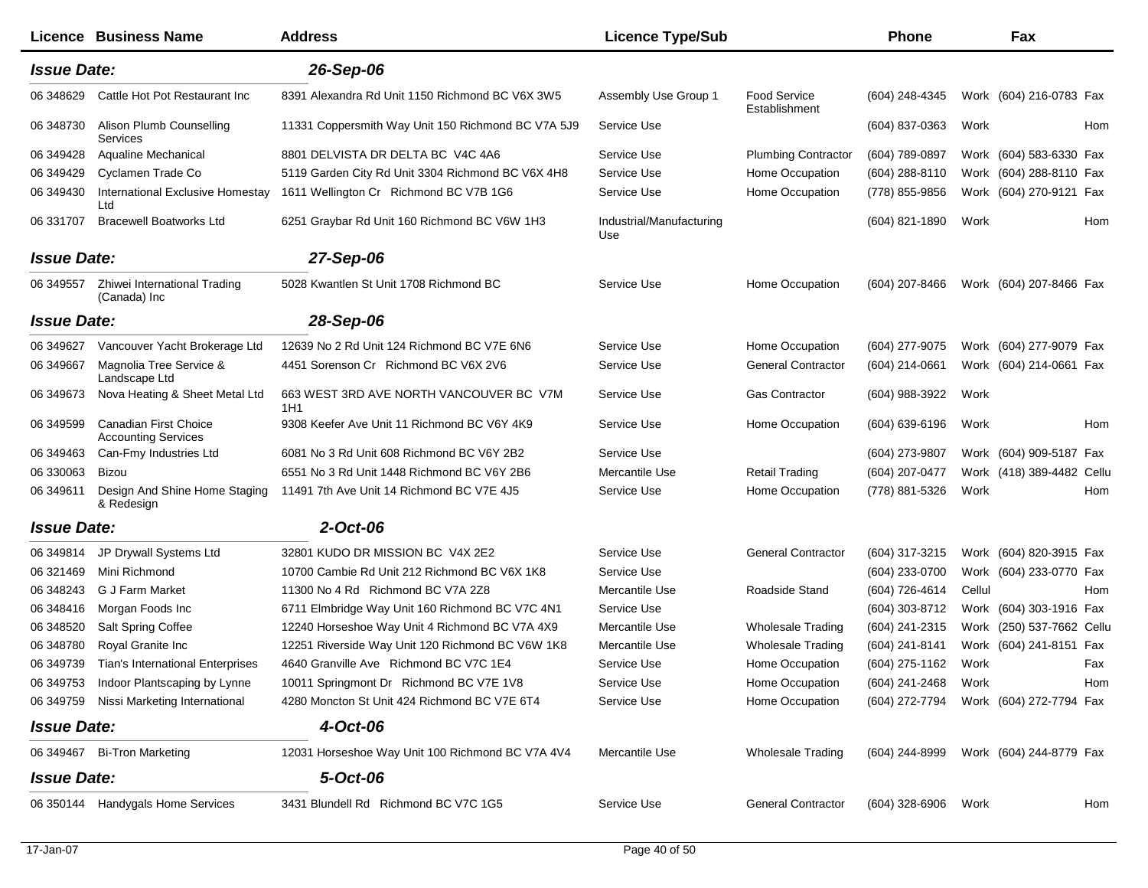|                    | Licence Business Name                               | <b>Address</b>                                     | <b>Licence Type/Sub</b>         |                                      | <b>Phone</b>   |        | Fax                       |     |
|--------------------|-----------------------------------------------------|----------------------------------------------------|---------------------------------|--------------------------------------|----------------|--------|---------------------------|-----|
| <b>Issue Date:</b> |                                                     | 26-Sep-06                                          |                                 |                                      |                |        |                           |     |
| 06 348629          | Cattle Hot Pot Restaurant Inc.                      | 8391 Alexandra Rd Unit 1150 Richmond BC V6X 3W5    | Assembly Use Group 1            | <b>Food Service</b><br>Establishment | (604) 248-4345 |        | Work (604) 216-0783 Fax   |     |
| 06 348730          | Alison Plumb Counselling<br>Services                | 11331 Coppersmith Way Unit 150 Richmond BC V7A 5J9 | Service Use                     |                                      | (604) 837-0363 | Work   |                           | Hom |
| 06 349428          | Aqualine Mechanical                                 | 8801 DELVISTA DR DELTA BC V4C 4A6                  | Service Use                     | <b>Plumbing Contractor</b>           | (604) 789-0897 |        | Work (604) 583-6330 Fax   |     |
| 06 34 94 29        | Cyclamen Trade Co                                   | 5119 Garden City Rd Unit 3304 Richmond BC V6X 4H8  | Service Use                     | Home Occupation                      | (604) 288-8110 |        | Work (604) 288-8110 Fax   |     |
| 06 34 94 30        | International Exclusive Homestay<br>Ltd             | 1611 Wellington Cr Richmond BC V7B 1G6             | Service Use                     | Home Occupation                      | (778) 855-9856 |        | Work (604) 270-9121 Fax   |     |
| 06 331707          | <b>Bracewell Boatworks Ltd</b>                      | 6251 Graybar Rd Unit 160 Richmond BC V6W 1H3       | Industrial/Manufacturing<br>Use |                                      | (604) 821-1890 | Work   |                           | Hom |
| <b>Issue Date:</b> |                                                     | 27-Sep-06                                          |                                 |                                      |                |        |                           |     |
| 06 349557          | Zhiwei International Trading<br>(Canada) Inc        | 5028 Kwantlen St Unit 1708 Richmond BC             | Service Use                     | Home Occupation                      | (604) 207-8466 |        | Work (604) 207-8466 Fax   |     |
| <b>Issue Date:</b> |                                                     | 28-Sep-06                                          |                                 |                                      |                |        |                           |     |
| 06 34 96 27        | Vancouver Yacht Brokerage Ltd                       | 12639 No 2 Rd Unit 124 Richmond BC V7E 6N6         | Service Use                     | Home Occupation                      | (604) 277-9075 |        | Work (604) 277-9079 Fax   |     |
| 06 34 9667         | Magnolia Tree Service &<br>Landscape Ltd            | 4451 Sorenson Cr Richmond BC V6X 2V6               | Service Use                     | <b>General Contractor</b>            | (604) 214-0661 |        | Work (604) 214-0661 Fax   |     |
| 06 349 673         | Nova Heating & Sheet Metal Ltd                      | 663 WEST 3RD AVE NORTH VANCOUVER BC V7M<br>1H1     | Service Use                     | Gas Contractor                       | (604) 988-3922 | Work   |                           |     |
| 06 34 95 99        | Canadian First Choice<br><b>Accounting Services</b> | 9308 Keefer Ave Unit 11 Richmond BC V6Y 4K9        | Service Use                     | Home Occupation                      | (604) 639-6196 | Work   |                           | Hom |
| 06 349463          | Can-Fmy Industries Ltd                              | 6081 No 3 Rd Unit 608 Richmond BC V6Y 2B2          | Service Use                     |                                      | (604) 273-9807 |        | Work (604) 909-5187 Fax   |     |
| 06 330063          | <b>Bizou</b>                                        | 6551 No 3 Rd Unit 1448 Richmond BC V6Y 2B6         | Mercantile Use                  | <b>Retail Trading</b>                | (604) 207-0477 |        | Work (418) 389-4482 Cellu |     |
| 06 34 9611         | Design And Shine Home Staging<br>& Redesign         | 11491 7th Ave Unit 14 Richmond BC V7E 4J5          | Service Use                     | Home Occupation                      | (778) 881-5326 | Work   |                           | Hom |
| <b>Issue Date:</b> |                                                     | 2-Oct-06                                           |                                 |                                      |                |        |                           |     |
| 06 34 98 14        | JP Drywall Systems Ltd                              | 32801 KUDO DR MISSION BC V4X 2E2                   | Service Use                     | <b>General Contractor</b>            | (604) 317-3215 |        | Work (604) 820-3915 Fax   |     |
| 06 321469          | Mini Richmond                                       | 10700 Cambie Rd Unit 212 Richmond BC V6X 1K8       | Service Use                     |                                      | (604) 233-0700 |        | Work (604) 233-0770 Fax   |     |
| 06 348243          | G J Farm Market                                     | 11300 No 4 Rd Richmond BC V7A 2Z8                  | Mercantile Use                  | Roadside Stand                       | (604) 726-4614 | Cellul |                           | Hom |
| 06 348416          | Morgan Foods Inc                                    | 6711 Elmbridge Way Unit 160 Richmond BC V7C 4N1    | Service Use                     |                                      | (604) 303-8712 |        | Work (604) 303-1916 Fax   |     |
| 06 348520          | <b>Salt Spring Coffee</b>                           | 12240 Horseshoe Way Unit 4 Richmond BC V7A 4X9     | Mercantile Use                  | <b>Wholesale Trading</b>             | (604) 241-2315 |        | Work (250) 537-7662 Cellu |     |
| 06 348780          | Royal Granite Inc                                   | 12251 Riverside Way Unit 120 Richmond BC V6W 1K8   | Mercantile Use                  | <b>Wholesale Trading</b>             | (604) 241-8141 |        | Work (604) 241-8151 Fax   |     |
| 06 34 97 39        | Tian's International Enterprises                    | 4640 Granville Ave Richmond BC V7C 1E4             | Service Use                     | Home Occupation                      | (604) 275-1162 | Work   |                           | Fax |
| 06 349753          | Indoor Plantscaping by Lynne                        | 10011 Springmont Dr Richmond BC V7E 1V8            | Service Use                     | Home Occupation                      | (604) 241-2468 | Work   |                           | Hom |
| 06 349759          | Nissi Marketing International                       | 4280 Moncton St Unit 424 Richmond BC V7E 6T4       | Service Use                     | Home Occupation                      | (604) 272-7794 |        | Work (604) 272-7794 Fax   |     |
| <b>Issue Date:</b> |                                                     | 4-Oct-06                                           |                                 |                                      |                |        |                           |     |
|                    | 06 349467 Bi-Tron Marketing                         | 12031 Horseshoe Way Unit 100 Richmond BC V7A 4V4   | Mercantile Use                  | Wholesale Trading                    | (604) 244-8999 |        | Work (604) 244-8779 Fax   |     |
| <b>Issue Date:</b> |                                                     | 5-Oct-06                                           |                                 |                                      |                |        |                           |     |
|                    | 06 350144 Handygals Home Services                   | 3431 Blundell Rd Richmond BC V7C 1G5               | Service Use                     | <b>General Contractor</b>            | (604) 328-6906 | Work   |                           | Hom |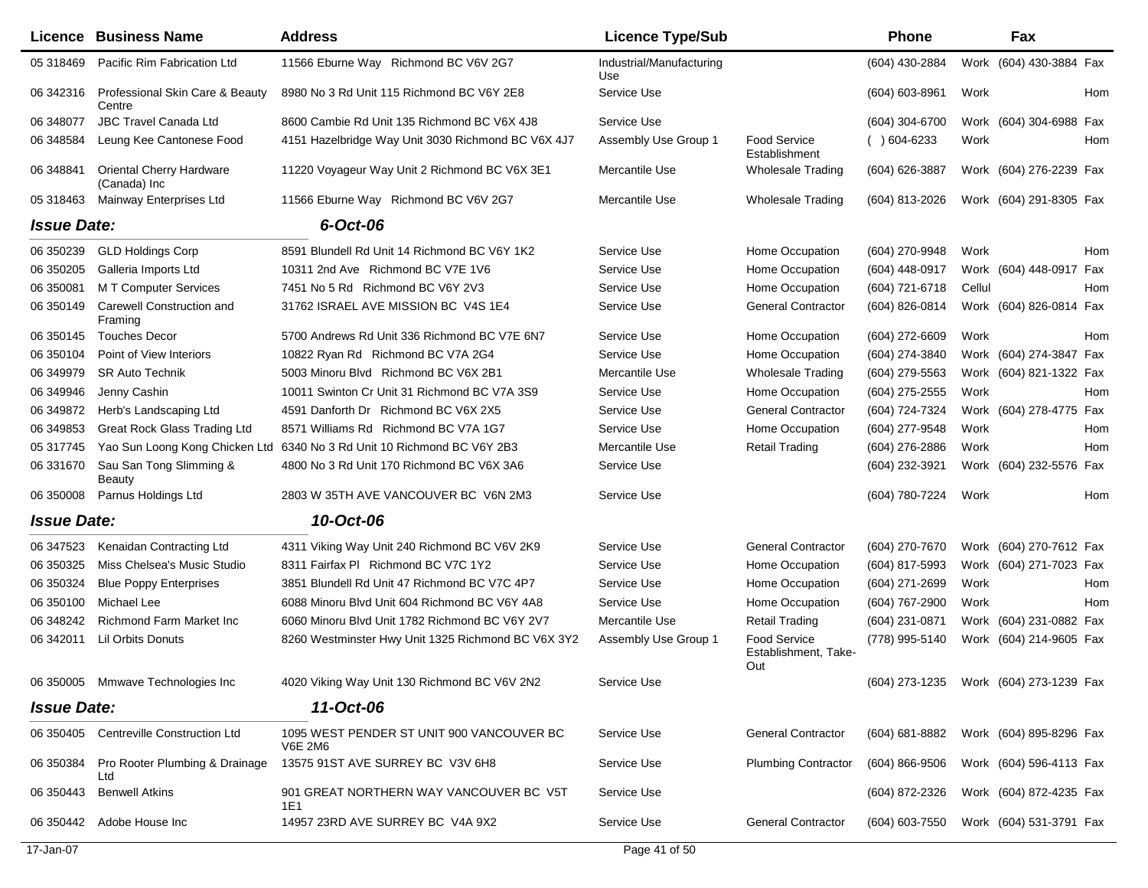|                    | <b>Licence Business Name</b>              | <b>Address</b>                                              | <b>Licence Type/Sub</b>         |                                             | Phone              | Fax                                    |     |
|--------------------|-------------------------------------------|-------------------------------------------------------------|---------------------------------|---------------------------------------------|--------------------|----------------------------------------|-----|
| 05 318469          | Pacific Rim Fabrication Ltd               | 11566 Eburne Way Richmond BC V6V 2G7                        | Industrial/Manufacturing<br>Use |                                             | (604) 430-2884     | Work (604) 430-3884 Fax                |     |
| 06 342316          | Professional Skin Care & Beauty<br>Centre | 8980 No 3 Rd Unit 115 Richmond BC V6Y 2E8                   | Service Use                     |                                             | $(604) 603 - 8961$ | Work                                   | Hom |
| 06 348077          | <b>JBC Travel Canada Ltd</b>              | 8600 Cambie Rd Unit 135 Richmond BC V6X 4J8                 | Service Use                     |                                             | (604) 304-6700     | Work (604) 304-6988 Fax                |     |
| 06 348584          | Leung Kee Cantonese Food                  | 4151 Hazelbridge Way Unit 3030 Richmond BC V6X 4J7          | Assembly Use Group 1            | <b>Food Service</b><br>Establishment        | $( ) 604-6233$     | Work                                   | Hom |
| 06 348841          | Oriental Cherry Hardware<br>(Canada) Inc  | 11220 Voyageur Way Unit 2 Richmond BC V6X 3E1               | Mercantile Use                  | <b>Wholesale Trading</b>                    | (604) 626-3887     | Work (604) 276-2239 Fax                |     |
| 05 318463          | Mainway Enterprises Ltd                   | 11566 Eburne Way Richmond BC V6V 2G7                        | Mercantile Use                  | <b>Wholesale Trading</b>                    | (604) 813-2026     | Work (604) 291-8305 Fax                |     |
| <b>Issue Date:</b> |                                           | 6-Oct-06                                                    |                                 |                                             |                    |                                        |     |
| 06 350239          | <b>GLD Holdings Corp</b>                  | 8591 Blundell Rd Unit 14 Richmond BC V6Y 1K2                | Service Use                     | Home Occupation                             | (604) 270-9948     | Work                                   | Hom |
| 06 350205          | Galleria Imports Ltd                      | 10311 2nd Ave Richmond BC V7E 1V6                           | Service Use                     | Home Occupation                             | (604) 448-0917     | Work (604) 448-0917 Fax                |     |
| 06 350081          | <b>MT Computer Services</b>               | 7451 No 5 Rd Richmond BC V6Y 2V3                            | Service Use                     | Home Occupation                             | (604) 721-6718     | Cellul                                 | Hom |
| 06 350149          | Carewell Construction and<br>Framing      | 31762 ISRAEL AVE MISSION BC V4S 1E4                         | Service Use                     | <b>General Contractor</b>                   | (604) 826-0814     | Work (604) 826-0814 Fax                |     |
| 06 350145          | <b>Touches Decor</b>                      | 5700 Andrews Rd Unit 336 Richmond BC V7E 6N7                | Service Use                     | Home Occupation                             | (604) 272-6609     | Work                                   | Hom |
| 06 350104          | Point of View Interiors                   | 10822 Ryan Rd Richmond BC V7A 2G4                           | Service Use                     | Home Occupation                             | (604) 274-3840     | Work (604) 274-3847 Fax                |     |
| 06 349979          | <b>SR Auto Technik</b>                    | 5003 Minoru Blvd Richmond BC V6X 2B1                        | Mercantile Use                  | <b>Wholesale Trading</b>                    | (604) 279-5563     | Work (604) 821-1322 Fax                |     |
| 06 349946          | Jenny Cashin                              | 10011 Swinton Cr Unit 31 Richmond BC V7A 3S9                | Service Use                     | Home Occupation                             | (604) 275-2555     | Work                                   | Hom |
| 06 34 98 72        | Herb's Landscaping Ltd                    | 4591 Danforth Dr Richmond BC V6X 2X5                        | Service Use                     | <b>General Contractor</b>                   | (604) 724-7324     | Work (604) 278-4775                    | Fax |
| 06 34 98 53        | <b>Great Rock Glass Trading Ltd</b>       | 8571 Williams Rd Richmond BC V7A 1G7                        | Service Use                     | Home Occupation                             | (604) 277-9548     | Work                                   | Hom |
| 05 317745          | Yao Sun Loong Kong Chicken Ltd            | 6340 No 3 Rd Unit 10 Richmond BC V6Y 2B3                    | Mercantile Use                  | <b>Retail Trading</b>                       | (604) 276-2886     | Work                                   | Hom |
| 06 331670          | Sau San Tong Slimming &<br>Beauty         | 4800 No 3 Rd Unit 170 Richmond BC V6X 3A6                   | Service Use                     |                                             | (604) 232-3921     | Work (604) 232-5576 Fax                |     |
| 06 350008          | Parnus Holdings Ltd                       | 2803 W 35TH AVE VANCOUVER BC V6N 2M3                        | Service Use                     |                                             | (604) 780-7224     | Work                                   | Hom |
| <b>Issue Date:</b> |                                           | 10-Oct-06                                                   |                                 |                                             |                    |                                        |     |
| 06 347523          | Kenaidan Contracting Ltd                  | 4311 Viking Way Unit 240 Richmond BC V6V 2K9                | Service Use                     | <b>General Contractor</b>                   | (604) 270-7670     | Work (604) 270-7612 Fax                |     |
| 06 350325          | Miss Chelsea's Music Studio               | 8311 Fairfax PI Richmond BC V7C 1Y2                         | Service Use                     | Home Occupation                             | (604) 817-5993     | Work (604) 271-7023 Fax                |     |
| 06 350324          | <b>Blue Poppy Enterprises</b>             | 3851 Blundell Rd Unit 47 Richmond BC V7C 4P7                | Service Use                     | Home Occupation                             | (604) 271-2699     | Work                                   | Hom |
| 06 350100          | Michael Lee                               | 6088 Minoru Blvd Unit 604 Richmond BC V6Y 4A8               | Service Use                     | Home Occupation                             | (604) 767-2900     | Work                                   | Hom |
| 06 348242          | <b>Richmond Farm Market Inc</b>           | 6060 Minoru Blvd Unit 1782 Richmond BC V6Y 2V7              | Mercantile Use                  | <b>Retail Trading</b>                       | (604) 231-0871     | Work (604) 231-0882 Fax                |     |
| 06 34 2011         | Lil Orbits Donuts                         | 8260 Westminster Hwy Unit 1325 Richmond BC V6X 3Y2          | Assembly Use Group 1            | Food Service<br>Establishment, Take-<br>Out | (778) 995-5140     | Work (604) 214-9605 Fax                |     |
|                    | 06 350005 Mmwave Technologies Inc         | 4020 Viking Way Unit 130 Richmond BC V6V 2N2                | Service Use                     |                                             |                    | (604) 273-1235 Work (604) 273-1239 Fax |     |
| <b>Issue Date:</b> |                                           | 11-Oct-06                                                   |                                 |                                             |                    |                                        |     |
| 06 350405          | <b>Centreville Construction Ltd</b>       | 1095 WEST PENDER ST UNIT 900 VANCOUVER BC<br><b>V6E 2M6</b> | Service Use                     | <b>General Contractor</b>                   | (604) 681-8882     | Work (604) 895-8296 Fax                |     |
| 06 350384          | Pro Rooter Plumbing & Drainage<br>Ltd     | 13575 91ST AVE SURREY BC V3V 6H8                            | Service Use                     | <b>Plumbing Contractor</b>                  | (604) 866-9506     | Work (604) 596-4113 Fax                |     |
| 06 350443          | <b>Benwell Atkins</b>                     | 901 GREAT NORTHERN WAY VANCOUVER BC V5T<br>1E1              | Service Use                     |                                             | (604) 872-2326     | Work (604) 872-4235 Fax                |     |
| 06 350442          | Adobe House Inc                           | 14957 23RD AVE SURREY BC V4A 9X2                            | Service Use                     | <b>General Contractor</b>                   | (604) 603-7550     | Work (604) 531-3791 Fax                |     |
| 17-Jan-07          |                                           |                                                             | Page 41 of 50                   |                                             |                    |                                        |     |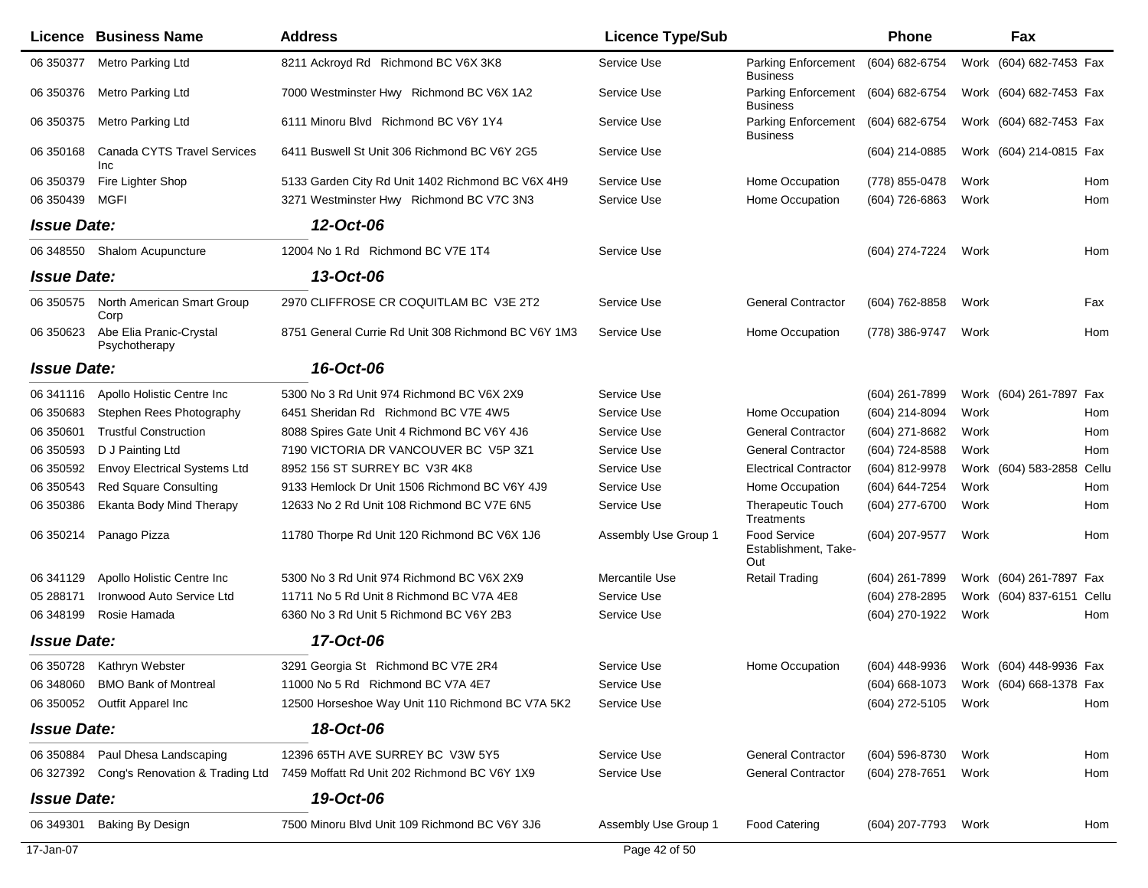|                    | <b>Licence Business Name</b>             | <b>Address</b>                                      | <b>Licence Type/Sub</b> |                                                    | Phone               | Fax                                    |       |
|--------------------|------------------------------------------|-----------------------------------------------------|-------------------------|----------------------------------------------------|---------------------|----------------------------------------|-------|
| 06 350377          | Metro Parking Ltd                        | 8211 Ackroyd Rd Richmond BC V6X 3K8                 | Service Use             | <b>Parking Enforcement</b><br><b>Business</b>      | (604) 682-6754      | Work (604) 682-7453 Fax                |       |
| 06 350376          | Metro Parking Ltd                        | 7000 Westminster Hwy Richmond BC V6X 1A2            | Service Use             | <b>Parking Enforcement</b><br><b>Business</b>      | (604) 682-6754      | Work (604) 682-7453 Fax                |       |
| 06 350375          | Metro Parking Ltd                        | 6111 Minoru Blvd Richmond BC V6Y 1Y4                | Service Use             | <b>Parking Enforcement</b><br><b>Business</b>      | (604) 682-6754      | Work (604) 682-7453 Fax                |       |
| 06 350168          | Canada CYTS Travel Services<br>Inc       | 6411 Buswell St Unit 306 Richmond BC V6Y 2G5        | Service Use             |                                                    | (604) 214-0885      | Work (604) 214-0815 Fax                |       |
| 06 350379          | Fire Lighter Shop                        | 5133 Garden City Rd Unit 1402 Richmond BC V6X 4H9   | Service Use             | Home Occupation                                    | (778) 855-0478      | Work                                   | Hom   |
| 06 350439          | <b>MGFI</b>                              | 3271 Westminster Hwy Richmond BC V7C 3N3            | Service Use             | Home Occupation                                    | (604) 726-6863      | Work                                   | Hom   |
| <b>Issue Date:</b> |                                          | 12-Oct-06                                           |                         |                                                    |                     |                                        |       |
| 06 348550          | Shalom Acupuncture                       | 12004 No 1 Rd Richmond BC V7E 1T4                   | Service Use             |                                                    | (604) 274-7224      | Work                                   | Hom   |
| <b>Issue Date:</b> |                                          | 13-Oct-06                                           |                         |                                                    |                     |                                        |       |
| 06 35 0575         | North American Smart Group<br>Corp       | 2970 CLIFFROSE CR COQUITLAM BC V3E 2T2              | Service Use             | <b>General Contractor</b>                          | (604) 762-8858      | Work                                   | Fax   |
| 06 35 06 23        | Abe Elia Pranic-Crystal<br>Psychotherapy | 8751 General Currie Rd Unit 308 Richmond BC V6Y 1M3 | Service Use             | Home Occupation                                    | (778) 386-9747      | Work                                   | Hom   |
| <b>Issue Date:</b> |                                          | 16-Oct-06                                           |                         |                                                    |                     |                                        |       |
| 06 341116          | Apollo Holistic Centre Inc               | 5300 No 3 Rd Unit 974 Richmond BC V6X 2X9           | Service Use             |                                                    | (604) 261-7899      | Work (604) 261-7897 Fax                |       |
| 06 350 683         | Stephen Rees Photography                 | 6451 Sheridan Rd Richmond BC V7E 4W5                | Service Use             | Home Occupation                                    | (604) 214-8094      | Work                                   | Hom   |
| 06 350601          | <b>Trustful Construction</b>             | 8088 Spires Gate Unit 4 Richmond BC V6Y 4J6         | Service Use             | <b>General Contractor</b>                          | (604) 271-8682      | Work                                   | Hom   |
| 06 350593          | D J Painting Ltd                         | 7190 VICTORIA DR VANCOUVER BC V5P 3Z1               | Service Use             | <b>General Contractor</b>                          | (604) 724-8588      | Work                                   | Hom   |
| 06 35 05 92        | <b>Envoy Electrical Systems Ltd</b>      | 8952 156 ST SURREY BC V3R 4K8                       | Service Use             | <b>Electrical Contractor</b>                       | (604) 812-9978      | Work (604) 583-2858                    | Cellu |
| 06 35 0543         | <b>Red Square Consulting</b>             | 9133 Hemlock Dr Unit 1506 Richmond BC V6Y 4J9       | Service Use             | Home Occupation                                    | (604) 644-7254      | Work                                   | Hom   |
| 06 350386          | <b>Ekanta Body Mind Therapy</b>          | 12633 No 2 Rd Unit 108 Richmond BC V7E 6N5          | Service Use             | <b>Therapeutic Touch</b><br>Treatments             | (604) 277-6700      | Work                                   | Hom   |
| 06 350214          | Panago Pizza                             | 11780 Thorpe Rd Unit 120 Richmond BC V6X 1J6        | Assembly Use Group 1    | <b>Food Service</b><br>Establishment, Take-<br>Out | (604) 207-9577      | Work                                   | Hom   |
| 06 341129          | Apollo Holistic Centre Inc               | 5300 No 3 Rd Unit 974 Richmond BC V6X 2X9           | Mercantile Use          | <b>Retail Trading</b>                              | $(604)$ 261-7899    | Work (604) 261-7897 Fax                |       |
| 05 288171          | Ironwood Auto Service Ltd                | 11711 No 5 Rd Unit 8 Richmond BC V7A 4E8            | Service Use             |                                                    | (604) 278-2895      | Work (604) 837-6151                    | Cellu |
| 06 348199          | Rosie Hamada                             | 6360 No 3 Rd Unit 5 Richmond BC V6Y 2B3             | Service Use             |                                                    | (604) 270-1922      | Work                                   | Hom   |
| <b>Issue Date:</b> |                                          | 17-Oct-06                                           |                         |                                                    |                     |                                        |       |
|                    | 06 350728 Kathryn Webster                | 3291 Georgia St Richmond BC V7E 2R4                 | Service Use             | Home Occupation                                    | (604) 448-9936      | Work (604) 448-9936 Fax                |       |
| 06 34 80 60        | <b>BMO Bank of Montreal</b>              | 11000 No 5 Rd Richmond BC V7A 4E7                   | Service Use             |                                                    |                     | (604) 668-1073 Work (604) 668-1378 Fax |       |
|                    | 06 350052 Outfit Apparel Inc             | 12500 Horseshoe Way Unit 110 Richmond BC V7A 5K2    | Service Use             |                                                    | (604) 272-5105 Work |                                        | Hom   |
| <b>Issue Date:</b> |                                          | 18-Oct-06                                           |                         |                                                    |                     |                                        |       |
|                    | 06 350884 Paul Dhesa Landscaping         | 12396 65TH AVE SURREY BC V3W 5Y5                    | Service Use             | <b>General Contractor</b>                          | (604) 596-8730      | Work                                   | Hom   |
| 06 327392          | Cong's Renovation & Trading Ltd          | 7459 Moffatt Rd Unit 202 Richmond BC V6Y 1X9        | Service Use             | <b>General Contractor</b>                          | (604) 278-7651      | Work                                   | Hom   |
| <b>Issue Date:</b> |                                          | 19-Oct-06                                           |                         |                                                    |                     |                                        |       |
| 06 349301          | Baking By Design                         | 7500 Minoru Blvd Unit 109 Richmond BC V6Y 3J6       | Assembly Use Group 1    | <b>Food Catering</b>                               | (604) 207-7793 Work |                                        | Hom   |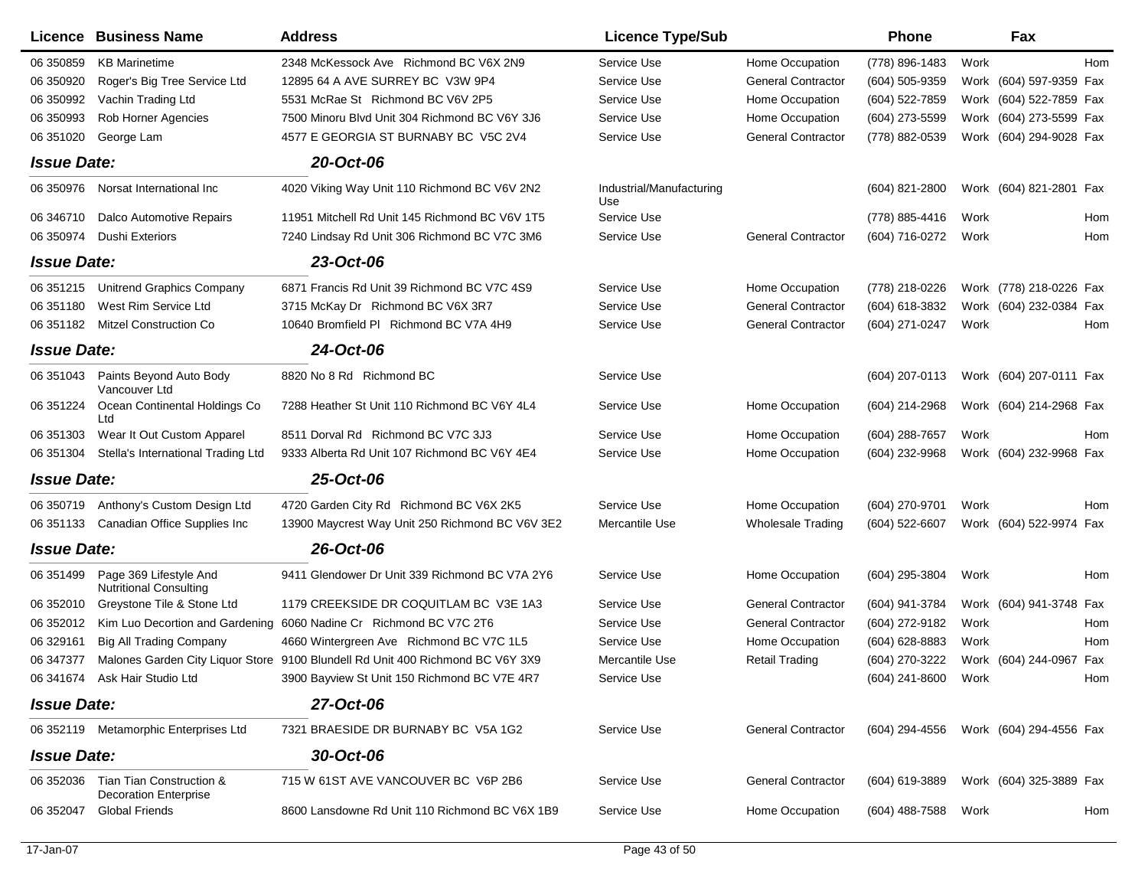|                    | Licence Business Name                                    | <b>Address</b>                                                                 | <b>Licence Type/Sub</b>         |                           | <b>Phone</b>        |      | Fax                                    |
|--------------------|----------------------------------------------------------|--------------------------------------------------------------------------------|---------------------------------|---------------------------|---------------------|------|----------------------------------------|
| 06 350859          | <b>KB Marinetime</b>                                     | 2348 McKessock Ave Richmond BC V6X 2N9                                         | Service Use                     | Home Occupation           | (778) 896-1483      | Work | Hom                                    |
| 06 350920          | Roger's Big Tree Service Ltd                             | 12895 64 A AVE SURREY BC V3W 9P4                                               | Service Use                     | <b>General Contractor</b> | (604) 505-9359      |      | Work (604) 597-9359 Fax                |
| 06 350992          | Vachin Trading Ltd                                       | 5531 McRae St Richmond BC V6V 2P5                                              | Service Use                     | Home Occupation           | (604) 522-7859      |      | Work (604) 522-7859 Fax                |
| 06 350993          | Rob Horner Agencies                                      | 7500 Minoru Blvd Unit 304 Richmond BC V6Y 3J6                                  | Service Use                     | Home Occupation           | (604) 273-5599      |      | Work (604) 273-5599 Fax                |
| 06 351020          | George Lam                                               | 4577 E GEORGIA ST BURNABY BC V5C 2V4                                           | Service Use                     | <b>General Contractor</b> | (778) 882-0539      |      | Work (604) 294-9028 Fax                |
| <b>Issue Date:</b> |                                                          | 20-Oct-06                                                                      |                                 |                           |                     |      |                                        |
| 06 350976          | Norsat International Inc                                 | 4020 Viking Way Unit 110 Richmond BC V6V 2N2                                   | Industrial/Manufacturing<br>Use |                           | (604) 821-2800      |      | Work (604) 821-2801 Fax                |
| 06 346710          | <b>Dalco Automotive Repairs</b>                          | 11951 Mitchell Rd Unit 145 Richmond BC V6V 1T5                                 | Service Use                     |                           | (778) 885-4416      | Work | Hom                                    |
| 06 350974          | <b>Dushi Exteriors</b>                                   | 7240 Lindsay Rd Unit 306 Richmond BC V7C 3M6                                   | Service Use                     | <b>General Contractor</b> | (604) 716-0272      | Work | Hom                                    |
| <b>Issue Date:</b> |                                                          | 23-Oct-06                                                                      |                                 |                           |                     |      |                                        |
| 06 351215          | <b>Unitrend Graphics Company</b>                         | 6871 Francis Rd Unit 39 Richmond BC V7C 4S9                                    | Service Use                     | Home Occupation           | (778) 218-0226      |      | Work (778) 218-0226 Fax                |
| 06 351180          | West Rim Service Ltd                                     | 3715 McKay Dr Richmond BC V6X 3R7                                              | Service Use                     | <b>General Contractor</b> | (604) 618-3832      |      | Work (604) 232-0384<br>Fax             |
| 06 351182          | <b>Mitzel Construction Co</b>                            | 10640 Bromfield PI Richmond BC V7A 4H9                                         | Service Use                     | <b>General Contractor</b> | (604) 271-0247      | Work | Hom                                    |
| <b>Issue Date:</b> |                                                          | 24-Oct-06                                                                      |                                 |                           |                     |      |                                        |
| 06 351043          | Paints Beyond Auto Body<br>Vancouver Ltd                 | 8820 No 8 Rd Richmond BC                                                       | Service Use                     |                           | (604) 207-0113      |      | Work (604) 207-0111 Fax                |
| 06 351 224         | Ocean Continental Holdings Co<br>Ltd                     | 7288 Heather St Unit 110 Richmond BC V6Y 4L4                                   | Service Use                     | Home Occupation           | (604) 214-2968      |      | Work (604) 214-2968 Fax                |
| 06 351303          | Wear It Out Custom Apparel                               | 8511 Dorval Rd Richmond BC V7C 3J3                                             | Service Use                     | Home Occupation           | (604) 288-7657      | Work | <b>Hom</b>                             |
| 06 351304          | Stella's International Trading Ltd                       | 9333 Alberta Rd Unit 107 Richmond BC V6Y 4E4                                   | Service Use                     | Home Occupation           | (604) 232-9968      |      | Work (604) 232-9968 Fax                |
| <b>Issue Date:</b> |                                                          | 25-Oct-06                                                                      |                                 |                           |                     |      |                                        |
| 06 350719          | Anthony's Custom Design Ltd                              | 4720 Garden City Rd Richmond BC V6X 2K5                                        | Service Use                     | Home Occupation           | (604) 270-9701      | Work | Hom                                    |
| 06 351133          | Canadian Office Supplies Inc                             | 13900 Maycrest Way Unit 250 Richmond BC V6V 3E2                                | Mercantile Use                  | <b>Wholesale Trading</b>  | (604) 522-6607      |      | Work (604) 522-9974 Fax                |
| <b>Issue Date:</b> |                                                          | 26-Oct-06                                                                      |                                 |                           |                     |      |                                        |
| 06 351499          | Page 369 Lifestyle And<br><b>Nutritional Consulting</b>  | 9411 Glendower Dr Unit 339 Richmond BC V7A 2Y6                                 | Service Use                     | Home Occupation           | (604) 295-3804      | Work | Hom                                    |
| 06 352010          | Greystone Tile & Stone Ltd                               | 1179 CREEKSIDE DR COQUITLAM BC V3E 1A3                                         | Service Use                     | <b>General Contractor</b> | (604) 941-3784      |      | Work (604) 941-3748 Fax                |
| 06 352012          |                                                          | Kim Luo Decortion and Gardening 6060 Nadine Cr Richmond BC V7C 2T6             | Service Use                     | <b>General Contractor</b> | (604) 272-9182      | Work | Hom                                    |
| 06 329161          | <b>Big All Trading Company</b>                           | 4660 Wintergreen Ave Richmond BC V7C 1L5                                       | Service Use                     | Home Occupation           | (604) 628-8883      | Work | <b>Hom</b>                             |
| 06 347377          |                                                          | Malones Garden City Liquor Store 9100 Blundell Rd Unit 400 Richmond BC V6Y 3X9 | Mercantile Use                  | <b>Retail Trading</b>     | (604) 270-3222      |      | Work (604) 244-0967 Fax                |
|                    | 06 341674 Ask Hair Studio Ltd                            | 3900 Bayview St Unit 150 Richmond BC V7E 4R7                                   | Service Use                     |                           | (604) 241-8600 Work |      | Hom                                    |
| <b>Issue Date:</b> |                                                          | 27-Oct-06                                                                      |                                 |                           |                     |      |                                        |
|                    | 06 352119 Metamorphic Enterprises Ltd                    | 7321 BRAESIDE DR BURNABY BC V5A 1G2                                            | Service Use                     | <b>General Contractor</b> |                     |      | (604) 294-4556 Work (604) 294-4556 Fax |
| <b>Issue Date:</b> |                                                          | 30-Oct-06                                                                      |                                 |                           |                     |      |                                        |
| 06 352036          | Tian Tian Construction &<br><b>Decoration Enterprise</b> | 715 W 61ST AVE VANCOUVER BC V6P 2B6                                            | Service Use                     | <b>General Contractor</b> | (604) 619-3889      |      | Work (604) 325-3889 Fax                |
| 06 352047          | <b>Global Friends</b>                                    | 8600 Lansdowne Rd Unit 110 Richmond BC V6X 1B9                                 | Service Use                     | Home Occupation           | (604) 488-7588      | Work | Hom                                    |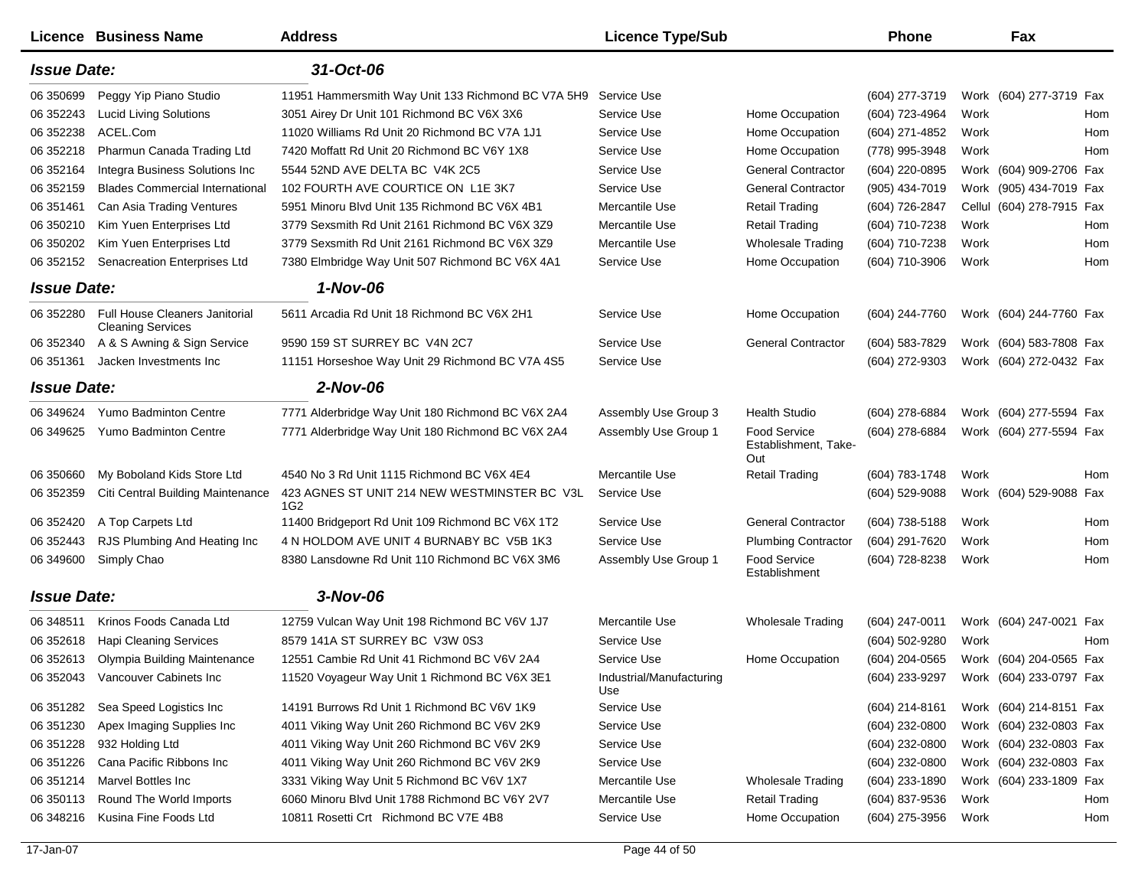|                    | Licence Business Name                                             | <b>Address</b>                                      | <b>Licence Type/Sub</b>         |                                             | Phone            |      | Fax                       |
|--------------------|-------------------------------------------------------------------|-----------------------------------------------------|---------------------------------|---------------------------------------------|------------------|------|---------------------------|
| <b>Issue Date:</b> |                                                                   | 31-Oct-06                                           |                                 |                                             |                  |      |                           |
| 06 350699          | Peggy Yip Piano Studio                                            | 11951 Hammersmith Way Unit 133 Richmond BC V7A 5H9  | Service Use                     |                                             | (604) 277-3719   |      | Work (604) 277-3719 Fax   |
| 06 352243          | <b>Lucid Living Solutions</b>                                     | 3051 Airey Dr Unit 101 Richmond BC V6X 3X6          | Service Use                     | Home Occupation                             | (604) 723-4964   | Work | Hom                       |
| 06 352238          | ACEL.Com                                                          | 11020 Williams Rd Unit 20 Richmond BC V7A 1J1       | Service Use                     | Home Occupation                             | (604) 271-4852   | Work | Hom                       |
| 06 352218          | Pharmun Canada Trading Ltd                                        | 7420 Moffatt Rd Unit 20 Richmond BC V6Y 1X8         | Service Use                     | Home Occupation                             | (778) 995-3948   | Work | Hom                       |
| 06 352164          | Integra Business Solutions Inc                                    | 5544 52ND AVE DELTA BC V4K 2C5                      | Service Use                     | <b>General Contractor</b>                   | (604) 220-0895   |      | Work (604) 909-2706 Fax   |
| 06 352159          | <b>Blades Commercial International</b>                            | 102 FOURTH AVE COURTICE ON L1E 3K7                  | Service Use                     | <b>General Contractor</b>                   | (905) 434-7019   |      | Work (905) 434-7019 Fax   |
| 06 351461          | Can Asia Trading Ventures                                         | 5951 Minoru Blvd Unit 135 Richmond BC V6X 4B1       | Mercantile Use                  | <b>Retail Trading</b>                       | (604) 726-2847   |      | Cellul (604) 278-7915 Fax |
| 06 350210          | Kim Yuen Enterprises Ltd                                          | 3779 Sexsmith Rd Unit 2161 Richmond BC V6X 3Z9      | Mercantile Use                  | <b>Retail Trading</b>                       | (604) 710-7238   | Work | Hom                       |
| 06 350202          | Kim Yuen Enterprises Ltd                                          | 3779 Sexsmith Rd Unit 2161 Richmond BC V6X 3Z9      | Mercantile Use                  | <b>Wholesale Trading</b>                    | (604) 710-7238   | Work | Hom                       |
| 06 352152          | Senacreation Enterprises Ltd                                      | 7380 Elmbridge Way Unit 507 Richmond BC V6X 4A1     | Service Use                     | Home Occupation                             | (604) 710-3906   | Work | Hom                       |
| <b>Issue Date:</b> |                                                                   | 1-Nov-06                                            |                                 |                                             |                  |      |                           |
| 06 352280          | <b>Full House Cleaners Janitorial</b><br><b>Cleaning Services</b> | 5611 Arcadia Rd Unit 18 Richmond BC V6X 2H1         | Service Use                     | Home Occupation                             | (604) 244-7760   |      | Work (604) 244-7760 Fax   |
| 06 352340          | A & S Awning & Sign Service                                       | 9590 159 ST SURREY BC V4N 2C7                       | Service Use                     | <b>General Contractor</b>                   | (604) 583-7829   |      | Work (604) 583-7808 Fax   |
| 06 351 361         | Jacken Investments Inc                                            | 11151 Horseshoe Way Unit 29 Richmond BC V7A 4S5     | Service Use                     |                                             | (604) 272-9303   |      | Work (604) 272-0432 Fax   |
| <b>Issue Date:</b> |                                                                   | $2-Nov-06$                                          |                                 |                                             |                  |      |                           |
| 06 34 96 24        | <b>Yumo Badminton Centre</b>                                      | 7771 Alderbridge Way Unit 180 Richmond BC V6X 2A4   | Assembly Use Group 3            | <b>Health Studio</b>                        | (604) 278-6884   |      | Work (604) 277-5594 Fax   |
| 06 34 96 25        | Yumo Badminton Centre                                             | 7771 Alderbridge Way Unit 180 Richmond BC V6X 2A4   | Assembly Use Group 1            | Food Service<br>Establishment, Take-<br>Out | (604) 278-6884   |      | Work (604) 277-5594 Fax   |
| 06 350 660         | My Boboland Kids Store Ltd                                        | 4540 No 3 Rd Unit 1115 Richmond BC V6X 4E4          | Mercantile Use                  | <b>Retail Trading</b>                       | (604) 783-1748   | Work | Hom                       |
| 06 352359          | Citi Central Building Maintenance                                 | 423 AGNES ST UNIT 214 NEW WESTMINSTER BC V3L<br>1G2 | Service Use                     |                                             | (604) 529-9088   |      | Work (604) 529-9088 Fax   |
| 06 352420          | A Top Carpets Ltd                                                 | 11400 Bridgeport Rd Unit 109 Richmond BC V6X 1T2    | Service Use                     | <b>General Contractor</b>                   | (604) 738-5188   | Work | Hom                       |
| 06 352443          | RJS Plumbing And Heating Inc                                      | 4 N HOLDOM AVE UNIT 4 BURNABY BC V5B 1K3            | Service Use                     | <b>Plumbing Contractor</b>                  | (604) 291-7620   | Work | Hom                       |
| 06 34 9600         | Simply Chao                                                       | 8380 Lansdowne Rd Unit 110 Richmond BC V6X 3M6      | Assembly Use Group 1            | Food Service<br>Establishment               | (604) 728-8238   | Work | Hom                       |
| <b>Issue Date:</b> |                                                                   | $3-Nov-06$                                          |                                 |                                             |                  |      |                           |
| 06 348511          | Krinos Foods Canada Ltd                                           | 12759 Vulcan Way Unit 198 Richmond BC V6V 1J7       | Mercantile Use                  | <b>Wholesale Trading</b>                    | (604) 247-0011   |      | Work (604) 247-0021 Fax   |
| 06 35 2618         | <b>Hapi Cleaning Services</b>                                     | 8579 141A ST SURREY BC V3W 0S3                      | Service Use                     |                                             | (604) 502-9280   | Work | Hom                       |
| 06 352613          | Olympia Building Maintenance                                      | 12551 Cambie Rd Unit 41 Richmond BC V6V 2A4         | Service Use                     | Home Occupation                             | (604) 204-0565   |      | Work (604) 204-0565 Fax   |
| 06 352043          | Vancouver Cabinets Inc                                            | 11520 Voyageur Way Unit 1 Richmond BC V6X 3E1       | Industrial/Manufacturing<br>Use |                                             | (604) 233-9297   |      | Work (604) 233-0797 Fax   |
| 06 351282          | Sea Speed Logistics Inc                                           | 14191 Burrows Rd Unit 1 Richmond BC V6V 1K9         | Service Use                     |                                             | (604) 214-8161   |      | Work (604) 214-8151 Fax   |
| 06 351230          | Apex Imaging Supplies Inc                                         | 4011 Viking Way Unit 260 Richmond BC V6V 2K9        | Service Use                     |                                             | (604) 232-0800   |      | Work (604) 232-0803 Fax   |
| 06 351228          | 932 Holding Ltd                                                   | 4011 Viking Way Unit 260 Richmond BC V6V 2K9        | Service Use                     |                                             | $(604)$ 232-0800 |      | Work (604) 232-0803 Fax   |
| 06 351226          | Cana Pacific Ribbons Inc                                          | 4011 Viking Way Unit 260 Richmond BC V6V 2K9        | Service Use                     |                                             | $(604)$ 232-0800 |      | Work (604) 232-0803 Fax   |
| 06 351214          | <b>Marvel Bottles Inc</b>                                         | 3331 Viking Way Unit 5 Richmond BC V6V 1X7          | Mercantile Use                  | <b>Wholesale Trading</b>                    | (604) 233-1890   |      | Work (604) 233-1809 Fax   |
| 06 350113          | Round The World Imports                                           | 6060 Minoru Blvd Unit 1788 Richmond BC V6Y 2V7      | Mercantile Use                  | <b>Retail Trading</b>                       | (604) 837-9536   | Work | Hom                       |
| 06 348216          | Kusina Fine Foods Ltd                                             | 10811 Rosetti Crt Richmond BC V7E 4B8               | Service Use                     | Home Occupation                             | (604) 275-3956   | Work | Hom                       |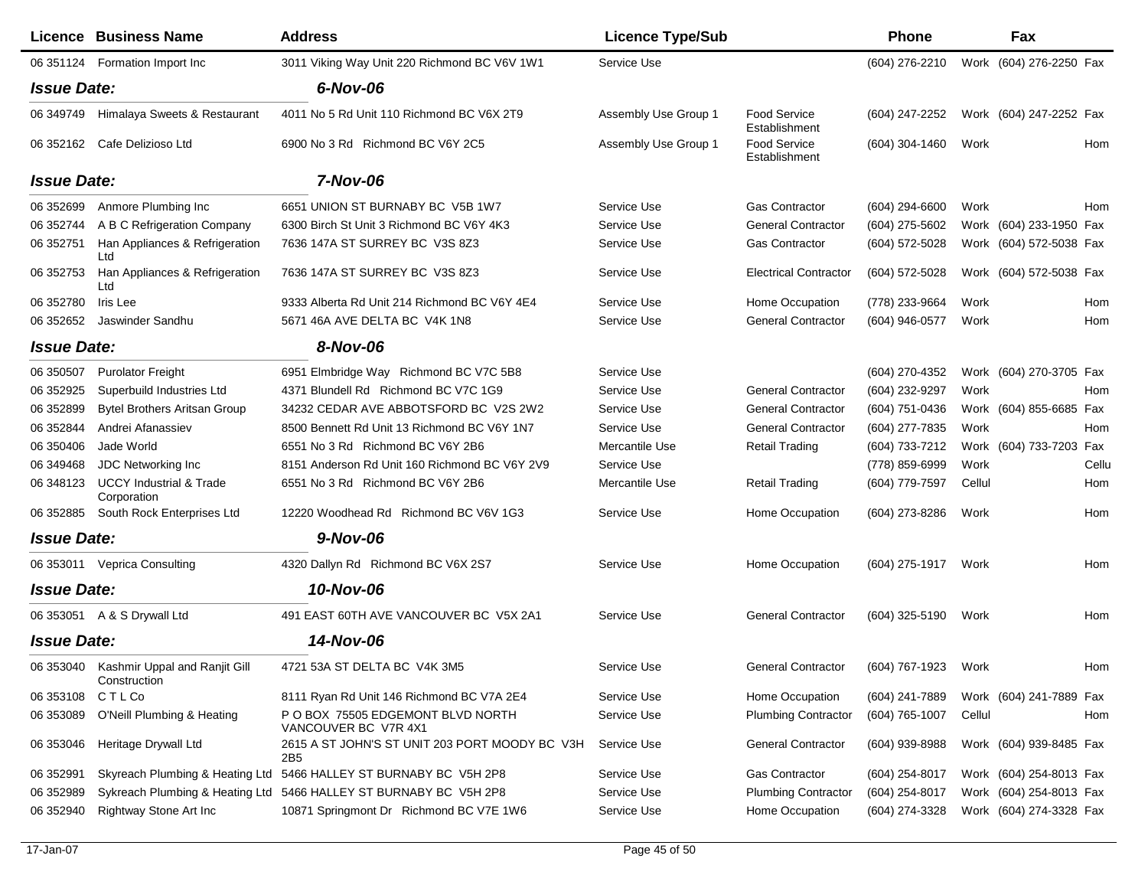|                    | Licence Business Name                                   | <b>Address</b>                                                    | <b>Licence Type/Sub</b> |                                      | <b>Phone</b>     |        | <b>Fax</b>              |       |
|--------------------|---------------------------------------------------------|-------------------------------------------------------------------|-------------------------|--------------------------------------|------------------|--------|-------------------------|-------|
|                    | 06 351124 Formation Import Inc                          | 3011 Viking Way Unit 220 Richmond BC V6V 1W1                      | Service Use             |                                      | (604) 276-2210   |        | Work (604) 276-2250 Fax |       |
| <b>Issue Date:</b> |                                                         | 6-Nov-06                                                          |                         |                                      |                  |        |                         |       |
| 06 349749          | Himalaya Sweets & Restaurant                            | 4011 No 5 Rd Unit 110 Richmond BC V6X 2T9                         | Assembly Use Group 1    | <b>Food Service</b><br>Establishment | (604) 247-2252   |        | Work (604) 247-2252 Fax |       |
|                    | 06 352162 Cafe Delizioso Ltd                            | 6900 No 3 Rd Richmond BC V6Y 2C5                                  | Assembly Use Group 1    | <b>Food Service</b><br>Establishment | $(604)$ 304-1460 | Work   |                         | Hom   |
| <b>Issue Date:</b> |                                                         | 7-Nov-06                                                          |                         |                                      |                  |        |                         |       |
| 06 352699          | Anmore Plumbing Inc                                     | 6651 UNION ST BURNABY BC V5B 1W7                                  | Service Use             | Gas Contractor                       | $(604)$ 294-6600 | Work   |                         | Hom   |
| 06 352744          | A B C Refrigeration Company                             | 6300 Birch St Unit 3 Richmond BC V6Y 4K3                          | Service Use             | <b>General Contractor</b>            | (604) 275-5602   |        | Work (604) 233-1950 Fax |       |
| 06 352751          | Han Appliances & Refrigeration<br>Ltd                   | 7636 147A ST SURREY BC V3S 8Z3                                    | Service Use             | <b>Gas Contractor</b>                | (604) 572-5028   |        | Work (604) 572-5038 Fax |       |
| 06 352753          | Han Appliances & Refrigeration<br>Ltd                   | 7636 147A ST SURREY BC V3S 8Z3                                    | Service Use             | <b>Electrical Contractor</b>         | (604) 572-5028   |        | Work (604) 572-5038 Fax |       |
| 06 352780          | Iris Lee                                                | 9333 Alberta Rd Unit 214 Richmond BC V6Y 4E4                      | Service Use             | Home Occupation                      | (778) 233-9664   | Work   |                         | Hom   |
| 06 352652          | Jaswinder Sandhu                                        | 5671 46A AVE DELTA BC V4K 1N8                                     | Service Use             | <b>General Contractor</b>            | (604) 946-0577   | Work   |                         | Hom   |
| <b>Issue Date:</b> |                                                         | 8-Nov-06                                                          |                         |                                      |                  |        |                         |       |
| 06 350507          | <b>Purolator Freight</b>                                | 6951 Elmbridge Way Richmond BC V7C 5B8                            | Service Use             |                                      | (604) 270-4352   |        | Work (604) 270-3705 Fax |       |
| 06 352925          | Superbuild Industries Ltd                               | 4371 Blundell Rd Richmond BC V7C 1G9                              | Service Use             | <b>General Contractor</b>            | (604) 232-9297   | Work   |                         | Hom   |
| 06 352899          | <b>Bytel Brothers Aritsan Group</b>                     | 34232 CEDAR AVE ABBOTSFORD BC V2S 2W2                             | Service Use             | <b>General Contractor</b>            | (604) 751-0436   |        | Work (604) 855-6685 Fax |       |
| 06 352844          | Andrei Afanassiev                                       | 8500 Bennett Rd Unit 13 Richmond BC V6Y 1N7                       | Service Use             | <b>General Contractor</b>            | (604) 277-7835   | Work   |                         | Hom   |
| 06 350406          | Jade World                                              | 6551 No 3 Rd Richmond BC V6Y 2B6                                  | Mercantile Use          | <b>Retail Trading</b>                | (604) 733-7212   |        | Work (604) 733-7203 Fax |       |
| 06 349468          | JDC Networking Inc                                      | 8151 Anderson Rd Unit 160 Richmond BC V6Y 2V9                     | Service Use             |                                      | (778) 859-6999   | Work   |                         | Cellu |
| 06 348123          | <b>UCCY Industrial &amp; Trade</b><br>Corporation       | 6551 No 3 Rd Richmond BC V6Y 2B6                                  | Mercantile Use          | <b>Retail Trading</b>                | (604) 779-7597   | Cellul |                         | Hom   |
| 06 352885          | South Rock Enterprises Ltd                              | 12220 Woodhead Rd Richmond BC V6V 1G3                             | Service Use             | Home Occupation                      | (604) 273-8286   | Work   |                         | Hom   |
| <b>Issue Date:</b> |                                                         | $9-Nov-06$                                                        |                         |                                      |                  |        |                         |       |
|                    | 06 353011 Veprica Consulting                            | 4320 Dallyn Rd Richmond BC V6X 2S7                                | Service Use             | Home Occupation                      | (604) 275-1917   | Work   |                         | Hom   |
| <b>Issue Date:</b> |                                                         | 10-Nov-06                                                         |                         |                                      |                  |        |                         |       |
|                    | 06 353051 A & S Drywall Ltd                             | 491 EAST 60TH AVE VANCOUVER BC V5X 2A1                            | Service Use             | <b>General Contractor</b>            | (604) 325-5190   | Work   |                         | Hom   |
| <b>Issue Date:</b> |                                                         | 14-Nov-06                                                         |                         |                                      |                  |        |                         |       |
|                    | 06 353040 Kashmir Uppal and Ranjit Gill<br>Construction | 4721 53A ST DELTA BC V4K 3M5                                      | Service Use             | <b>General Contractor</b>            | (604) 767-1923   | Work   |                         | Hom   |
| 06 353108          | <b>CTLCo</b>                                            | 8111 Ryan Rd Unit 146 Richmond BC V7A 2E4                         | Service Use             | Home Occupation                      | (604) 241-7889   |        | Work (604) 241-7889 Fax |       |
| 06 353089          | O'Neill Plumbing & Heating                              | P O BOX 75505 EDGEMONT BLVD NORTH<br>VANCOUVER BC V7R 4X1         | Service Use             | <b>Plumbing Contractor</b>           | (604) 765-1007   | Cellul |                         | Hom   |
| 06 353046          | Heritage Drywall Ltd                                    | 2615 A ST JOHN'S ST UNIT 203 PORT MOODY BC V3H<br>2B <sub>5</sub> | Service Use             | <b>General Contractor</b>            | (604) 939-8988   |        | Work (604) 939-8485 Fax |       |
| 06 352991          |                                                         | Skyreach Plumbing & Heating Ltd 5466 HALLEY ST BURNABY BC V5H 2P8 | Service Use             | Gas Contractor                       | (604) 254-8017   |        | Work (604) 254-8013 Fax |       |
| 06 352989          |                                                         | Sykreach Plumbing & Heating Ltd 5466 HALLEY ST BURNABY BC V5H 2P8 | Service Use             | <b>Plumbing Contractor</b>           | (604) 254-8017   |        | Work (604) 254-8013 Fax |       |
| 06 352940          | Rightway Stone Art Inc                                  | 10871 Springmont Dr Richmond BC V7E 1W6                           | Service Use             | Home Occupation                      | (604) 274-3328   |        | Work (604) 274-3328 Fax |       |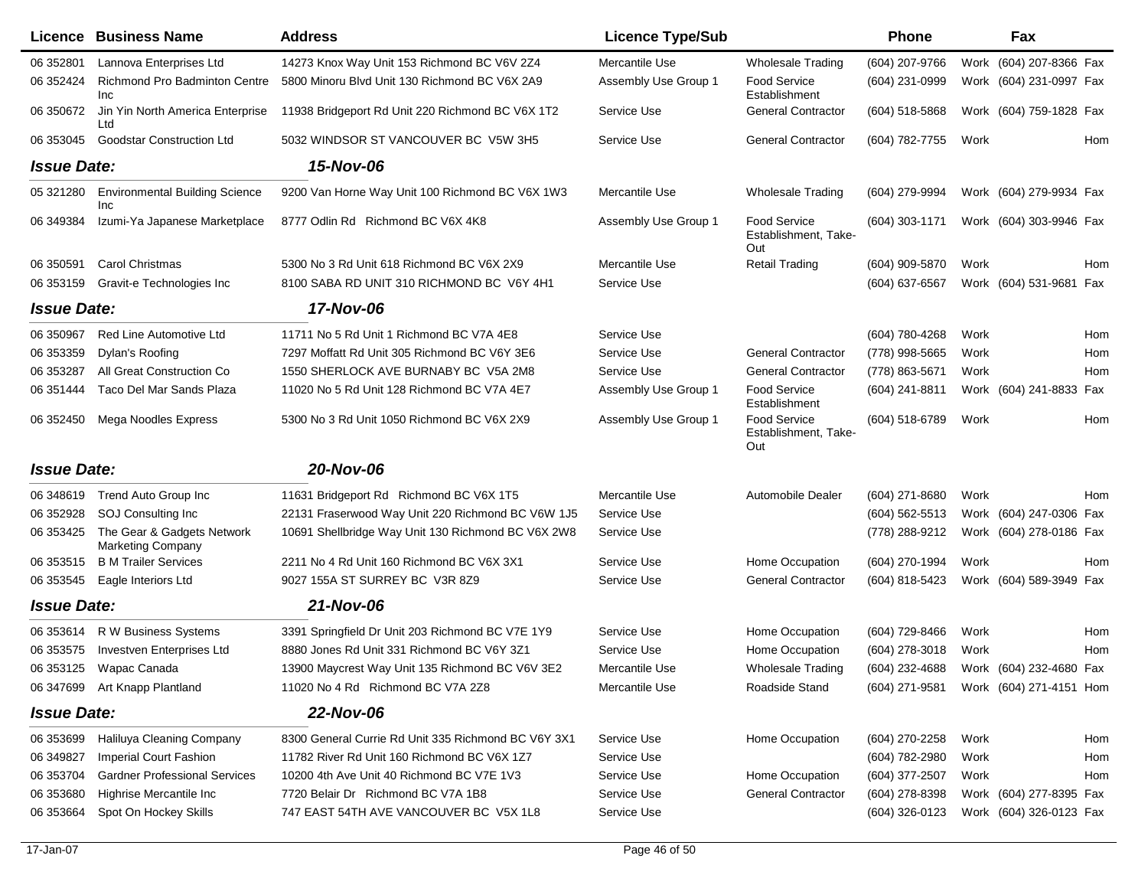|                    | Licence Business Name                                  | <b>Address</b>                                      | <b>Licence Type/Sub</b> |                                                    | <b>Phone</b>     |      | Fax                                    |
|--------------------|--------------------------------------------------------|-----------------------------------------------------|-------------------------|----------------------------------------------------|------------------|------|----------------------------------------|
| 06 352801          | Lannova Enterprises Ltd                                | 14273 Knox Way Unit 153 Richmond BC V6V 2Z4         | Mercantile Use          | <b>Wholesale Trading</b>                           | (604) 207-9766   |      | Work (604) 207-8366 Fax                |
| 06 352424          | Richmond Pro Badminton Centre<br>Inc                   | 5800 Minoru Blvd Unit 130 Richmond BC V6X 2A9       | Assembly Use Group 1    | Food Service<br>Establishment                      | (604) 231-0999   |      | Work (604) 231-0997 Fax                |
| 06 35 0672         | Jin Yin North America Enterprise<br>Ltd                | 11938 Bridgeport Rd Unit 220 Richmond BC V6X 1T2    | Service Use             | <b>General Contractor</b>                          | $(604)$ 518-5868 |      | Work (604) 759-1828 Fax                |
| 06 353045          | <b>Goodstar Construction Ltd</b>                       | 5032 WINDSOR ST VANCOUVER BC V5W 3H5                | Service Use             | <b>General Contractor</b>                          | (604) 782-7755   | Work | Hom                                    |
| <b>Issue Date:</b> |                                                        | 15-Nov-06                                           |                         |                                                    |                  |      |                                        |
| 05 321280          | <b>Environmental Building Science</b><br>Inc           | 9200 Van Horne Way Unit 100 Richmond BC V6X 1W3     | Mercantile Use          | Wholesale Trading                                  | (604) 279-9994   |      | Work (604) 279-9934 Fax                |
| 06 349384          | Izumi-Ya Japanese Marketplace                          | 8777 Odlin Rd Richmond BC V6X 4K8                   | Assembly Use Group 1    | <b>Food Service</b><br>Establishment, Take-<br>Out | $(604)$ 303-1171 |      | Work (604) 303-9946 Fax                |
| 06 35 0591         | <b>Carol Christmas</b>                                 | 5300 No 3 Rd Unit 618 Richmond BC V6X 2X9           | Mercantile Use          | <b>Retail Trading</b>                              | (604) 909-5870   | Work | Hom                                    |
| 06 353159          | Gravit-e Technologies Inc                              | 8100 SABA RD UNIT 310 RICHMOND BC V6Y 4H1           | Service Use             |                                                    | (604) 637-6567   |      | Work (604) 531-9681 Fax                |
| <b>Issue Date:</b> |                                                        | 17-Nov-06                                           |                         |                                                    |                  |      |                                        |
| 06 350967          | <b>Red Line Automotive Ltd</b>                         | 11711 No 5 Rd Unit 1 Richmond BC V7A 4E8            | Service Use             |                                                    | (604) 780-4268   | Work | Hom                                    |
| 06 353359          | Dylan's Roofing                                        | 7297 Moffatt Rd Unit 305 Richmond BC V6Y 3E6        | Service Use             | <b>General Contractor</b>                          | (778) 998-5665   | Work | Hom                                    |
| 06 353287          | All Great Construction Co                              | 1550 SHERLOCK AVE BURNABY BC V5A 2M8                | Service Use             | <b>General Contractor</b>                          | (778) 863-5671   | Work | <b>Hom</b>                             |
| 06 351444          | Taco Del Mar Sands Plaza                               | 11020 No 5 Rd Unit 128 Richmond BC V7A 4E7          | Assembly Use Group 1    | Food Service<br>Establishment                      | (604) 241-8811   |      | Work (604) 241-8833 Fax                |
| 06 352450          | Mega Noodles Express                                   | 5300 No 3 Rd Unit 1050 Richmond BC V6X 2X9          | Assembly Use Group 1    | <b>Food Service</b><br>Establishment, Take-<br>Out | (604) 518-6789   | Work | Hom                                    |
| <b>Issue Date:</b> |                                                        | 20-Nov-06                                           |                         |                                                    |                  |      |                                        |
| 06 348619          | Trend Auto Group Inc                                   | 11631 Bridgeport Rd Richmond BC V6X 1T5             | Mercantile Use          | Automobile Dealer                                  | (604) 271-8680   | Work | Hom                                    |
| 06 352928          | SOJ Consulting Inc                                     | 22131 Fraserwood Way Unit 220 Richmond BC V6W 1J5   | Service Use             |                                                    | $(604)$ 562-5513 |      | Work (604) 247-0306 Fax                |
| 06 353425          | The Gear & Gadgets Network<br><b>Marketing Company</b> | 10691 Shellbridge Way Unit 130 Richmond BC V6X 2W8  | Service Use             |                                                    | (778) 288-9212   |      | Work (604) 278-0186 Fax                |
| 06 353515          | <b>B M Trailer Services</b>                            | 2211 No 4 Rd Unit 160 Richmond BC V6X 3X1           | Service Use             | Home Occupation                                    | (604) 270-1994   | Work | Hom                                    |
| 06 353545          | Eagle Interiors Ltd                                    | 9027 155A ST SURREY BC V3R 8Z9                      | Service Use             | <b>General Contractor</b>                          | (604) 818-5423   |      | Work (604) 589-3949 Fax                |
| <b>Issue Date:</b> |                                                        | 21-Nov-06                                           |                         |                                                    |                  |      |                                        |
| 06 353614          | R W Business Systems                                   | 3391 Springfield Dr Unit 203 Richmond BC V7E 1Y9    | Service Use             | Home Occupation                                    | (604) 729-8466   | Work | Hom                                    |
| 06 353575          | Investven Enterprises Ltd                              | 8880 Jones Rd Unit 331 Richmond BC V6Y 3Z1          | Service Use             | Home Occupation                                    | (604) 278-3018   | Work | Hom                                    |
| 06 353125          | Wapac Canada                                           | 13900 Maycrest Way Unit 135 Richmond BC V6V 3E2     | Mercantile Use          | <b>Wholesale Trading</b>                           | (604) 232-4688   |      | Work (604) 232-4680 Fax                |
|                    | 06 347699 Art Knapp Plantland                          | 11020 No 4 Rd Richmond BC V7A 2Z8                   | Mercantile Use          | Roadside Stand                                     |                  |      | (604) 271-9581 Work (604) 271-4151 Hom |
| <b>Issue Date:</b> |                                                        | 22-Nov-06                                           |                         |                                                    |                  |      |                                        |
| 06 353699          | Haliluya Cleaning Company                              | 8300 General Currie Rd Unit 335 Richmond BC V6Y 3X1 | Service Use             | Home Occupation                                    | (604) 270-2258   | Work | Hom                                    |
| 06 34 98 27        | <b>Imperial Court Fashion</b>                          | 11782 River Rd Unit 160 Richmond BC V6X 1Z7         | Service Use             |                                                    | (604) 782-2980   | Work | Hom                                    |
| 06 353704          | <b>Gardner Professional Services</b>                   | 10200 4th Ave Unit 40 Richmond BC V7E 1V3           | Service Use             | Home Occupation                                    | (604) 377-2507   | Work | Hom                                    |
| 06 353680          | Highrise Mercantile Inc                                | 7720 Belair Dr Richmond BC V7A 1B8                  | Service Use             | <b>General Contractor</b>                          | (604) 278-8398   |      | Work (604) 277-8395 Fax                |
| 06 353664          | Spot On Hockey Skills                                  | 747 EAST 54TH AVE VANCOUVER BC V5X 1L8              | Service Use             |                                                    | (604) 326-0123   |      | Work (604) 326-0123 Fax                |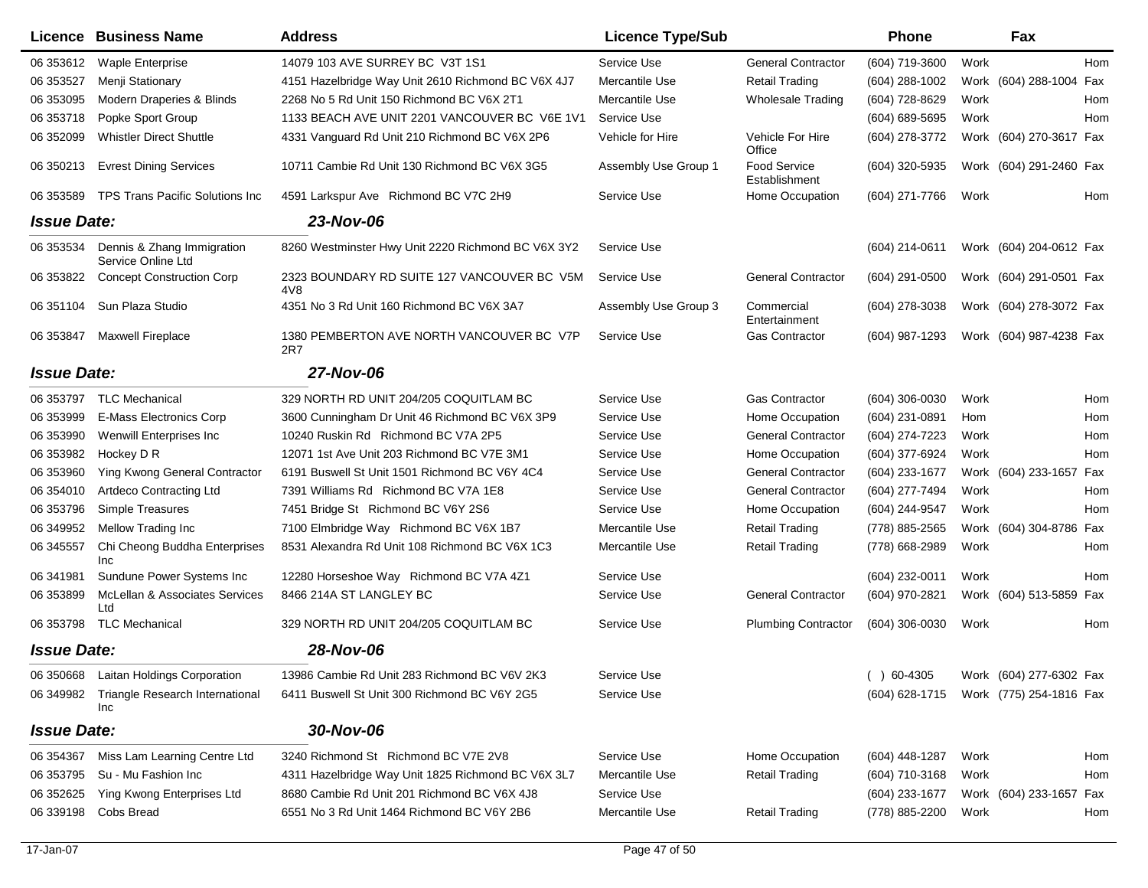|                    | Licence Business Name                            | <b>Address</b>                                                  | <b>Licence Type/Sub</b> |                                      | <b>Phone</b>     | Fax                                    |
|--------------------|--------------------------------------------------|-----------------------------------------------------------------|-------------------------|--------------------------------------|------------------|----------------------------------------|
| 06 353612          | <b>Waple Enterprise</b>                          | 14079 103 AVE SURREY BC V3T 1S1                                 | Service Use             | <b>General Contractor</b>            | (604) 719-3600   | Work<br>Hom                            |
| 06 353527          | Menji Stationary                                 | 4151 Hazelbridge Way Unit 2610 Richmond BC V6X 4J7              | Mercantile Use          | <b>Retail Trading</b>                | (604) 288-1002   | Work (604) 288-1004 Fax                |
| 06 353095          | Modern Draperies & Blinds                        | 2268 No 5 Rd Unit 150 Richmond BC V6X 2T1                       | Mercantile Use          | <b>Wholesale Trading</b>             | (604) 728-8629   | Work<br>Hom                            |
| 06 353718          | Popke Sport Group                                | 1133 BEACH AVE UNIT 2201 VANCOUVER BC V6E 1V1                   | Service Use             |                                      | (604) 689-5695   | Work<br>Hom                            |
| 06 35 2099         | <b>Whistler Direct Shuttle</b>                   | 4331 Vanguard Rd Unit 210 Richmond BC V6X 2P6                   | Vehicle for Hire        | Vehicle For Hire<br>Office           | (604) 278-3772   | Work (604) 270-3617 Fax                |
| 06 350213          | <b>Evrest Dining Services</b>                    | 10711 Cambie Rd Unit 130 Richmond BC V6X 3G5                    | Assembly Use Group 1    | <b>Food Service</b><br>Establishment | (604) 320-5935   | Work (604) 291-2460 Fax                |
| 06 353589          | <b>TPS Trans Pacific Solutions Inc</b>           | 4591 Larkspur Ave Richmond BC V7C 2H9                           | Service Use             | Home Occupation                      | (604) 271-7766   | Work<br>Hom                            |
| <b>Issue Date:</b> |                                                  | 23-Nov-06                                                       |                         |                                      |                  |                                        |
| 06 353534          | Dennis & Zhang Immigration<br>Service Online Ltd | 8260 Westminster Hwy Unit 2220 Richmond BC V6X 3Y2              | Service Use             |                                      | $(604)$ 214-0611 | Work (604) 204-0612 Fax                |
| 06 353822          | <b>Concept Construction Corp</b>                 | 2323 BOUNDARY RD SUITE 127 VANCOUVER BC V5M<br>4 <sub>V</sub> 8 | Service Use             | <b>General Contractor</b>            | $(604)$ 291-0500 | Work (604) 291-0501 Fax                |
| 06 351104          | Sun Plaza Studio                                 | 4351 No 3 Rd Unit 160 Richmond BC V6X 3A7                       | Assembly Use Group 3    | Commercial<br>Entertainment          | $(604)$ 278-3038 | Work (604) 278-3072 Fax                |
| 06 353847          | <b>Maxwell Fireplace</b>                         | 1380 PEMBERTON AVE NORTH VANCOUVER BC V7P<br>2R7                | Service Use             | <b>Gas Contractor</b>                | (604) 987-1293   | Work (604) 987-4238 Fax                |
| <b>Issue Date:</b> |                                                  | 27-Nov-06                                                       |                         |                                      |                  |                                        |
| 06 353797          | <b>TLC Mechanical</b>                            | 329 NORTH RD UNIT 204/205 COQUITLAM BC                          | Service Use             | <b>Gas Contractor</b>                | (604) 306-0030   | Work<br>Hom                            |
| 06 353999          | <b>E-Mass Electronics Corp</b>                   | 3600 Cunningham Dr Unit 46 Richmond BC V6X 3P9                  | Service Use             | Home Occupation                      | (604) 231-0891   | Hom<br>Hom                             |
| 06 353990          | Wenwill Enterprises Inc                          | 10240 Ruskin Rd Richmond BC V7A 2P5                             | Service Use             | <b>General Contractor</b>            | (604) 274-7223   | Hom<br>Work                            |
| 06 353982          | Hockey D R                                       | 12071 1st Ave Unit 203 Richmond BC V7E 3M1                      | Service Use             | Home Occupation                      | (604) 377-6924   | Work<br>Hom                            |
| 06 353960          | Ying Kwong General Contractor                    | 6191 Buswell St Unit 1501 Richmond BC V6Y 4C4                   | Service Use             | <b>General Contractor</b>            | (604) 233-1677   | Work (604) 233-1657<br>Fax             |
| 06 354010          | <b>Artdeco Contracting Ltd</b>                   | 7391 Williams Rd Richmond BC V7A 1E8                            | Service Use             | <b>General Contractor</b>            | (604) 277-7494   | Work<br>Hom                            |
| 06 353796          | Simple Treasures                                 | 7451 Bridge St Richmond BC V6Y 2S6                              | Service Use             | Home Occupation                      | (604) 244-9547   | Work<br>Hom                            |
| 06 34 9952         | Mellow Trading Inc                               | 7100 Elmbridge Way Richmond BC V6X 1B7                          | Mercantile Use          | <b>Retail Trading</b>                | (778) 885-2565   | Work (604) 304-8786<br>Fax             |
| 06 345557          | Chi Cheong Buddha Enterprises<br>Inc             | 8531 Alexandra Rd Unit 108 Richmond BC V6X 1C3                  | Mercantile Use          | <b>Retail Trading</b>                | (778) 668-2989   | Work<br>Hom                            |
| 06 341981          | Sundune Power Systems Inc                        | 12280 Horseshoe Way Richmond BC V7A 4Z1                         | Service Use             |                                      | (604) 232-0011   | Work<br>Hom                            |
| 06 353899          | McLellan & Associates Services<br>Ltd            | 8466 214A ST LANGLEY BC                                         | Service Use             | <b>General Contractor</b>            | (604) 970-2821   | Work (604) 513-5859 Fax                |
| 06 353798          | TLC Mechanical                                   | 329 NORTH RD UNIT 204/205 COQUITLAM BC                          | Service Use             | <b>Plumbing Contractor</b>           | (604) 306-0030   | Work<br>Hom                            |
| <b>Issue Date:</b> |                                                  | 28-Nov-06                                                       |                         |                                      |                  |                                        |
|                    | 06 350668 Laitan Holdings Corporation            | 13986 Cambie Rd Unit 283 Richmond BC V6V 2K3                    | Service Use             |                                      | $( ) 60-4305$    | Work (604) 277-6302 Fax                |
|                    | 06 349982 Triangle Research International<br>Inc | 6411 Buswell St Unit 300 Richmond BC V6Y 2G5                    | Service Use             |                                      |                  | (604) 628-1715 Work (775) 254-1816 Fax |
| <b>Issue Date:</b> |                                                  | 30-Nov-06                                                       |                         |                                      |                  |                                        |
| 06 354367          | Miss Lam Learning Centre Ltd                     | 3240 Richmond St Richmond BC V7E 2V8                            | Service Use             | Home Occupation                      | (604) 448-1287   | Work<br>Hom                            |
| 06 353795          | Su - Mu Fashion Inc                              | 4311 Hazelbridge Way Unit 1825 Richmond BC V6X 3L7              | Mercantile Use          | <b>Retail Trading</b>                | (604) 710-3168   | Work<br>Hom                            |
| 06 352625          | Ying Kwong Enterprises Ltd                       | 8680 Cambie Rd Unit 201 Richmond BC V6X 4J8                     | Service Use             |                                      | (604) 233-1677   | Work (604) 233-1657 Fax                |
| 06 339198          | Cobs Bread                                       | 6551 No 3 Rd Unit 1464 Richmond BC V6Y 2B6                      | Mercantile Use          | <b>Retail Trading</b>                | (778) 885-2200   | Work<br>Hom                            |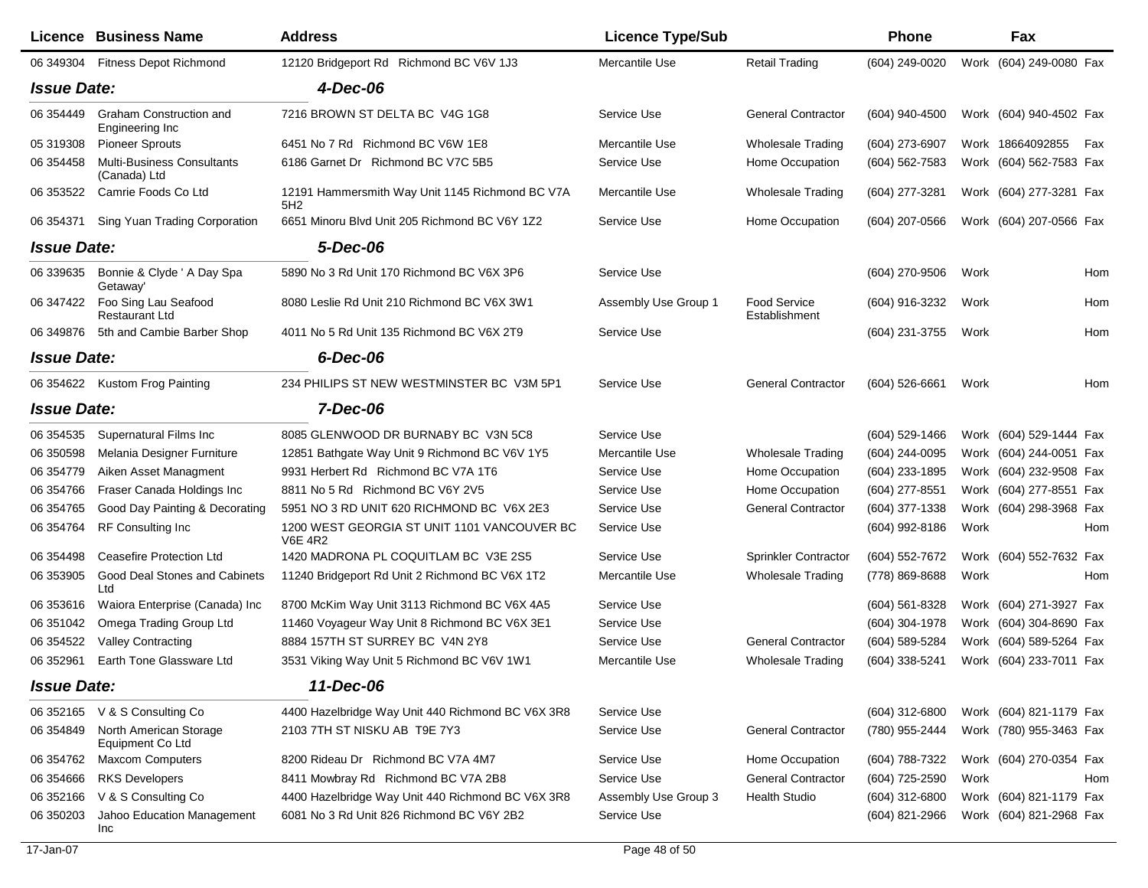|                    | <b>Licence Business Name</b>                      | <b>Address</b>                                                | <b>Licence Type/Sub</b> |                                      | <b>Phone</b>     |      | Fax                     |     |
|--------------------|---------------------------------------------------|---------------------------------------------------------------|-------------------------|--------------------------------------|------------------|------|-------------------------|-----|
| 06 349304          | <b>Fitness Depot Richmond</b>                     | 12120 Bridgeport Rd Richmond BC V6V 1J3                       | Mercantile Use          | <b>Retail Trading</b>                | (604) 249-0020   |      | Work (604) 249-0080 Fax |     |
| <b>Issue Date:</b> |                                                   | 4-Dec-06                                                      |                         |                                      |                  |      |                         |     |
| 06 354449          | Graham Construction and<br>Engineering Inc        | 7216 BROWN ST DELTA BC V4G 1G8                                | Service Use             | <b>General Contractor</b>            | (604) 940-4500   |      | Work (604) 940-4502 Fax |     |
| 05 319308          | <b>Pioneer Sprouts</b>                            | 6451 No 7 Rd Richmond BC V6W 1E8                              | Mercantile Use          | <b>Wholesale Trading</b>             | (604) 273-6907   |      | Work 18664092855        | Fax |
| 06 354458          | <b>Multi-Business Consultants</b><br>(Canada) Ltd | 6186 Garnet Dr Richmond BC V7C 5B5                            | Service Use             | Home Occupation                      | (604) 562-7583   |      | Work (604) 562-7583 Fax |     |
| 06 353522          | Camrie Foods Co Ltd                               | 12191 Hammersmith Way Unit 1145 Richmond BC V7A<br>5H2        | Mercantile Use          | <b>Wholesale Trading</b>             | (604) 277-3281   |      | Work (604) 277-3281 Fax |     |
| 06 354371          | Sing Yuan Trading Corporation                     | 6651 Minoru Blvd Unit 205 Richmond BC V6Y 1Z2                 | Service Use             | Home Occupation                      | (604) 207-0566   |      | Work (604) 207-0566 Fax |     |
| <b>Issue Date:</b> |                                                   | 5-Dec-06                                                      |                         |                                      |                  |      |                         |     |
| 06 339635          | Bonnie & Clyde ' A Day Spa<br>Getaway'            | 5890 No 3 Rd Unit 170 Richmond BC V6X 3P6                     | Service Use             |                                      | (604) 270-9506   | Work |                         | Hom |
| 06 347422          | Foo Sing Lau Seafood<br><b>Restaurant Ltd</b>     | 8080 Leslie Rd Unit 210 Richmond BC V6X 3W1                   | Assembly Use Group 1    | <b>Food Service</b><br>Establishment | (604) 916-3232   | Work |                         | Hom |
| 06 349876          | 5th and Cambie Barber Shop                        | 4011 No 5 Rd Unit 135 Richmond BC V6X 2T9                     | Service Use             |                                      | (604) 231-3755   | Work |                         | Hom |
| <b>Issue Date:</b> |                                                   | 6-Dec-06                                                      |                         |                                      |                  |      |                         |     |
|                    | 06 354622 Kustom Frog Painting                    | 234 PHILIPS ST NEW WESTMINSTER BC V3M 5P1                     | Service Use             | <b>General Contractor</b>            | $(604)$ 526-6661 | Work |                         | Hom |
| <b>Issue Date:</b> |                                                   | 7-Dec-06                                                      |                         |                                      |                  |      |                         |     |
| 06 354535          | Supernatural Films Inc                            | 8085 GLENWOOD DR BURNABY BC V3N 5C8                           | Service Use             |                                      | (604) 529-1466   |      | Work (604) 529-1444 Fax |     |
| 06 350598          | Melania Designer Furniture                        | 12851 Bathgate Way Unit 9 Richmond BC V6V 1Y5                 | Mercantile Use          | <b>Wholesale Trading</b>             | (604) 244-0095   |      | Work (604) 244-0051 Fax |     |
| 06 354779          | Aiken Asset Managment                             | 9931 Herbert Rd Richmond BC V7A 1T6                           | Service Use             | Home Occupation                      | (604) 233-1895   |      | Work (604) 232-9508 Fax |     |
| 06 354766          | Fraser Canada Holdings Inc                        | 8811 No 5 Rd Richmond BC V6Y 2V5                              | Service Use             | Home Occupation                      | (604) 277-8551   |      | Work (604) 277-8551 Fax |     |
| 06 354765          | Good Day Painting & Decorating                    | 5951 NO 3 RD UNIT 620 RICHMOND BC V6X 2E3                     | Service Use             | <b>General Contractor</b>            | (604) 377-1338   |      | Work (604) 298-3968 Fax |     |
| 06 354764          | RF Consulting Inc                                 | 1200 WEST GEORGIA ST UNIT 1101 VANCOUVER BC<br><b>V6E 4R2</b> | Service Use             |                                      | (604) 992-8186   | Work |                         | Hom |
| 06 354498          | Ceasefire Protection Ltd                          | 1420 MADRONA PL COQUITLAM BC V3E 2S5                          | Service Use             | <b>Sprinkler Contractor</b>          | (604) 552-7672   |      | Work (604) 552-7632 Fax |     |
| 06 353905          | Good Deal Stones and Cabinets<br>Ltd              | 11240 Bridgeport Rd Unit 2 Richmond BC V6X 1T2                | Mercantile Use          | <b>Wholesale Trading</b>             | (778) 869-8688   | Work |                         | Hom |
| 06 353616          | Waiora Enterprise (Canada) Inc                    | 8700 McKim Way Unit 3113 Richmond BC V6X 4A5                  | Service Use             |                                      | (604) 561-8328   |      | Work (604) 271-3927 Fax |     |
| 06 351042          | Omega Trading Group Ltd                           | 11460 Voyageur Way Unit 8 Richmond BC V6X 3E1                 | Service Use             |                                      | (604) 304-1978   |      | Work (604) 304-8690 Fax |     |
| 06 354522          | <b>Valley Contracting</b>                         | 8884 157TH ST SURREY BC V4N 2Y8                               | Service Use             | <b>General Contractor</b>            | (604) 589-5284   |      | Work (604) 589-5264 Fax |     |
| 06 352961          | Earth Tone Glassware Ltd                          | 3531 Viking Way Unit 5 Richmond BC V6V 1W1                    | Mercantile Use          | <b>Wholesale Trading</b>             | (604) 338-5241   |      | Work (604) 233-7011 Fax |     |
| <b>Issue Date:</b> |                                                   | 11-Dec-06                                                     |                         |                                      |                  |      |                         |     |
| 06 352165          | V & S Consulting Co                               | 4400 Hazelbridge Way Unit 440 Richmond BC V6X 3R8             | Service Use             |                                      | (604) 312-6800   |      | Work (604) 821-1179 Fax |     |
| 06 354849          | North American Storage<br>Equipment Co Ltd        | 2103 7TH ST NISKU AB T9E 7Y3                                  | Service Use             | <b>General Contractor</b>            | (780) 955-2444   |      | Work (780) 955-3463 Fax |     |
| 06 354762          | <b>Maxcom Computers</b>                           | 8200 Rideau Dr Richmond BC V7A 4M7                            | Service Use             | Home Occupation                      | (604) 788-7322   |      | Work (604) 270-0354 Fax |     |
| 06 354666          | <b>RKS Developers</b>                             | 8411 Mowbray Rd Richmond BC V7A 2B8                           | Service Use             | <b>General Contractor</b>            | (604) 725-2590   | Work |                         | Hom |
| 06 352166          | V & S Consulting Co                               | 4400 Hazelbridge Way Unit 440 Richmond BC V6X 3R8             | Assembly Use Group 3    | <b>Health Studio</b>                 | (604) 312-6800   |      | Work (604) 821-1179 Fax |     |
| 06 350203          | Jahoo Education Management<br>Inc                 | 6081 No 3 Rd Unit 826 Richmond BC V6Y 2B2                     | Service Use             |                                      | (604) 821-2966   |      | Work (604) 821-2968 Fax |     |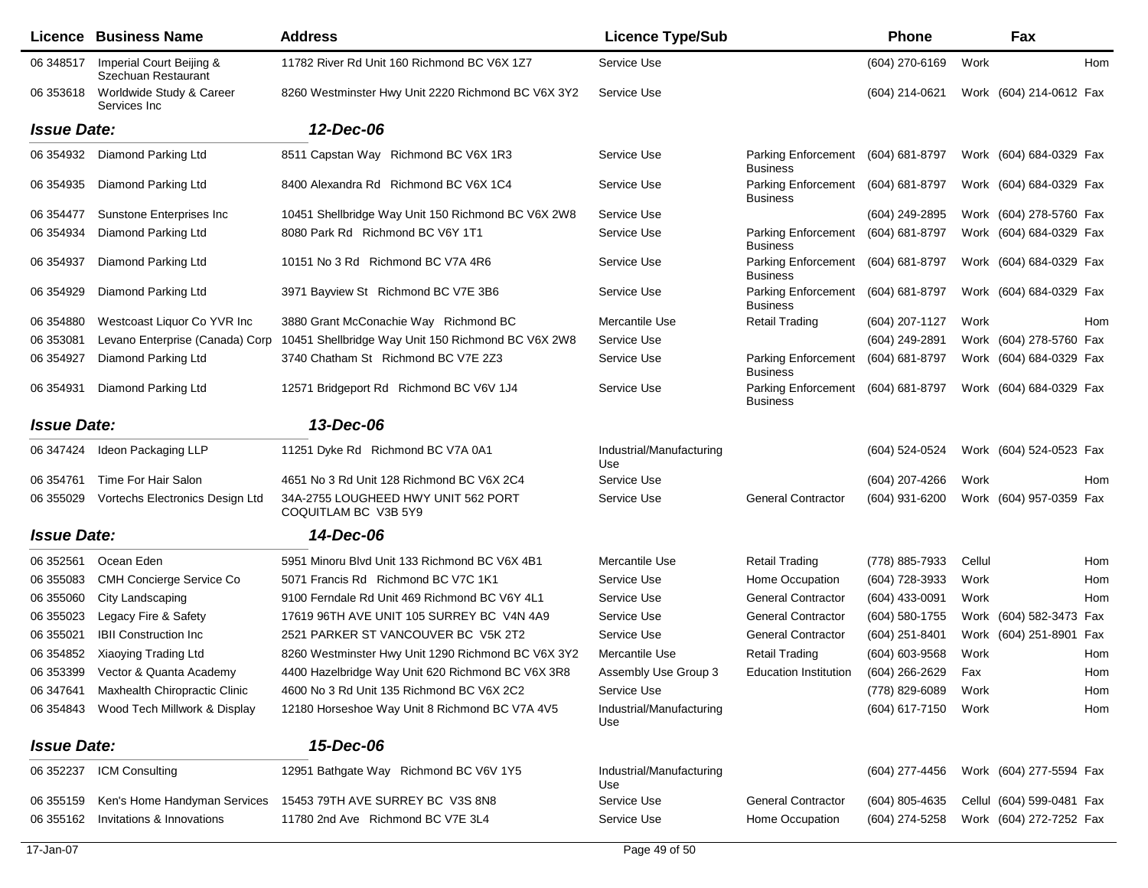|                    | <b>Licence Business Name</b>                    | <b>Address</b>                                              | <b>Licence Type/Sub</b>         |                                               | <b>Phone</b>        |        | Fax                       |     |
|--------------------|-------------------------------------------------|-------------------------------------------------------------|---------------------------------|-----------------------------------------------|---------------------|--------|---------------------------|-----|
| 06 348517          | Imperial Court Beijing &<br>Szechuan Restaurant | 11782 River Rd Unit 160 Richmond BC V6X 1Z7                 | Service Use                     |                                               | (604) 270-6169      | Work   |                           | Hom |
| 06 353618          | Worldwide Study & Career<br>Services Inc        | 8260 Westminster Hwy Unit 2220 Richmond BC V6X 3Y2          | Service Use                     |                                               | (604) 214-0621      |        | Work (604) 214-0612 Fax   |     |
| <b>Issue Date:</b> |                                                 | 12-Dec-06                                                   |                                 |                                               |                     |        |                           |     |
| 06 354932          | Diamond Parking Ltd                             | 8511 Capstan Way Richmond BC V6X 1R3                        | Service Use                     | Parking Enforcement<br><b>Business</b>        | (604) 681-8797      |        | Work (604) 684-0329 Fax   |     |
| 06 354935          | Diamond Parking Ltd                             | 8400 Alexandra Rd Richmond BC V6X 1C4                       | Service Use                     | <b>Parking Enforcement</b><br><b>Business</b> | (604) 681-8797      |        | Work (604) 684-0329 Fax   |     |
| 06 354477          | Sunstone Enterprises Inc                        | 10451 Shellbridge Way Unit 150 Richmond BC V6X 2W8          | Service Use                     |                                               | (604) 249-2895      |        | Work (604) 278-5760 Fax   |     |
| 06 354934          | Diamond Parking Ltd                             | 8080 Park Rd Richmond BC V6Y 1T1                            | Service Use                     | <b>Parking Enforcement</b><br><b>Business</b> | (604) 681-8797      |        | Work (604) 684-0329 Fax   |     |
| 06 354937          | Diamond Parking Ltd                             | 10151 No 3 Rd Richmond BC V7A 4R6                           | Service Use                     | Parking Enforcement<br><b>Business</b>        | (604) 681-8797      |        | Work (604) 684-0329 Fax   |     |
| 06 354929          | Diamond Parking Ltd                             | 3971 Bayview St Richmond BC V7E 3B6                         | Service Use                     | <b>Parking Enforcement</b><br><b>Business</b> | (604) 681-8797      |        | Work (604) 684-0329 Fax   |     |
| 06 354880          | Westcoast Liquor Co YVR Inc                     | 3880 Grant McConachie Way Richmond BC                       | Mercantile Use                  | <b>Retail Trading</b>                         | (604) 207-1127      | Work   |                           | Hom |
| 06 353081          | Levano Enterprise (Canada) Corp                 | 10451 Shellbridge Way Unit 150 Richmond BC V6X 2W8          | Service Use                     |                                               | (604) 249-2891      |        | Work (604) 278-5760 Fax   |     |
| 06 354927          | Diamond Parking Ltd                             | 3740 Chatham St Richmond BC V7E 2Z3                         | Service Use                     | <b>Parking Enforcement</b><br><b>Business</b> | (604) 681-8797      |        | Work (604) 684-0329 Fax   |     |
| 06 354931          | Diamond Parking Ltd                             | 12571 Bridgeport Rd Richmond BC V6V 1J4                     | Service Use                     | Parking Enforcement<br><b>Business</b>        | (604) 681-8797      |        | Work (604) 684-0329 Fax   |     |
| <b>Issue Date:</b> |                                                 | 13-Dec-06                                                   |                                 |                                               |                     |        |                           |     |
| 06 347424          | Ideon Packaging LLP                             | 11251 Dyke Rd Richmond BC V7A 0A1                           | Industrial/Manufacturing<br>Use |                                               | (604) 524-0524      |        | Work (604) 524-0523 Fax   |     |
| 06 354761          | Time For Hair Salon                             | 4651 No 3 Rd Unit 128 Richmond BC V6X 2C4                   | Service Use                     |                                               | (604) 207-4266      | Work   |                           | Hom |
| 06 355029          | Vortechs Electronics Design Ltd                 | 34A-2755 LOUGHEED HWY UNIT 562 PORT<br>COQUITLAM BC V3B 5Y9 | Service Use                     | <b>General Contractor</b>                     | (604) 931-6200      |        | Work (604) 957-0359 Fax   |     |
| <b>Issue Date:</b> |                                                 | 14-Dec-06                                                   |                                 |                                               |                     |        |                           |     |
| 06 352561          | Ocean Eden                                      | 5951 Minoru Blvd Unit 133 Richmond BC V6X 4B1               | Mercantile Use                  | <b>Retail Trading</b>                         | (778) 885-7933      | Cellul |                           | Hom |
| 06 355083          | CMH Concierge Service Co                        | 5071 Francis Rd Richmond BC V7C 1K1                         | Service Use                     | Home Occupation                               | (604) 728-3933      | Work   |                           | Hom |
| 06 355060          | City Landscaping                                | 9100 Ferndale Rd Unit 469 Richmond BC V6Y 4L1               | Service Use                     | <b>General Contractor</b>                     | (604) 433-0091      | Work   |                           | Hom |
| 06 355023          | Legacy Fire & Safety                            | 17619 96TH AVE UNIT 105 SURREY BC V4N 4A9                   | Service Use                     | <b>General Contractor</b>                     | (604) 580-1755      |        | Work (604) 582-3473 Fax   |     |
| 06 355021          | <b>IBII Construction Inc.</b>                   | 2521 PARKER ST VANCOUVER BC V5K 2T2                         | Service Use                     | <b>General Contractor</b>                     | (604) 251-8401      |        | Work (604) 251-8901 Fax   |     |
| 06 354852          | Xiaoying Trading Ltd                            | 8260 Westminster Hwy Unit 1290 Richmond BC V6X 3Y2          | Mercantile Use                  | <b>Retail Trading</b>                         | (604) 603-9568      | Work   |                           | Hom |
| 06 353399          | Vector & Quanta Academy                         | 4400 Hazelbridge Way Unit 620 Richmond BC V6X 3R8           | Assembly Use Group 3            | <b>Education Institution</b>                  | $(604)$ 266-2629    | Fax    |                           | Hom |
|                    | 06 347641 Maxhealth Chiropractic Clinic         | 4600 No 3 Rd Unit 135 Richmond BC V6X 2C2                   | Service Use                     |                                               | (778) 829-6089      | Work   |                           | Hom |
|                    | 06 354843 Wood Tech Millwork & Display          | 12180 Horseshoe Way Unit 8 Richmond BC V7A 4V5              | Industrial/Manufacturing<br>Use |                                               | (604) 617-7150 Work |        |                           | Hom |
| <b>Issue Date:</b> |                                                 | 15-Dec-06                                                   |                                 |                                               |                     |        |                           |     |
| 06 352237          | <b>ICM Consulting</b>                           | 12951 Bathgate Way Richmond BC V6V 1Y5                      | Industrial/Manufacturing<br>Use |                                               | (604) 277-4456      |        | Work (604) 277-5594 Fax   |     |
| 06 355159          | Ken's Home Handyman Services                    | 15453 79TH AVE SURREY BC V3S 8N8                            | Service Use                     | <b>General Contractor</b>                     | $(604)$ 805-4635    |        | Cellul (604) 599-0481 Fax |     |
| 06 355162          | Invitations & Innovations                       | 11780 2nd Ave Richmond BC V7E 3L4                           | Service Use                     | Home Occupation                               | (604) 274-5258      |        | Work (604) 272-7252 Fax   |     |